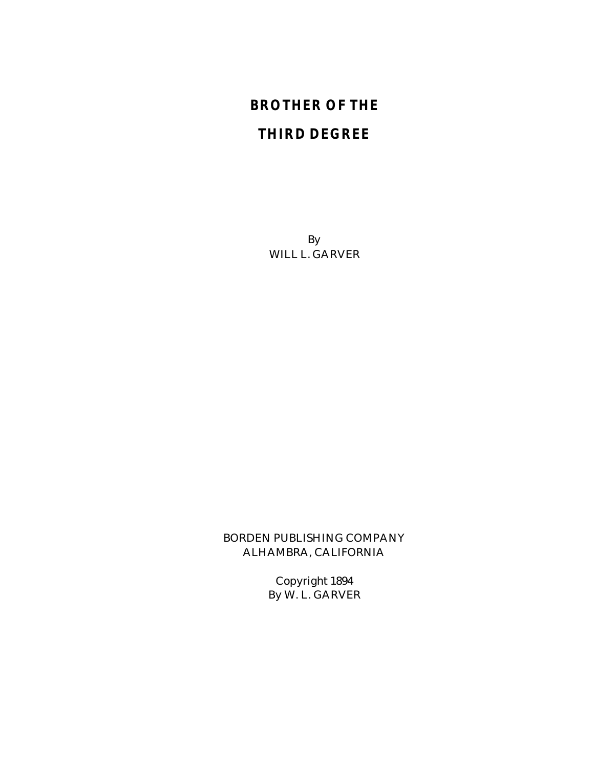# *BROTHER OF THE THIRD DEGREE*

By WILL L. GARVER

BORDEN PUBLISHING COMPANY ALHAMBRA, CALIFORNIA

> Copyright 1894 By W. L. GARVER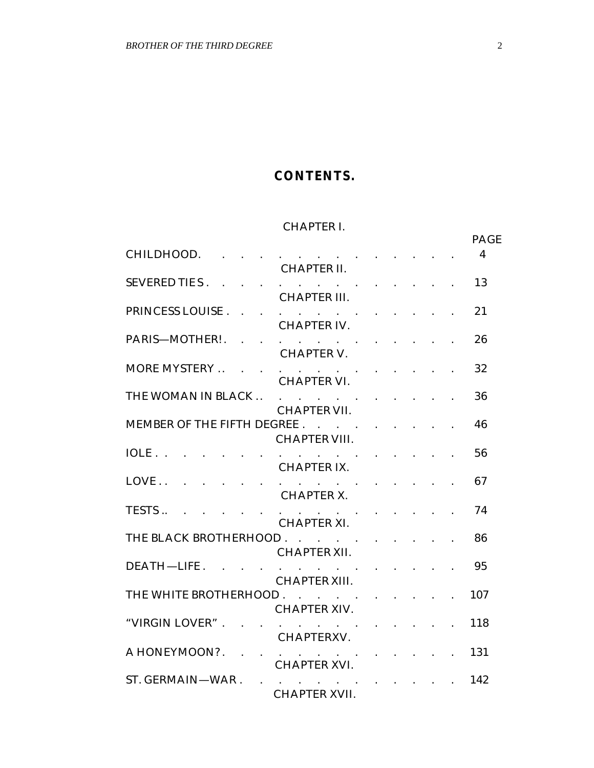# **CONTENTS.**

## CHAPTER I.

|                                                                                                                                                      | UTIAI TEIVI.                                                                                                                                                           |                                                                          |  |             |
|------------------------------------------------------------------------------------------------------------------------------------------------------|------------------------------------------------------------------------------------------------------------------------------------------------------------------------|--------------------------------------------------------------------------|--|-------------|
|                                                                                                                                                      |                                                                                                                                                                        |                                                                          |  | <b>PAGE</b> |
| CHILDHOOD.                                                                                                                                           | and a strong property of the state of the                                                                                                                              |                                                                          |  | 4           |
|                                                                                                                                                      | <b>CHAPTER II.</b>                                                                                                                                                     |                                                                          |  |             |
| SEVERED TIES.                                                                                                                                        | $\mathbf{r} = \mathbf{r} \cdot \mathbf{r}$ , where $\mathbf{r} = \mathbf{r} \cdot \mathbf{r}$ , where $\mathbf{r} = \mathbf{r} \cdot \mathbf{r}$                       |                                                                          |  | 13          |
|                                                                                                                                                      | <b>CHAPTER III.</b>                                                                                                                                                    |                                                                          |  |             |
| PRINCESS LOUISE.                                                                                                                                     |                                                                                                                                                                        |                                                                          |  | 21          |
|                                                                                                                                                      | CHAPTER IV.                                                                                                                                                            |                                                                          |  |             |
| PARIS-MOTHER!.                                                                                                                                       | .                                                                                                                                                                      |                                                                          |  | 26          |
|                                                                                                                                                      | <b>CHAPTER V.</b>                                                                                                                                                      |                                                                          |  |             |
| <b>MORE MYSTERY</b>                                                                                                                                  |                                                                                                                                                                        |                                                                          |  | 32          |
|                                                                                                                                                      | $\mathbf{r} = \mathbf{r} \cdot \mathbf{r}$ , where $\mathbf{r} = \mathbf{r} \cdot \mathbf{r}$ , where $\mathbf{r} = \mathbf{r} \cdot \mathbf{r}$<br><b>CHAPTER VI.</b> |                                                                          |  |             |
| THE WOMAN IN BLACK                                                                                                                                   |                                                                                                                                                                        |                                                                          |  | 36          |
|                                                                                                                                                      | <b>CHAPTER VII.</b>                                                                                                                                                    |                                                                          |  |             |
|                                                                                                                                                      |                                                                                                                                                                        |                                                                          |  |             |
| MEMBER OF THE FIFTH DEGREE.                                                                                                                          |                                                                                                                                                                        |                                                                          |  | 46          |
|                                                                                                                                                      | <b>CHAPTER VIII.</b>                                                                                                                                                   |                                                                          |  |             |
| IOLE.                                                                                                                                                | $\mathbf{r} = \mathbf{r} + \mathbf{r} + \mathbf{r} + \mathbf{r} + \mathbf{r}$                                                                                          |                                                                          |  | 56          |
|                                                                                                                                                      | <b>CHAPTER IX.</b>                                                                                                                                                     |                                                                          |  |             |
| LOVE                                                                                                                                                 | $\mathbf{r} = \mathbf{r} \cdot \mathbf{r}$ , where $\mathbf{r} = \mathbf{r} \cdot \mathbf{r}$ , where $\mathbf{r} = \mathbf{r} \cdot \mathbf{r}$                       |                                                                          |  | 67          |
|                                                                                                                                                      | <b>CHAPTER X.</b>                                                                                                                                                      |                                                                          |  |             |
| TESTS                                                                                                                                                | $\mathbf{r} = \mathbf{r} + \mathbf{r} + \mathbf{r} + \mathbf{r} + \mathbf{r}$                                                                                          |                                                                          |  | 74          |
|                                                                                                                                                      | <b>CHAPTER XI.</b>                                                                                                                                                     |                                                                          |  |             |
| THE BLACK BROTHERHOOD.                                                                                                                               |                                                                                                                                                                        |                                                                          |  | 86          |
|                                                                                                                                                      | <b>CHAPTER XII.</b>                                                                                                                                                    |                                                                          |  |             |
| DEATH-LIFE.                                                                                                                                          | $\mathbf{r} = \left\{ \mathbf{r}_1, \ldots, \mathbf{r}_n \right\}$ , where $\mathbf{r}_1$                                                                              |                                                                          |  | 95          |
|                                                                                                                                                      | <b>CHAPTER XIII.</b>                                                                                                                                                   |                                                                          |  |             |
| THE WHITE BROTHERHOOD.                                                                                                                               |                                                                                                                                                                        |                                                                          |  | 107         |
|                                                                                                                                                      | <b>CHAPTER XIV.</b>                                                                                                                                                    |                                                                          |  |             |
| "VIRGIN LOVER".<br>$\mathcal{L}^{\mathcal{A}}$ , and $\mathcal{L}^{\mathcal{A}}$ , and $\mathcal{L}^{\mathcal{A}}$ , and $\mathcal{L}^{\mathcal{A}}$ |                                                                                                                                                                        |                                                                          |  | 118         |
|                                                                                                                                                      | CHAPTERXV.                                                                                                                                                             |                                                                          |  |             |
| A HONEYMOON?.                                                                                                                                        |                                                                                                                                                                        |                                                                          |  | 131         |
|                                                                                                                                                      | <b>CHAPTER XVI.</b>                                                                                                                                                    | $\mathbf{r}$ , $\mathbf{r}$ , $\mathbf{r}$ , $\mathbf{r}$ , $\mathbf{r}$ |  |             |
|                                                                                                                                                      |                                                                                                                                                                        |                                                                          |  |             |
| ST. GERMAIN-WAR.                                                                                                                                     | $\mathbf{r}$ , $\mathbf{r}$ , $\mathbf{r}$ , $\mathbf{r}$                                                                                                              | $\mathbf{r}$ , $\mathbf{r}$ , $\mathbf{r}$ , $\mathbf{r}$                |  | 142         |
|                                                                                                                                                      | <b>CHAPTER XVII.</b>                                                                                                                                                   |                                                                          |  |             |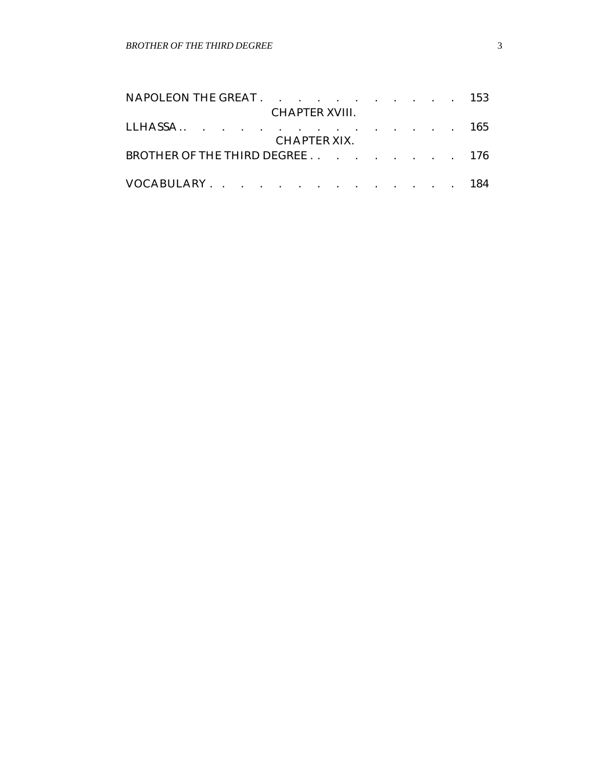| NAPOLEON THE GREAT. 153 |  |  |  |
|-------------------------|--|--|--|
| <b>CHAPTER XVIII.</b>   |  |  |  |
|                         |  |  |  |
| CHAPTER XIX.            |  |  |  |
|                         |  |  |  |
|                         |  |  |  |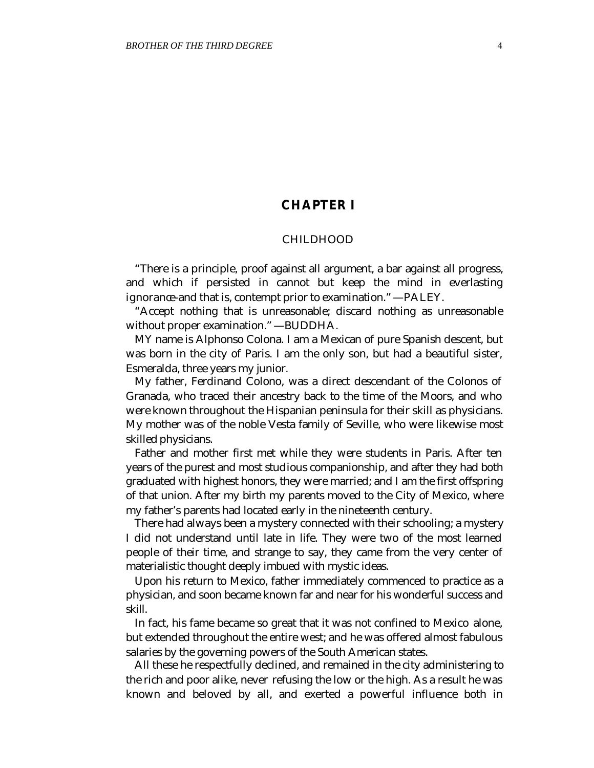## **CHAPTER I**

#### CHILDHOOD

"There is a principle, proof against all argument, a bar against all progress, and which if persisted in cannot but keep the mind in everlasting ignorance-and that is, contempt prior to examination." - PALEY.

"Accept nothing that is unreasonable; discard nothing as unreasonable without proper examination."—BUDDHA.

MY name is Alphonso Colona. I am a Mexican of pure Spanish descent, but was born in the city of Paris. I am the only son, but had a beautiful sister, Esmeralda, three years my junior.

My father, Ferdinand Colono, was a direct descendant of the Colonos of Granada, who traced their ancestry back to the time of the Moors, and who were known throughout the Hispanian peninsula for their skill as physicians. My mother was of the noble Vesta family of Seville, who were likewise most skilled physicians.

Father and mother first met while they were students in Paris. After ten years of the purest and most studious companionship, and after they had both graduated with highest honors, they were married; and I am the first offspring of that union. After my birth my parents moved to the City of Mexico, where my father's parents had located early in the nineteenth century.

There had always been a mystery connected with their schooling; a mystery I did not understand until late in life. They were two of the most learned people of their time, and strange to say, they came from the very center of materialistic thought deeply imbued with mystic ideas.

Upon his return to Mexico, father immediately commenced to practice as a physician, and soon became known far and near for his wonderful success and skill.

In fact, his fame became so great that it was not confined to Mexico alone, but extended throughout the entire west; and he was offered almost fabulous salaries by the governing powers of the South American states.

All these he respectfully declined, and remained in the city administering to the rich and poor alike, never refusing the low or the high. As a result he was known and beloved by all, and exerted a powerful influence both in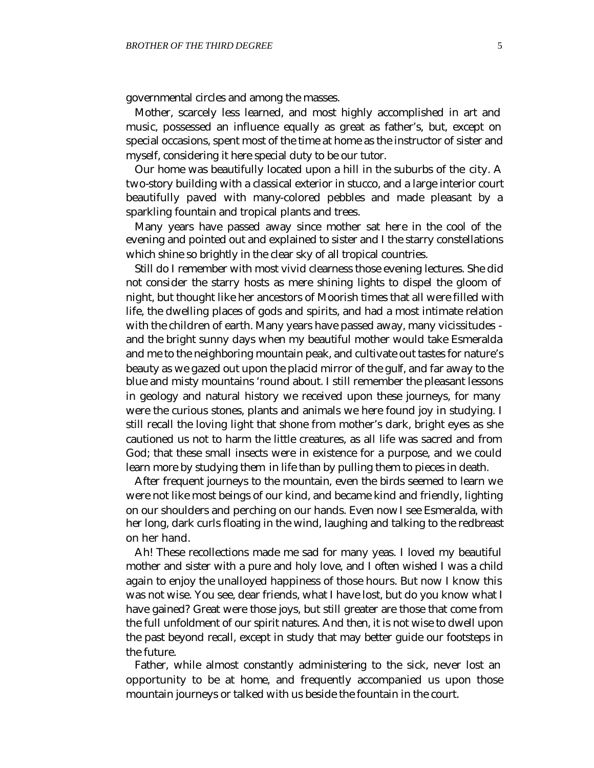governmental circles and among the masses.

Mother, scarcely less learned, and most highly accomplished in art and music, possessed an influence equally as great as father's, but, except on special occasions, spent most of the time at home as the instructor of sister and myself, considering it here special duty to be our tutor.

Our home was beautifully located upon a hill in the suburbs of the city. A two-story building with a classical exterior in stucco, and a large interior court beautifully paved with many-colored pebbles and made pleasant by a sparkling fountain and tropical plants and trees.

Many years have passed away since mother sat here in the cool of the evening and pointed out and explained to sister and I the starry constellations which shine so brightly in the clear sky of all tropical countries.

Still do I remember with most vivid clearness those evening lectures. She did not consider the starry hosts as mere shining lights to dispel the gloom of night, but thought like her ancestors of Moorish times that all were filled with life, the dwelling places of gods and spirits, and had a most intimate relation with the children of earth. Many years have passed away, many vicissitudes and the bright sunny days when my beautiful mother would take Esmeralda and me to the neighboring mountain peak, and cultivate out tastes for nature's beauty as we gazed out upon the placid mirror of the gulf, and far away to the blue and misty mountains 'round about. I still remember the pleasant lessons in geology and natural history we received upon these journeys, for many were the curious stones, plants and animals we here found joy in studying. I still recall the loving light that shone from mother's dark, bright eyes as she cautioned us not to harm the little creatures, as all life was sacred and from God; that these small insects were in existence for a purpose, and we could learn more by studying them in life than by pulling them to pieces in death.

After frequent journeys to the mountain, even the birds seemed to learn we were not like most beings of our kind, and became kind and friendly, lighting on our shoulders and perching on our hands. Even now I see Esmeralda, with her long, dark curls floating in the wind, laughing and talking to the redbreast on her hand.

Ah! These recollections made me sad for many yeas. I loved my beautiful mother and sister with a pure and holy love, and I often wished I was a child again to enjoy the unalloyed happiness of those hours. But now I know this was not wise. You see, dear friends, what I have lost, but do you know what I have gained? Great were those joys, but still greater are those that come from the full unfoldment of our spirit natures. And then, it is not wise to dwell upon the past beyond recall, except in study that may better guide our footsteps in the future.

Father, while almost constantly administering to the sick, never lost an opportunity to be at home, and frequently accompanied us upon those mountain journeys or talked with us beside the fountain in the court.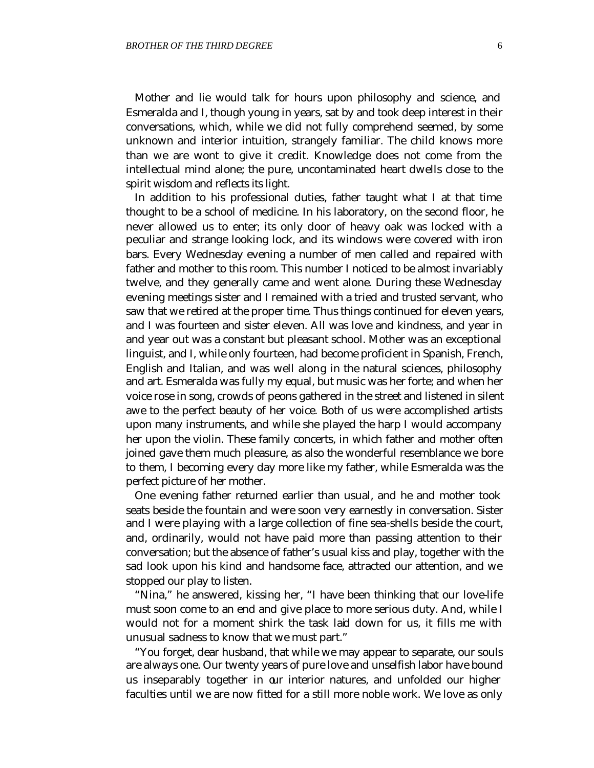Mother and lie would talk for hours upon philosophy and science, and Esmeralda and I, though young in years, sat by and took deep interest in their conversations, which, while we did not fully comprehend seemed, by some unknown and interior intuition, strangely familiar. The child knows more than we are wont to give it credit. Knowledge does not come from the intellectual mind alone; the pure, uncontaminated heart dwells close to the spirit wisdom and reflects its light.

In addition to his professional duties, father taught what I at that time thought to be a school of medicine. In his laboratory, on the second floor, he never allowed us to enter; its only door of heavy oak was locked with a peculiar and strange looking lock, and its windows were covered with iron bars. Every Wednesday evening a number of men called and repaired with father and mother to this room. This number I noticed to be almost invariably twelve, and they generally came and went alone. During these Wednesday evening meetings sister and I remained with a tried and trusted servant, who saw that we retired at the proper time. Thus things continued for eleven years, and I was fourteen and sister eleven. All was love and kindness, and year in and year out was a constant but pleasant school. Mother was an exceptional linguist, and I, while only fourteen, had become proficient in Spanish, French, English and Italian, and was well along in the natural sciences, philosophy and art. Esmeralda was fully my equal, but music was her forte; and when her voice rose in song, crowds of peons gathered in the street and listened in silent awe to the perfect beauty of her voice. Both of us were accomplished artists upon many instruments, and while she played the harp I would accompany her upon the violin. These family concerts, in which father and mother often joined gave them much pleasure, as also the wonderful resemblance we bore to them, I becoming every day more like my father, while Esmeralda was the perfect picture of her mother.

One evening father returned earlier than usual, and he and mother took seats beside the fountain and were soon very earnestly in conversation. Sister and I were playing with a large collection of fine sea-shells beside the court, and, ordinarily, would not have paid more than passing attention to their conversation; but the absence of father's usual kiss and play, together with the sad look upon his kind and handsome face, attracted our attention, and we stopped our play to listen.

"Nina," he answered, kissing her, "I have been thinking that our love-life must soon come to an end and give place to more serious duty. And, while I would not for a moment shirk the task laid down for us, it fills me with unusual sadness to know that we must part."

"You forget, dear husband, that while we may appear to separate, our souls are always one. Our twenty years of pure love and unselfish labor have bound us inseparably together in our interior natures, and unfolded our higher faculties until we are now fitted for a still more noble work. We love as only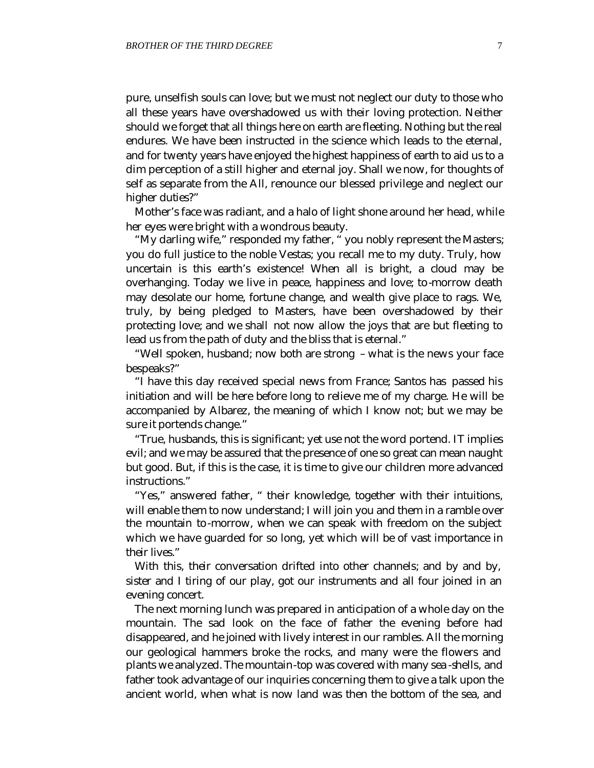pure, unselfish souls can love; but we must not neglect our duty to those who all these years have overshadowed us with their loving protection. Neither should we forget that all things here on earth are fleeting. Nothing but the real endures. We have been instructed in the science which leads to the eternal, and for twenty years have enjoyed the highest happiness of earth to aid us to a dim perception of a still higher and eternal joy. Shall we now, for thoughts of self as separate from the All, renounce our blessed privilege and neglect our higher duties?"

Mother's face was radiant, and a halo of light shone around her head, while her eyes were bright with a wondrous beauty.

"My darling wife," responded my father, " you nobly represent the Masters; you do full justice to the noble Vestas; you recall me to my duty. Truly, how uncertain is this earth's existence! When all is bright, a cloud may be overhanging. Today we live in peace, happiness and love; to-morrow death may desolate our home, fortune change, and wealth give place to rags. We, truly, by being pledged to Masters, have been overshadowed by their protecting love; and we shall not now allow the joys that are but fleeting to lead us from the path of duty and the bliss that is eternal."

"Well spoken, husband; now both are strong – what is the news your face bespeaks?"

"I have this day received special news from France; Santos has passed his initiation and will be here before long to relieve me of my charge. He will be accompanied by Albarez, the meaning of which I know not; but we may be sure it portends change."

"True, husbands, this is significant; yet use not the word portend. IT implies evil; and we may be assured that the presence of one so great can mean naught but good. But, if this is the case, it is time to give our children more advanced instructions."

"Yes," answered father, " their knowledge, together with their intuitions, will enable them to now understand; I will join you and them in a ramble over the mountain to-morrow, when we can speak with freedom on the subject which we have guarded for so long, yet which will be of vast importance in their lives."

With this, their conversation drifted into other channels; and by and by, sister and I tiring of our play, got our instruments and all four joined in an evening concert.

The next morning lunch was prepared in anticipation of a whole day on the mountain. The sad look on the face of father the evening before had disappeared, and he joined with lively interest in our rambles. All the morning our geological hammers broke the rocks, and many were the flowers and plants we analyzed. The mountain-top was covered with many sea -shells, and father took advantage of our inquiries concerning them to give a talk upon the ancient world, when what is now land was then the bottom of the sea, and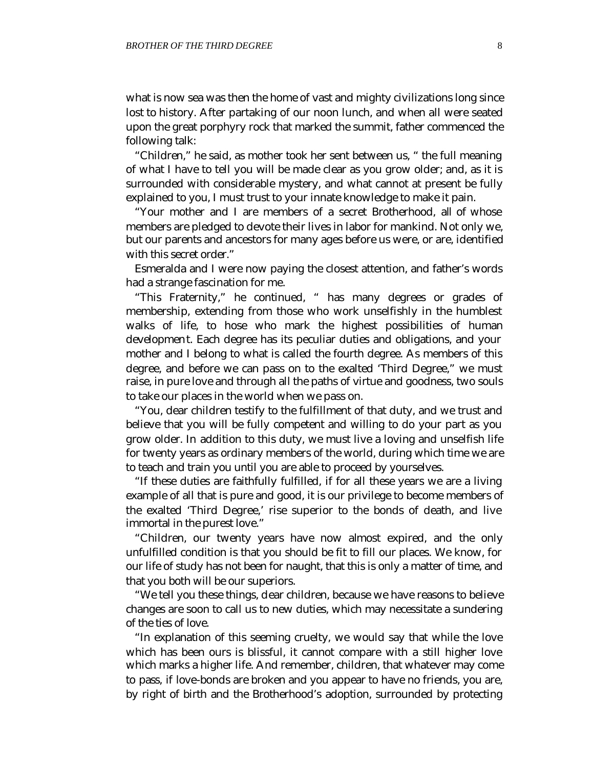what is now sea was then the home of vast and mighty civilizations long since lost to history. After partaking of our noon lunch, and when all were seated upon the great porphyry rock that marked the summit, father commenced the following talk:

"Children," he said, as mother took her sent between us, " the full meaning of what I have to tell you will be made clear as you grow older; and, as it is surrounded with considerable mystery, and what cannot at present be fully explained to you, I must trust to your innate knowledge to make it pain.

"Your mother and I are members of a secret Brotherhood, all of whose members are pledged to devote their lives in labor for mankind. Not only we, but our parents and ancestors for many ages before us were, or are, identified with this secret order."

Esmeralda and I were now paying the closest attention, and father's words had a strange fascination for me.

"This Fraternity," he continued, " has many degrees or grades of membership, extending from those who work unselfishly in the humblest walks of life, to hose who mark the highest possibilities of human development. Each degree has its peculiar duties and obligations, and your mother and I belong to what is called the fourth degree. As members of this degree, and before we can pass on to the exalted 'Third Degree," we must raise, in pure love and through all the paths of virtue and goodness, two souls to take our places in the world when we pass on.

"You, dear children testify to the fulfillment of that duty, and we trust and believe that you will be fully competent and willing to do your part as you grow older. In addition to this duty, we must live a loving and unselfish life for twenty years as ordinary members of the world, during which time we are to teach and train you until you are able to proceed by yourselves.

"If these duties are faithfully fulfilled, if for all these years we are a living example of all that is pure and good, it is our privilege to become members of the exalted 'Third Degree,' rise superior to the bonds of death, and live immortal in the purest love."

"Children, our twenty years have now almost expired, and the only unfulfilled condition is that you should be fit to fill our places. We know, for our life of study has not been for naught, that this is only a matter of time, and that you both will be our superiors.

"We tell you these things, dear children, because we have reasons to believe changes are soon to call us to new duties, which may necessitate a sundering of the ties of love.

"In explanation of this seeming cruelty, we would say that while the love which has been ours is blissful, it cannot compare with a still higher love which marks a higher life. And remember, children, that whatever may come to pass, if love-bonds are broken and you appear to have no friends, you are, by right of birth and the Brotherhood's adoption, surrounded by protecting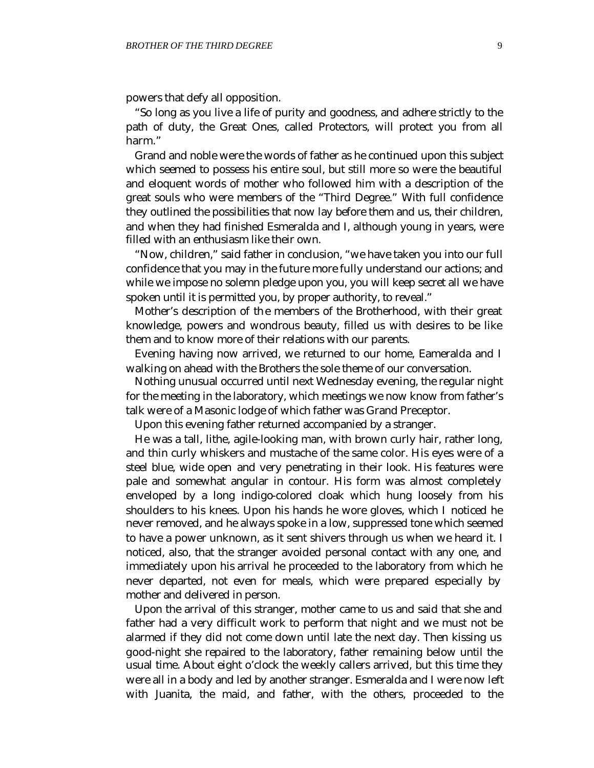powers that defy all opposition.

"So long as you live a life of purity and goodness, and adhere strictly to the path of duty, the Great Ones, called Protectors, will protect you from all harm."

Grand and noble were the words of father as he continued upon this subject which seemed to possess his entire soul, but still more so were the beautiful and eloquent words of mother who followed him with a description of the great souls who were members of the "Third Degree." With full confidence they outlined the possibilities that now lay before them and us, their children, and when they had finished Esmeralda and I, although young in years, were filled with an enthusiasm like their own.

"Now, children," said father in conclusion, "we have taken you into our full confidence that you may in the future more fully understand our actions; and while we impose no solemn pledge upon you, you will keep secret all we have spoken until it is permitted you, by proper authority, to reveal."

Mother's description of the members of the Brotherhood, with their great knowledge, powers and wondrous beauty, filled us with desires to be like them and to know more of their relations with our parents.

Evening having now arrived, we returned to our home, Eameralda and I walking on ahead with the Brothers the sole theme of our conversation.

Nothing unusual occurred until next Wednesday evening, the regular night for the meeting in the laboratory, which meetings we now know from father's talk were of a Masonic lodge of which father was Grand Preceptor.

Upon this evening father returned accompanied by a stranger.

He was a tall, lithe, agile-looking man, with brown curly hair, rather long, and thin curly whiskers and mustache of the same color. His eyes were of a steel blue, wide open and very penetrating in their look. His features were pale and somewhat angular in contour. His form was almost completely enveloped by a long indigo-colored cloak which hung loosely from his shoulders to his knees. Upon his hands he wore gloves, which I noticed he never removed, and he always spoke in a low, suppressed tone which seemed to have a power unknown, as it sent shivers through us when we heard it. I noticed, also, that the stranger avoided personal contact with any one, and immediately upon his arrival he proceeded to the laboratory from which he never departed, not even for meals, which were prepared especially by mother and delivered in person.

Upon the arrival of this stranger, mother came to us and said that she and father had a very difficult work to perform that night and we must not be alarmed if they did not come down until late the next day. Then kissing us good-night she repaired to the laboratory, father remaining below until the usual time. About eight o'clock the weekly callers arrived, but this time they were all in a body and led by another stranger. Esmeralda and I were now left with Juanita, the maid, and father, with the others, proceeded to the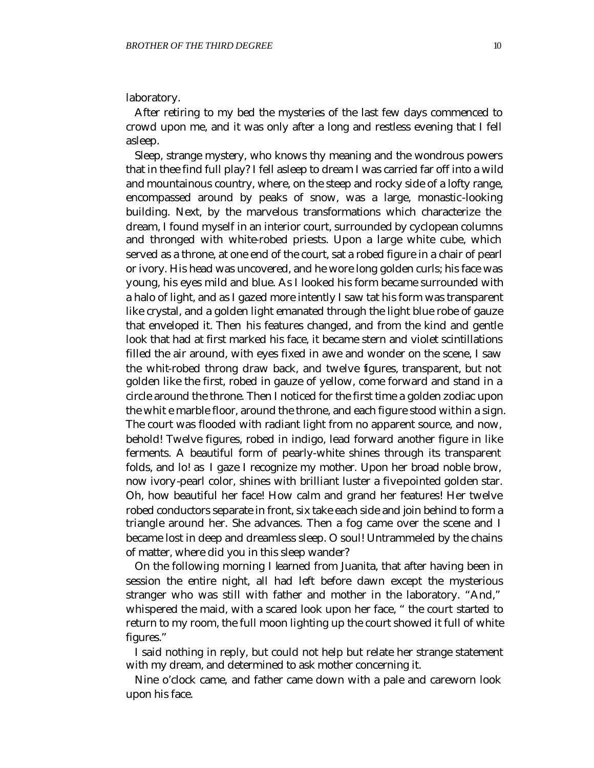#### laboratory.

After retiring to my bed the mysteries of the last few days commenced to crowd upon me, and it was only after a long and restless evening that I fell asleep.

Sleep, strange mystery, who knows thy meaning and the wondrous powers that in thee find full play? I fell asleep to dream I was carried far off into a wild and mountainous country, where, on the steep and rocky side of a lofty range, encompassed around by peaks of snow, was a large, monastic-looking building. Next, by the marvelous transformations which characterize the dream, I found myself in an interior court, surrounded by cyclopean columns and thronged with white-robed priests. Upon a large white cube, which served as a throne, at one end of the court, sat a robed figure in a chair of pearl or ivory. His head was uncovered, and he wore long golden curls; his face was young, his eyes mild and blue. As I looked his form became surrounded with a halo of light, and as I gazed more intently I saw tat his form was transparent like crystal, and a golden light emanated through the light blue robe of gauze that enveloped it. Then his features changed, and from the kind and gentle look that had at first marked his face, it became stern and violet scintillations filled the air around, with eyes fixed in awe and wonder on the scene, I saw the whit-robed throng draw back, and twelve figures, transparent, but not golden like the first, robed in gauze of yellow, come forward and stand in a circle around the throne. Then I noticed for the first time a golden zodiac upon the whit e marble floor, around the throne, and each figure stood within a sign. The court was flooded with radiant light from no apparent source, and now, behold! Twelve figures, robed in indigo, lead forward another figure in like ferments. A beautiful form of pearly-white shines through its transparent folds, and lo! as I gaze I recognize my mother. Upon her broad noble brow, now ivory-pearl color, shines with brilliant luster a five-pointed golden star. Oh, how beautiful her face! How calm and grand her features! Her twelve robed conductors separate in front, six take each side and join behind to form a triangle around her. She advances. Then a fog came over the scene and I became lost in deep and dreamless sleep. O soul! Untrammeled by the chains of matter, where did you in this sleep wander?

On the following morning I learned from Juanita, that after having been in session the entire night, all had left before dawn except the mysterious stranger who was still with father and mother in the laboratory. "And," whispered the maid, with a scared look upon her face, " the court started to return to my room, the full moon lighting up the court showed it full of white figures."

I said nothing in reply, but could not help but relate her strange statement with my dream, and determined to ask mother concerning it.

Nine o'clock came, and father came down with a pale and careworn look upon his face.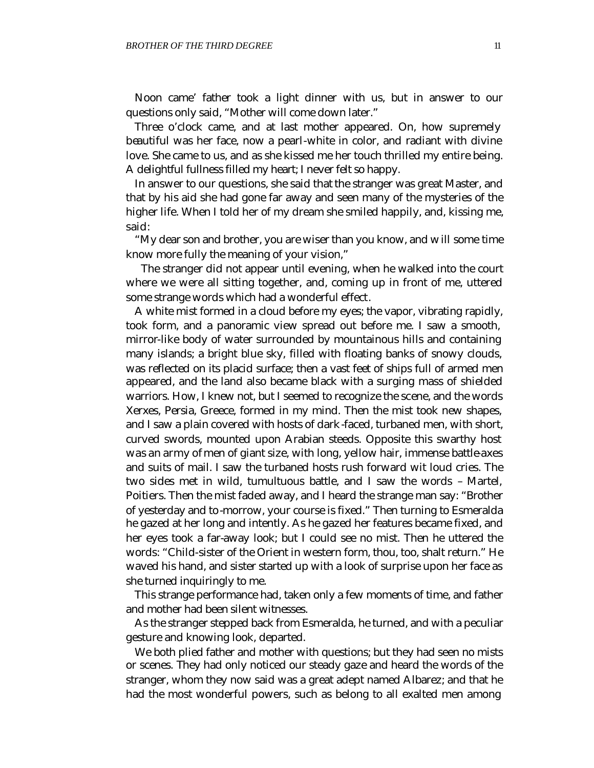Three o'clock came, and at last mother appeared. On, how supremely beautiful was her face, now a pearl-white in color, and radiant with divine love. She came to us, and as she kissed me her touch thrilled my entire being. A delightful fullness filled my heart; I never felt so happy.

In answer to our questions, she said that the stranger was great Master, and that by his aid she had gone far away and seen many of the mysteries of the higher life. When I told her of my dream she smiled happily, and, kissing me, said:

"My dear son and brother, you are wiser than you know, and will some time know more fully the meaning of your vision,"

 The stranger did not appear until evening, when he walked into the court where we were all sitting together, and, coming up in front of me, uttered some strange words which had a wonderful effect.

A white mist formed in a cloud before my eyes; the vapor, vibrating rapidly, took form, and a panoramic view spread out before me. I saw a smooth, mirror-like body of water surrounded by mountainous hills and containing many islands; a bright blue sky, filled with floating banks of snowy clouds, was reflected on its placid surface; then a vast feet of ships full of armed men appeared, and the land also became black with a surging mass of shielded warriors. How, I knew not, but I seemed to recognize the scene, and the words Xerxes, Persia, Greece, formed in my mind. Then the mist took new shapes, and I saw a plain covered with hosts of dark-faced, turbaned men, with short, curved swords, mounted upon Arabian steeds. Opposite this swarthy host was an army of men of giant size, with long, yellow hair, immense battle-axes and suits of mail. I saw the turbaned hosts rush forward wit loud cries. The two sides met in wild, tumultuous battle, and I saw the words – Martel, Poitiers. Then the mist faded away, and I heard the strange man say: "Brother of yesterday and to-morrow, your course is fixed." Then turning to Esmeralda he gazed at her long and intently. As he gazed her features became fixed, and her eyes took a far-away look; but I could see no mist. Then he uttered the words: "Child-sister of the Orient in western form, thou, too, shalt return." He waved his hand, and sister started up with a look of surprise upon her face as she turned inquiringly to me.

This strange performance had, taken only a few moments of time, and father and mother had been silent witnesses.

As the stranger stepped back from Esmeralda, he turned, and with a peculiar gesture and knowing look, departed.

We both plied father and mother with questions; but they had seen no mists or scenes. They had only noticed our steady gaze and heard the words of the stranger, whom they now said was a great adept named Albarez; and that he had the most wonderful powers, such as belong to all exalted men among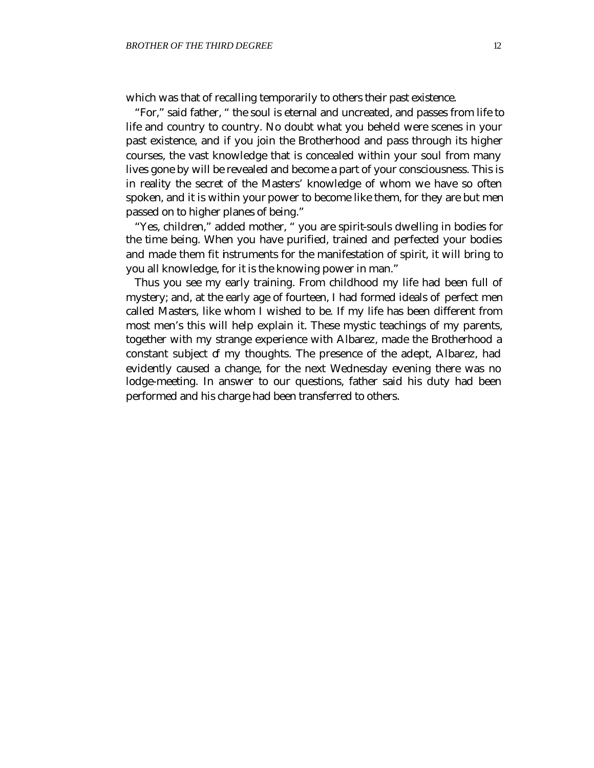which was that of recalling temporarily to others their past existence.

"For," said father, " the soul is eternal and uncreated, and passes from life to life and country to country. No doubt what you beheld were scenes in your past existence, and if you join the Brotherhood and pass through its higher courses, the vast knowledge that is concealed within your soul from many lives gone by will be revealed and become a part of your consciousness. This is in reality the secret of the Masters' knowledge of whom we have so often spoken, and it is within your power to become like them, for they are but men passed on to higher planes of being."

"Yes, children," added mother, " you are spirit-souls dwelling in bodies for the time being. When you have purified, trained and perfected your bodies and made them fit instruments for the manifestation of spirit, it will bring to you all knowledge, for it is the knowing power in man."

Thus you see my early training. From childhood my life had been full of mystery; and, at the early age of fourteen, I had formed ideals of perfect men called Masters, like whom I wished to be. If my life has been different from most men's this will help explain it. These mystic teachings of my parents, together with my strange experience with Albarez, made the Brotherhood a constant subject of my thoughts. The presence of the adept, Albarez, had evidently caused a change, for the next Wednesday evening there was no lodge-meeting. In answer to our questions, father said his duty had been performed and his charge had been transferred to others.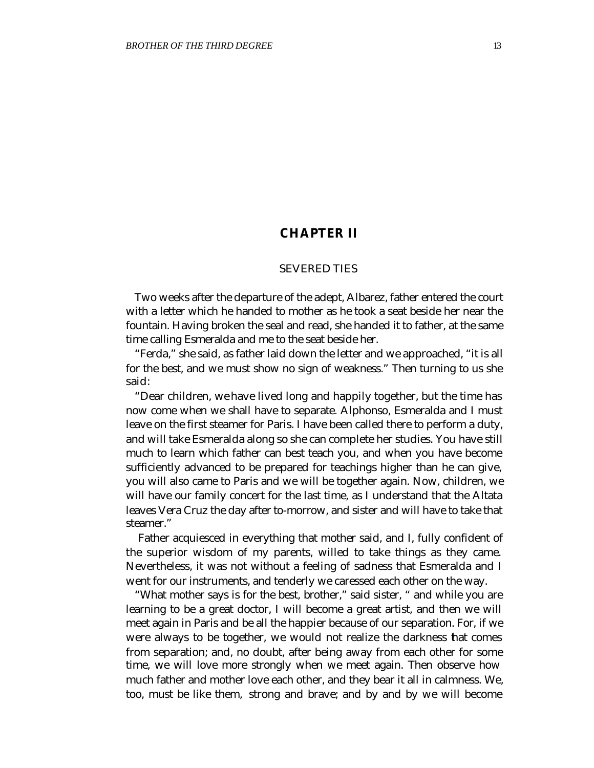## **CHAPTER II**

#### SEVERED TIES

Two weeks after the departure of the adept, Albarez, father entered the court with a letter which he handed to mother as he took a seat beside her near the fountain. Having broken the seal and read, she handed it to father, at the same time calling Esmeralda and me to the seat beside her.

"Ferda," she said, as father laid down the letter and we approached, "it is all for the best, and we must show no sign of weakness." Then turning to us she said:

"Dear children, we have lived long and happily together, but the time has now come when we shall have to separate. Alphonso, Esmeralda and I must leave on the first steamer for Paris. I have been called there to perform a duty, and will take Esmeralda along so she can complete her studies. You have still much to learn which father can best teach you, and when you have become sufficiently advanced to be prepared for teachings higher than he can give, you will also came to Paris and we will be together again. Now, children, we will have our family concert for the last time, as I understand that the Altata leaves Vera Cruz the day after to-morrow, and sister and will have to take that steamer."

 Father acquiesced in everything that mother said, and I, fully confident of the superior wisdom of my parents, willed to take things as they came. Nevertheless, it was not without a feeling of sadness that Esmeralda and I went for our instruments, and tenderly we caressed each other on the way.

"What mother says is for the best, brother," said sister, " and while you are learning to be a great doctor, I will become a great artist, and then we will meet again in Paris and be all the happier because of our separation. For, if we were always to be together, we would not realize the darkness that comes from separation; and, no doubt, after being away from each other for some time, we will love more strongly when we meet again. Then observe how much father and mother love each other, and they bear it all in calmness. We, too, must be like them, strong and brave; and by and by we will become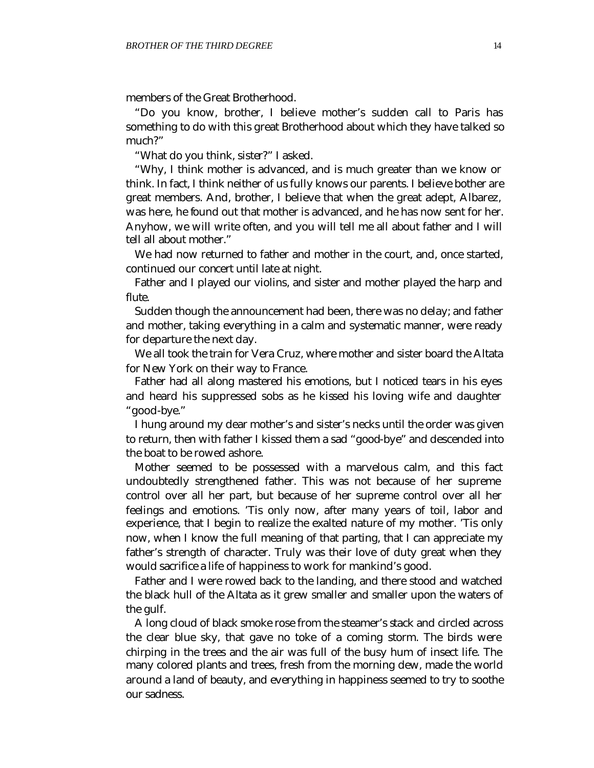members of the Great Brotherhood.

"Do you know, brother, I believe mother's sudden call to Paris has something to do with this great Brotherhood about which they have talked so much?"

"What do you think, sister?" I asked.

"Why, I think mother is advanced, and is much greater than we know or think. In fact, I think neither of us fully knows our parents. I believe bother are great members. And, brother, I believe that when the great adept, Albarez, was here, he found out that mother is advanced, and he has now sent for her. Anyhow, we will write often, and you will tell me all about father and I will tell all about mother."

We had now returned to father and mother in the court, and, once started, continued our concert until late at night.

Father and I played our violins, and sister and mother played the harp and flute.

Sudden though the announcement had been, there was no delay; and father and mother, taking everything in a calm and systematic manner, were ready for departure the next day.

We all took the train for Vera Cruz, where mother and sister board the Altata for New York on their way to France.

Father had all along mastered his emotions, but I noticed tears in his eyes and heard his suppressed sobs as he kissed his loving wife and daughter "good-bye."

I hung around my dear mother's and sister's necks until the order was given to return, then with father I kissed them a sad "good-bye" and descended into the boat to be rowed ashore.

Mother seemed to be possessed with a marvelous calm, and this fact undoubtedly strengthened father. This was not because of her supreme control over all her part, but because of her supreme control over all her feelings and emotions. 'Tis only now, after many years of toil, labor and experience, that I begin to realize the exalted nature of my mother. 'Tis only now, when I know the full meaning of that parting, that I can appreciate my father's strength of character. Truly was their love of duty great when they would sacrifice a life of happiness to work for mankind's good.

Father and I were rowed back to the landing, and there stood and watched the black hull of the Altata as it grew smaller and smaller upon the waters of the gulf.

A long cloud of black smoke rose from the steamer's stack and circled across the clear blue sky, that gave no toke of a coming storm. The birds were chirping in the trees and the air was full of the busy hum of insect life. The many colored plants and trees, fresh from the morning dew, made the world around a land of beauty, and everything in happiness seemed to try to soothe our sadness.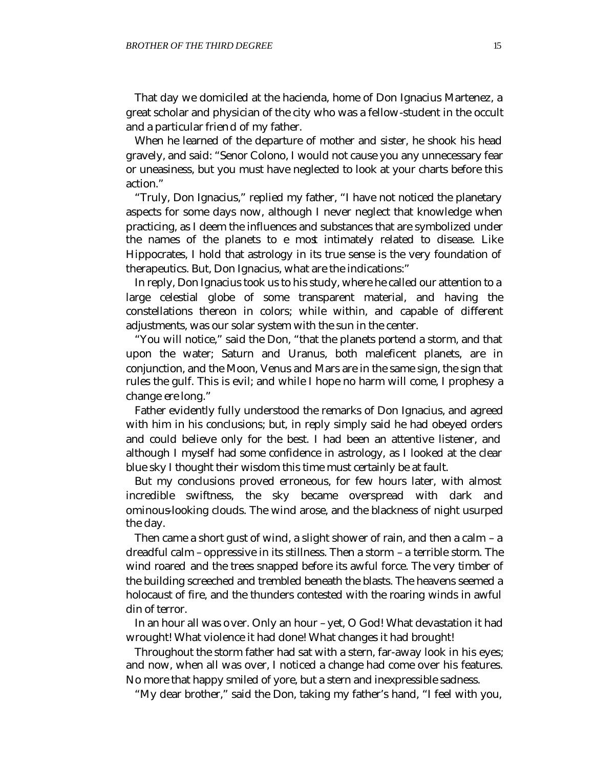That day we domiciled at the hacienda, home of Don Ignacius Martenez, a great scholar and physician of the city who was a fellow-student in the occult and a particular friend of my father.

When he learned of the departure of mother and sister, he shook his head gravely, and said: "Senor Colono, I would not cause you any unnecessary fear or uneasiness, but you must have neglected to look at your charts before this action."

"Truly, Don Ignacius," replied my father, "I have not noticed the planetary aspects for some days now, although I never neglect that knowledge when practicing, as I deem the influences and substances that are symbolized under the names of the planets to e most intimately related to disease. Like Hippocrates, I hold that astrology in its true sense is the very foundation of therapeutics. But, Don Ignacius, what are the indications:"

In reply, Don Ignacius took us to his study, where he called our attention to a large celestial globe of some transparent material, and having the constellations thereon in colors; while within, and capable of different adjustments, was our solar system with the sun in the center.

"You will notice," said the Don, "that the planets portend a storm, and that upon the water; Saturn and Uranus, both maleficent planets, are in conjunction, and the Moon, Venus and Mars are in the same sign, the sign that rules the gulf. This is evil; and while I hope no harm will come, I prophesy a change ere long."

Father evidently fully understood the remarks of Don Ignacius, and agreed with him in his conclusions; but, in reply simply said he had obeyed orders and could believe only for the best. I had been an attentive listener, and although I myself had some confidence in astrology, as I looked at the clear blue sky I thought their wisdom this time must certainly be at fault.

But my conclusions proved erroneous, for few hours later, with almost incredible swiftness, the sky became overspread with dark and ominous-looking clouds. The wind arose, and the blackness of night usurped the day.

Then came a short gust of wind, a slight shower of rain, and then a calm – a dreadful calm – oppressive in its stillness. Then a storm – a terrible storm. The wind roared and the trees snapped before its awful force. The very timber of the building screeched and trembled beneath the blasts. The heavens seemed a holocaust of fire, and the thunders contested with the roaring winds in awful din of terror.

In an hour all was over. Only an hour – yet, O God! What devastation it had wrought! What violence it had done! What changes it had brought!

Throughout the storm father had sat with a stern, far-away look in his eyes; and now, when all was over, I noticed a change had come over his features. No more that happy smiled of yore, but a stern and inexpressible sadness.

"My dear brother," said the Don, taking my father's hand, "I feel with you,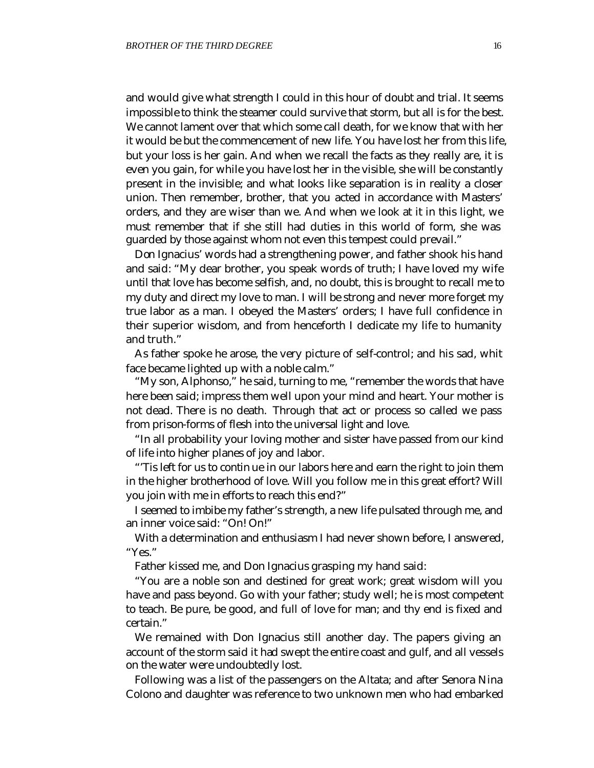and would give what strength I could in this hour of doubt and trial. It seems impossible to think the steamer could survive that storm, but all is for the best. We cannot lament over that which some call death, for we know that with her it would be but the commencement of new life. You have lost her from this life, but your loss is her gain. And when we recall the facts as they really are, it is even you gain, for while you have lost her in the visible, she will be constantly present in the invisible; and what looks like separation is in reality a closer union. Then remember, brother, that you acted in accordance with Masters' orders, and they are wiser than we. And when we look at it in this light, we must remember that if she still had duties in this world of form, she was guarded by those against whom not even this tempest could prevail."

Don Ignacius' words had a strengthening power, and father shook his hand and said: "My dear brother, you speak words of truth; I have loved my wife until that love has become selfish, and, no doubt, this is brought to recall me to my duty and direct my love to man. I will be strong and never more forget my true labor as a man. I obeyed the Masters' orders; I have full confidence in their superior wisdom, and from henceforth I dedicate my life to humanity and truth."

As father spoke he arose, the very picture of self-control; and his sad, whit face became lighted up with a noble calm."

"My son, Alphonso," he said, turning to me, "remember the words that have here been said; impress them well upon your mind and heart. Your mother is not dead. There is no death. Through that act or process so called we pass from prison-forms of flesh into the universal light and love.

"In all probability your loving mother and sister have passed from our kind of life into higher planes of joy and labor.

"'Tis left for us to contin ue in our labors here and earn the right to join them in the higher brotherhood of love. Will you follow me in this great effort? Will you join with me in efforts to reach this end?"

I seemed to imbibe my father's strength, a new life pulsated through me, and an inner voice said: "On! On!"

With a determination and enthusiasm I had never shown before, I answered, "Yes."

Father kissed me, and Don Ignacius grasping my hand said:

"You are a noble son and destined for great work; great wisdom will you have and pass beyond. Go with your father; study well; he is most competent to teach. Be pure, be good, and full of love for man; and thy end is fixed and certain."

We remained with Don Ignacius still another day. The papers giving an account of the storm said it had swept the entire coast and gulf, and all vessels on the water were undoubtedly lost.

Following was a list of the passengers on the Altata; and after Senora Nina Colono and daughter was reference to two unknown men who had embarked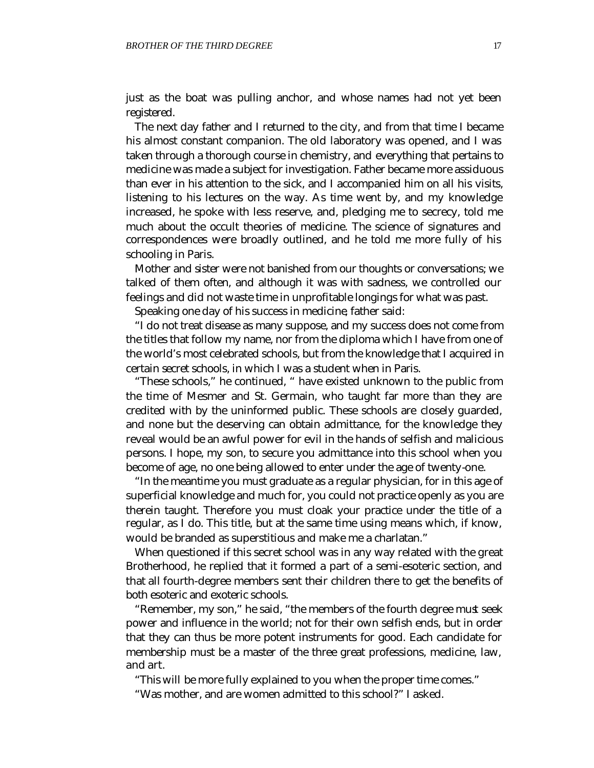just as the boat was pulling anchor, and whose names had not yet been registered.

The next day father and I returned to the city, and from that time I became his almost constant companion. The old laboratory was opened, and I was taken through a thorough course in chemistry, and everything that pertains to medicine was made a subject for investigation. Father became more assiduous than ever in his attention to the sick, and I accompanied him on all his visits, listening to his lectures on the way. As time went by, and my knowledge increased, he spoke with less reserve, and, pledging me to secrecy, told me much about the occult theories of medicine. The science of signatures and correspondences were broadly outlined, and he told me more fully of his schooling in Paris.

Mother and sister were not banished from our thoughts or conversations; we talked of them often, and although it was with sadness, we controlled our feelings and did not waste time in unprofitable longings for what was past.

Speaking one day of his success in medicine, father said:

"I do not treat disease as many suppose, and my success does not come from the titles that follow my name, nor from the diploma which I have from one of the world's most celebrated schools, but from the knowledge that I acquired in certain secret schools, in which I was a student when in Paris.

"These schools," he continued, " have existed unknown to the public from the time of Mesmer and St. Germain, who taught far more than they are credited with by the uninformed public. These schools are closely guarded, and none but the deserving can obtain admittance, for the knowledge they reveal would be an awful power for evil in the hands of selfish and malicious persons. I hope, my son, to secure you admittance into this school when you become of age, no one being allowed to enter under the age of twenty-one.

"In the meantime you must graduate as a regular physician, for in this age of superficial knowledge and much for, you could not practice openly as you are therein taught. Therefore you must cloak your practice under the title of a regular, as I do. This title, but at the same time using means which, if know, would be branded as superstitious and make me a charlatan."

When questioned if this secret school was in any way related with the great Brotherhood, he replied that it formed a part of a semi-esoteric section, and that all fourth-degree members sent their children there to get the benefits of both esoteric and exoteric schools.

"Remember, my son," he said, "the members of the fourth degree must seek power and influence in the world; not for their own selfish ends, but in order that they can thus be more potent instruments for good. Each candidate for membership must be a master of the three great professions, medicine, law, and art.

"This will be more fully explained to you when the proper time comes."

"Was mother, and are women admitted to this school?" I asked.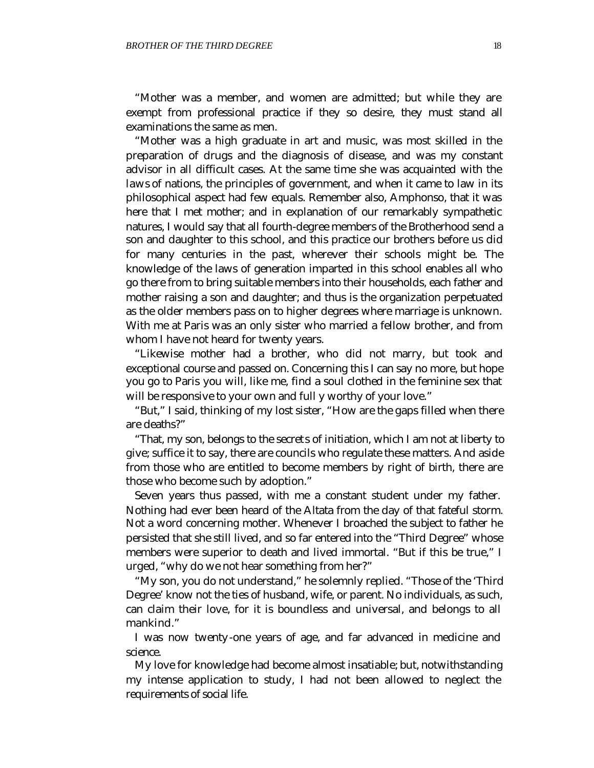"Mother was a member, and women are admitted; but while they are exempt from professional practice if they so desire, they must stand all examinations the same as men.

"Mother was a high graduate in art and music, was most skilled in the preparation of drugs and the diagnosis of disease, and was my constant advisor in all difficult cases. At the same time she was acquainted with the laws of nations, the principles of government, and when it came to law in its philosophical aspect had few equals. Remember also, Amphonso, that it was here that I met mother; and in explanation of our remarkably sympathetic natures, I would say that all fourth-degree members of the Brotherhood send a son and daughter to this school, and this practice our brothers before us did for many centuries in the past, wherever their schools might be. The knowledge of the laws of generation imparted in this school enables all who go there from to bring suitable members into their households, each father and mother raising a son and daughter; and thus is the organization perpetuated as the older members pass on to higher degrees where marriage is unknown. With me at Paris was an only sister who married a fellow brother, and from whom I have not heard for twenty years.

"Likewise mother had a brother, who did not marry, but took and exceptional course and passed on. Concerning this I can say no more, but hope you go to Paris you will, like me, find a soul clothed in the feminine sex that will be responsive to your own and full y worthy of your love."

"But," I said, thinking of my lost sister, "How are the gaps filled when there are deaths?"

"That, my son, belongs to the secret s of initiation, which I am not at liberty to give; suffice it to say, there are councils who regulate these matters. And aside from those who are entitled to become members by right of birth, there are those who become such by adoption."

Seven years thus passed, with me a constant student under my father. Nothing had ever been heard of the Altata from the day of that fateful storm. Not a word concerning mother. Whenever I broached the subject to father he persisted that she still lived, and so far entered into the "Third Degree" whose members were superior to death and lived immortal. "But if this be true," I urged, "why do we not hear something from her?"

"My son, you do not understand," he solemnly replied. "Those of the 'Third Degree' know not the ties of husband, wife, or parent. No individuals, as such, can claim their love, for it is boundless and universal, and belongs to all mankind."

I was now twenty-one years of age, and far advanced in medicine and science.

My love for knowledge had become almost insatiable; but, notwithstanding my intense application to study, I had not been allowed to neglect the requirements of social life.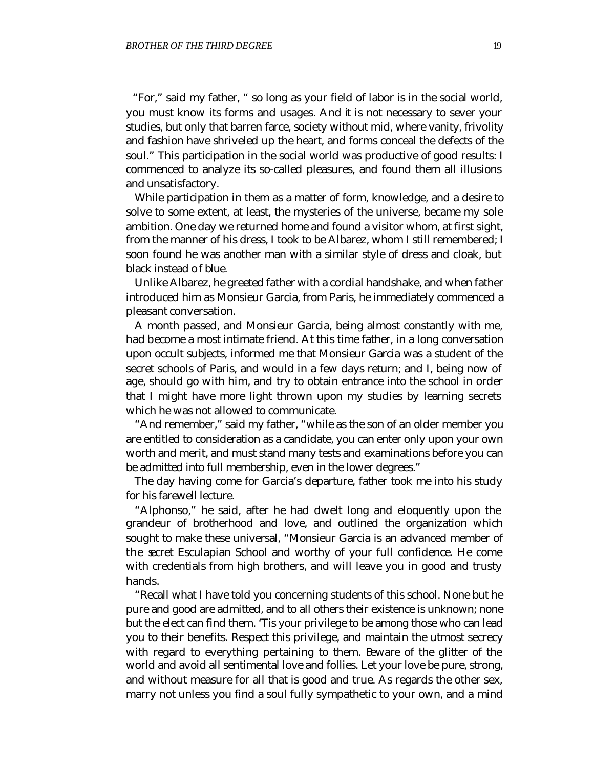"For," said my father, " so long as your field of labor is in the social world, you must know its forms and usages. And it is not necessary to sever your studies, but only that barren farce, society without mid, where vanity, frivolity and fashion have shriveled up the heart, and forms conceal the defects of the soul." This participation in the social world was productive of good results: I commenced to analyze its so-called pleasures, and found them all illusions and unsatisfactory.

While participation in them as a matter of form, knowledge, and a desire to solve to some extent, at least, the mysteries of the universe, became my sole ambition. One day we returned home and found a visitor whom, at first sight, from the manner of his dress, I took to be Albarez, whom I still remembered; I soon found he was another man with a similar style of dress and cloak, but black instead of blue.

Unlike Albarez, he greeted father with a cordial handshake, and when father introduced him as Monsieur Garcia, from Paris, he immediately commenced a pleasant conversation.

A month passed, and Monsieur Garcia, being almost constantly with me, had become a most intimate friend. At this time father, in a long conversation upon occult subjects, informed me that Monsieur Garcia was a student of the secret schools of Paris, and would in a few days return; and I, being now of age, should go with him, and try to obtain entrance into the school in order that I might have more light thrown upon my studies by learning secrets which he was not allowed to communicate.

"And remember," said my father, "while as the son of an older member you are entitled to consideration as a candidate, you can enter only upon your own worth and merit, and must stand many tests and examinations before you can be admitted into full membership, even in the lower degrees."

The day having come for Garcia's departure, father took me into his study for his farewell lecture.

"Alphonso," he said, after he had dwelt long and eloquently upon the grandeur of brotherhood and love, and outlined the organization which sought to make these universal, "Monsieur Garcia is an advanced member of the secret Esculapian School and worthy of your full confidence. He come with credentials from high brothers, and will leave you in good and trusty hands.

"Recall what I have told you concerning students of this school. None but he pure and good are admitted, and to all others their existence is unknown; none but the elect can find them. 'Tis your privilege to be among those who can lead you to their benefits. Respect this privilege, and maintain the utmost secrecy with regard to everything pertaining to them. Beware of the glitter of the world and avoid all sentimental love and follies. Let your love be pure, strong, and without measure for all that is good and true. As regards the other sex, marry not unless you find a soul fully sympathetic to your own, and a mind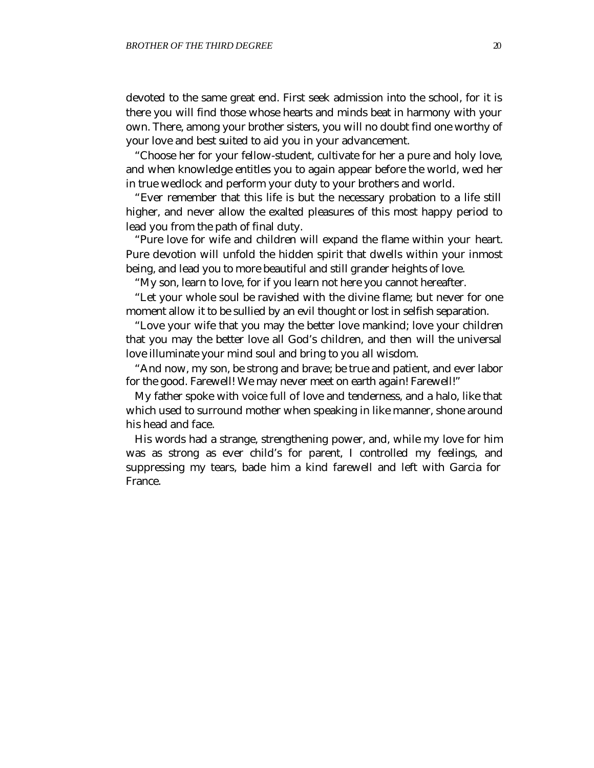devoted to the same great end. First seek admission into the school, for it is there you will find those whose hearts and minds beat in harmony with your own. There, among your brother sisters, you will no doubt find one worthy of your love and best suited to aid you in your advancement.

"Choose her for your fellow-student, cultivate for her a pure and holy love, and when knowledge entitles you to again appear before the world, wed her in true wedlock and perform your duty to your brothers and world.

"Ever remember that this life is but the necessary probation to a life still higher, and never allow the exalted pleasures of this most happy period to lead you from the path of final duty.

"Pure love for wife and children will expand the flame within your heart. Pure devotion will unfold the hidden spirit that dwells within your inmost being, and lead you to more beautiful and still grander heights of love.

"My son, learn to love, for if you learn not here you cannot hereafter.

"Let your whole soul be ravished with the divine flame; but never for one moment allow it to be sullied by an evil thought or lost in selfish separation.

"Love your wife that you may the better love mankind; love your children that you may the better love all God's children, and then will the universal love illuminate your mind soul and bring to you all wisdom.

"And now, my son, be strong and brave; be true and patient, and ever labor for the good. Farewell! We may never meet on earth again! Farewell!"

My father spoke with voice full of love and tenderness, and a halo, like that which used to surround mother when speaking in like manner, shone around his head and face.

His words had a strange, strengthening power, and, while my love for him was as strong as ever child's for parent, I controlled my feelings, and suppressing my tears, bade him a kind farewell and left with Garcia for France.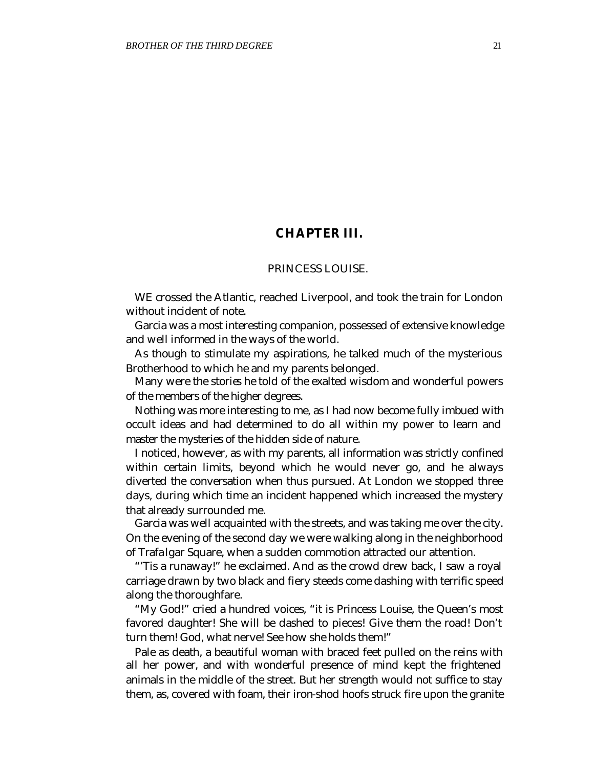## **CHAPTER III.**

#### PRINCESS LOUISE.

WE crossed the Atlantic, reached Liverpool, and took the train for London without incident of note.

Garcia was a most interesting companion, possessed of extensive knowledge and well informed in the ways of the world.

As though to stimulate my aspirations, he talked much of the mysterious Brotherhood to which he and my parents belonged.

Many were the stories he told of the exalted wisdom and wonderful powers of the members of the higher degrees.

Nothing was more interesting to me, as I had now become fully imbued with occult ideas and had determined to do all within my power to learn and master the mysteries of the hidden side of nature.

I noticed, however, as with my parents, all information was strictly confined within certain limits, beyond which he would never go, and he always diverted the conversation when thus pursued. At London we stopped three days, during which time an incident happened which increased the mystery that already surrounded me.

Garcia was well acquainted with the streets, and was taking me over the city. On the evening of the second day we were walking along in the neighborhood of Trafa lgar Square, when a sudden commotion attracted our attention.

"'Tis a runaway!" he exclaimed. And as the crowd drew back, I saw a royal carriage drawn by two black and fiery steeds come dashing with terrific speed along the thoroughfare.

"My God!" cried a hundred voices, "it is Princess Louise, the Queen's most favored daughter! She will be dashed to pieces! Give them the road! Don't turn them! God, what nerve! See how she holds them!"

Pale as death, a beautiful woman with braced feet pulled on the reins with all her power, and with wonderful presence of mind kept the frightened animals in the middle of the street. But her strength would not suffice to stay them, as, covered with foam, their iron-shod hoofs struck fire upon the granite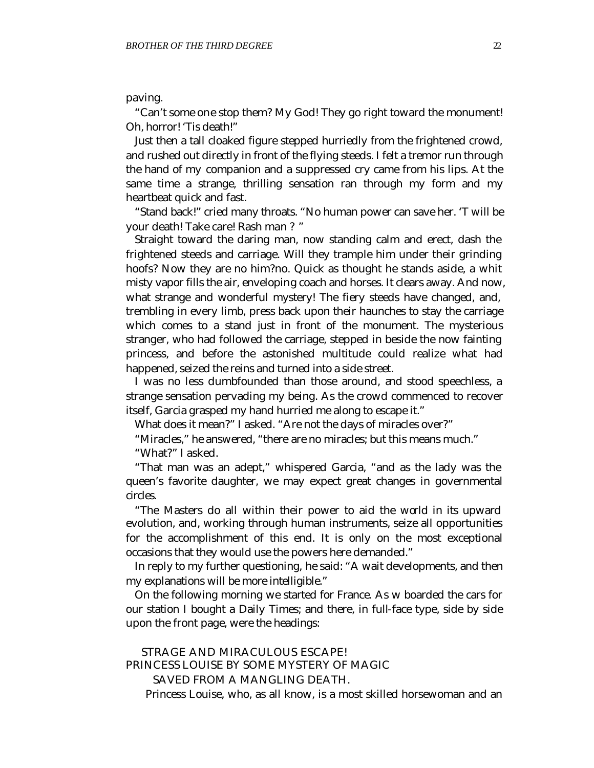paving.

"Can't some one stop them? My God! They go right toward the monument! Oh, horror! 'Tis death!"

Just then a tall cloaked figure stepped hurriedly from the frightened crowd, and rushed out directly in front of the flying steeds. I felt a tremor run through the hand of my companion and a suppressed cry came from his lips. At the same time a strange, thrilling sensation ran through my form and my heartbeat quick and fast.

"Stand back!" cried many throats. "No human power can save her. 'T will be your death! Take care! Rash man ? "

Straight toward the daring man, now standing calm and erect, dash the frightened steeds and carriage. Will they trample him under their grinding hoofs? Now they are no him?no. Quick as thought he stands aside, a whit misty vapor fills the air, enveloping coach and horses. It clears away. And now, what strange and wonderful mystery! The fiery steeds have changed, and, trembling in every limb, press back upon their haunches to stay the carriage which comes to a stand just in front of the monument. The mysterious stranger, who had followed the carriage, stepped in beside the now fainting princess, and before the astonished multitude could realize what had happened, seized the reins and turned into a side street.

I was no less dumbfounded than those around, and stood speechless, a strange sensation pervading my being. As the crowd commenced to recover itself, Garcia grasped my hand hurried me along to escape it."

What does it mean?" I asked. "Are not the days of miracles over?"

"Miracles," he answered, "there are no miracles; but this means much."

"What?" I asked.

"That man was an adept," whispered Garcia, "and as the lady was the queen's favorite daughter, we may expect great changes in governmental circles.

"The Masters do all within their power to aid the world in its upward evolution, and, working through human instruments, seize all opportunities for the accomplishment of this end. It is only on the most exceptional occasions that they would use the powers here demanded."

In reply to my further questioning, he said: "A wait developments, and then my explanations will be more intelligible."

On the following morning we started for France. As w boarded the cars for our station I bought a Daily Times; and there, in full-face type, side by side upon the front page, were the headings:

 STRAGE AND MIRACULOUS ESCAPE! PRINCESS LOUISE BY SOME MYSTERY OF MAGIC SAVED FROM A MANGLING DEATH.

Princess Louise, who, as all know, is a most skilled horsewoman and an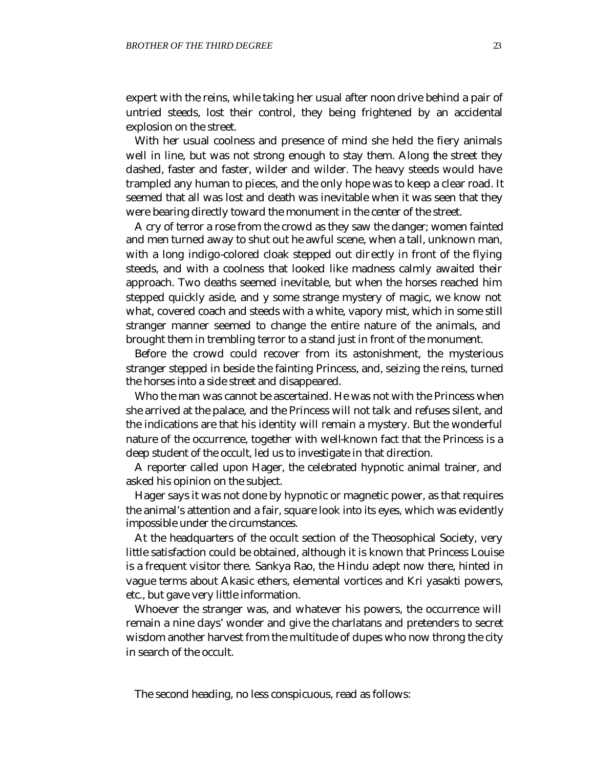expert with the reins, while taking her usual after noon drive behind a pair of untried steeds, lost their control, they being frightened by an accidental explosion on the street.

With her usual coolness and presence of mind she held the fiery animals well in line, but was not strong enough to stay them. Along the street they dashed, faster and faster, wilder and wilder. The heavy steeds would have trampled any human to pieces, and the only hope was to keep a clear road. It seemed that all was lost and death was inevitable when it was seen that they were bearing directly toward the monument in the center of the street.

A cry of terror a rose from the crowd as they saw the danger; women fainted and men turned away to shut out he awful scene, when a tall, unknown man, with a long indigo-colored cloak stepped out dir ectly in front of the flying steeds, and with a coolness that looked like madness calmly awaited their approach. Two deaths seemed inevitable, but when the horses reached him stepped quickly aside, and y some strange mystery of magic, we know not what, covered coach and steeds with a white, vapory mist, which in some still stranger manner seemed to change the entire nature of the animals, and brought them in trembling terror to a stand just in front of the monument.

Before the crowd could recover from its astonishment, the mysterious stranger stepped in beside the fainting Princess, and, seizing the reins, turned the horses into a side street and disappeared.

Who the man was cannot be ascertained. He was not with the Princess when she arrived at the palace, and the Princess will not talk and refuses silent, and the indications are that his identity will remain a mystery. But the wonderful nature of the occurrence, together with well-known fact that the Princess is a deep student of the occult, led us to investigate in that direction.

A reporter called upon Hager, the celebrated hypnotic animal trainer, and asked his opinion on the subject.

Hager says it was not done by hypnotic or magnetic power, as that requires the animal's attention and a fair, square look into its eyes, which was evidently impossible under the circumstances.

At the headquarters of the occult section of the Theosophical Society, very little satisfaction could be obtained, although it is known that Princess Louise is a frequent visitor there. Sankya Rao, the Hindu adept now there, hinted in vague terms about Akasic ethers, elemental vortices and Kri yasakti powers, etc., but gave very little information.

Whoever the stranger was, and whatever his powers, the occurrence will remain a nine days' wonder and give the charlatans and pretenders to secret wisdom another harvest from the multitude of dupes who now throng the city in search of the occult.

The second heading, no less conspicuous, read as follows: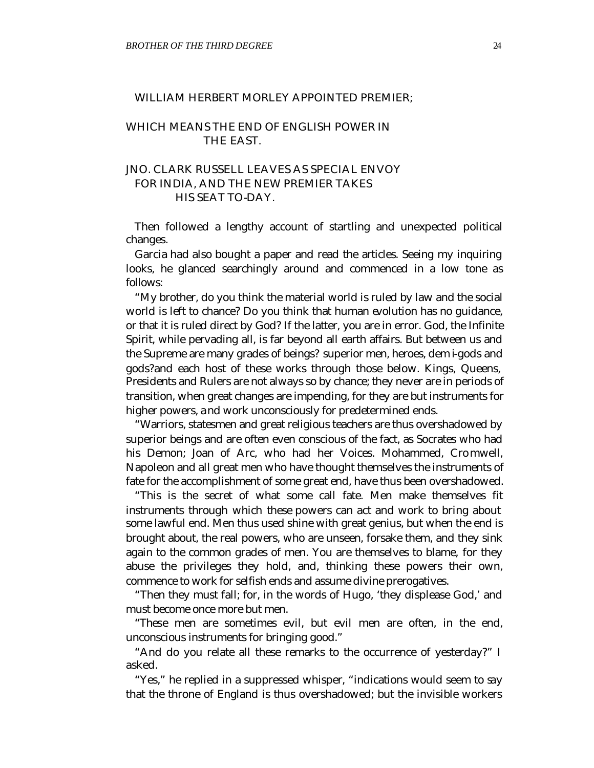#### WILLIAM HERBERT MORLEY APPOINTED PREMIER;

## WHICH MEANS THE END OF ENGLISH POWER IN THE EAST.

## JNO. CLARK RUSSELL LEAVES AS SPECIAL ENVOY FOR INDIA, AND THE NEW PREMIER TAKES HIS SEAT TO-DAY.

Then followed a lengthy account of startling and unexpected political changes.

Garcia had also bought a paper and read the articles. Seeing my inquiring looks, he glanced searchingly around and commenced in a low tone as follows:

"My brother, do you think the material world is ruled by law and the social world is left to chance? Do you think that human evolution has no guidance, or that it is ruled direct by God? If the latter, you are in error. God, the Infinite Spirit, while pervading all, is far beyond all earth affairs. But between us and the Supreme are many grades of beings? superior men, heroes, dem i-gods and gods?and each host of these works through those below. Kings, Queens, Presidents and Rulers are not always so by chance; they never are in periods of transition, when great changes are impending, for they are but instruments for higher powers, and work unconsciously for predetermined ends.

"Warriors, statesmen and great religious teachers are thus overshadowed by superior beings and are often even conscious of the fact, as Socrates who had his Demon; Joan of Arc, who had her Voices. Mohammed, Cromwell, Napoleon and all great men who have thought themselves the instruments of fate for the accomplishment of some great end, have thus been overshadowed.

"This is the secret of what some call fate. Men make themselves fit instruments through which these powers can act and work to bring about some lawful end. Men thus used shine with great genius, but when the end is brought about, the real powers, who are unseen, forsake them, and they sink again to the common grades of men. You are themselves to blame, for they abuse the privileges they hold, and, thinking these powers their own, commence to work for selfish ends and assume divine prerogatives.

"Then they must fall; for, in the words of Hugo, 'they displease God,' and must become once more but men.

"These men are sometimes evil, but evil men are often, in the end, unconscious instruments for bringing good."

"And do you relate all these remarks to the occurrence of yesterday?" I asked.

"Yes," he replied in a suppressed whisper, "indications would seem to say that the throne of England is thus overshadowed; but the invisible workers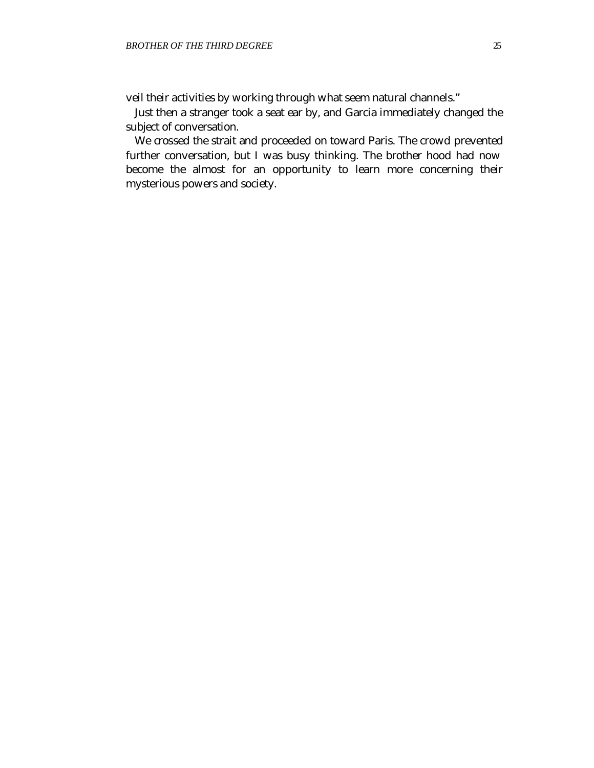veil their activities by working through what seem natural channels."

Just then a stranger took a seat ear by, and Garcia immediately changed the subject of conversation.

We crossed the strait and proceeded on toward Paris. The crowd prevented further conversation, but I was busy thinking. The brother hood had now become the almost for an opportunity to learn more concerning their mysterious powers and society.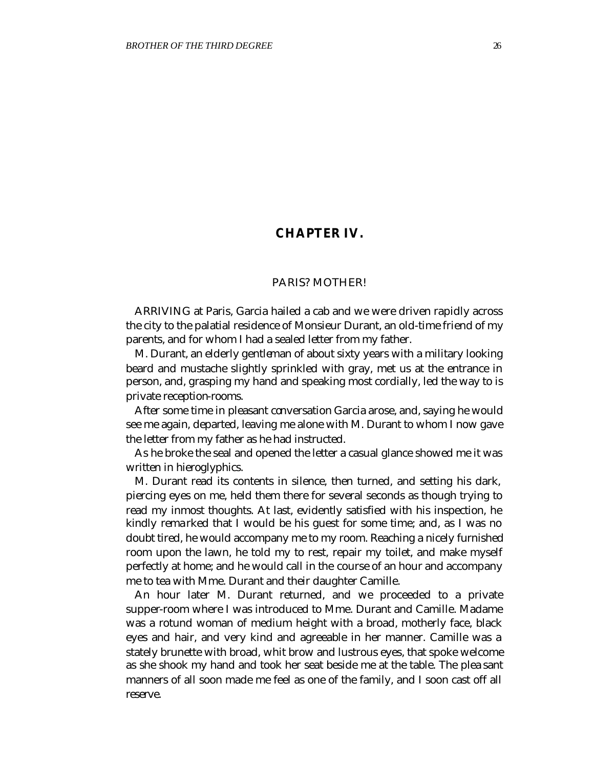## **CHAPTER IV.**

## PARIS? MOTHER!

ARRIVING at Paris, Garcia hailed a cab and we were driven rapidly across the city to the palatial residence of Monsieur Durant, an old-time friend of my parents, and for whom I had a sealed letter from my father.

M. Durant, an elderly gentleman of about sixty years with a military looking beard and mustache slightly sprinkled with gray, met us at the entrance in person, and, grasping my hand and speaking most cordially, led the way to is private reception-rooms.

After some time in pleasant conversation Garcia arose, and, saying he would see me again, departed, leaving me alone with M. Durant to whom I now gave the letter from my father as he had instructed.

As he broke the seal and opened the letter a casual glance showed me it was written in hieroglyphics.

M. Durant read its contents in silence, then turned, and setting his dark, piercing eyes on me, held them there for several seconds as though trying to read my inmost thoughts. At last, evidently satisfied with his inspection, he kindly remarked that I would be his guest for some time; and, as I was no doubt tired, he would accompany me to my room. Reaching a nicely furnished room upon the lawn, he told my to rest, repair my toilet, and make myself perfectly at home; and he would call in the course of an hour and accompany me to tea with Mme. Durant and their daughter Camille.

An hour later M. Durant returned, and we proceeded to a private supper-room where I was introduced to Mme. Durant and Camille. Madame was a rotund woman of medium height with a broad, motherly face, black eyes and hair, and very kind and agreeable in her manner. Camille was a stately brunette with broad, whit brow and lustrous eyes, that spoke welcome as she shook my hand and took her seat beside me at the table. The plea sant manners of all soon made me feel as one of the family, and I soon cast off all reserve.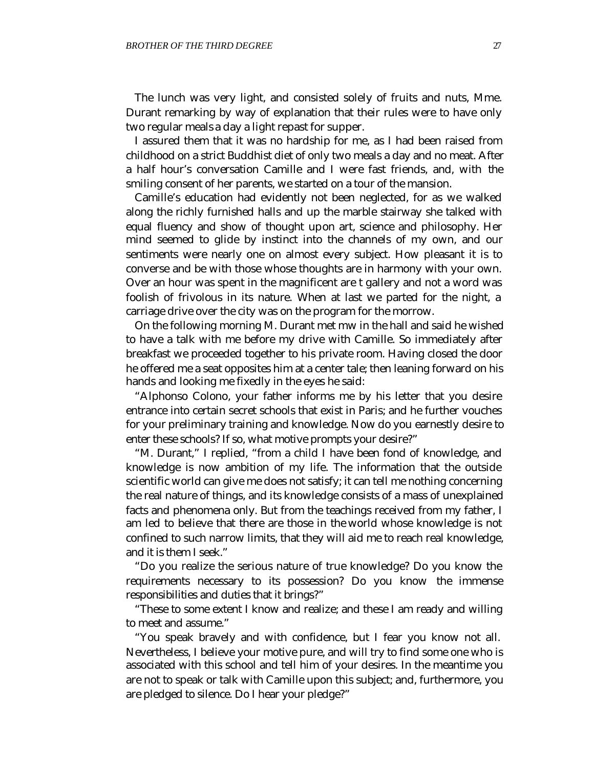The lunch was very light, and consisted solely of fruits and nuts, Mme. Durant remarking by way of explanation that their rules were to have only two regular meals a day a light repast for supper.

I assured them that it was no hardship for me, as I had been raised from childhood on a strict Buddhist diet of only two meals a day and no meat. After a half hour's conversation Camille and I were fast friends, and, with the smiling consent of her parents, we started on a tour of the mansion.

Camille's education had evidently not been neglected, for as we walked along the richly furnished halls and up the marble stairway she talked with equal fluency and show of thought upon art, science and philosophy. Her mind seemed to glide by instinct into the channels of my own, and our sentiments were nearly one on almost every subject. How pleasant it is to converse and be with those whose thoughts are in harmony with your own. Over an hour was spent in the magnificent are t gallery and not a word was foolish of frivolous in its nature. When at last we parted for the night, a carriage drive over the city was on the program for the morrow.

On the following morning M. Durant met mw in the hall and said he wished to have a talk with me before my drive with Camille. So immediately after breakfast we proceeded together to his private room. Having closed the door he offered me a seat opposites him at a center tale; then leaning forward on his hands and looking me fixedly in the eyes he said:

"Alphonso Colono, your father informs me by his letter that you desire entrance into certain secret schools that exist in Paris; and he further vouches for your preliminary training and knowledge. Now do you earnestly desire to enter these schools? If so, what motive prompts your desire?"

"M. Durant," I replied, "from a child I have been fond of knowledge, and knowledge is now ambition of my life. The information that the outside scientific world can give me does not satisfy; it can tell me nothing concerning the real nature of things, and its knowledge consists of a mass of unexplained facts and phenomena only. But from the teachings received from my father, I am led to believe that there are those in the world whose knowledge is not confined to such narrow limits, that they will aid me to reach real knowledge, and it is them I seek."

"Do you realize the serious nature of true knowledge? Do you know the requirements necessary to its possession? Do you know the immense responsibilities and duties that it brings?"

"These to some extent I know and realize; and these I am ready and willing to meet and assume."

"You speak bravely and with confidence, but I fear you know not all. Nevertheless, I believe your motive pure, and will try to find some one who is associated with this school and tell him of your desires. In the meantime you are not to speak or talk with Camille upon this subject; and, furthermore, you are pledged to silence. Do I hear your pledge?"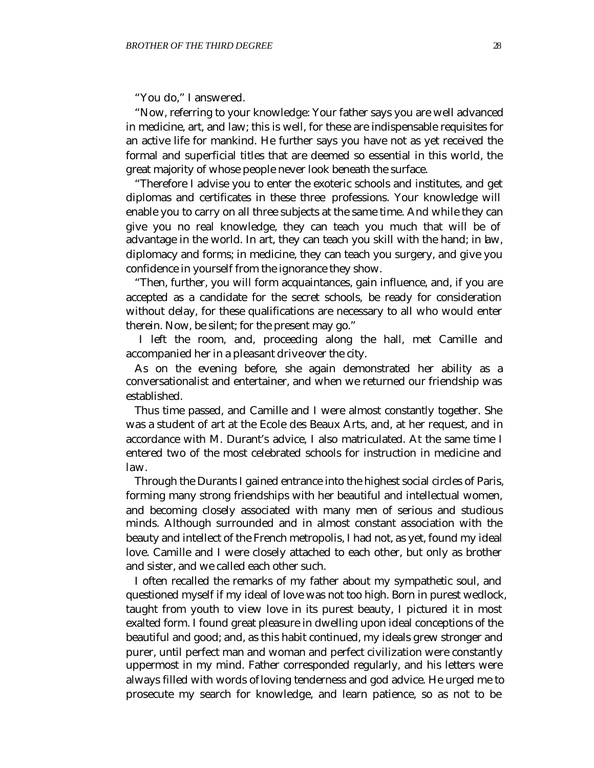"You do," I answered.

"Now, referring to your knowledge: Your father says you are well advanced in medicine, art, and law; this is well, for these are indispensable requisites for an active life for mankind. He further says you have not as yet received the formal and superficial titles that are deemed so essential in this world, the great majority of whose people never look beneath the surface.

"Therefore I advise you to enter the exoteric schools and institutes, and get diplomas and certificates in these three professions. Your knowledge will enable you to carry on all three subjects at the same time. And while they can give you no real knowledge, they can teach you much that will be of advantage in the world. In art, they can teach you skill with the hand; in kw, diplomacy and forms; in medicine, they can teach you surgery, and give you confidence in yourself from the ignorance they show.

"Then, further, you will form acquaintances, gain influence, and, if you are accepted as a candidate for the secret schools, be ready for consideration without delay, for these qualifications are necessary to all who would enter therein. Now, be silent; for the present may go."

 I left the room, and, proceeding along the hall, met Camille and accompanied her in a pleasant drive over the city.

As on the evening before, she again demonstrated her ability as a conversationalist and entertainer, and when we returned our friendship was established.

Thus time passed, and Camille and I were almost constantly together. She was a student of art at the Ecole des Beaux Arts, and, at her request, and in accordance with M. Durant's advice, I also matriculated. At the same time I entered two of the most celebrated schools for instruction in medicine and law.

Through the Durants I gained entrance into the highest social circles of Paris, forming many strong friendships with her beautiful and intellectual women, and becoming closely associated with many men of serious and studious minds. Although surrounded and in almost constant association with the beauty and intellect of the French metropolis, I had not, as yet, found my ideal love. Camille and I were closely attached to each other, but only as brother and sister, and we called each other such.

I often recalled the remarks of my father about my sympathetic soul, and questioned myself if my ideal of love was not too high. Born in purest wedlock, taught from youth to view love in its purest beauty, I pictured it in most exalted form. I found great pleasure in dwelling upon ideal conceptions of the beautiful and good; and, as this habit continued, my ideals grew stronger and purer, until perfect man and woman and perfect civilization were constantly uppermost in my mind. Father corresponded regularly, and his letters were always filled with words of loving tenderness and god advice. He urged me to prosecute my search for knowledge, and learn patience, so as not to be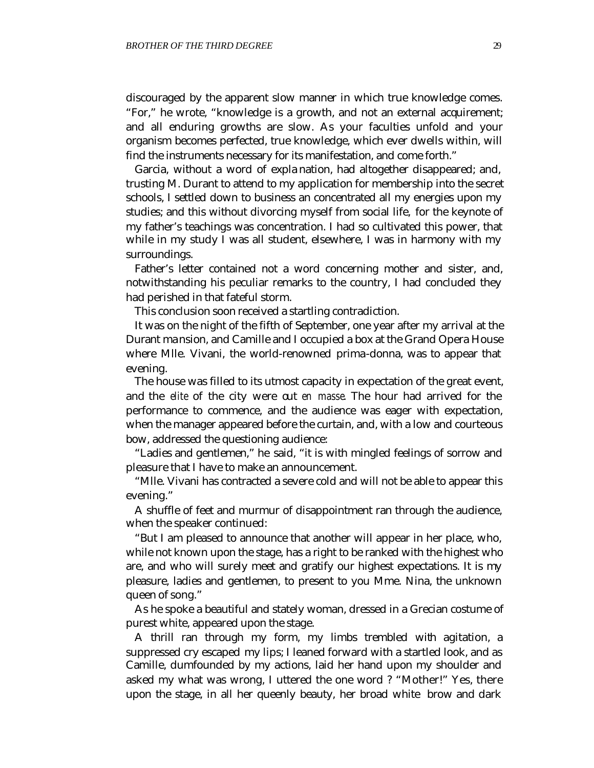discouraged by the apparent slow manner in which true knowledge comes. "For," he wrote, "knowledge is a growth, and not an external acquirement; and all enduring growths are slow. As your faculties unfold and your organism becomes perfected, true knowledge, which ever dwells within, will find the instruments necessary for its manifestation, and come forth."

Garcia, without a word of expla nation, had altogether disappeared; and, trusting M. Durant to attend to my application for membership into the secret schools, I settled down to business an concentrated all my energies upon my studies; and this without divorcing myself from social life, for the keynote of my father's teachings was concentration. I had so cultivated this power, that while in my study I was all student, elsewhere, I was in harmony with my surroundings.

Father's letter contained not a word concerning mother and sister, and, notwithstanding his peculiar remarks to the country, I had concluded they had perished in that fateful storm.

This conclusion soon received a startling contradiction.

It was on the night of the fifth of September, one year after my arrival at the Durant mansion, and Camille and I occupied a box at the Grand Opera House where Mlle. Vivani, the world-renowned prima-donna, was to appear that evening.

The house was filled to its utmost capacity in expectation of the great event, and the *elite* of the city were out *en masse*. The hour had arrived for the performance to commence, and the audience was eager with expectation, when the manager appeared before the curtain, and, with a low and courteous bow, addressed the questioning audience:

"Ladies and gentlemen," he said, "it is with mingled feelings of sorrow and pleasure that I have to make an announcement.

"Mlle. Vivani has contracted a severe cold and will not be able to appear this evening."

A shuffle of feet and murmur of disappointment ran through the audience, when the speaker continued:

"But I am pleased to announce that another will appear in her place, who, while not known upon the stage, has a right to be ranked with the highest who are, and who will surely meet and gratify our highest expectations. It is my pleasure, ladies and gentlemen, to present to you Mme. Nina, the unknown queen of song."

As he spoke a beautiful and stately woman, dressed in a Grecian costume of purest white, appeared upon the stage.

A thrill ran through my form, my limbs trembled with agitation, a suppressed cry escaped my lips; I leaned forward with a startled look, and as Camille, dumfounded by my actions, laid her hand upon my shoulder and asked my what was wrong, I uttered the one word ? "Mother!" Yes, there upon the stage, in all her queenly beauty, her broad white brow and dark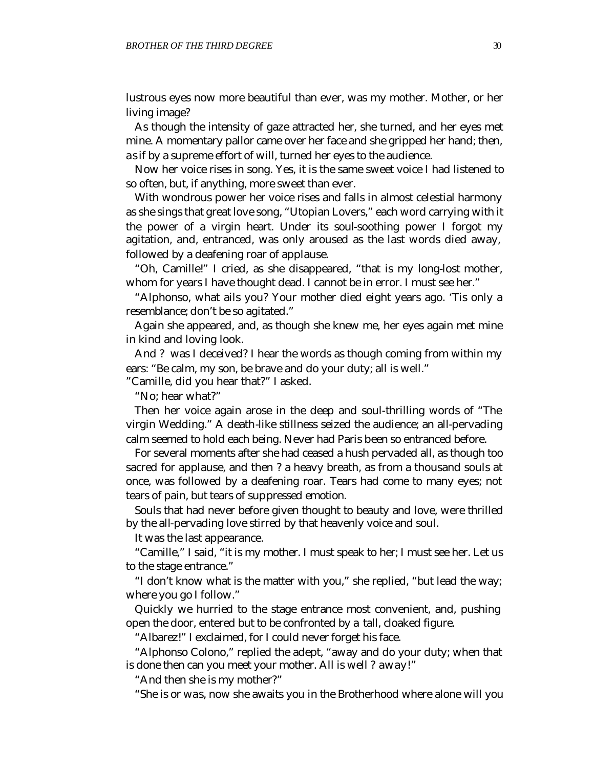lustrous eyes now more beautiful than ever, was my mother. Mother, or her living image?

As though the intensity of gaze attracted her, she turned, and her eyes met mine. A momentary pallor came over her face and she gripped her hand; then, as if by a supreme effort of will, turned her eyes to the audience.

Now her voice rises in song. Yes, it is the same sweet voice I had listened to so often, but, if anything, more sweet than ever.

With wondrous power her voice rises and falls in almost celestial harmony as she sings that great love song, "Utopian Lovers," each word carrying with it the power of a virgin heart. Under its soul-soothing power I forgot my agitation, and, entranced, was only aroused as the last words died away, followed by a deafening roar of applause.

"Oh, Camille!" I cried, as she disappeared, "that is my long-lost mother, whom for years I have thought dead. I cannot be in error. I must see her."

"Alphonso, what ails you? Your mother died eight years ago. 'Tis only a resemblance; don't be so agitated."

Again she appeared, and, as though she knew me, her eyes again met mine in kind and loving look.

And ? was I deceived? I hear the words as though coming from within my ears: "Be calm, my son, be brave and do your duty; all is well."

"Camille, did you hear that?" I asked.

"No; hear what?"

Then her voice again arose in the deep and soul-thrilling words of "The virgin Wedding." A death-like stillness seized the audience; an all-pervading calm seemed to hold each being. Never had Paris been so entranced before.

For several moments after she had ceased a hush pervaded all, as though too sacred for applause, and then ? a heavy breath, as from a thousand souls at once, was followed by a deafening roar. Tears had come to many eyes; not tears of pain, but tears of suppressed emotion.

Souls that had never before given thought to beauty and love, were thrilled by the all-pervading love stirred by that heavenly voice and soul.

It was the last appearance.

"Camille," I said, "it is my mother. I must speak to her; I must see her. Let us to the stage entrance."

"I don't know what is the matter with you," she replied, "but lead the way; where you go I follow."

Quickly we hurried to the stage entrance most convenient, and, pushing open the door, entered but to be confronted by a tall, cloaked figure.

"Albarez!" I exclaimed, for I could never forget his face.

"Alphonso Colono," replied the adept, "away and do your duty; when that is done then can you meet your mother. All is well ? away!"

"And then she is my mother?"

"She is or was, now she awaits you in the Brotherhood where alone will you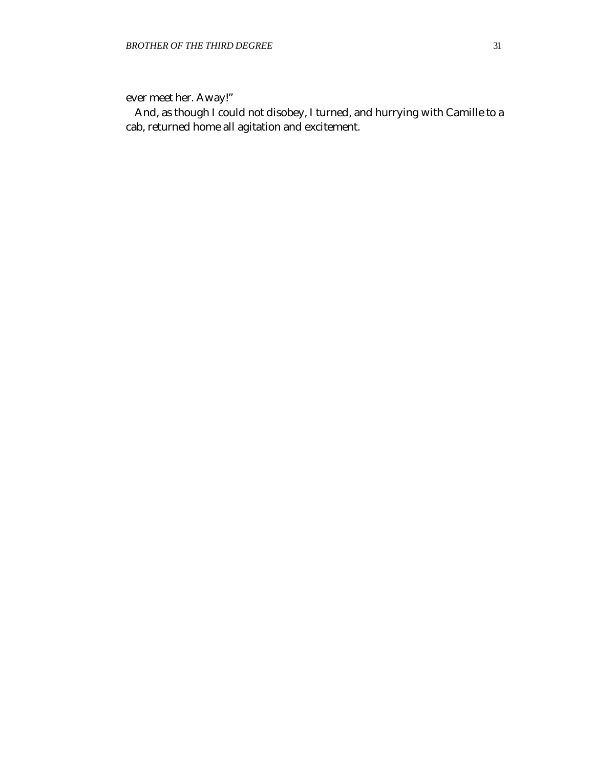## ever meet her. Away!"

And, as though I could not disobey, I turned, and hurrying with Camille to a cab, returned home all agitation and excitement.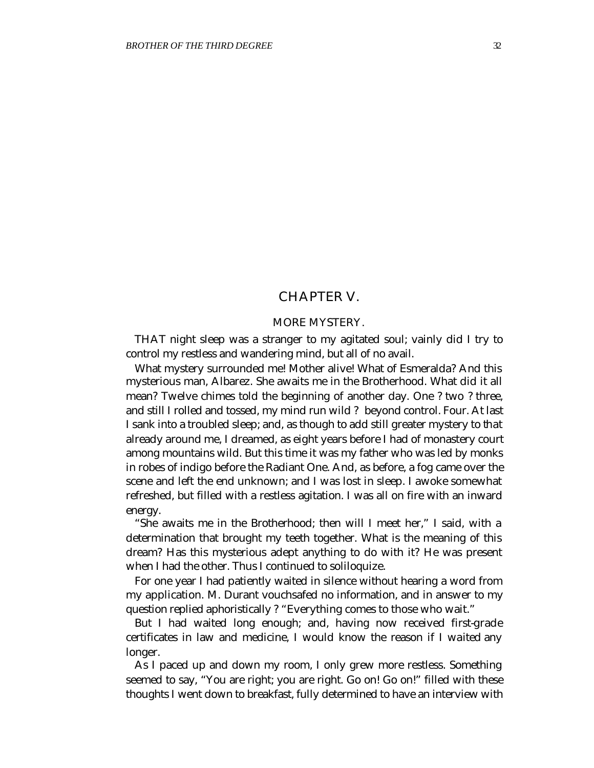## CHAPTER V.

#### MORE MYSTERY.

THAT night sleep was a stranger to my agitated soul; vainly did I try to control my restless and wandering mind, but all of no avail.

What mystery surrounded me! Mother alive! What of Esmeralda? And this mysterious man, Albarez. She awaits me in the Brotherhood. What did it all mean? Twelve chimes told the beginning of another day. One ? two ? three, and still I rolled and tossed, my mind run wild ? beyond control. Four. At last I sank into a troubled sleep; and, as though to add still greater mystery to that already around me, I dreamed, as eight years before I had of monastery court among mountains wild. But this time it was my father who was led by monks in robes of indigo before the Radiant One. And, as before, a fog came over the scene and left the end unknown; and I was lost in sleep. I awoke somewhat refreshed, but filled with a restless agitation. I was all on fire with an inward energy.

"She awaits me in the Brotherhood; then will I meet her," I said, with a determination that brought my teeth together. What is the meaning of this dream? Has this mysterious adept anything to do with it? He was present when I had the other. Thus I continued to soliloquize.

For one year I had patiently waited in silence without hearing a word from my application. M. Durant vouchsafed no information, and in answer to my question replied aphoristically ? "Everything comes to those who wait."

But I had waited long enough; and, having now received first-grade certificates in law and medicine, I would know the reason if I waited any longer.

As I paced up and down my room, I only grew more restless. Something seemed to say, "You are right; you are right. Go on! Go on!" filled with these thoughts I went down to breakfast, fully determined to have an interview with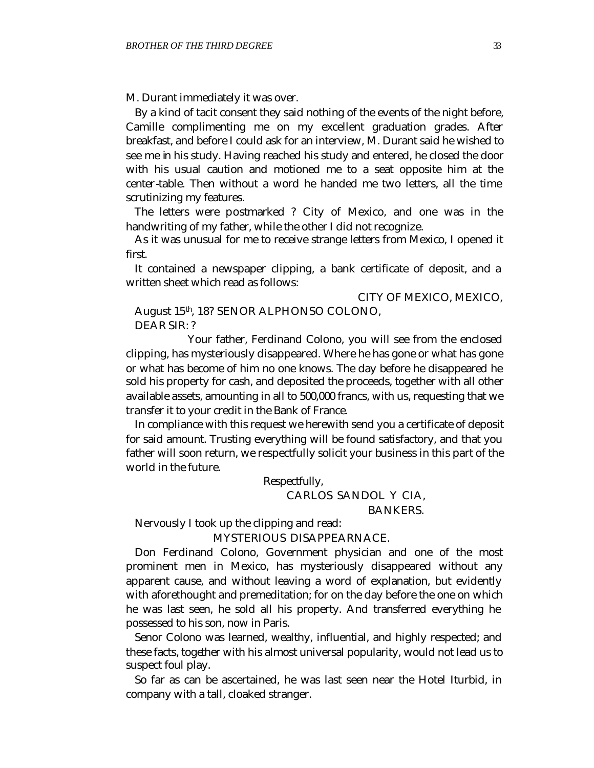M. Durant immediately it was over.

By a kind of tacit consent they said nothing of the events of the night before, Camille complimenting me on my excellent graduation grades. After breakfast, and before I could ask for an interview, M. Durant said he wished to see me in his study. Having reached his study and entered, he closed the door with his usual caution and motioned me to a seat opposite him at the center-table. Then without a word he handed me two letters, all the time scrutinizing my features.

The letters were postmarked ? City of Mexico, and one was in the handwriting of my father, while the other I did not recognize.

As it was unusual for me to receive strange letters from Mexico, I opened it first.

It contained a newspaper clipping, a bank certificate of deposit, and a written sheet which read as follows:

CITY OF MEXICO, MEXICO,

August 15th, 18? SENOR ALPHONSO COLONO, DEAR SIR: ?

 Your father, Ferdinand Colono, you will see from the enclosed clipping, has mysteriously disappeared. Where he has gone or what has gone or what has become of him no one knows. The day before he disappeared he sold his property for cash, and deposited the proceeds, together with all other available assets, amounting in all to 500,000 francs, with us, requesting that we transfer it to your credit in the Bank of France.

In compliance with this request we herewith send you a certificate of deposit for said amount. Trusting everything will be found satisfactory, and that you father will soon return, we respectfully solicit your business in this part of the world in the future.

> Respectfully, CARLOS SANDOL Y CIA, BANKERS.

Nervously I took up the clipping and read:

#### MYSTERIOUS DISAPPEARNACE.

Don Ferdinand Colono, Government physician and one of the most prominent men in Mexico, has mysteriously disappeared without any apparent cause, and without leaving a word of explanation, but evidently with aforethought and premeditation; for on the day before the one on which he was last seen, he sold all his property. And transferred everything he possessed to his son, now in Paris.

Senor Colono was learned, wealthy, influential, and highly respected; and these facts, together with his almost universal popularity, would not lead us to suspect foul play.

So far as can be ascertained, he was last seen near the Hotel Iturbid, in company with a tall, cloaked stranger.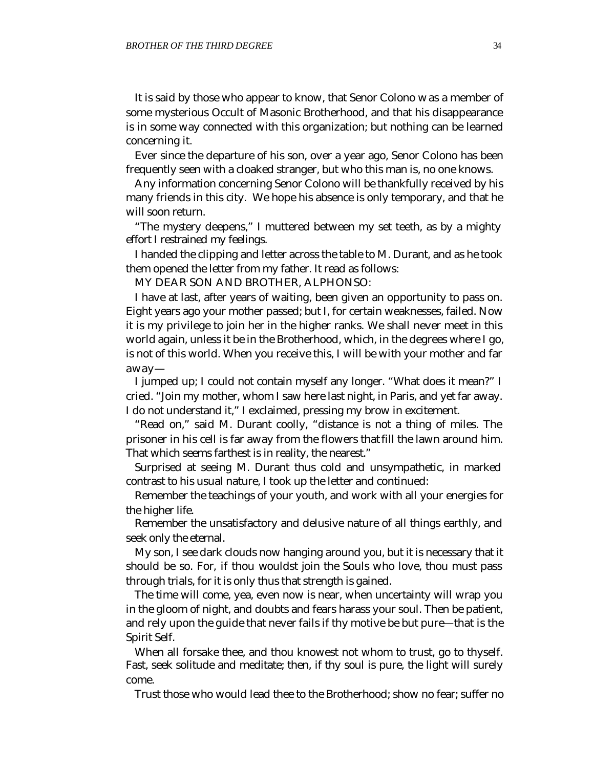It is said by those who appear to know, that Senor Colono was a member of some mysterious Occult of Masonic Brotherhood, and that his disappearance is in some way connected with this organization; but nothing can be learned concerning it.

Ever since the departure of his son, over a year ago, Senor Colono has been frequently seen with a cloaked stranger, but who this man is, no one knows.

Any information concerning Senor Colono will be thankfully received by his many friends in this city. We hope his absence is only temporary, and that he will soon return.

"The mystery deepens," I muttered between my set teeth, as by a mighty effort I restrained my feelings.

I handed the clipping and letter across the table to M. Durant, and as he took them opened the letter from my father. It read as follows:

MY DEAR SON AND BROTHER, ALPHONSO:

I have at last, after years of waiting, been given an opportunity to pass on. Eight years ago your mother passed; but I, for certain weaknesses, failed. Now it is my privilege to join her in the higher ranks. We shall never meet in this world again, unless it be in the Brotherhood, which, in the degrees where I go, is not of this world. When you receive this, I will be with your mother and far away—

I jumped up; I could not contain myself any longer. "What does it mean?" I cried. "Join my mother, whom I saw here last night, in Paris, and yet far away. I do not understand it," I exclaimed, pressing my brow in excitement.

"Read on," said M. Durant coolly, "distance is not a thing of miles. The prisoner in his cell is far away from the flowers that fill the lawn around him. That which seems farthest is in reality, the nearest."

Surprised at seeing M. Durant thus cold and unsympathetic, in marked contrast to his usual nature, I took up the letter and continued:

Remember the teachings of your youth, and work with all your energies for the higher life.

Remember the unsatisfactory and delusive nature of all things earthly, and seek only the eternal.

My son, I see dark clouds now hanging around you, but it is necessary that it should be so. For, if thou wouldst join the Souls who love, thou must pass through trials, for it is only thus that strength is gained.

The time will come, yea, even now is near, when uncertainty will wrap you in the gloom of night, and doubts and fears harass your soul. Then be patient, and rely upon the guide that never fails if thy motive be but pure—that is the Spirit Self.

When all forsake thee, and thou knowest not whom to trust, go to thyself. Fast, seek solitude and meditate; then, if thy soul is pure, the light will surely come.

Trust those who would lead thee to the Brotherhood; show no fear; suffer no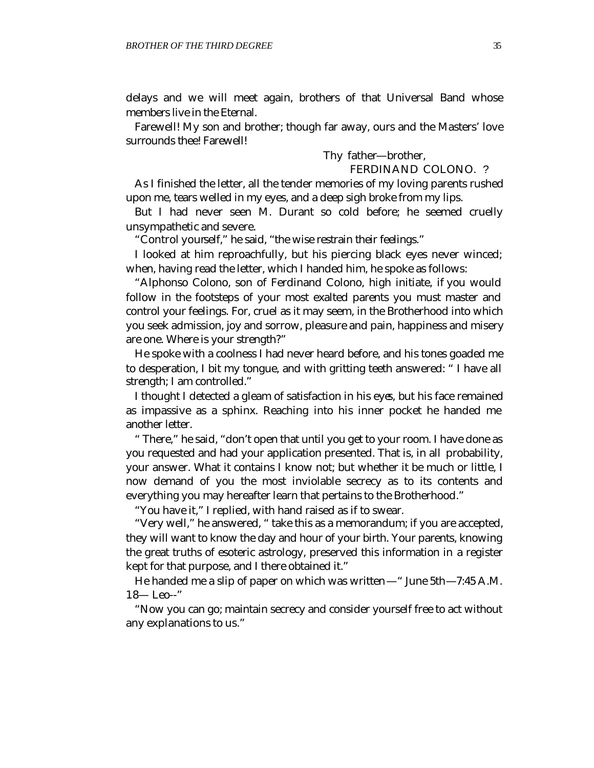delays and we will meet again, brothers of that Universal Band whose members live in the Eternal.

Farewell! My son and brother; though far away, ours and the Masters' love surrounds thee! Farewell!

Thy father—brother,

FERDINAND COLONO. ?

As I finished the letter, all the tender memories of my loving parents rushed upon me, tears welled in my eyes, and a deep sigh broke from my lips.

But I had never seen M. Durant so cold before; he seemed cruelly unsympathetic and severe.

"Control yourself," he said, "the wise restrain their feelings."

I looked at him reproachfully, but his piercing black eyes never winced; when, having read the letter, which I handed him, he spoke as follows:

"Alphonso Colono, son of Ferdinand Colono, high initiate, if you would follow in the footsteps of your most exalted parents you must master and control your feelings. For, cruel as it may seem, in the Brotherhood into which you seek admission, joy and sorrow, pleasure and pain, happiness and misery are one. Where is your strength?"

He spoke with a coolness I had never heard before, and his tones goaded me to desperation, I bit my tongue, and with gritting teeth answered: " I have all strength; I am controlled."

I thought I detected a gleam of satisfaction in his eyes, but his face remained as impassive as a sphinx. Reaching into his inner pocket he handed me another letter.

" There," he said, "don't open that until you get to your room. I have done as you requested and had your application presented. That is, in all probability, your answer. What it contains I know not; but whether it be much or little, I now demand of you the most inviolable secrecy as to its contents and everything you may hereafter learn that pertains to the Brotherhood."

"You have it," I replied, with hand raised as if to swear.

"Very well," he answered, " take this as a memorandum; if you are accepted, they will want to know the day and hour of your birth. Your parents, knowing the great truths of esoteric astrology, preserved this information in a register kept for that purpose, and I there obtained it."

He handed me a slip of paper on which was written—" June 5th—7:45 A.M.  $18 - 1e^{-t}$ 

"Now you can go; maintain secrecy and consider yourself free to act without any explanations to us."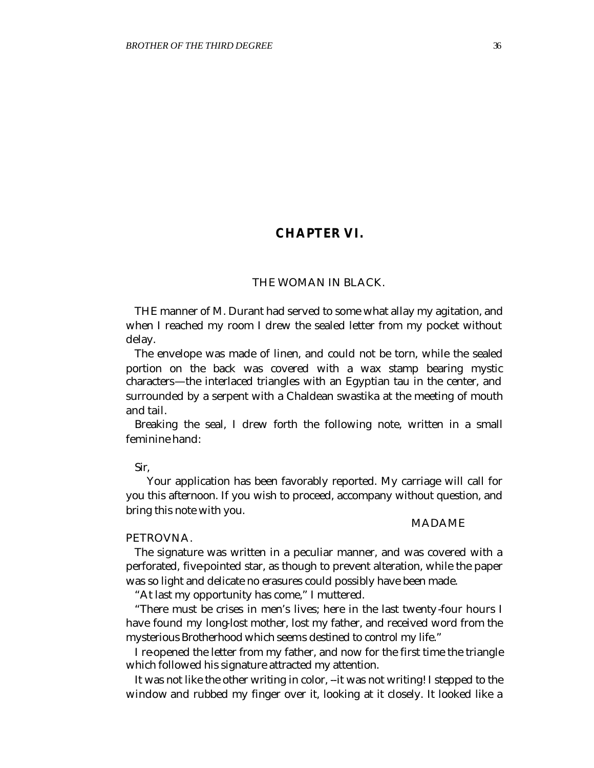## **CHAPTER VI.**

## THE WOMAN IN BLACK.

THE manner of M. Durant had served to some what allay my agitation, and when I reached my room I drew the sealed letter from my pocket without delay.

The envelope was made of linen, and could not be torn, while the sealed portion on the back was covered with a wax stamp bearing mystic characters—the interlaced triangles with an Egyptian tau in the center, and surrounded by a serpent with a Chaldean swastika at the meeting of mouth and tail.

Breaking the seal, I drew forth the following note, written in a small feminine hand:

#### Sir,

 Your application has been favorably reported. My carriage will call for you this afternoon. If you wish to proceed, accompany without question, and bring this note with you.

## MADAME

#### PETROVNA.

The signature was written in a peculiar manner, and was covered with a perforated, five-pointed star, as though to prevent alteration, while the paper was so light and delicate no erasures could possibly have been made.

"At last my opportunity has come," I muttered.

"There must be crises in men's lives; here in the last twenty-four hours I have found my long-lost mother, lost my father, and received word from the mysterious Brotherhood which seems destined to control my life."

I re-opened the letter from my father, and now for the first time the triangle which followed his signature attracted my attention.

It was not like the other writing in color, --it was not writing! I stepped to the window and rubbed my finger over it, looking at it closely. It looked like a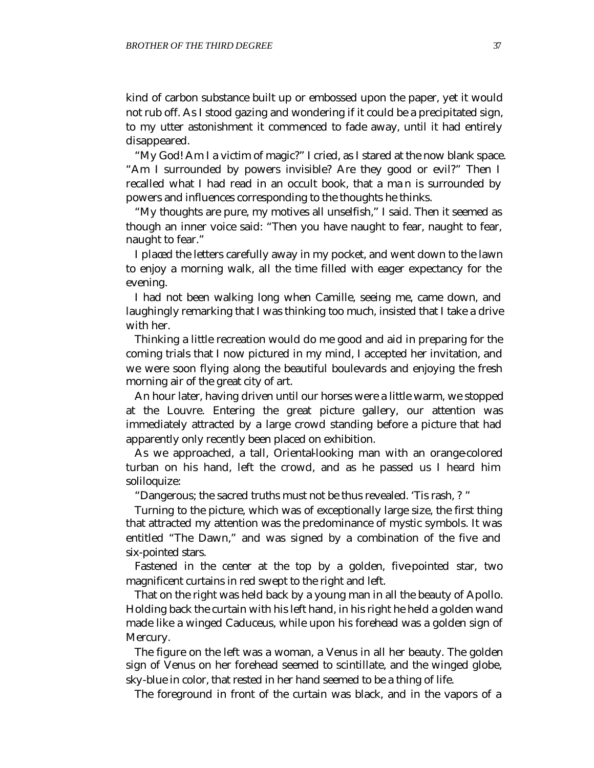kind of carbon substance built up or embossed upon the paper, yet it would not rub off. As I stood gazing and wondering if it could be a precipitated sign, to my utter astonishment it commenced to fade away, until it had entirely disappeared.

"My God! Am I a victim of magic?" I cried, as I stared at the now blank space. "Am I surrounded by powers invisible? Are they good or evil?" Then I recalled what I had read in an occult book, that a ma n is surrounded by powers and influences corresponding to the thoughts he thinks.

"My thoughts are pure, my motives all unselfish," I said. Then it seemed as though an inner voice said: "Then you have naught to fear, naught to fear, naught to fear."

I placed the letters carefully away in my pocket, and went down to the lawn to enjoy a morning walk, all the time filled with eager expectancy for the evening.

I had not been walking long when Camille, seeing me, came down, and laughingly remarking that I was thinking too much, insisted that I take a drive with her.

Thinking a little recreation would do me good and aid in preparing for the coming trials that I now pictured in my mind, I accepted her invitation, and we were soon flying along the beautiful boulevards and enjoying the fresh morning air of the great city of art.

An hour later, having driven until our horses were a little warm, we stopped at the Louvre. Entering the great picture gallery, our attention was immediately attracted by a large crowd standing before a picture that had apparently only recently been placed on exhibition.

As we approached, a tall, Oriental-looking man with an orange-colored turban on his hand, left the crowd, and as he passed us I heard him soliloquize:

"Dangerous; the sacred truths must not be thus revealed. 'Tis rash, ? "

Turning to the picture, which was of exceptionally large size, the first thing that attracted my attention was the predominance of mystic symbols. It was entitled "The Dawn," and was signed by a combination of the five and six-pointed stars.

Fastened in the center at the top by a golden, five-pointed star, two magnificent curtains in red swept to the right and left.

That on the right was held back by a young man in all the beauty of Apollo. Holding back the curtain with his left hand, in his right he held a golden wand made like a winged Caduceus, while upon his forehead was a golden sign of Mercury.

The figure on the left was a woman, a Venus in all her beauty. The golden sign of Venus on her forehead seemed to scintillate, and the winged globe, sky-blue in color, that rested in her hand seemed to be a thing of life.

The foreground in front of the curtain was black, and in the vapors of a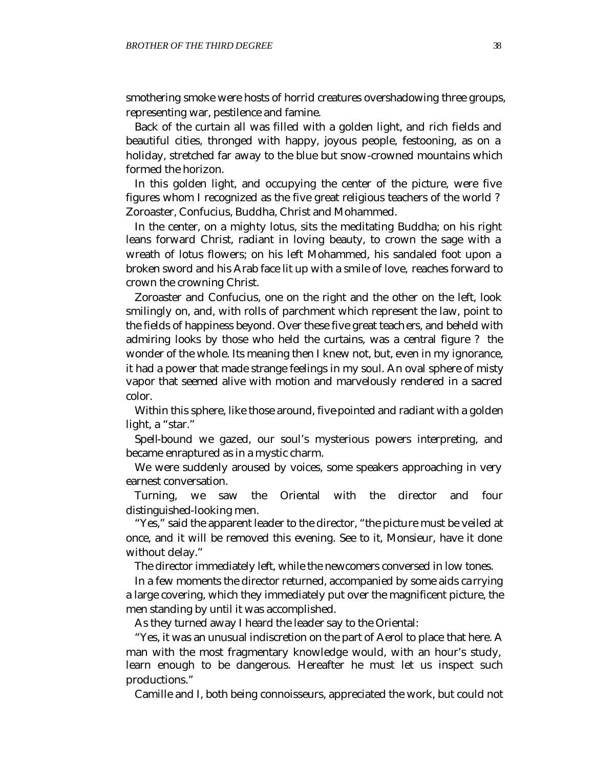smothering smoke were hosts of horrid creatures overshadowing three groups, representing war, pestilence and famine.

Back of the curtain all was filled with a golden light, and rich fields and beautiful cities, thronged with happy, joyous people, festooning, as on a holiday, stretched far away to the blue but snow-crowned mountains which formed the horizon.

In this golden light, and occupying the center of the picture, were five figures whom I recognized as the five great religious teachers of the world ? Zoroaster, Confucius, Buddha, Christ and Mohammed.

In the center, on a mighty lotus, sits the meditating Buddha; on his right leans forward Christ, radiant in loving beauty, to crown the sage with a wreath of lotus flowers; on his left Mohammed, his sandaled foot upon a broken sword and his Arab face lit up with a smile of love, reaches forward to crown the crowning Christ.

Zoroaster and Confucius, one on the right and the other on the left, look smilingly on, and, with rolls of parchment which represent the law, point to the fields of happiness beyond. Over these five great teachers, and beheld with admiring looks by those who held the curtains, was a central figure ? the wonder of the whole. Its meaning then I knew not, but, even in my ignorance, it had a power that made strange feelings in my soul. An oval sphere of misty vapor that seemed alive with motion and marvelously rendered in a sacred color.

Within this sphere, like those around, five-pointed and radiant with a golden light, a "star."

Spell-bound we gazed, our soul's mysterious powers interpreting, and became enraptured as in a mystic charm.

We were suddenly aroused by voices, some speakers approaching in very earnest conversation.

Turning, we saw the Oriental with the director and four distinguished-looking men.

"Yes," said the apparent leader to the director, "the picture must be veiled at once, and it will be removed this evening. See to it, Monsieur, have it done without delay."

The director immediately left, while the newcomers conversed in low tones.

In a few moments the director returned, accompanied by some aids ca rrying a large covering, which they immediately put over the magnificent picture, the men standing by until it was accomplished.

As they turned away I heard the leader say to the Oriental:

"Yes, it was an unusual indiscretion on the part of Aerol to place that here. A man with the most fragmentary knowledge would, with an hour's study, learn enough to be dangerous. Hereafter he must let us inspect such productions."

Camille and I, both being connoisseurs, appreciated the work, but could not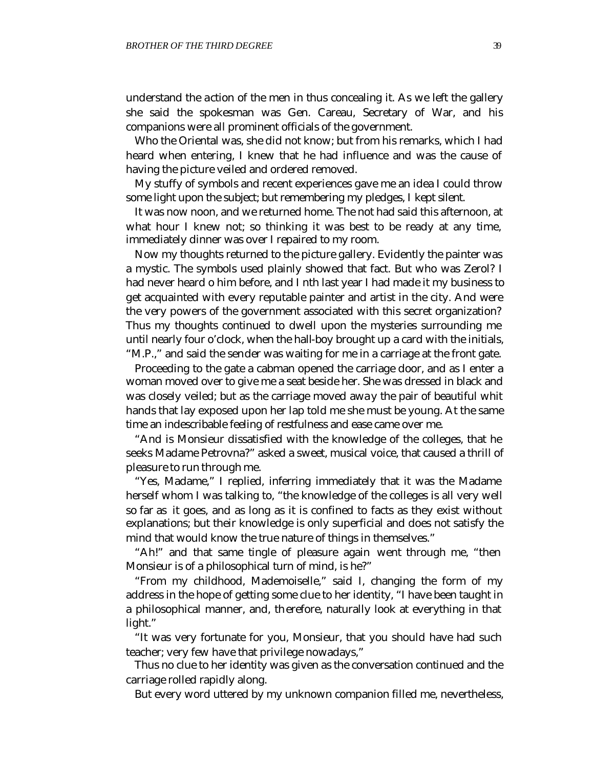understand the action of the men in thus concealing it. As we left the gallery she said the spokesman was Gen. Careau, Secretary of War, and his companions were all prominent officials of the government.

Who the Oriental was, she did not know; but from his remarks, which I had heard when entering, I knew that he had influence and was the cause of having the picture veiled and ordered removed.

My stuffy of symbols and recent experiences gave me an idea I could throw some light upon the subject; but remembering my pledges, I kept silent.

It was now noon, and we returned home. The not had said this afternoon, at what hour I knew not; so thinking it was best to be ready at any time, immediately dinner was over I repaired to my room.

Now my thoughts returned to the picture gallery. Evidently the painter was a mystic. The symbols used plainly showed that fact. But who was Zerol? I had never heard o him before, and I nth last year I had made it my business to get acquainted with every reputable painter and artist in the city. And were the very powers of the government associated with this secret organization? Thus my thoughts continued to dwell upon the mysteries surrounding me until nearly four o'clock, when the hall-boy brought up a card with the initials, "M.P.," and said the sender was waiting for me in a carriage at the front gate.

Proceeding to the gate a cabman opened the carriage door, and as I enter a woman moved over to give me a seat beside her. She was dressed in black and was closely veiled; but as the carriage moved away the pair of beautiful whit hands that lay exposed upon her lap told me she must be young. At the same time an indescribable feeling of restfulness and ease came over me.

"And is Monsieur dissatisfied with the knowledge of the colleges, that he seeks Madame Petrovna?" asked a sweet, musical voice, that caused a thrill of pleasure to run through me.

"Yes, Madame," I replied, inferring immediately that it was the Madame herself whom I was talking to, "the knowledge of the colleges is all very well so far as it goes, and as long as it is confined to facts as they exist without explanations; but their knowledge is only superficial and does not satisfy the mind that would know the true nature of things in themselves."

"Ah!" and that same tingle of pleasure again went through me, "then Monsieur is of a philosophical turn of mind, is he?"

"From my childhood, Mademoiselle," said I, changing the form of my address in the hope of getting some clue to her identity, "I have been taught in a philosophical manner, and, therefore, naturally look at everything in that light."

"It was very fortunate for you, Monsieur, that you should have had such teacher; very few have that privilege nowadays,"

Thus no clue to her identity was given as the conversation continued and the carriage rolled rapidly along.

But every word uttered by my unknown companion filled me, nevertheless,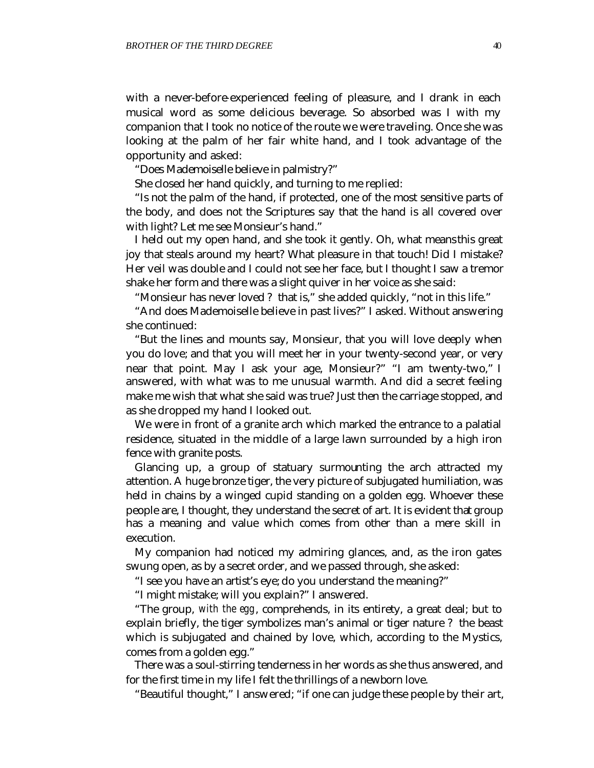with a never-before-experienced feeling of pleasure, and I drank in each musical word as some delicious beverage. So absorbed was I with my companion that I took no notice of the route we were traveling. Once she was looking at the palm of her fair white hand, and I took advantage of the opportunity and asked:

"Does Mademoiselle believe in palmistry?"

She closed her hand quickly, and turning to me replied:

"Is not the palm of the hand, if protected, one of the most sensitive parts of the body, and does not the Scriptures say that the hand is all covered over with light? Let me see Monsieur's hand."

I held out my open hand, and she took it gently. Oh, what means this great joy that steals around my heart? What pleasure in that touch! Did I mistake? Her veil was double and I could not see her face, but I thought I saw a tremor shake her form and there was a slight quiver in her voice as she said:

"Monsieur has never loved ? that is," she added quickly, "not in this life."

"And does Mademoiselle believe in past lives?" I asked. Without answering she continued:

"But the lines and mounts say, Monsieur, that you will love deeply when you do love; and that you will meet her in your twenty-second year, or very near that point. May I ask your age, Monsieur?" "I am twenty-two," I answered, with what was to me unusual warmth. And did a secret feeling make me wish that what she said was true? Just then the carriage stopped, and as she dropped my hand I looked out.

We were in front of a granite arch which marked the entrance to a palatial residence, situated in the middle of a large lawn surrounded by a high iron fence with granite posts.

Glancing up, a group of statuary surmounting the arch attracted my attention. A huge bronze tiger, the very picture of subjugated humiliation, was held in chains by a winged cupid standing on a golden egg. Whoever these people are, I thought, they understand the secret of art. It is evident that group has a meaning and value which comes from other than a mere skill in execution.

My companion had noticed my admiring glances, and, as the iron gates swung open, as by a secret order, and we passed through, she asked:

"I see you have an artist's eye; do you understand the meaning?"

"I might mistake; will you explain?" I answered.

"The group, *with the egg*, comprehends, in its entirety, a great deal; but to explain briefly, the tiger symbolizes man's animal or tiger nature ? the beast which is subjugated and chained by love, which, according to the Mystics, comes from a golden egg."

There was a soul-stirring tenderness in her words as she thus answered, and for the first time in my life I felt the thrillings of a newborn love.

"Beautiful thought," I answered; "if one can judge these people by their art,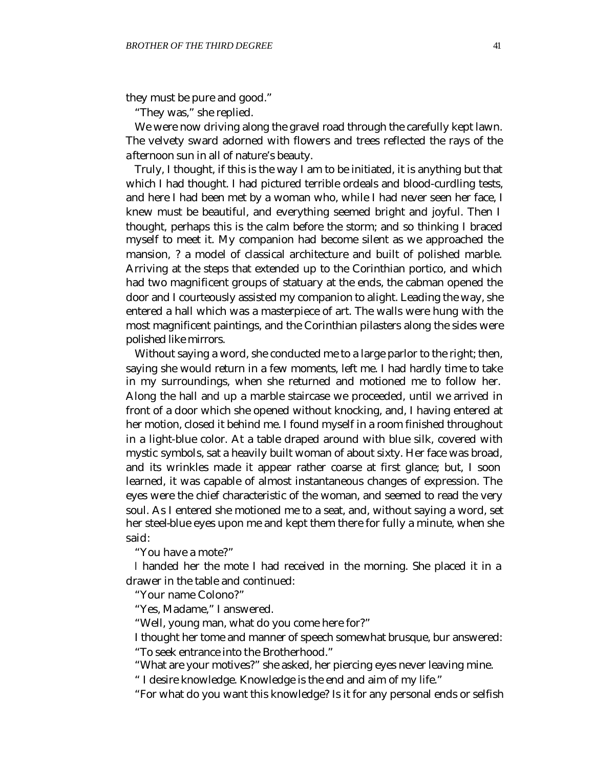they must be pure and good."

"They was," she replied.

We were now driving along the gravel road through the carefully kept lawn. The velvety sward adorned with flowers and trees reflected the rays of the afternoon sun in all of nature's beauty.

Truly, I thought, if this is the way I am to be initiated, it is anything but that which I had thought. I had pictured terrible ordeals and blood-curdling tests, and here I had been met by a woman who, while I had never seen her face, I knew must be beautiful, and everything seemed bright and joyful. Then I thought, perhaps this is the calm before the storm; and so thinking I braced myself to meet it. My companion had become silent as we approached the mansion, ? a model of classical architecture and built of polished marble. Arriving at the steps that extended up to the Corinthian portico, and which had two magnificent groups of statuary at the ends, the cabman opened the door and I courteously assisted my companion to alight. Leading the way, she entered a hall which was a masterpiece of art. The walls were hung with the most magnificent paintings, and the Corinthian pilasters along the sides were polished like mirrors.

Without saying a word, she conducted me to a large parlor to the right; then, saying she would return in a few moments, left me. I had hardly time to take in my surroundings, when she returned and motioned me to follow her. Along the hall and up a marble staircase we proceeded, until we arrived in front of a door which she opened without knocking, and, I having entered at her motion, closed it behind me. I found myself in a room finished throughout in a light-blue color. At a table draped around with blue silk, covered with mystic symbols, sat a heavily built woman of about sixty. Her face was broad, and its wrinkles made it appear rather coarse at first glance; but, I soon learned, it was capable of almost instantaneous changes of expression. The eyes were the chief characteristic of the woman, and seemed to read the very soul. As I entered she motioned me to a seat, and, without saying a word, set her steel-blue eyes upon me and kept them there for fully a minute, when she said:

"You have a mote?"

*I* handed her the mote I had received in the morning. She placed it in a drawer in the table and continued:

"Your name Colono?"

"Yes, Madame," I answered.

"Well, young man, what do you come here for?"

I thought her tome and manner of speech somewhat brusque, bur answered: "To seek entrance into the Brotherhood."

"What are your motives?" she asked, her piercing eyes never leaving mine.

" I desire knowledge. Knowledge is the end and aim of my life."

"For what do you want this knowledge? Is it for any personal ends or selfish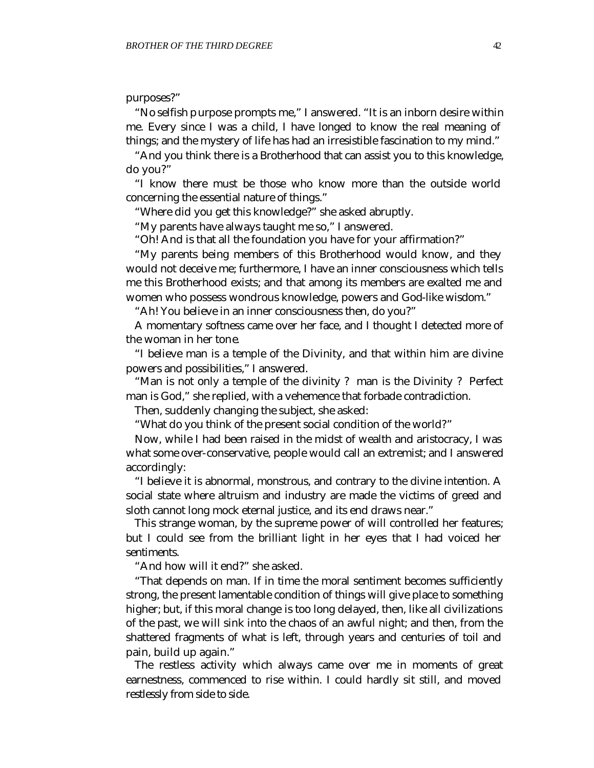### purposes?"

"No selfish purpose prompts me," I answered. "It is an inborn desire within me. Every since I was a child, I have longed to know the real meaning of things; and the mystery of life has had an irresistible fascination to my mind."

"And you think there is a Brotherhood that can assist you to this knowledge, do you?"

"I know there must be those who know more than the outside world concerning the essential nature of things."

"Where did you get this knowledge?" she asked abruptly.

"My parents have always taught me so," I answered.

"Oh! And is that all the foundation you have for your affirmation?"

"My parents being members of this Brotherhood would know, and they would not deceive me; furthermore, I have an inner consciousness which tells me this Brotherhood exists; and that among its members are exalted me and women who possess wondrous knowledge, powers and God-like wisdom."

"Ah! You believe in an inner consciousness then, do you?"

A momentary softness came over her face, and I thought I detected more of the woman in her tone.

"I believe man is a temple of the Divinity, and that within him are divine powers and possibilities," I answered.

"Man is not only a temple of the divinity ? man is the Divinity ? Perfect man is God," she replied, with a vehemence that forbade contradiction.

Then, suddenly changing the subject, she asked:

"What do you think of the present social condition of the world?"

Now, while I had been raised in the midst of wealth and aristocracy, I was what some over-conservative, people would call an extremist; and I answered accordingly:

"I believe it is abnormal, monstrous, and contrary to the divine intention. A social state where altruism and industry are made the victims of greed and sloth cannot long mock eternal justice, and its end draws near."

This strange woman, by the supreme power of will controlled her features; but I could see from the brilliant light in her eyes that I had voiced her sentiments.

"And how will it end?" she asked.

"That depends on man. If in time the moral sentiment becomes sufficiently strong, the present lamentable condition of things will give place to something higher; but, if this moral change is too long delayed, then, like all civilizations of the past, we will sink into the chaos of an awful night; and then, from the shattered fragments of what is left, through years and centuries of toil and pain, build up again."

The restless activity which always came over me in moments of great earnestness, commenced to rise within. I could hardly sit still, and moved restlessly from side to side.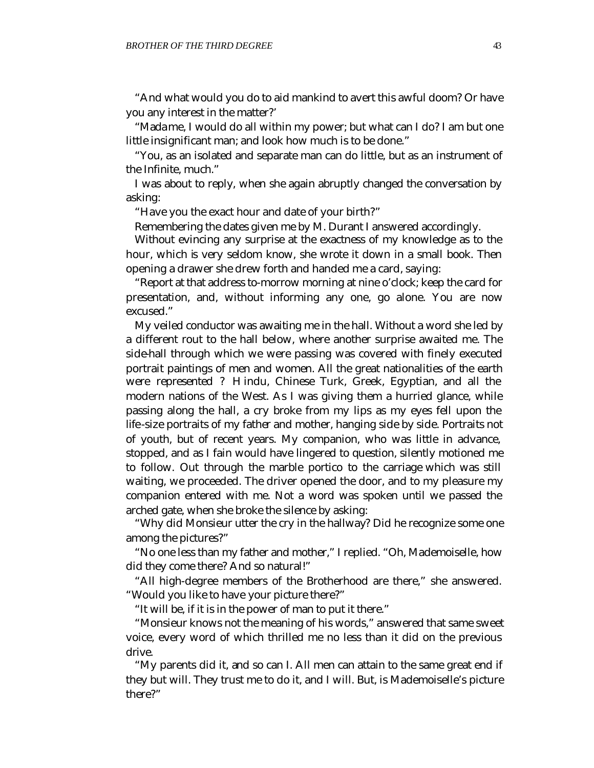"And what would you do to aid mankind to avert this awful doom? Or have you any interest in the matter?'

"Madame, I would do all within my power; but what can I do? I am but one little insignificant man; and look how much is to be done."

"You, as an isolated and separate man can do little, but as an instrument of the Infinite, much."

I was about to reply, when she again abruptly changed the conversation by asking:

"Have you the exact hour and date of your birth?"

Remembering the dates given me by M. Durant I answered accordingly.

Without evincing any surprise at the exactness of my knowledge as to the hour, which is very seldom know, she wrote it down in a small book. Then opening a drawer she drew forth and handed me a card, saying:

"Report at that address to-morrow morning at nine o'clock; keep the card for presentation, and, without informing any one, go alone. You are now excused."

My veiled conductor was awaiting me in the hall. Without a word she led by a different rout to the hall below, where another surprise awaited me. The side-hall through which we were passing was covered with finely executed portrait paintings of men and women. All the great nationalities of the earth were represented ? H indu, Chinese Turk, Greek, Egyptian, and all the modern nations of the West. As I was giving them a hurried glance, while passing along the hall, a cry broke from my lips as my eyes fell upon the life-size portraits of my father and mother, hanging side by side. Portraits not of youth, but of recent years. My companion, who was little in advance, stopped, and as I fain would have lingered to question, silently motioned me to follow. Out through the marble portico to the carriage which was still waiting, we proceeded. The driver opened the door, and to my pleasure my companion entered with me. Not a word was spoken until we passed the arched gate, when she broke the silence by asking:

"Why did Monsieur utter the cry in the hallway? Did he recognize some one among the pictures?"

"No one less than my father and mother," I replied. "Oh, Mademoiselle, how did they come there? And so natural!"

"All high-degree members of the Brotherhood are there," she answered. "Would you like to have your picture there?"

"It will be, if it is in the power of man to put it there."

"Monsieur knows not the meaning of his words," answered that same sweet voice, every word of which thrilled me no less than it did on the previous drive.

"My parents did it, and so can I. All men can attain to the same great end if they but will. They trust me to do it, and I will. But, is Mademoiselle's picture there?"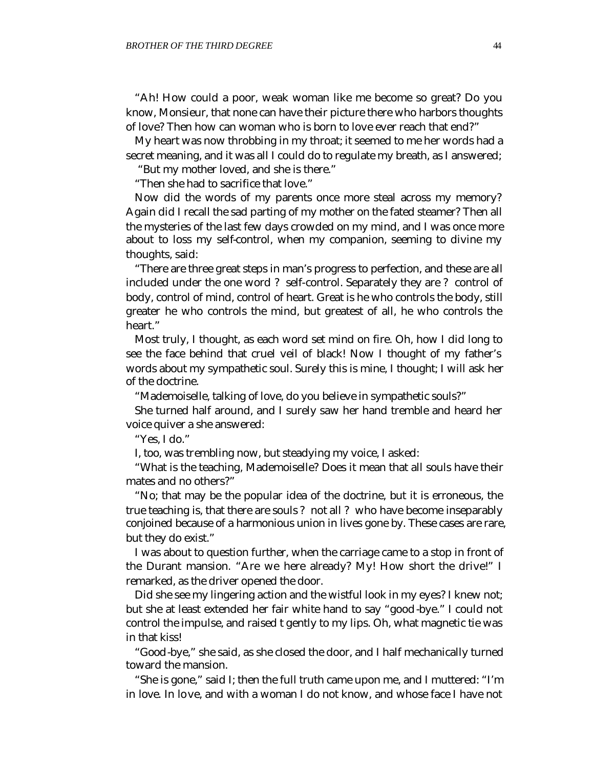"Ah! How could a poor, weak woman like me become so great? Do you know, Monsieur, that none can have their picture there who harbors thoughts of love? Then how can woman who is born to love ever reach that end?"

My heart was now throbbing in my throat; it seemed to me her words had a secret meaning, and it was all I could do to regulate my breath, as I answered;

"But my mother loved, and she is there."

"Then she had to sacrifice that love."

Now did the words of my parents once more steal across my memory? Again did I recall the sad parting of my mother on the fated steamer? Then all the mysteries of the last few days crowded on my mind, and I was once more about to loss my self-control, when my companion, seeming to divine my thoughts, said:

"There are three great steps in man's progress to perfection, and these are all included under the one word ? self-control. Separately they are ? control of body, control of mind, control of heart. Great is he who controls the body, still greater he who controls the mind, but greatest of all, he who controls the heart."

Most truly, I thought, as each word set mind on fire. Oh, how I did long to see the face behind that cruel veil of black! Now I thought of my father's words about my sympathetic soul. Surely this is mine, I thought; I will ask her of the doctrine.

"Mademoiselle, talking of love, do you believe in sympathetic souls?"

She turned half around, and I surely saw her hand tremble and heard her voice quiver a she answered:

"Yes, I do."

I, too, was trembling now, but steadying my voice, I asked:

"What is the teaching, Mademoiselle? Does it mean that all souls have their mates and no others?"

"No; that may be the popular idea of the doctrine, but it is erroneous, the true teaching is, that there are souls ? not all ? who have become inseparably conjoined because of a harmonious union in lives gone by. These cases are rare, but they do exist."

I was about to question further, when the carriage came to a stop in front of the Durant mansion. "Are we here already? My! How short the drive!" I remarked, as the driver opened the door.

Did she see my lingering action and the wistful look in my eyes? I knew not; but she at least extended her fair white hand to say "good-bye." I could not control the impulse, and raised t gently to my lips. Oh, what magnetic tie was in that kiss!

"Good-bye," she said, as she closed the door, and I half mechanically turned toward the mansion.

"She is gone," said I; then the full truth came upon me, and I muttered: "I'm in love. In love, and with a woman I do not know, and whose face I have not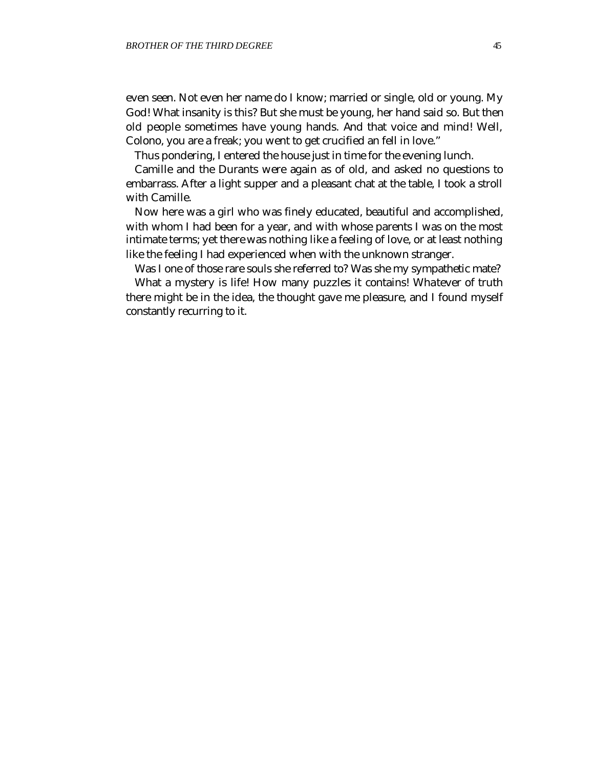even seen. Not even her name do I know; married or single, old or young. My God! What insanity is this? But she must be young, her hand said so. But then old people sometimes have young hands. And that voice and mind! Well, Colono, you are a freak; you went to get crucified an fell in love."

Thus pondering, I entered the house just in time for the evening lunch.

Camille and the Durants were again as of old, and asked no questions to embarrass. After a light supper and a pleasant chat at the table, I took a stroll with Camille.

Now here was a girl who was finely educated, beautiful and accomplished, with whom I had been for a year, and with whose parents I was on the most intimate terms; yet there was nothing like a feeling of love, or at least nothing like the feeling I had experienced when with the unknown stranger.

Was I one of those rare souls she referred to? Was she my sympathetic mate?

What a mystery is life! How many puzzles it contains! Whatever of truth there might be in the idea, the thought gave me pleasure, and I found myself constantly recurring to it.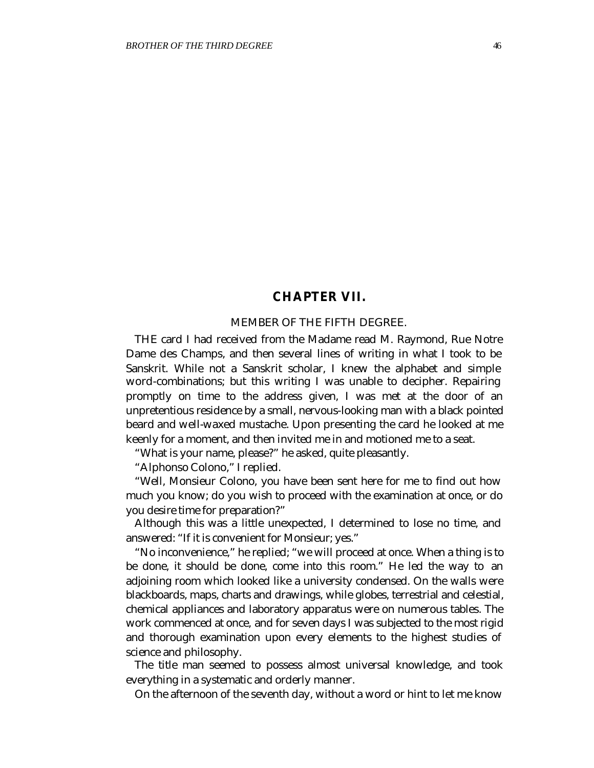# **CHAPTER VII.**

## MEMBER OF THE FIFTH DEGREE.

THE card I had received from the Madame read M. Raymond, Rue Notre Dame des Champs, and then several lines of writing in what I took to be Sanskrit. While not a Sanskrit scholar, I knew the alphabet and simple word-combinations; but this writing I was unable to decipher. Repairing promptly on time to the address given, I was met at the door of an unpretentious residence by a small, nervous-looking man with a black pointed beard and well-waxed mustache. Upon presenting the card he looked at me keenly for a moment, and then invited me in and motioned me to a seat.

"What is your name, please?" he asked, quite pleasantly.

"Alphonso Colono," I replied.

"Well, Monsieur Colono, you have been sent here for me to find out how much you know; do you wish to proceed with the examination at once, or do you desire time for preparation?"

Although this was a little unexpected, I determined to lose no time, and answered: "If it is convenient for Monsieur; yes."

"No inconvenience," he replied; "we will proceed at once. When a thing is to be done, it should be done, come into this room." He led the way to an adjoining room which looked like a university condensed. On the walls were blackboards, maps, charts and drawings, while globes, terrestrial and celestial, chemical appliances and laboratory apparatus were on numerous tables. The work commenced at once, and for seven days I was subjected to the most rigid and thorough examination upon every elements to the highest studies of science and philosophy.

The title man seemed to possess almost universal knowledge, and took everything in a systematic and orderly manner.

On the afternoon of the seventh day, without a word or hint to let me know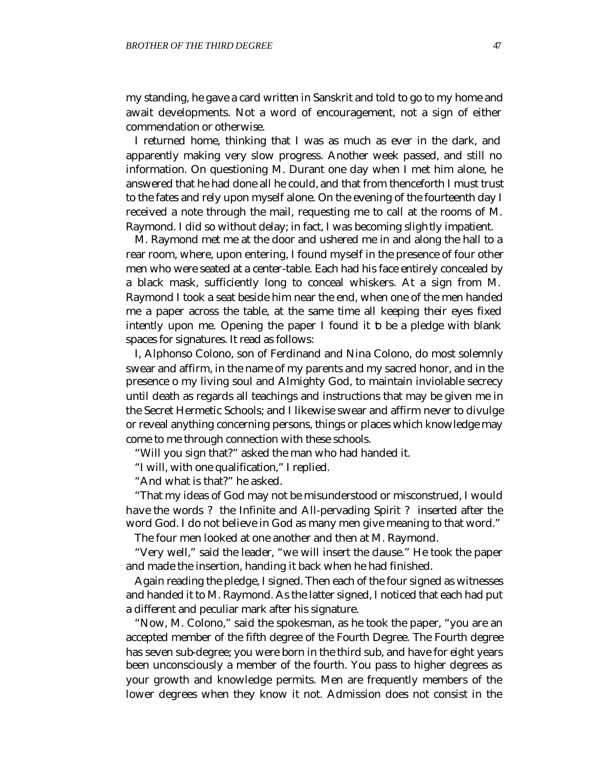my standing, he gave a card written in Sanskrit and told to go to my home and await developments. Not a word of encouragement, not a sign of either commendation or otherwise.

I returned home, thinking that I was as much as ever in the dark, and apparently making very slow progress. Another week passed, and still no information. On questioning M. Durant one day when I met him alone, he answered that he had done all he could, and that from thenceforth I must trust to the fates and rely upon myself alone. On the evening of the fourteenth day I received a note through the mail, requesting me to call at the rooms of M. Raymond. I did so without delay; in fact, I was becoming slightly impatient.

M. Raymond met me at the door and ushered me in and along the hall to a rear room, where, upon entering, I found myself in the presence of four other men who were seated at a center-table. Each had his face entirely concealed by a black mask, sufficiently long to conceal whiskers. At a sign from M. Raymond I took a seat beside him near the end, when one of the men handed me a paper across the table, at the same time all keeping their eyes fixed intently upon me. Opening the paper I found it b be a pledge with blank spaces for signatures. It read as follows:

I, Alphonso Colono, son of Ferdinand and Nina Colono, do most solemnly swear and affirm, in the name of my parents and my sacred honor, and in the presence o my living soul and Almighty God, to maintain inviolable secrecy until death as regards all teachings and instructions that may be given me in the Secret Hermetic Schools; and I likewise swear and affirm never to divulge or reveal anything concerning persons, things or places which knowledge may come to me through connection with these schools.

"Will you sign that?" asked the man who had handed it.

"I will, with one qualification," I replied.

"And what is that?" he asked.

"That my ideas of God may not be misunderstood or misconstrued, I would have the words ? the Infinite and All-pervading Spirit ? inserted after the word God. I do not believe in God as many men give meaning to that word."

The four men looked at one another and then at M. Raymond.

"Very well," said the leader, "we will insert the clause." He took the paper and made the insertion, handing it back when he had finished.

Again reading the pledge, I signed. Then each of the four signed as witnesses and handed it to M. Raymond. As the latter signed, I noticed that each had put a different and peculiar mark after his signature.

"Now, M. Colono," said the spokesman, as he took the paper, "you are an accepted member of the fifth degree of the Fourth Degree. The Fourth degree has seven sub-degree; you were born in the third sub, and have for eight years been unconsciously a member of the fourth. You pass to higher degrees as your growth and knowledge permits. Men are frequently members of the lower degrees when they know it not. Admission does not consist in the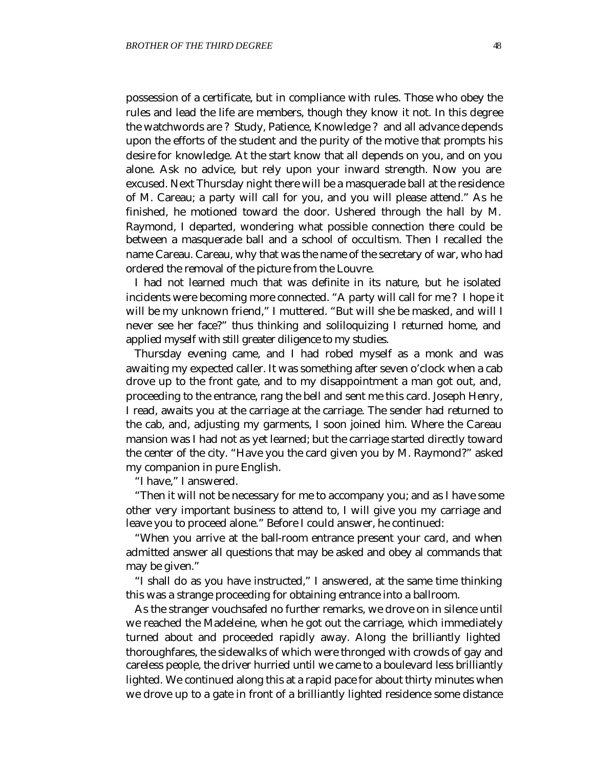possession of a certificate, but in compliance with rules. Those who obey the rules and lead the life are members, though they know it not. In this degree the watchwords are ? Study, Patience, Knowledge ? and all advance depends upon the efforts of the student and the purity of the motive that prompts his desire for knowledge. At the start know that all depends on you, and on you alone. Ask no advice, but rely upon your inward strength. Now you are excused. Next Thursday night there will be a masquerade ball at the residence of M. Careau; a party will call for you, and you will please attend." As he finished, he motioned toward the door. Ushered through the hall by M. Raymond, I departed, wondering what possible connection there could be between a masquerade ball and a school of occultism. Then I recalled the name Careau. Careau, why that was the name of the secretary of war, who had ordered the removal of the picture from the Louvre.

I had not learned much that was definite in its nature, but he isolated incidents were becoming more connected. "A party will call for me ? I hope it will be my unknown friend," I muttered. "But will she be masked, and will I never see her face?" thus thinking and soliloquizing I returned home, and applied myself with still greater diligence to my studies.

Thursday evening came, and I had robed myself as a monk and was awaiting my expected caller. It was something after seven o'clock when a cab drove up to the front gate, and to my disappointment a man got out, and, proceeding to the entrance, rang the bell and sent me this card. Joseph Henry, I read, awaits you at the carriage at the carriage. The sender had returned to the cab, and, adjusting my garments, I soon joined him. Where the Careau mansion was I had not as yet learned; but the carriage started directly toward the center of the city. "Have you the card given you by M. Raymond?" asked my companion in pure English.

"I have," I answered.

"Then it will not be necessary for me to accompany you; and as I have some other very important business to attend to, I will give you my carriage and leave you to proceed alone." Before I could answer, he continued:

"When you arrive at the ball-room entrance present your card, and when admitted answer all questions that may be asked and obey al commands that may be given."

"I shall do as you have instructed," I answered, at the same time thinking this was a strange proceeding for obtaining entrance into a ballroom.

As the stranger vouchsafed no further remarks, we drove on in silence until we reached the Madeleine, when he got out the carriage, which immediately turned about and proceeded rapidly away. Along the brilliantly lighted thoroughfares, the sidewalks of which were thronged with crowds of gay and careless people, the driver hurried until we came to a boulevard less brilliantly lighted. We continued along this at a rapid pace for about thirty minutes when we drove up to a gate in front of a brilliantly lighted residence some distance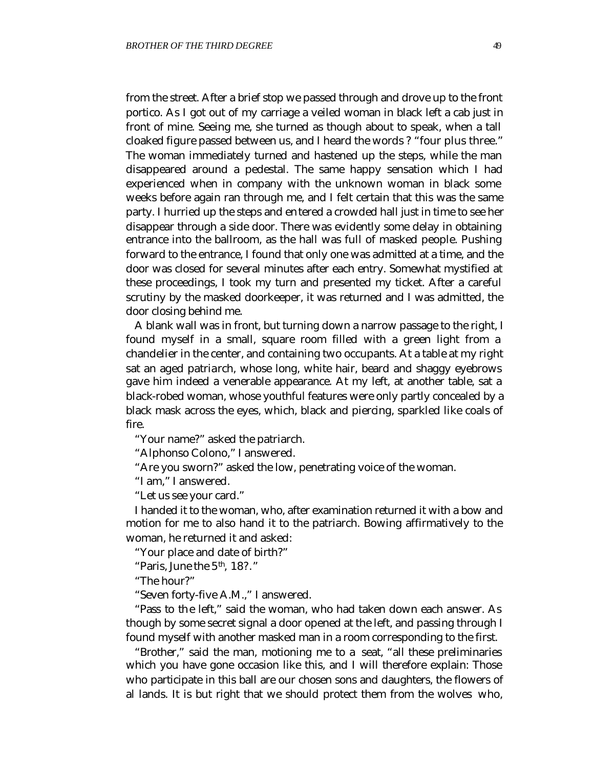from the street. After a brief stop we passed through and drove up to the front portico. As I got out of my carriage a veiled woman in black left a cab just in front of mine. Seeing me, she turned as though about to speak, when a tall cloaked figure passed between us, and I heard the words ? "four plus three." The woman immediately turned and hastened up the steps, while the man disappeared around a pedestal. The same happy sensation which I had experienced when in company with the unknown woman in black some weeks before again ran through me, and I felt certain that this was the same party. I hurried up the steps and entered a crowded hall just in time to see her disappear through a side door. There was evidently some delay in obtaining entrance into the ballroom, as the hall was full of masked people. Pushing forward to the entrance, I found that only one was admitted at a time, and the door was closed for several minutes after each entry. Somewhat mystified at these proceedings, I took my turn and presented my ticket. After a careful scrutiny by the masked doorkeeper, it was returned and I was admitted, the door closing behind me.

A blank wall was in front, but turning down a narrow passage to the right, I found myself in a small, square room filled with a green light from a chandelier in the center, and containing two occupants. At a table at my right sat an aged patriarch, whose long, white hair, beard and shaggy eyebrows gave him indeed a venerable appearance. At my left, at another table, sat a black-robed woman, whose youthful features were only partly concealed by a black mask across the eyes, which, black and piercing, sparkled like coals of fire.

"Your name?" asked the patriarch.

"Alphonso Colono," I answered.

"Are you sworn?" asked the low, penetrating voice of the woman.

"I am," I answered.

"Let us see your card."

I handed it to the woman, who, after examination returned it with a bow and motion for me to also hand it to the patriarch. Bowing affirmatively to the woman, he returned it and asked:

"Your place and date of birth?"

"Paris, June the  $5<sup>th</sup>$ , 18?."

"The hour?"

"Seven forty-five A.M.," I answered.

"Pass to the left," said the woman, who had taken down each answer. As though by some secret signal a door opened at the left, and passing through I found myself with another masked man in a room corresponding to the first.

"Brother," said the man, motioning me to a seat, "all these preliminaries which you have gone occasion like this, and I will therefore explain: Those who participate in this ball are our chosen sons and daughters, the flowers of al lands. It is but right that we should protect them from the wolves who,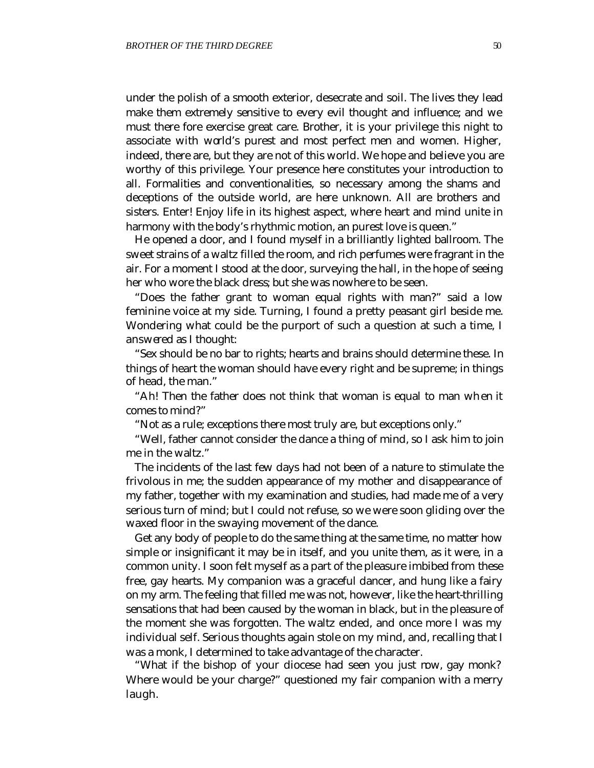under the polish of a smooth exterior, desecrate and soil. The lives they lead make them extremely sensitive to every evil thought and influence; and we must there fore exercise great care. Brother, it is your privilege this night to associate with world's purest and most perfect men and women. Higher, indeed, there are, but they are not of this world. We hope and believe you are worthy of this privilege. Your presence here constitutes your introduction to all. Formalities and conventionalities, so necessary among the shams and deceptions of the outside world, are here unknown. All are brothers and sisters. Enter! Enjoy life in its highest aspect, where heart and mind unite in harmony with the body's rhythmic motion, an purest love is queen."

He opened a door, and I found myself in a brilliantly lighted ballroom. The sweet strains of a waltz filled the room, and rich perfumes were fragrant in the air. For a moment I stood at the door, surveying the hall, in the hope of seeing her who wore the black dress; but she was nowhere to be seen.

"Does the father grant to woman equal rights with man?" said a low feminine voice at my side. Turning, I found a pretty peasant girl beside me. Wondering what could be the purport of such a question at such a time, I answered as I thought:

"Sex should be no bar to rights; hearts and brains should determine these. In things of heart the woman should have every right and be supreme; in things of head, the man."

"Ah! Then the father does not think that woman is equal to man when it comes to mind?"

"Not as a rule; exceptions there most truly are, but exceptions only."

"Well, father cannot consider the dance a thing of mind, so I ask him to join me in the waltz."

The incidents of the last few days had not been of a nature to stimulate the frivolous in me; the sudden appearance of my mother and disappearance of my father, together with my examination and studies, had made me of a very serious turn of mind; but I could not refuse, so we were soon gliding over the waxed floor in the swaying movement of the dance.

Get any body of people to do the same thing at the same time, no matter how simple or insignificant it may be in itself, and you unite them, as it were, in a common unity. I soon felt myself as a part of the pleasure imbibed from these free, gay hearts. My companion was a graceful dancer, and hung like a fairy on my arm. The feeling that filled me was not, however, like the heart-thrilling sensations that had been caused by the woman in black, but in the pleasure of the moment she was forgotten. The waltz ended, and once more I was my individual self. Serious thoughts again stole on my mind, and, recalling that I was a monk, I determined to take advantage of the character.

"What if the bishop of your diocese had seen you just now, gay monk? Where would be your charge?" questioned my fair companion with a merry laugh.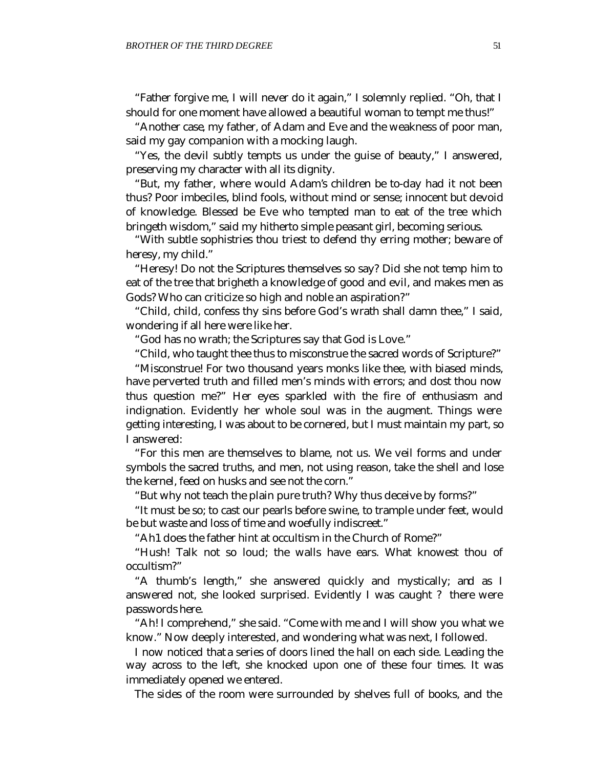"Father forgive me, I will never do it again," I solemnly replied. "Oh, that I should for one moment have allowed a beautiful woman to tempt me thus!"

"Another case, my father, of Adam and Eve and the weakness of poor man, said my gay companion with a mocking laugh.

"Yes, the devil subtly tempts us under the guise of beauty," I answered, preserving my character with all its dignity.

"But, my father, where would Adam's children be to-day had it not been thus? Poor imbeciles, blind fools, without mind or sense; innocent but devoid of knowledge. Blessed be Eve who tempted man to eat of the tree which bringeth wisdom," said my hitherto simple peasant girl, becoming serious.

"With subtle sophistries thou triest to defend thy erring mother; beware of heresy, my child."

"Heresy! Do not the Scriptures themselves so say? Did she not temp him to eat of the tree that brigheth a knowledge of good and evil, and makes men as Gods? Who can criticize so high and noble an aspiration?"

"Child, child, confess thy sins before God's wrath shall damn thee," I said, wondering if all here were like her.

"God has no wrath; the Scriptures say that God is Love."

"Child, who taught thee thus to misconstrue the sacred words of Scripture?"

"Misconstrue! For two thousand years monks like thee, with biased minds, have perverted truth and filled men's minds with errors; and dost thou now thus question me?" Her eyes sparkled with the fire of enthusiasm and indignation. Evidently her whole soul was in the augment. Things were getting interesting, I was about to be cornered, but I must maintain my part, so I answered:

"For this men are themselves to blame, not us. We veil forms and under symbols the sacred truths, and men, not using reason, take the shell and lose the kernel, feed on husks and see not the corn."

"But why not teach the plain pure truth? Why thus deceive by forms?"

"It must be so; to cast our pearls before swine, to trample under feet, would be but waste and loss of time and woefully indiscreet."

"Ah1 does the father hint at occultism in the Church of Rome?"

"Hush! Talk not so loud; the walls have ears. What knowest thou of occultism?"

"A thumb's length," she answered quickly and mystically; and as I answered not, she looked surprised. Evidently I was caught ? there were passwords here.

"Ah! I comprehend," she said. "Come with me and I will show you what we know." Now deeply interested, and wondering what was next, I followed.

I now noticed that a series of doors lined the hall on each side. Leading the way across to the left, she knocked upon one of these four times. It was immediately opened we entered.

The sides of the room were surrounded by shelves full of books, and the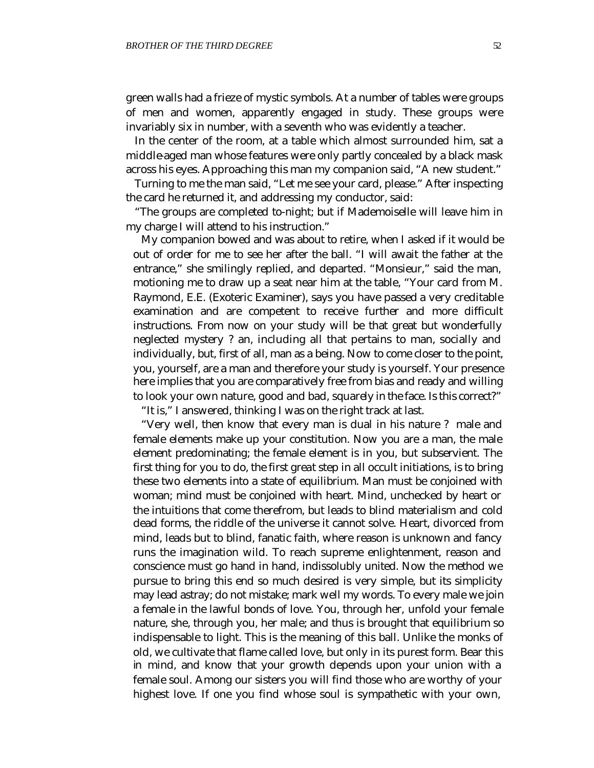In the center of the room, at a table which almost surrounded him, sat a middle-aged man whose features were only partly concealed by a black mask across his eyes. Approaching this man my companion said, "A new student."

Turning to me the man said, "Let me see your card, please." After inspecting the card he returned it, and addressing my conductor, said:

"The groups are completed to-night; but if Mademoiselle will leave him in my charge I will attend to his instruction."

My companion bowed and was about to retire, when I asked if it would be out of order for me to see her after the ball. "I will await the father at the entrance," she smilingly replied, and departed. "Monsieur," said the man, motioning me to draw up a seat near him at the table, "Your card from M. Raymond, E.E. (Exoteric Examiner), says you have passed a very creditable examination and are competent to receive further and more difficult instructions. From now on your study will be that great but wonderfully neglected mystery ? an, including all that pertains to man, socially and individually, but, first of all, man as a being. Now to come closer to the point, you, yourself, are a man and therefore your study is yourself. Your presence here implies that you are comparatively free from bias and ready and willing to look your own nature, good and bad, squarely in the face. Is this correct?" "It is," I answered, thinking I was on the right track at last.

"Very well, then know that every man is dual in his nature ? male and female elements make up your constitution. Now you are a man, the male element predominating; the female element is in you, but subservient. The first thing for you to do, the first great step in all occult initiations, is to bring these two elements into a state of equilibrium. Man must be conjoined with woman; mind must be conjoined with heart. Mind, unchecked by heart or the intuitions that come therefrom, but leads to blind materialism and cold dead forms, the riddle of the universe it cannot solve. Heart, divorced from mind, leads but to blind, fanatic faith, where reason is unknown and fancy runs the imagination wild. To reach supreme enlightenment, reason and conscience must go hand in hand, indissolubly united. Now the method we pursue to bring this end so much desired is very simple, but its simplicity may lead astray; do not mistake; mark well my words. To every male we join a female in the lawful bonds of love. You, through her, unfold your female nature, she, through you, her male; and thus is brought that equilibrium so indispensable to light. This is the meaning of this ball. Unlike the monks of old, we cultivate that flame called love, but only in its purest form. Bear this in mind, and know that your growth depends upon your union with a female soul. Among our sisters you will find those who are worthy of your highest love. If one you find whose soul is sympathetic with your own,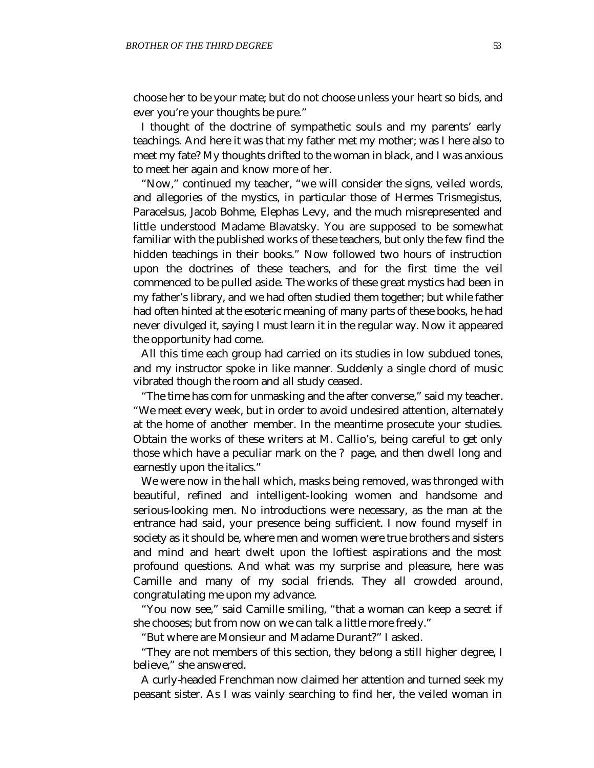choose her to be your mate; but do not choose unless your heart so bids, and ever you're your thoughts be pure."

I thought of the doctrine of sympathetic souls and my parents' early teachings. And here it was that my father met my mother; was I here also to meet my fate? My thoughts drifted to the woman in black, and I was anxious to meet her again and know more of her.

"Now," continued my teacher, "we will consider the signs, veiled words, and allegories of the mystics, in particular those of Hermes Trismegistus, Paracelsus, Jacob Bohme, Elephas Levy, and the much misrepresented and little understood Madame Blavatsky. You are supposed to be somewhat familiar with the published works of these teachers, but only the few find the hidden teachings in their books." Now followed two hours of instruction upon the doctrines of these teachers, and for the first time the veil commenced to be pulled aside. The works of these great mystics had been in my father's library, and we had often studied them together; but while father had often hinted at the esoteric meaning of many parts of these books, he had never divulged it, saying I must learn it in the regular way. Now it appeared the opportunity had come.

All this time each group had carried on its studies in low subdued tones, and my instructor spoke in like manner. Suddenly a single chord of music vibrated though the room and all study ceased.

"The time has com for unmasking and the after converse," said my teacher. "We meet every week, but in order to avoid undesired attention, alternately at the home of another member. In the meantime prosecute your studies. Obtain the works of these writers at M. Callio's, being careful to get only those which have a peculiar mark on the ? page, and then dwell long and earnestly upon the italics."

We were now in the hall which, masks being removed, was thronged with beautiful, refined and intelligent-looking women and handsome and serious-looking men. No introductions were necessary, as the man at the entrance had said, your presence being sufficient. I now found myself in society as it should be, where men and women were true brothers and sisters and mind and heart dwelt upon the loftiest aspirations and the most profound questions. And what was my surprise and pleasure, here was Camille and many of my social friends. They all crowded around, congratulating me upon my advance.

"You now see," said Camille smiling, "that a woman can keep a secret if she chooses; but from now on we can talk a little more freely."

"But where are Monsieur and Madame Durant?" I asked.

"They are not members of this section, they belong a still higher degree, I believe," she answered.

A curly-headed Frenchman now claimed her attention and turned seek my peasant sister. As I was vainly searching to find her, the veiled woman in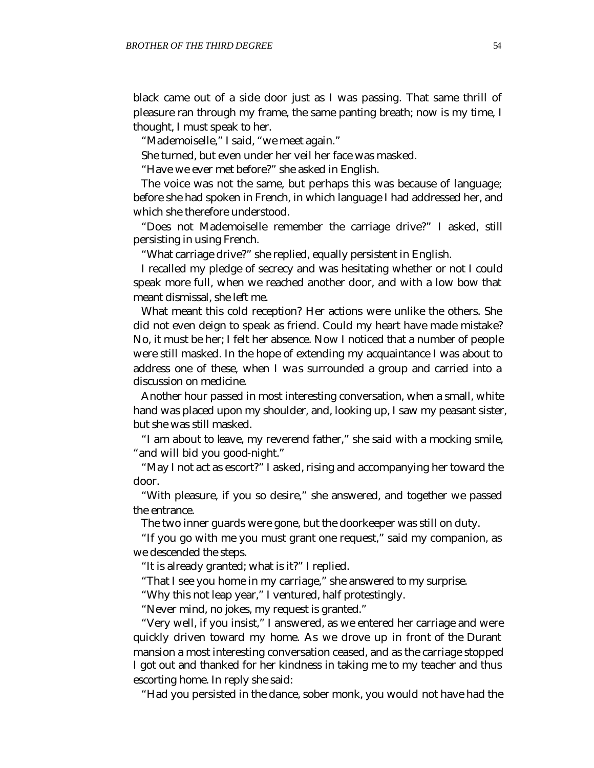black came out of a side door just as I was passing. That same thrill of pleasure ran through my frame, the same panting breath; now is my time, I thought, I must speak to her.

"Mademoiselle," I said, "we meet again."

She turned, but even under her veil her face was masked.

"Have we ever met before?" she asked in English.

The voice was not the same, but perhaps this was because of language; before she had spoken in French, in which language I had addressed her, and which she therefore understood.

"Does not Mademoiselle remember the carriage drive?" I asked, still persisting in using French.

"What carriage drive?" she replied, equally persistent in English.

I recalled my pledge of secrecy and was hesitating whether or not I could speak more full, when we reached another door, and with a low bow that meant dismissal, she left me.

What meant this cold reception? Her actions were unlike the others. She did not even deign to speak as friend. Could my heart have made mistake? No, it must be her; I felt her absence. Now I noticed that a number of people were still masked. In the hope of extending my acquaintance I was about to address one of these, when I was surrounded a group and carried into a discussion on medicine.

Another hour passed in most interesting conversation, when a small, white hand was placed upon my shoulder, and, looking up, I saw my peasant sister, but she was still masked.

"I am about to leave, my reverend father," she said with a mocking smile, "and will bid you good-night."

"May I not act as escort?" I asked, rising and accompanying her toward the door.

"With pleasure, if you so desire," she answered, and together we passed the entrance.

The two inner guards were gone, but the doorkeeper was still on duty.

"If you go with me you must grant one request," said my companion, as we descended the steps.

"It is already granted; what is it?" I replied.

"That I see you home in my carriage," she answered to my surprise.

"Why this not leap year," I ventured, half protestingly.

"Never mind, no jokes, my request is granted."

"Very well, if you insist," I answered, as we entered her carriage and were quickly driven toward my home. As we drove up in front of the Durant mansion a most interesting conversation ceased, and as the carriage stopped I got out and thanked for her kindness in taking me to my teacher and thus escorting home. In reply she said:

"Had you persisted in the dance, sober monk, you would not have had the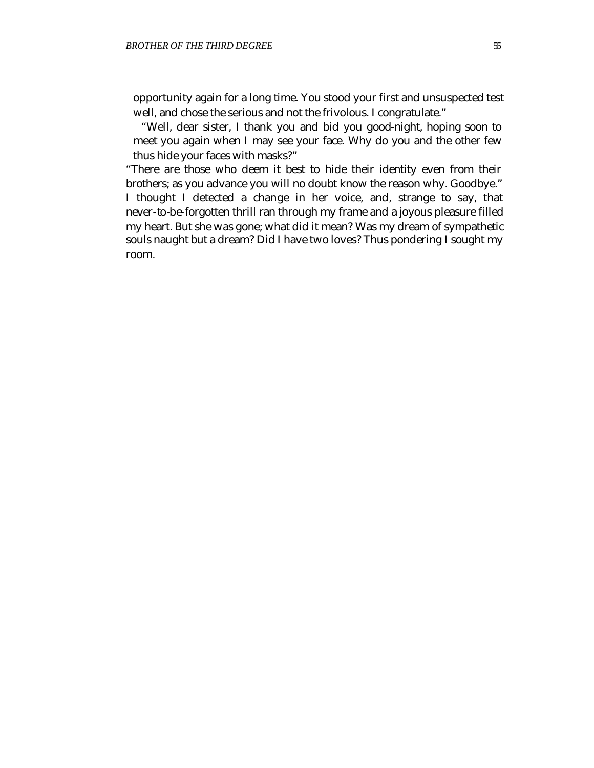opportunity again for a long time. You stood your first and unsuspected test well, and chose the serious and not the frivolous. I congratulate."

"Well, dear sister, I thank you and bid you good-night, hoping soon to meet you again when I may see your face. Why do you and the other few thus hide your faces with masks?"

"There are those who deem it best to hide their identity even from their brothers; as you advance you will no doubt know the reason why. Goodbye." I thought I detected a change in her voice, and, strange to say, that never-to-be-forgotten thrill ran through my frame and a joyous pleasure filled my heart. But she was gone; what did it mean? Was my dream of sympathetic souls naught but a dream? Did I have two loves? Thus pondering I sought my room.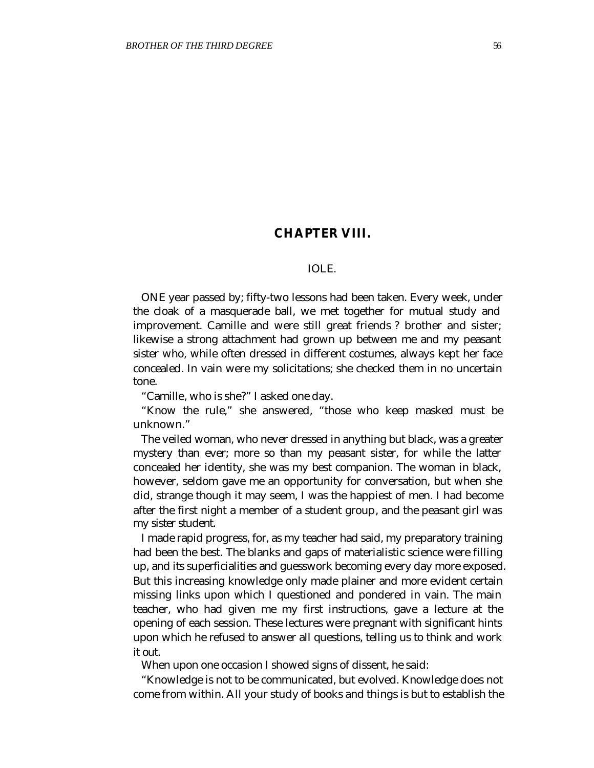## **CHAPTER VIII.**

#### IOLE.

ONE year passed by; fifty-two lessons had been taken. Every week, under the cloak of a masquerade ball, we met together for mutual study and improvement. Camille and were still great friends ? brother and sister; likewise a strong attachment had grown up between me and my peasant sister who, while often dressed in different costumes, always kept her face concealed. In vain were my solicitations; she checked them in no uncertain tone.

"Camille, who is she?" I asked one day.

"Know the rule," she answered, "those who keep masked must be unknown."

The veiled woman, who never dressed in anything but black, was a greater mystery than ever; more so than my peasant sister, for while the latter concealed her identity, she was my best companion. The woman in black, however, seldom gave me an opportunity for conversation, but when she did, strange though it may seem, I was the happiest of men. I had become after the first night a member of a student group, and the peasant girl was my sister student.

I made rapid progress, for, as my teacher had said, my preparatory training had been the best. The blanks and gaps of materialistic science were filling up, and its superficialities and guesswork becoming every day more exposed. But this increasing knowledge only made plainer and more evident certain missing links upon which I questioned and pondered in vain. The main teacher, who had given me my first instructions, gave a lecture at the opening of each session. These lectures were pregnant with significant hints upon which he refused to answer all questions, telling us to think and work it out.

When upon one occasion I showed signs of dissent, he said:

"Knowledge is not to be communicated, but evolved. Knowledge does not come from within. All your study of books and things is but to establish the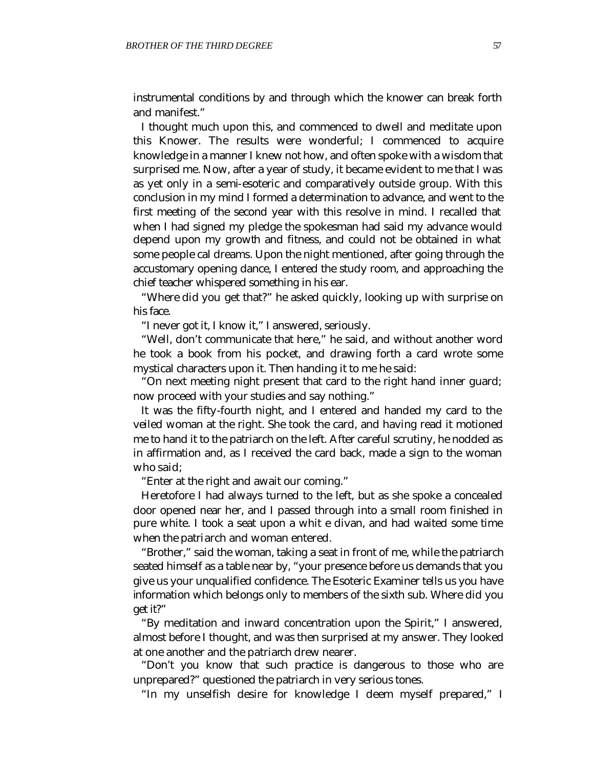instrumental conditions by and through which the knower can break forth and manifest."

I thought much upon this, and commenced to dwell and meditate upon this Knower. The results were wonderful; I commenced to acquire knowledge in a manner I knew not how, and often spoke with a wisdom that surprised me. Now, after a year of study, it became evident to me that I was as yet only in a semi-esoteric and comparatively outside group. With this conclusion in my mind I formed a determination to advance, and went to the first meeting of the second year with this resolve in mind. I recalled that when I had signed my pledge the spokesman had said my advance would depend upon my growth and fitness, and could not be obtained in what some people cal dreams. Upon the night mentioned, after going through the accustomary opening dance, I entered the study room, and approaching the chief teacher whispered something in his ear.

"Where did you get that?" he asked quickly, looking up with surprise on his face.

"I never got it, I know it," I answered, seriously.

"Well, don't communicate that here," he said, and without another word he took a book from his pocket, and drawing forth a card wrote some mystical characters upon it. Then handing it to me he said:

"On next meeting night present that card to the right hand inner guard; now proceed with your studies and say nothing."

It was the fifty-fourth night, and I entered and handed my card to the veiled woman at the right. She took the card, and having read it motioned me to hand it to the patriarch on the left. After careful scrutiny, he nodded as in affirmation and, as I received the card back, made a sign to the woman who said;

"Enter at the right and await our coming."

Heretofore I had always turned to the left, but as she spoke a concealed door opened near her, and I passed through into a small room finished in pure white. I took a seat upon a whit e divan, and had waited some time when the patriarch and woman entered.

"Brother," said the woman, taking a seat in front of me, while the patriarch seated himself as a table near by, "your presence before us demands that you give us your unqualified confidence. The Esoteric Examiner tells us you have information which belongs only to members of the sixth sub. Where did you get it?"

"By meditation and inward concentration upon the Spirit," I answered, almost before I thought, and was then surprised at my answer. They looked at one another and the patriarch drew nearer.

"Don't you know that such practice is dangerous to those who are unprepared?" questioned the patriarch in very serious tones.

"In my unselfish desire for knowledge I deem myself prepared," I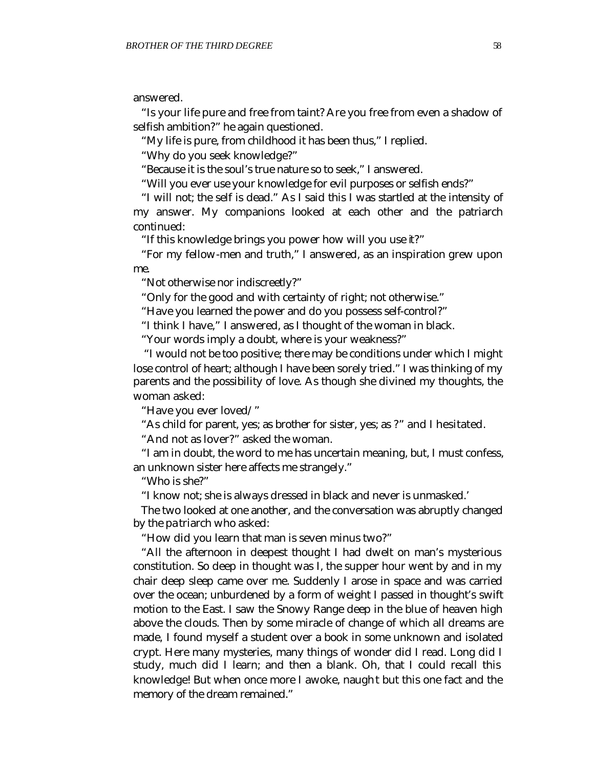answered.

"Is your life pure and free from taint? Are you free from even a shadow of selfish ambition?" he again questioned.

"My life is pure, from childhood it has been thus," I replied.

"Why do you seek knowledge?"

"Because it is the soul's true nature so to seek," I answered.

"Will you ever use your knowledge for evil purposes or selfish ends?"

"I will not; the self is dead." As I said this I was startled at the intensity of my answer. My companions looked at each other and the patriarch continued:

"If this knowledge brings you power how will you use it?"

"For my fellow-men and truth," I answered, as an inspiration grew upon me.

"Not otherwise nor indiscreetly?"

"Only for the good and with certainty of right; not otherwise."

"Have you learned the power and do you possess self-control?"

"I think I have," I answered, as I thought of the woman in black.

"Your words imply a doubt, where is your weakness?"

 "I would not be too positive; there may be conditions under which I might lose control of heart; although I have been sorely tried." I was thinking of my parents and the possibility of love. As though she divined my thoughts, the woman asked:

"Have you ever loved/"

"As child for parent, yes; as brother for sister, yes; as ?" and I hesitated.

"And not as lover?" asked the woman.

"I am in doubt, the word to me has uncertain meaning, but, I must confess, an unknown sister here affects me strangely."

"Who is she?"

"I know not; she is always dressed in black and never is unmasked.'

The two looked at one another, and the conversation was abruptly changed by the pa triarch who asked:

"How did you learn that man is seven minus two?"

"All the afternoon in deepest thought I had dwelt on man's mysterious constitution. So deep in thought was I, the supper hour went by and in my chair deep sleep came over me. Suddenly I arose in space and was carried over the ocean; unburdened by a form of weight I passed in thought's swift motion to the East. I saw the Snowy Range deep in the blue of heaven high above the clouds. Then by some miracle of change of which all dreams are made, I found myself a student over a book in some unknown and isolated crypt. Here many mysteries, many things of wonder did I read. Long did I study, much did I learn; and then a blank. Oh, that I could recall this knowledge! But when once more I awoke, naught but this one fact and the memory of the dream remained."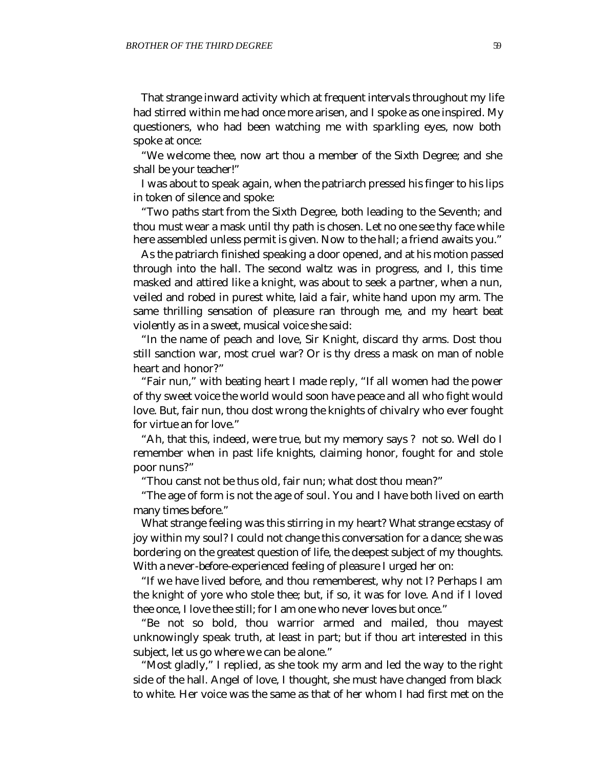That strange inward activity which at frequent intervals throughout my life had stirred within me had once more arisen, and I spoke as one inspired. My questioners, who had been watching me with sparkling eyes, now both spoke at once:

"We welcome thee, now art thou a member of the Sixth Degree; and she shall be your teacher!"

I was about to speak again, when the patriarch pressed his finger to his lips in token of silence and spoke:

"Two paths start from the Sixth Degree, both leading to the Seventh; and thou must wear a mask until thy path is chosen. Let no one see thy face while here assembled unless permit is given. Now to the hall; a friend awaits you."

As the patriarch finished speaking a door opened, and at his motion passed through into the hall. The second waltz was in progress, and I, this time masked and attired like a knight, was about to seek a partner, when a nun, veiled and robed in purest white, laid a fair, white hand upon my arm. The same thrilling sensation of pleasure ran through me, and my heart beat violently as in a sweet, musical voice she said:

"In the name of peach and love, Sir Knight, discard thy arms. Dost thou still sanction war, most cruel war? Or is thy dress a mask on man of noble heart and honor?"

"Fair nun," with beating heart I made reply, "If all women had the power of thy sweet voice the world would soon have peace and all who fight would love. But, fair nun, thou dost wrong the knights of chivalry who ever fought for virtue an for love."

"Ah, that this, indeed, were true, but my memory says ? not so. Well do I remember when in past life knights, claiming honor, fought for and stole poor nuns?"

"Thou canst not be thus old, fair nun; what dost thou mean?"

"The age of form is not the age of soul. You and I have both lived on earth many times before."

What strange feeling was this stirring in my heart? What strange ecstasy of joy within my soul? I could not change this conversation for a dance; she was bordering on the greatest question of life, the deepest subject of my thoughts. With a never-before-experienced feeling of pleasure I urged her on:

"If we have lived before, and thou rememberest, why not I? Perhaps I am the knight of yore who stole thee; but, if so, it was for love. And if I loved thee once, I love thee still; for I am one who never loves but once."

"Be not so bold, thou warrior armed and mailed, thou mayest unknowingly speak truth, at least in part; but if thou art interested in this subject, let us go where we can be alone."

"Most gladly," I replied, as she took my arm and led the way to the right side of the hall. Angel of love, I thought, she must have changed from black to white. Her voice was the same as that of her whom I had first met on the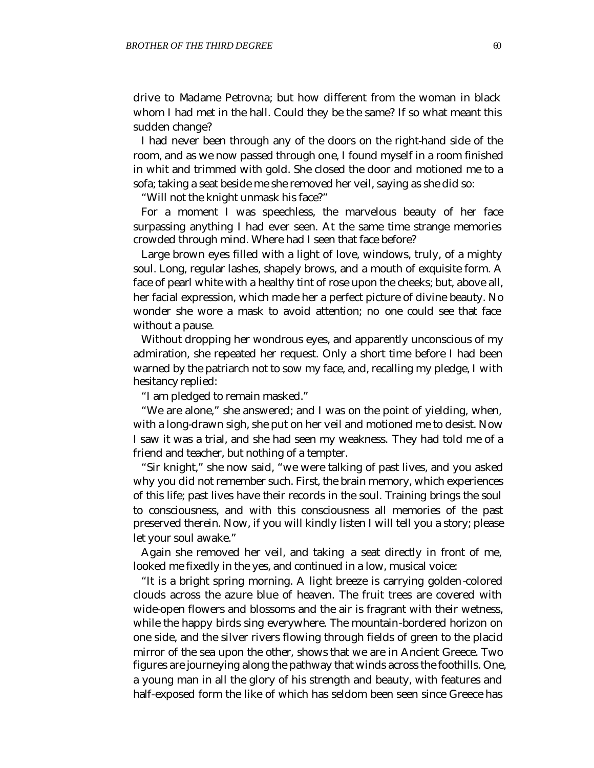drive to Madame Petrovna; but how different from the woman in black whom I had met in the hall. Could they be the same? If so what meant this sudden change?

I had never been through any of the doors on the right-hand side of the room, and as we now passed through one, I found myself in a room finished in whit and trimmed with gold. She closed the door and motioned me to a sofa; taking a seat beside me she removed her veil, saying as she did so:

"Will not the knight unmask his face?"

For a moment I was speechless, the marvelous beauty of her face surpassing anything I had ever seen. At the same time strange memories crowded through mind. Where had I seen that face before?

Large brown eyes filled with a light of love, windows, truly, of a mighty soul. Long, regular lashes, shapely brows, and a mouth of exquisite form. A face of pearl white with a healthy tint of rose upon the cheeks; but, above all, her facial expression, which made her a perfect picture of divine beauty. No wonder she wore a mask to avoid attention; no one could see that face without a pause.

Without dropping her wondrous eyes, and apparently unconscious of my admiration, she repeated her request. Only a short time before I had been warned by the patriarch not to sow my face, and, recalling my pledge, I with hesitancy replied:

"I am pledged to remain masked."

"We are alone," she answered; and I was on the point of yielding, when, with a long-drawn sigh, she put on her veil and motioned me to desist. Now I saw it was a trial, and she had seen my weakness. They had told me of a friend and teacher, but nothing of a tempter.

"Sir knight," she now said, "we were talking of past lives, and you asked why you did not remember such. First, the brain memory, which experiences of this life; past lives have their records in the soul. Training brings the soul to consciousness, and with this consciousness all memories of the past preserved therein. Now, if you will kindly listen I will tell you a story; please let your soul awake."

Again she removed her veil, and taking a seat directly in front of me, looked me fixedly in the yes, and continued in a low, musical voice:

"It is a bright spring morning. A light breeze is carrying golden-colored clouds across the azure blue of heaven. The fruit trees are covered with wide-open flowers and blossoms and the air is fragrant with their wetness, while the happy birds sing everywhere. The mountain-bordered horizon on one side, and the silver rivers flowing through fields of green to the placid mirror of the sea upon the other, shows that we are in Ancient Greece. Two figures are journeying along the pathway that winds across the foothills. One, a young man in all the glory of his strength and beauty, with features and half-exposed form the like of which has seldom been seen since Greece has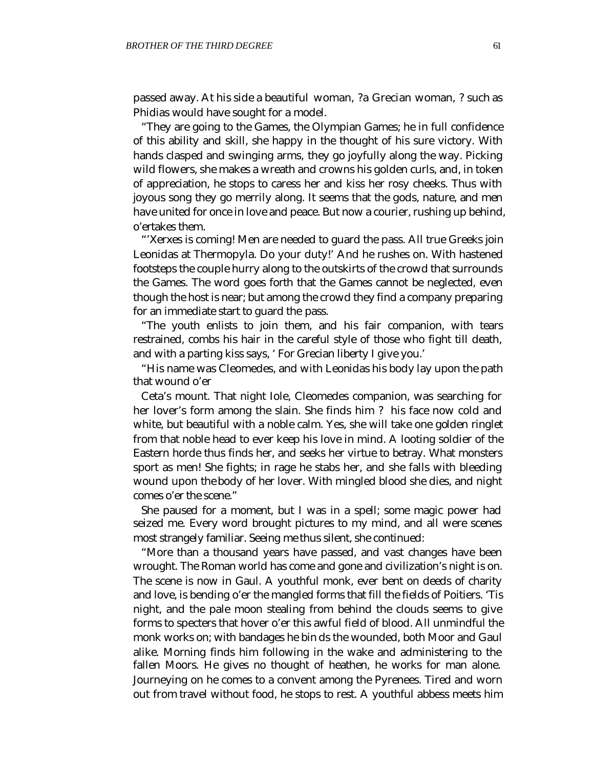passed away. At his side a beautiful woman, ?a Grecian woman, ? such as Phidias would have sought for a model.

"They are going to the Games, the Olympian Games; he in full confidence of this ability and skill, she happy in the thought of his sure victory. With hands clasped and swinging arms, they go joyfully along the way. Picking wild flowers, she makes a wreath and crowns his golden curls, and, in token of appreciation, he stops to caress her and kiss her rosy cheeks. Thus with joyous song they go merrily along. It seems that the gods, nature, and men have united for once in love and peace. But now a courier, rushing up behind, o'ertakes them.

"'Xerxes is coming! Men are needed to guard the pass. All true Greeks join Leonidas at Thermopyla. Do your duty!' And he rushes on. With hastened footsteps the couple hurry along to the outskirts of the crowd that surrounds the Games. The word goes forth that the Games cannot be neglected, even though the host is near; but among the crowd they find a company preparing for an immediate start to guard the pass.

"The youth enlists to join them, and his fair companion, with tears restrained, combs his hair in the careful style of those who fight till death, and with a parting kiss says, ' For Grecian liberty I give you.'

"His name was Cleomedes, and with Leonidas his body lay upon the path that wound o'er

Ceta's mount. That night Iole, Cleomedes companion, was searching for her lover's form among the slain. She finds him ? his face now cold and white, but beautiful with a noble calm. Yes, she will take one golden ringlet from that noble head to ever keep his love in mind. A looting soldier of the Eastern horde thus finds her, and seeks her virtue to betray. What monsters sport as men! She fights; in rage he stabs her, and she falls with bleeding wound upon the body of her lover. With mingled blood she dies, and night comes o'er the scene."

She paused for a moment, but I was in a spell; some magic power had seized me. Every word brought pictures to my mind, and all were scenes most strangely familiar. Seeing me thus silent, she continued:

"More than a thousand years have passed, and vast changes have been wrought. The Roman world has come and gone and civilization's night is on. The scene is now in Gaul. A youthful monk, ever bent on deeds of charity and love, is bending o'er the mangled forms that fill the fields of Poitiers. 'Tis night, and the pale moon stealing from behind the clouds seems to give forms to specters that hover o'er this awful field of blood. All unmindful the monk works on; with bandages he bin ds the wounded, both Moor and Gaul alike. Morning finds him following in the wake and administering to the fallen Moors. He gives no thought of heathen, he works for man alone. Journeying on he comes to a convent among the Pyrenees. Tired and worn out from travel without food, he stops to rest. A youthful abbess meets him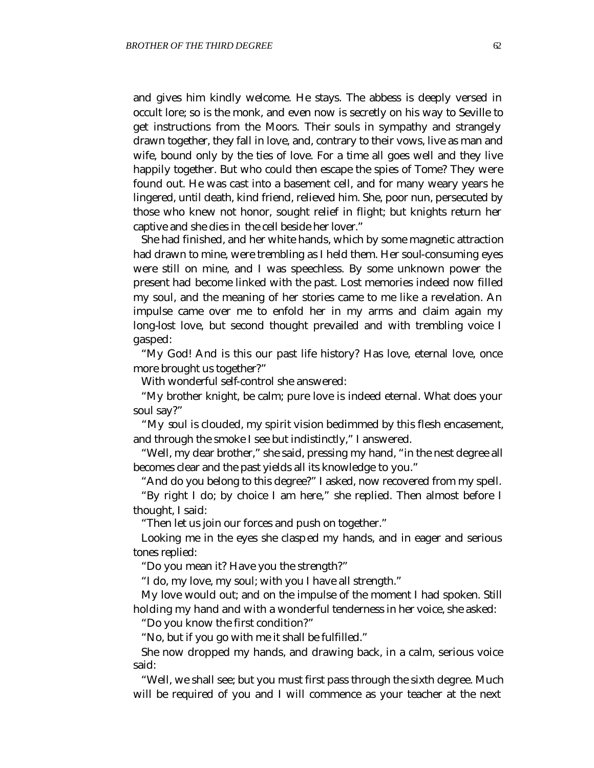and gives him kindly welcome. He stays. The abbess is deeply versed in occult lore; so is the monk, and even now is secretly on his way to Seville to get instructions from the Moors. Their souls in sympathy and strangely drawn together, they fall in love, and, contrary to their vows, live as man and wife, bound only by the ties of love. For a time all goes well and they live happily together. But who could then escape the spies of Tome? They were found out. He was cast into a basement cell, and for many weary years he lingered, until death, kind friend, relieved him. She, poor nun, persecuted by those who knew not honor, sought relief in flight; but knights return her captive and she dies in the cell beside her lover."

She had finished, and her white hands, which by some magnetic attraction had drawn to mine, were trembling as I held them. Her soul-consuming eyes were still on mine, and I was speechless. By some unknown power the present had become linked with the past. Lost memories indeed now filled my soul, and the meaning of her stories came to me like a revelation. An impulse came over me to enfold her in my arms and claim again my long-lost love, but second thought prevailed and with trembling voice I gasped:

"My God! And is this our past life history? Has love, eternal love, once more brought us together?"

With wonderful self-control she answered:

"My brother knight, be calm; pure love is indeed eternal. What does your soul say?"

 "My soul is clouded, my spirit vision bedimmed by this flesh encasement, and through the smoke I see but indistinctly," I answered.

"Well, my dear brother," she said, pressing my hand, "in the nest degree all becomes clear and the past yields all its knowledge to you."

"And do you belong to this degree?" I asked, now recovered from my spell.

"By right I do; by choice I am here," she replied. Then almost before I thought, I said:

"Then let us join our forces and push on together."

Looking me in the eyes she clasped my hands, and in eager and serious tones replied:

"Do you mean it? Have you the strength?"

"I do, my love, my soul; with you I have all strength."

My love would out; and on the impulse of the moment I had spoken. Still holding my hand and with a wonderful tenderness in her voice, she asked:

"Do you know the first condition?"

"No, but if you go with me it shall be fulfilled."

She now dropped my hands, and drawing back, in a calm, serious voice said:

"Well, we shall see; but you must first pass through the sixth degree. Much will be required of you and I will commence as your teacher at the next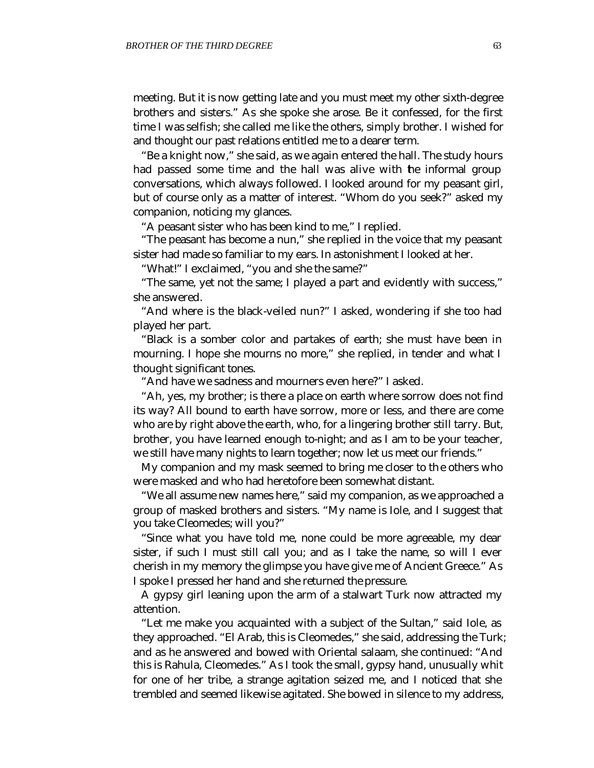meeting. But it is now getting late and you must meet my other sixth-degree brothers and sisters." As she spoke she arose. Be it confessed, for the first time I was selfish; she called me like the others, simply brother. I wished for and thought our past relations entitled me to a dearer term.

"Be a knight now," she said, as we again entered the hall. The study hours had passed some time and the hall was alive with the informal group conversations, which always followed. I looked around for my peasant girl, but of course only as a matter of interest. "Whom do you seek?" asked my companion, noticing my glances.

"A peasant sister who has been kind to me," I replied.

"The peasant has become a nun," she replied in the voice that my peasant sister had made so familiar to my ears. In astonishment I looked at her.

"What!" I exclaimed, "you and she the same?"

"The same, yet not the same; I played a part and evidently with success," she answered.

"And where is the black-veiled nun?" I asked, wondering if she too had played her part.

"Black is a somber color and partakes of earth; she must have been in mourning. I hope she mourns no more," she replied, in tender and what I thought significant tones.

"And have we sadness and mourners even here?" I asked.

"Ah, yes, my brother; is there a place on earth where sorrow does not find its way? All bound to earth have sorrow, more or less, and there are come who are by right above the earth, who, for a lingering brother still tarry. But, brother, you have learned enough to-night; and as I am to be your teacher, we still have many nights to learn together; now let us meet our friends."

My companion and my mask seemed to bring me closer to the others who were masked and who had heretofore been somewhat distant.

"We all assume new names here," said my companion, as we approached a group of masked brothers and sisters. "My name is Iole, and I suggest that you take Cleomedes; will you?"

"Since what you have told me, none could be more agreeable, my dear sister, if such I must still call you; and as I take the name, so will I ever cherish in my memory the glimpse you have give me of Ancient Greece." As I spoke I pressed her hand and she returned the pressure.

A gypsy girl leaning upon the arm of a stalwart Turk now attracted my attention.

"Let me make you acquainted with a subject of the Sultan," said Iole, as they approached. "El Arab, this is Cleomedes," she said, addressing the Turk; and as he answered and bowed with Oriental salaam, she continued: "And this is Rahula, Cleomedes." As I took the small, gypsy hand, unusually whit for one of her tribe, a strange agitation seized me, and I noticed that she trembled and seemed likewise agitated. She bowed in silence to my address,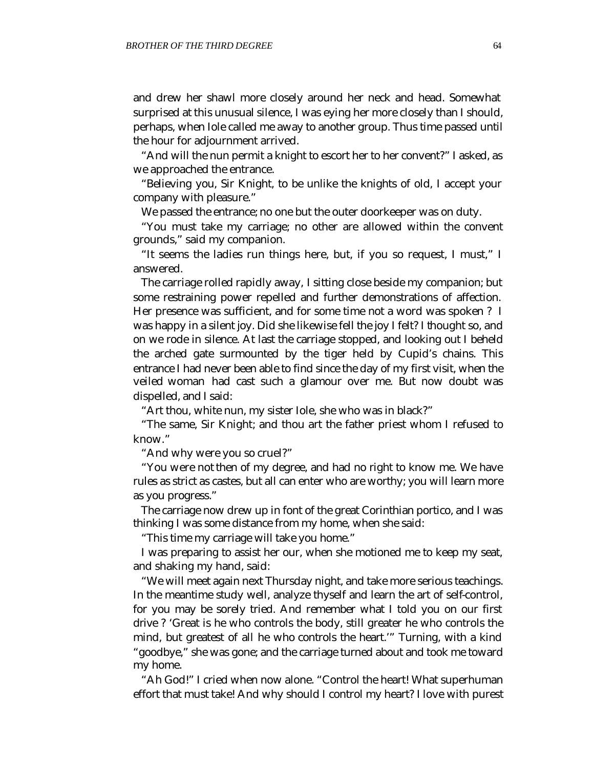and drew her shawl more closely around her neck and head. Somewhat surprised at this unusual silence, I was eying her more closely than I should, perhaps, when Iole called me away to another group. Thus time passed until the hour for adjournment arrived.

"And will the nun permit a knight to escort her to her convent?" I asked, as we approached the entrance.

"Believing you, Sir Knight, to be unlike the knights of old, I accept your company with pleasure."

We passed the entrance; no one but the outer doorkeeper was on duty.

"You must take my carriage; no other are allowed within the convent grounds," said my companion.

"It seems the ladies run things here, but, if you so request, I must," I answered.

The carriage rolled rapidly away, I sitting close beside my companion; but some restraining power repelled and further demonstrations of affection. Her presence was sufficient, and for some time not a word was spoken ? I was happy in a silent joy. Did she likewise fell the joy I felt? I thought so, and on we rode in silence. At last the carriage stopped, and looking out I beheld the arched gate surmounted by the tiger held by Cupid's chains. This entrance I had never been able to find since the day of my first visit, when the veiled woman had cast such a glamour over me. But now doubt was dispelled, and I said:

"Art thou, white nun, my sister Iole, she who was in black?"

"The same, Sir Knight; and thou art the father priest whom I refused to know."

"And why were you so cruel?"

"You were not then of my degree, and had no right to know me. We have rules as strict as castes, but all can enter who are worthy; you will learn more as you progress."

The carriage now drew up in font of the great Corinthian portico, and I was thinking I was some distance from my home, when she said:

"This time my carriage will take you home."

I was preparing to assist her our, when she motioned me to keep my seat, and shaking my hand, said:

"We will meet again next Thursday night, and take more serious teachings. In the meantime study well, analyze thyself and learn the art of self-control, for you may be sorely tried. And remember what I told you on our first drive ? 'Great is he who controls the body, still greater he who controls the mind, but greatest of all he who controls the heart.'" Turning, with a kind "goodbye," she was gone; and the carriage turned about and took me toward my home.

"Ah God!" I cried when now alone. "Control the heart! What superhuman effort that must take! And why should I control my heart? I love with purest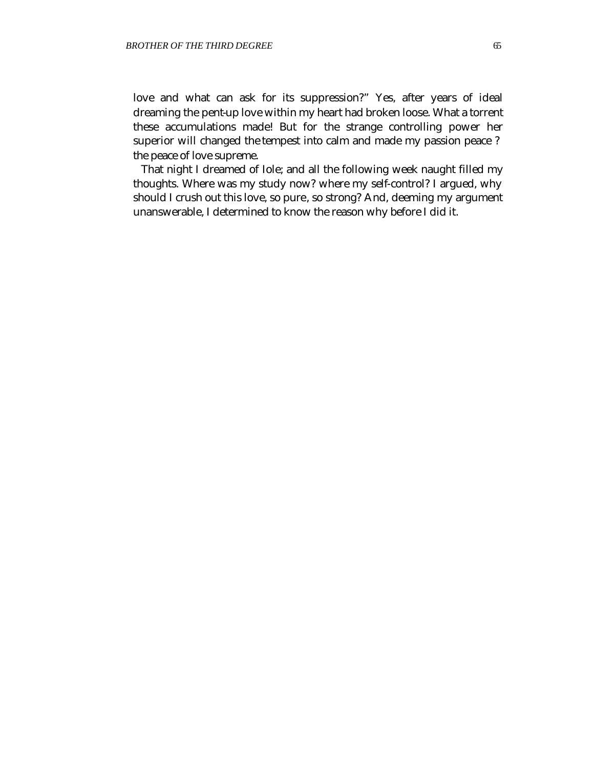love and what can ask for its suppression?" Yes, after years of ideal dreaming the pent-up love within my heart had broken loose. What a torrent these accumulations made! But for the strange controlling power her superior will changed the tempest into calm and made my passion peace ? the peace of love supreme.

That night I dreamed of Iole; and all the following week naught filled my thoughts. Where was my study now? where my self-control? I argued, why should I crush out this love, so pure, so strong? And, deeming my argument unanswerable, I determined to know the reason why before I did it.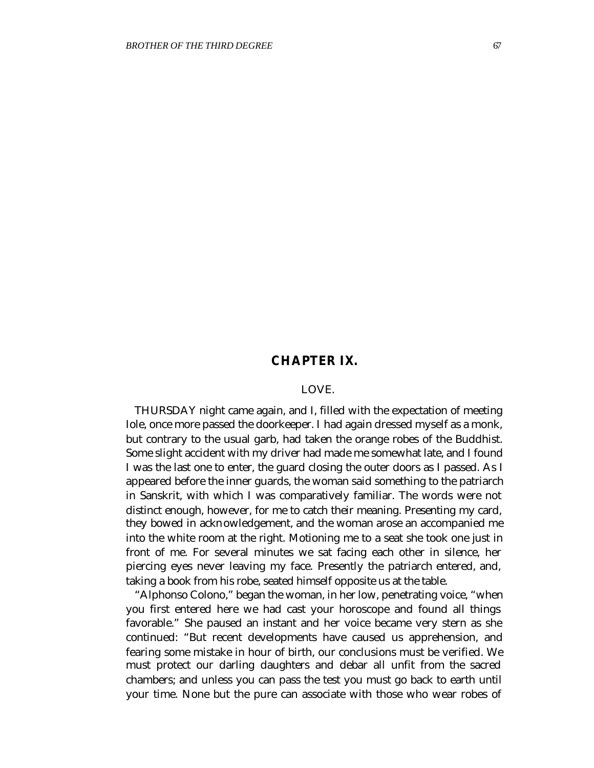## **CHAPTER IX.**

#### LOVE.

THURSDAY night came again, and I, filled with the expectation of meeting Iole, once more passed the doorkeeper. I had again dressed myself as a monk, but contrary to the usual garb, had taken the orange robes of the Buddhist. Some slight accident with my driver had made me somewhat late, and I found I was the last one to enter, the guard closing the outer doors as I passed. As I appeared before the inner guards, the woman said something to the patriarch in Sanskrit, with which I was comparatively familiar. The words were not distinct enough, however, for me to catch their meaning. Presenting my card, they bowed in acknowledgement, and the woman arose an accompanied me into the white room at the right. Motioning me to a seat she took one just in front of me. For several minutes we sat facing each other in silence, her piercing eyes never leaving my face. Presently the patriarch entered, and, taking a book from his robe, seated himself opposite us at the table.

"Alphonso Colono," began the woman, in her low, penetrating voice, "when you first entered here we had cast your horoscope and found all things favorable." She paused an instant and her voice became very stern as she continued: "But recent developments have caused us apprehension, and fearing some mistake in hour of birth, our conclusions must be verified. We must protect our darling daughters and debar all unfit from the sacred chambers; and unless you can pass the test you must go back to earth until your time. None but the pure can associate with those who wear robes of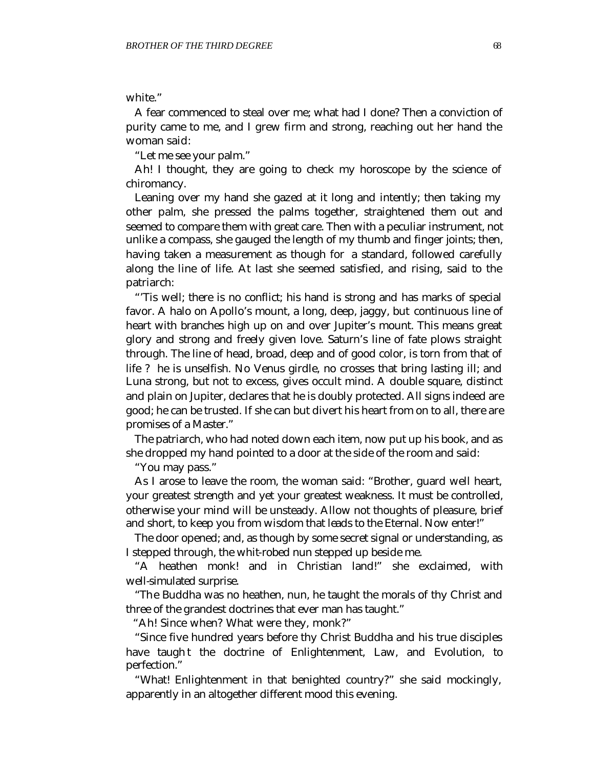## white."

A fear commenced to steal over me; what had I done? Then a conviction of purity came to me, and I grew firm and strong, reaching out her hand the woman said:

"Let me see your palm."

Ah! I thought, they are going to check my horoscope by the science of chiromancy.

Leaning over my hand she gazed at it long and intently; then taking my other palm, she pressed the palms together, straightened them out and seemed to compare them with great care. Then with a peculiar instrument, not unlike a compass, she gauged the length of my thumb and finger joints; then, having taken a measurement as though for a standard, followed carefully along the line of life. At last she seemed satisfied, and rising, said to the patriarch:

"'Tis well; there is no conflict; his hand is strong and has marks of special favor. A halo on Apollo's mount, a long, deep, jaggy, but continuous line of heart with branches high up on and over Jupiter's mount. This means great glory and strong and freely given love. Saturn's line of fate plows straight through. The line of head, broad, deep and of good color, is torn from that of life ? he is unselfish. No Venus girdle, no crosses that bring lasting ill; and Luna strong, but not to excess, gives occult mind. A double square, distinct and plain on Jupiter, declares that he is doubly protected. All signs indeed are good; he can be trusted. If she can but divert his heart from on to all, there are promises of a Master."

The patriarch, who had noted down each item, now put up his book, and as she dropped my hand pointed to a door at the side of the room and said:

"You may pass."

As I arose to leave the room, the woman said: "Brother, guard well heart, your greatest strength and yet your greatest weakness. It must be controlled, otherwise your mind will be unsteady. Allow not thoughts of pleasure, brief and short, to keep you from wisdom that leads to the Eternal. Now enter!"

The door opened; and, as though by some secret signal or understanding, as I stepped through, the whit-robed nun stepped up beside me.

"A heathen monk! and in Christian land!" she exclaimed, with well-simulated surprise.

"The Buddha was no heathen, nun, he taught the morals of thy Christ and three of the grandest doctrines that ever man has taught."

"Ah! Since when? What were they, monk?"

"Since five hundred years before thy Christ Buddha and his true disciples have taught the doctrine of Enlightenment, Law, and Evolution, to perfection."

"What! Enlightenment in that benighted country?" she said mockingly, apparently in an altogether different mood this evening.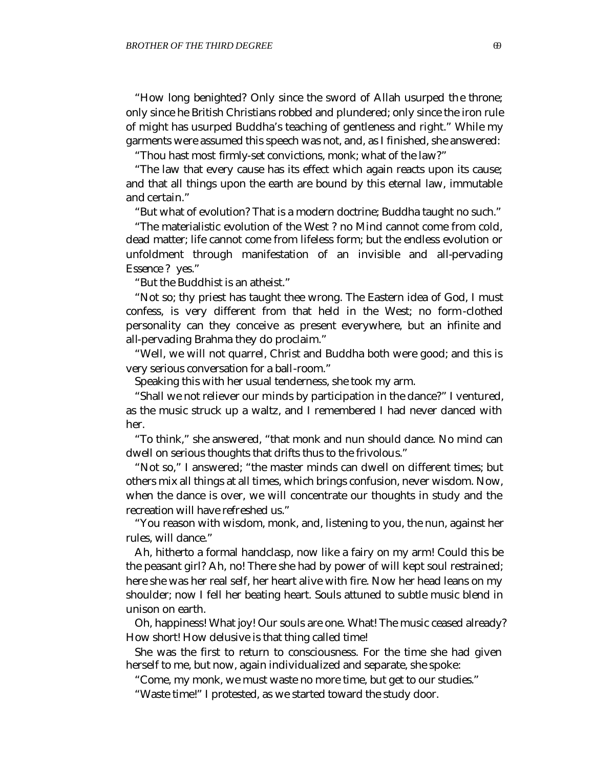"How long benighted? Only since the sword of Allah usurped the throne; only since he British Christians robbed and plundered; only since the iron rule of might has usurped Buddha's teaching of gentleness and right." While my garments were assumed this speech was not, and, as I finished, she answered:

"Thou hast most firmly-set convictions, monk; what of the law?"

"The law that every cause has its effect which again reacts upon its cause; and that all things upon the earth are bound by this eternal law, immutable and certain."

"But what of evolution? That is a modern doctrine; Buddha taught no such."

"The materialistic evolution of the West ? no Mind cannot come from cold, dead matter; life cannot come from lifeless form; but the endless evolution or unfoldment through manifestation of an invisible and all-pervading Essence ? yes."

"But the Buddhist is an atheist."

"Not so; thy priest has taught thee wrong. The Eastern idea of God, I must confess, is very different from that held in the West; no form-clothed personality can they conceive as present everywhere, but an infinite and all-pervading Brahma they do proclaim."

"Well, we will not quarrel, Christ and Buddha both were good; and this is very serious conversation for a ball-room."

Speaking this with her usual tenderness, she took my arm.

"Shall we not reliever our minds by participation in the dance?" I ventured, as the music struck up a waltz, and I remembered I had never danced with her.

"To think," she answered, "that monk and nun should dance. No mind can dwell on serious thoughts that drifts thus to the frivolous."

"Not so," I answered; "the master minds can dwell on different times; but others mix all things at all times, which brings confusion, never wisdom. Now, when the dance is over, we will concentrate our thoughts in study and the recreation will have refreshed us."

"You reason with wisdom, monk, and, listening to you, the nun, against her rules, will dance."

Ah, hitherto a formal handclasp, now like a fairy on my arm! Could this be the peasant girl? Ah, no! There she had by power of will kept soul restrained; here she was her real self, her heart alive with fire. Now her head leans on my shoulder; now I fell her beating heart. Souls attuned to subtle music blend in unison on earth.

Oh, happiness! What joy! Our souls are one. What! The music ceased already? How short! How delusive is that thing called time!

She was the first to return to consciousness. For the time she had given herself to me, but now, again individualized and separate, she spoke:

"Come, my monk, we must waste no more time, but get to our studies."

"Waste time!" I protested, as we started toward the study door.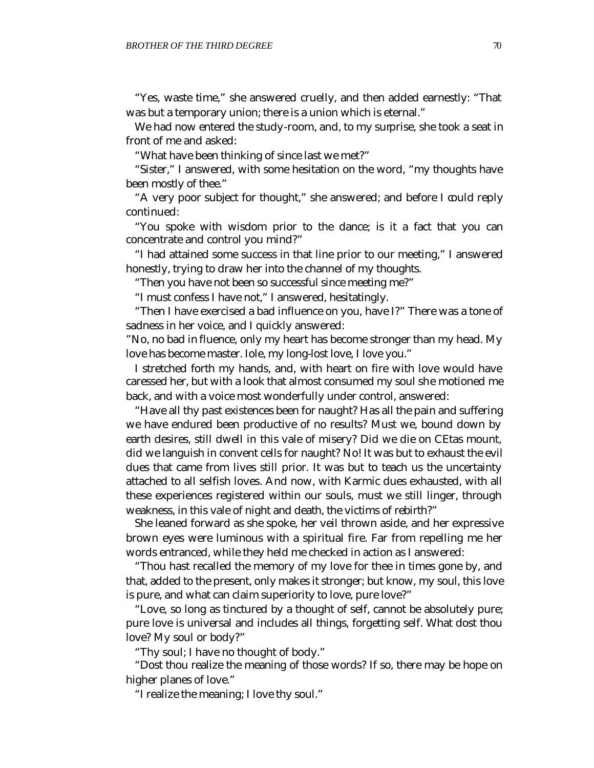"Yes, waste time," she answered cruelly, and then added earnestly: "That was but a temporary union; there is a union which is eternal."

We had now entered the study-room, and, to my surprise, she took a seat in front of me and asked:

"What have been thinking of since last we met?"

"Sister," I answered, with some hesitation on the word, "my thoughts have been mostly of thee."

"A very poor subject for thought," she answered; and before I could reply continued:

"You spoke with wisdom prior to the dance; is it a fact that you can concentrate and control you mind?"

"I had attained some success in that line prior to our meeting," I answered honestly, trying to draw her into the channel of my thoughts.

"Then you have not been so successful since meeting me?"

"I must confess I have not," I answered, hesitatingly.

"Then I have exercised a bad influence on you, have I?" There was a tone of sadness in her voice, and I quickly answered:

"No, no bad in fluence, only my heart has become stronger than my head. My love has become master. Iole, my long-lost love, I love you."

I stretched forth my hands, and, with heart on fire with love would have caressed her, but with a look that almost consumed my soul she motioned me back, and with a voice most wonderfully under control, answered:

"Have all thy past existences been for naught? Has all the pain and suffering we have endured been productive of no results? Must we, bound down by earth desires, still dwell in this vale of misery? Did we die on CEtas mount, did we languish in convent cells for naught? No! It was but to exhaust the evil dues that came from lives still prior. It was but to teach us the uncertainty attached to all selfish loves. And now, with Karmic dues exhausted, with all these experiences registered within our souls, must we still linger, through weakness, in this vale of night and death, the victims of rebirth?"

She leaned forward as she spoke, her veil thrown aside, and her expressive brown eyes were luminous with a spiritual fire. Far from repelling me her words entranced, while they held me checked in action as I answered:

"Thou hast recalled the memory of my love for thee in times gone by, and that, added to the present, only makes it stronger; but know, my soul, this love is pure, and what can claim superiority to love, pure love?"

"Love, so long as tinctured by a thought of self, cannot be absolutely pure; pure love is universal and includes all things, forgetting self. What dost thou love? My soul or body?"

"Thy soul; I have no thought of body."

"Dost thou realize the meaning of those words? If so, there may be hope on higher planes of love."

"I realize the meaning; I love thy soul."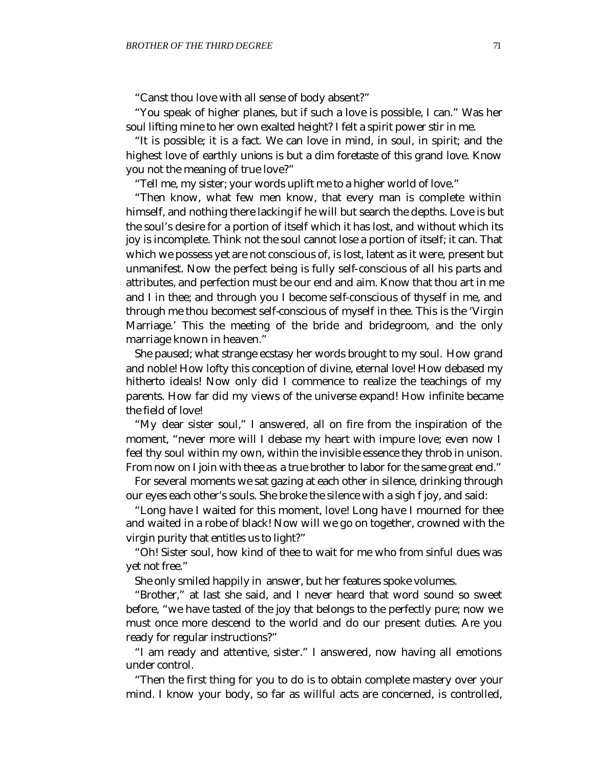"Canst thou love with all sense of body absent?"

"You speak of higher planes, but if such a love is possible, I can." Was her soul lifting mine to her own exalted height? I felt a spirit power stir in me.

"It is possible; it is a fact. We can love in mind, in soul, in spirit; and the highest love of earthly unions is but a dim foretaste of this grand love. Know you not the meaning of true love?"

"Tell me, my sister; your words uplift me to a higher world of love."

"Then know, what few men know, that every man is complete within himself, and nothing there lacking if he will but search the depths. Love is but the soul's desire for a portion of itself which it has lost, and without which its joy is incomplete. Think not the soul cannot lose a portion of itself; it can. That which we possess yet are not conscious of, is lost, latent as it were, present but unmanifest. Now the perfect being is fully self-conscious of all his parts and attributes, and perfection must be our end and aim. Know that thou art in me and I in thee; and through you I become self-conscious of thyself in me, and through me thou becomest self-conscious of myself in thee. This is the 'Virgin Marriage.' This the meeting of the bride and bridegroom, and the only marriage known in heaven."

She paused; what strange ecstasy her words brought to my soul. How grand and noble! How lofty this conception of divine, eternal love! How debased my hitherto ideals! Now only did I commence to realize the teachings of my parents. How far did my views of the universe expand! How infinite became the field of love!

"My dear sister soul," I answered, all on fire from the inspiration of the moment, "never more will I debase my heart with impure love; even now I feel thy soul within my own, within the invisible essence they throb in unison. From now on I join with thee as a true brother to labor for the same great end."

For several moments we sat gazing at each other in silence, drinking through our eyes each other's souls. She broke the silence with a sigh f joy, and said:

"Long have I waited for this moment, love! Long have I mourned for thee and waited in a robe of black! Now will we go on together, crowned with the virgin purity that entitles us to light?"

"Oh! Sister soul, how kind of thee to wait for me who from sinful dues was yet not free."

She only smiled happily in answer, but her features spoke volumes.

"Brother," at last she said, and I never heard that word sound so sweet before, "we have tasted of the joy that belongs to the perfectly pure; now we must once more descend to the world and do our present duties. Are you ready for regular instructions?"

"I am ready and attentive, sister." I answered, now having all emotions under control.

"Then the first thing for you to do is to obtain complete mastery over your mind. I know your body, so far as willful acts are concerned, is controlled,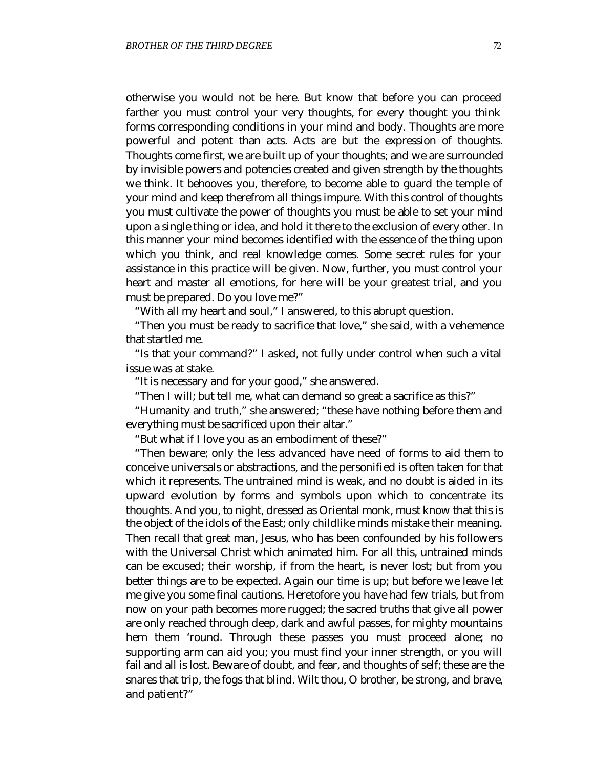otherwise you would not be here. But know that before you can proceed farther you must control your very thoughts, for every thought you think forms corresponding conditions in your mind and body. Thoughts are more powerful and potent than acts. Acts are but the expression of thoughts. Thoughts come first, we are built up of your thoughts; and we are surrounded by invisible powers and potencies created and given strength by the thoughts we think. It behooves you, therefore, to become able to guard the temple of your mind and keep therefrom all things impure. With this control of thoughts you must cultivate the power of thoughts you must be able to set your mind upon a single thing or idea, and hold it there to the exclusion of every other. In this manner your mind becomes identified with the essence of the thing upon which you think, and real knowledge comes. Some secret rules for your assistance in this practice will be given. Now, further, you must control your heart and master all emotions, for here will be your greatest trial, and you must be prepared. Do you love me?"

"With all my heart and soul," I answered, to this abrupt question.

"Then you must be ready to sacrifice that love," she said, with a vehemence that startled me.

"Is that your command?" I asked, not fully under control when such a vital issue was at stake.

"It is necessary and for your good," she answered.

"Then I will; but tell me, what can demand so great a sacrifice as this?"

"Humanity and truth," she answered; "these have nothing before them and everything must be sacrificed upon their altar."

"But what if I love you as an embodiment of these?"

"Then beware; only the less advanced have need of forms to aid them to conceive universals or abstractions, and the personified is often taken for that which it represents. The untrained mind is weak, and no doubt is aided in its upward evolution by forms and symbols upon which to concentrate its thoughts. And you, to night, dressed as Oriental monk, must know that this is the object of the idols of the East; only childlike minds mistake their meaning. Then recall that great man, Jesus, who has been confounded by his followers with the Universal Christ which animated him. For all this, untrained minds can be excused; their worship, if from the heart, is never lost; but from you better things are to be expected. Again our time is up; but before we leave let me give you some final cautions. Heretofore you have had few trials, but from now on your path becomes more rugged; the sacred truths that give all power are only reached through deep, dark and awful passes, for mighty mountains hem them 'round. Through these passes you must proceed alone; no supporting arm can aid you; you must find your inner strength, or you will fail and all is lost. Beware of doubt, and fear, and thoughts of self; these are the snares that trip, the fogs that blind. Wilt thou, O brother, be strong, and brave, and patient?"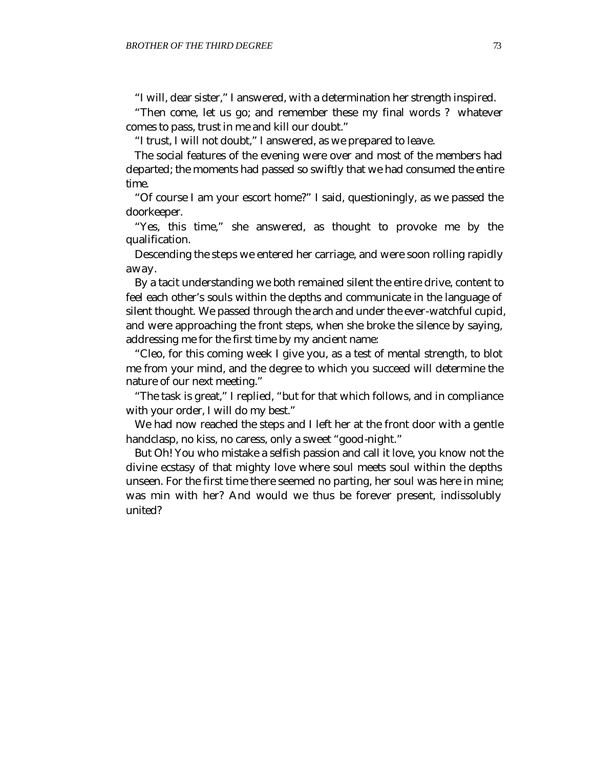"I will, dear sister," I answered, with a determination her strength inspired.

"Then come, let us go; and remember these my final words ? whatever comes to pass, trust in me and kill our doubt."

"I trust, I will not doubt," I answered, as we prepared to leave.

The social features of the evening were over and most of the members had departed; the moments had passed so swiftly that we had consumed the entire time.

"Of course I am your escort home?" I said, questioningly, as we passed the doorkeeper.

"Yes, this time," she answered, as thought to provoke me by the qualification.

Descending the steps we entered her carriage, and were soon rolling rapidly away.

By a tacit understanding we both remained silent the entire drive, content to feel each other's souls within the depths and communicate in the language of silent thought. We passed through the arch and under the ever-watchful cupid, and were approaching the front steps, when she broke the silence by saying, addressing me for the first time by my ancient name:

"Cleo, for this coming week I give you, as a test of mental strength, to blot me from your mind, and the degree to which you succeed will determine the nature of our next meeting."

"The task is great," I replied, "but for that which follows, and in compliance with your order, I will do my best."

We had now reached the steps and I left her at the front door with a gentle handclasp, no kiss, no caress, only a sweet "good-night."

But Oh! You who mistake a selfish passion and call it love, you know not the divine ecstasy of that mighty love where soul meets soul within the depths unseen. For the first time there seemed no parting, her soul was here in mine; was min with her? And would we thus be forever present, indissolubly united?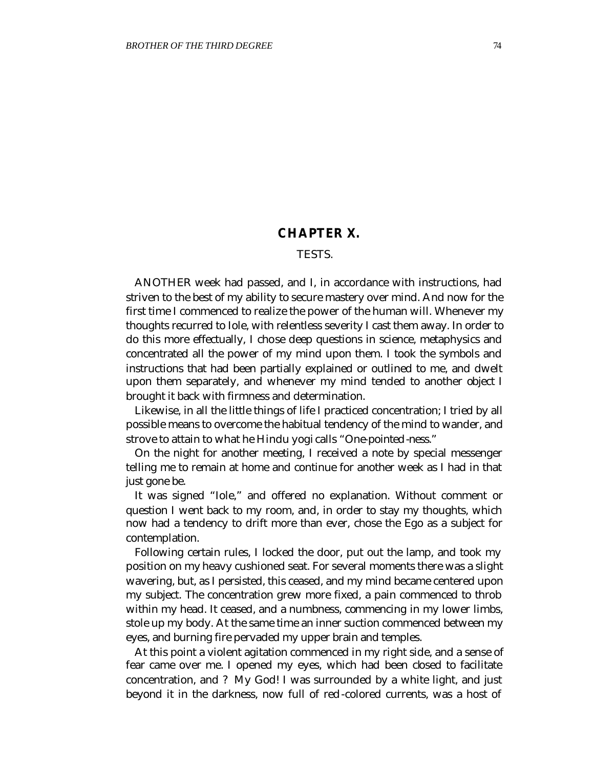### **CHAPTER X.**

## TESTS.

ANOTHER week had passed, and I, in accordance with instructions, had striven to the best of my ability to secure mastery over mind. And now for the first time I commenced to realize the power of the human will. Whenever my thoughts recurred to Iole, with relentless severity I cast them away. In order to do this more effectually, I chose deep questions in science, metaphysics and concentrated all the power of my mind upon them. I took the symbols and instructions that had been partially explained or outlined to me, and dwelt upon them separately, and whenever my mind tended to another object I brought it back with firmness and determination.

Likewise, in all the little things of life I practiced concentration; I tried by all possible means to overcome the habitual tendency of the mind to wander, and strove to attain to what he Hindu yogi calls "One-pointed-ness."

On the night for another meeting, I received a note by special messenger telling me to remain at home and continue for another week as I had in that just gone be.

It was signed "Iole," and offered no explanation. Without comment or question I went back to my room, and, in order to stay my thoughts, which now had a tendency to drift more than ever, chose the Ego as a subject for contemplation.

Following certain rules, I locked the door, put out the lamp, and took my position on my heavy cushioned seat. For several moments there was a slight wavering, but, as I persisted, this ceased, and my mind became centered upon my subject. The concentration grew more fixed, a pain commenced to throb within my head. It ceased, and a numbness, commencing in my lower limbs, stole up my body. At the same time an inner suction commenced between my eyes, and burning fire pervaded my upper brain and temples.

At this point a violent agitation commenced in my right side, and a sense of fear came over me. I opened my eyes, which had been closed to facilitate concentration, and ? My God! I was surrounded by a white light, and just beyond it in the darkness, now full of red-colored currents, was a host of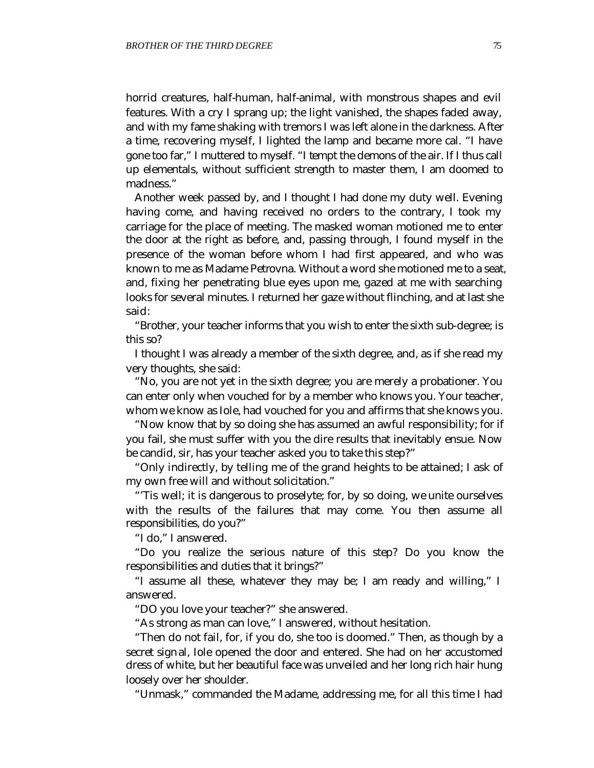horrid creatures, half-human, half-animal, with monstrous shapes and evil features. With a cry I sprang up; the light vanished, the shapes faded away, and with my fame shaking with tremors I was left alone in the darkness. After a time, recovering myself, I lighted the lamp and became more cal. "I have gone too far," I muttered to myself. "I tempt the demons of the air. If I thus call up elementals, without sufficient strength to master them, I am doomed to madness."

Another week passed by, and I thought I had done my duty well. Evening having come, and having received no orders to the contrary, I took my carriage for the place of meeting. The masked woman motioned me to enter the door at the right as before, and, passing through, I found myself in the presence of the woman before whom I had first appeared, and who was known to me as Madame Petrovna. Without a word she motioned me to a seat, and, fixing her penetrating blue eyes upon me, gazed at me with searching looks for several minutes. I returned her gaze without flinching, and at last she said:

"Brother, your teacher informs that you wish to enter the sixth sub-degree; is this so?

I thought I was already a member of the sixth degree, and, as if she read my very thoughts, she said:

"No, you are not yet in the sixth degree; you are merely a probationer. You can enter only when vouched for by a member who knows you. Your teacher, whom we know as Iole, had vouched for you and affirms that she knows you.

"Now know that by so doing she has assumed an awful responsibility; for if you fail, she must suffer with you the dire results that inevitably ensue. Now be candid, sir, has your teacher asked you to take this step?"

"Only indirectly, by telling me of the grand heights to be attained; I ask of my own free will and without solicitation."

"'Tis well; it is dangerous to proselyte; for, by so doing, we unite ourselves with the results of the failures that may come. You then assume all responsibilities, do you?"

"I do," I answered.

"Do you realize the serious nature of this step? Do you know the responsibilities and duties that it brings?"

"I assume all these, whatever they may be; I am ready and willing," I answered.

"DO you love your teacher?" she answered.

"As strong as man can love," I answered, without hesitation.

"Then do not fail, for, if you do, she too is doomed." Then, as though by a secret signal, Iole opened the door and entered. She had on her accustomed dress of white, but her beautiful face was unveiled and her long rich hair hung loosely over her shoulder.

"Unmask," commanded the Madame, addressing me, for all this time I had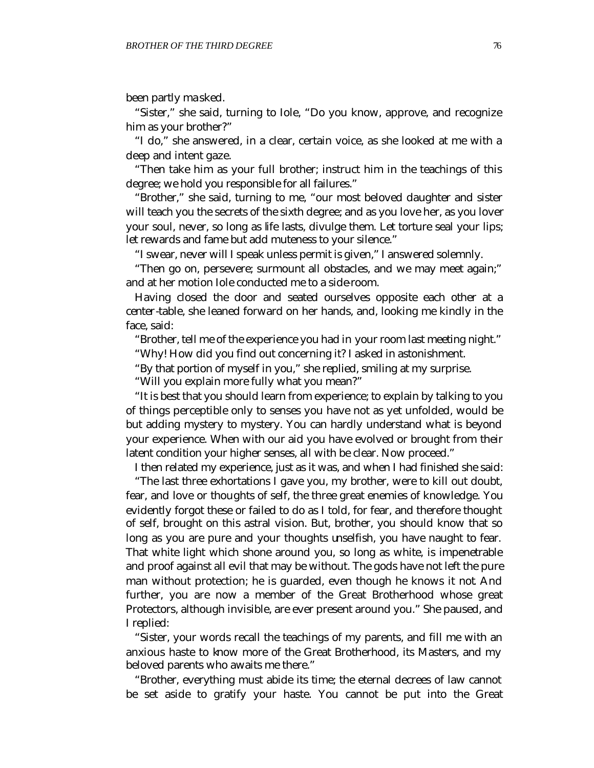been partly ma sked.

"Sister," she said, turning to Iole, "Do you know, approve, and recognize him as your brother?"

"I do," she answered, in a clear, certain voice, as she looked at me with a deep and intent gaze.

"Then take him as your full brother; instruct him in the teachings of this degree; we hold you responsible for all failures."

"Brother," she said, turning to me, "our most beloved daughter and sister will teach you the secrets of the sixth degree; and as you love her, as you lover your soul, never, so long as life lasts, divulge them. Let torture seal your lips; let rewards and fame but add muteness to your silence."

"I swear, never will I speak unless permit is given," I answered solemnly.

"Then go on, persevere; surmount all obstacles, and we may meet again;" and at her motion Iole conducted me to a side-room.

Having closed the door and seated ourselves opposite each other at a center-table, she leaned forward on her hands, and, looking me kindly in the face, said:

"Brother, tell me of the experience you had in your room last meeting night."

"Why! How did you find out concerning it? I asked in astonishment.

"By that portion of myself in you," she replied, smiling at my surprise.

"Will you explain more fully what you mean?"

"It is best that you should learn from experience; to explain by talking to you of things perceptible only to senses you have not as yet unfolded, would be but adding mystery to mystery. You can hardly understand what is beyond your experience. When with our aid you have evolved or brought from their latent condition your higher senses, all with be clear. Now proceed."

I then related my experience, just as it was, and when I had finished she said:

"The last three exhortations I gave you, my brother, were to kill out doubt, fear, and love or thoughts of self, the three great enemies of knowledge. You evidently forgot these or failed to do as I told, for fear, and therefore thought of self, brought on this astral vision. But, brother, you should know that so long as you are pure and your thoughts unselfish, you have naught to fear. That white light which shone around you, so long as white, is impenetrable and proof against all evil that may be without. The gods have not left the pure man without protection; he is guarded, even though he knows it not. And further, you are now a member of the Great Brotherhood whose great Protectors, although invisible, are ever present around you." She paused, and I replied:

"Sister, your words recall the teachings of my parents, and fill me with an anxious haste to know more of the Great Brotherhood, its Masters, and my beloved parents who awaits me there."

"Brother, everything must abide its time; the eternal decrees of law cannot be set aside to gratify your haste. You cannot be put into the Great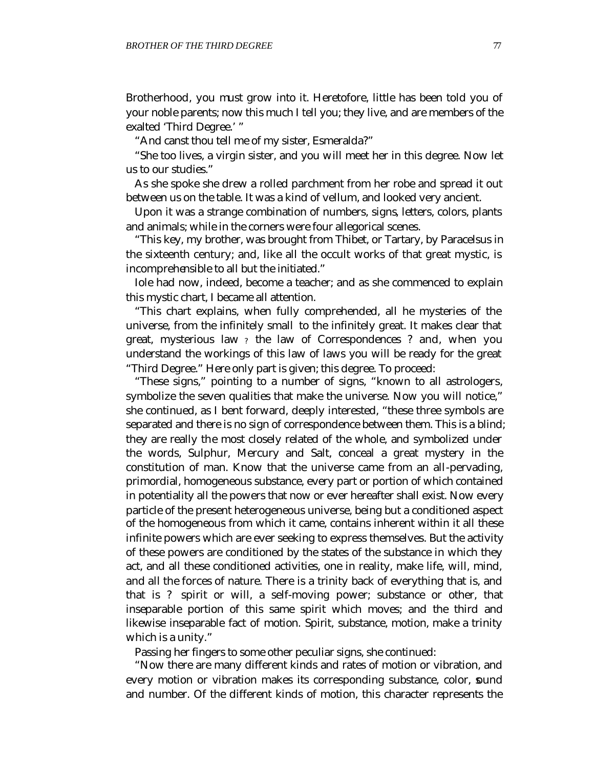Brotherhood, you must grow into it. Heretofore, little has been told you of your noble parents; now this much I tell you; they live, and are members of the exalted 'Third Degree.' "

"And canst thou tell me of my sister, Esmeralda?"

"She too lives, a virgin sister, and you will meet her in this degree. Now let us to our studies."

As she spoke she drew a rolled parchment from her robe and spread it out between us on the table. It was a kind of vellum, and looked very ancient.

Upon it was a strange combination of numbers, signs, letters, colors, plants and animals; while in the corners were four allegorical scenes.

"This key, my brother, was brought from Thibet, or Tartary, by Paracelsus in the sixteenth century; and, like all the occult works of that great mystic, is incomprehensible to all but the initiated."

Iole had now, indeed, become a teacher; and as she commenced to explain this mystic chart, I became all attention.

"This chart explains, when fully comprehended, all he mysteries of the universe, from the infinitely small to the infinitely great. It makes clear that great, mysterious law ? the law of Correspondences ? and, when you understand the workings of this law of laws you will be ready for the great "Third Degree." Here only part is given; this degree. To proceed:

"These signs," pointing to a number of signs, "known to all astrologers, symbolize the seven qualities that make the universe. Now you will notice," she continued, as I bent forward, deeply interested, "these three symbols are separated and there is no sign of correspondence between them. This is a blind; they are really the most closely related of the whole, and symbolized under the words, Sulphur, Mercury and Salt, conceal a great mystery in the constitution of man. Know that the universe came from an all-pervading, primordial, homogeneous substance, every part or portion of which contained in potentiality all the powers that now or ever hereafter shall exist. Now every particle of the present heterogeneous universe, being but a conditioned aspect of the homogeneous from which it came, contains inherent within it all these infinite powers which are ever seeking to express themselves. But the activity of these powers are conditioned by the states of the substance in which they act, and all these conditioned activities, one in reality, make life, will, mind, and all the forces of nature. There is a trinity back of everything that is, and that is ? spirit or will, a self-moving power; substance or other, that inseparable portion of this same spirit which moves; and the third and likewise inseparable fact of motion. Spirit, substance, motion, make a trinity which is a unity."

Passing her fingers to some other peculiar signs, she continued:

"Now there are many different kinds and rates of motion or vibration, and every motion or vibration makes its corresponding substance, color, sound and number. Of the different kinds of motion, this character represents the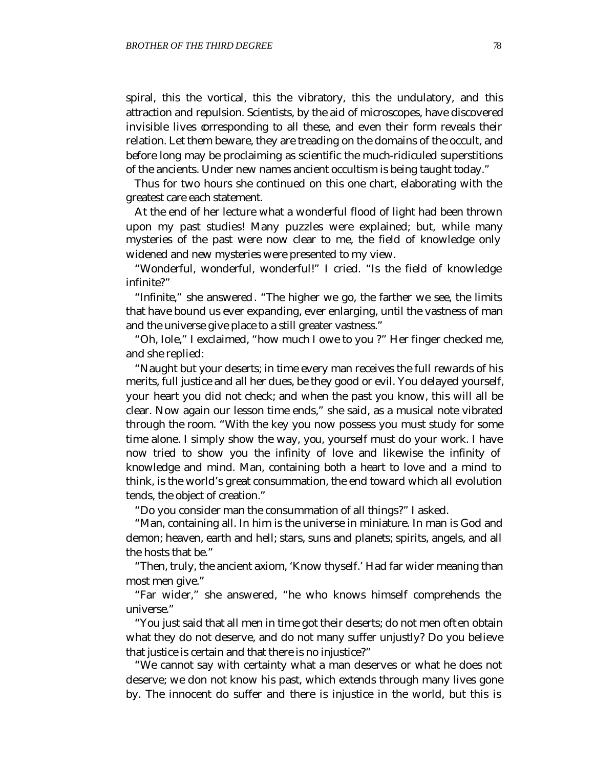spiral, this the vortical, this the vibratory, this the undulatory, and this attraction and repulsion. Scientists, by the aid of microscopes, have discovered invisible lives corresponding to all these, and even their form reveals their relation. Let them beware, they are treading on the domains of the occult, and before long may be proclaiming as scientific the much-ridiculed superstitions of the ancients. Under new names ancient occultism is being taught today."

Thus for two hours she continued on this one chart, elaborating with the greatest care each statement.

At the end of her lecture what a wonderful flood of light had been thrown upon my past studies! Many puzzles were explained; but, while many mysteries of the past were now clear to me, the field of knowledge only widened and new mysteries were presented to my view.

"Wonderful, wonderful, wonderful!" I cried. "Is the field of knowledge infinite?"

"Infinite," she answered. "The higher we go, the farther we see, the limits that have bound us ever expanding, ever enlarging, until the vastness of man and the universe give place to a still greater vastness."

"Oh, Iole," I exclaimed, "how much I owe to you ?" Her finger checked me, and she replied:

"Naught but your deserts; in time every man receives the full rewards of his merits, full justice and all her dues, be they good or evil. You delayed yourself, your heart you did not check; and when the past you know, this will all be clear. Now again our lesson time ends," she said, as a musical note vibrated through the room. "With the key you now possess you must study for some time alone. I simply show the way, you, yourself must do your work. I have now tried to show you the infinity of love and likewise the infinity of knowledge and mind. Man, containing both a heart to love and a mind to think, is the world's great consummation, the end toward which all evolution tends, the object of creation."

"Do you consider man the consummation of all things?" I asked.

"Man, containing all. In him is the universe in miniature. In man is God and demon; heaven, earth and hell; stars, suns and planets; spirits, angels, and all the hosts that be."

"Then, truly, the ancient axiom, 'Know thyself.' Had far wider meaning than most men give."

"Far wider," she answered, "he who knows himself comprehends the universe."

"You just said that all men in time got their deserts; do not men oft en obtain what they do not deserve, and do not many suffer unjustly? Do you believe that justice is certain and that there is no injustice?"

"We cannot say with certainty what a man deserves or what he does not deserve; we don not know his past, which extends through many lives gone by. The innocent do suffer and there is injustice in the world, but this is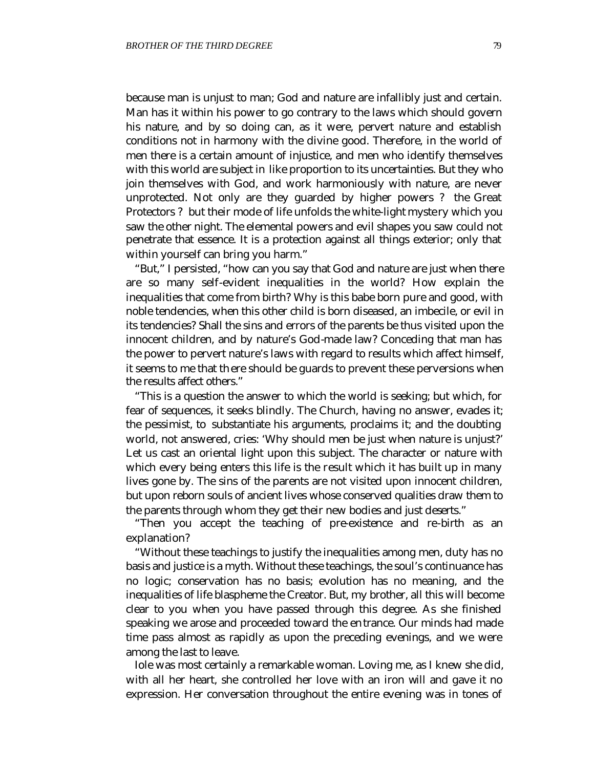because man is unjust to man; God and nature are infallibly just and certain. Man has it within his power to go contrary to the laws which should govern his nature, and by so doing can, as it were, pervert nature and establish conditions not in harmony with the divine good. Therefore, in the world of men there is a certain amount of injustice, and men who identify themselves with this world are subject in like proportion to its uncertainties. But they who join themselves with God, and work harmoniously with nature, are never unprotected. Not only are they guarded by higher powers ? the Great Protectors ? but their mode of life unfolds the white-light myste ry which you saw the other night. The elemental powers and evil shapes you saw could not penetrate that essence. It is a protection against all things exterior; only that within yourself can bring you harm."

"But," I persisted, "how can you say that God and nature are just when there are so many self-evident inequalities in the world? How explain the inequalities that come from birth? Why is this babe born pure and good, with noble tendencies, when this other child is born diseased, an imbecile, or evil in its tendencies? Shall the sins and errors of the parents be thus visited upon the innocent children, and by nature's God-made law? Conceding that man has the power to pervert nature's laws with regard to results which affect himself, it seems to me that there should be guards to prevent these perversions when the results affect others."

"This is a question the answer to which the world is seeking; but which, for fear of sequences, it seeks blindly. The Church, having no answer, evades it; the pessimist, to substantiate his arguments, proclaims it; and the doubting world, not answered, cries: 'Why should men be just when nature is unjust?' Let us cast an oriental light upon this subject. The character or nature with which every being enters this life is the result which it has built up in many lives gone by. The sins of the parents are not visited upon innocent children, but upon reborn souls of ancient lives whose conserved qualities draw them to the parents through whom they get their new bodies and just deserts."

"Then you accept the teaching of pre-existence and re-birth as an explanation?

"Without these teachings to justify the inequalities among men, duty has no basis and justice is a myth. Without these teachings, the soul's continuance has no logic; conservation has no basis; evolution has no meaning, and the inequalities of life blaspheme the Creator. But, my brother, all this will become clear to you when you have passed through this degree. As she finished speaking we arose and proceeded toward the entrance. Our minds had made time pass almost as rapidly as upon the preceding evenings, and we were among the last to leave.

Iole was most certainly a remarkable woman. Loving me, as I knew she did, with all her heart, she controlled her love with an iron will and gave it no expression. Her conversation throughout the entire evening was in tones of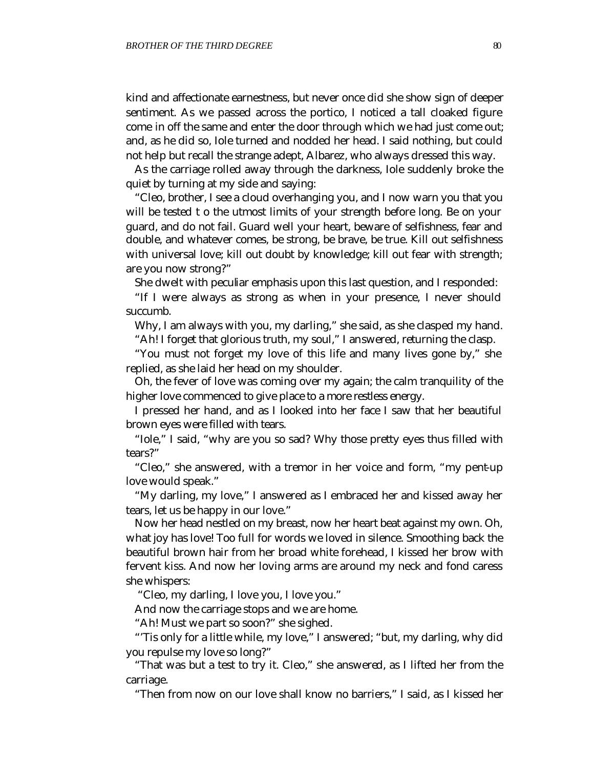kind and affectionate earnestness, but never once did she show sign of deeper sentiment. As we passed across the portico, I noticed a tall cloaked figure come in off the same and enter the door through which we had just come out; and, as he did so, Iole turned and nodded her head. I said nothing, but could not help but recall the strange adept, Albarez, who always dressed this way.

As the carriage rolled away through the darkness, Iole suddenly broke the quiet by turning at my side and saying:

"Cleo, brother, I see a cloud overhanging you, and I now warn you that you will be tested t o the utmost limits of your strength before long. Be on your guard, and do not fail. Guard well your heart, beware of selfishness, fear and double, and whatever comes, be strong, be brave, be true. Kill out selfishness with universal love; kill out doubt by knowledge; kill out fear with strength; are you now strong?"

She dwelt with peculiar emphasis upon this last question, and I responded:

"If I were always as strong as when in your presence, I never should succumb.

Why, I am always with you, my darling," she said, as she clasped my hand. "Ah! I forget that glorious truth, my soul," I answered, returning the clasp.

"You must not forget my love of this life and many lives gone by," she replied, as she laid her head on my shoulder.

Oh, the fever of love was coming over my again; the calm tranquility of the higher love commenced to give place to a more restless energy.

I pressed her hand, and as I looked into her face I saw that her beautiful brown eyes were filled with tears.

"Iole," I said, "why are you so sad? Why those pretty eyes thus filled with tears?"

"Cleo," she answered, with a tremor in her voice and form, "my pent-up love would speak."

"My darling, my love," I answered as I embraced her and kissed away her tears, let us be happy in our love."

Now her head nestled on my breast, now her heart beat against my own. Oh, what joy has love! Too full for words we loved in silence. Smoothing back the beautiful brown hair from her broad white forehead, I kissed her brow with fervent kiss. And now her loving arms are around my neck and fond caress she whispers:

"Cleo, my darling, I love you, I love you."

And now the carriage stops and we are home.

"Ah! Must we part so soon?" she sighed.

"'Tis only for a little while, my love," I answered; "but, my darling, why did you repulse my love so long?"

"That was but a test to try it. Cleo," she answered, as I lifted her from the carriage.

"Then from now on our love shall know no barriers," I said, as I kissed her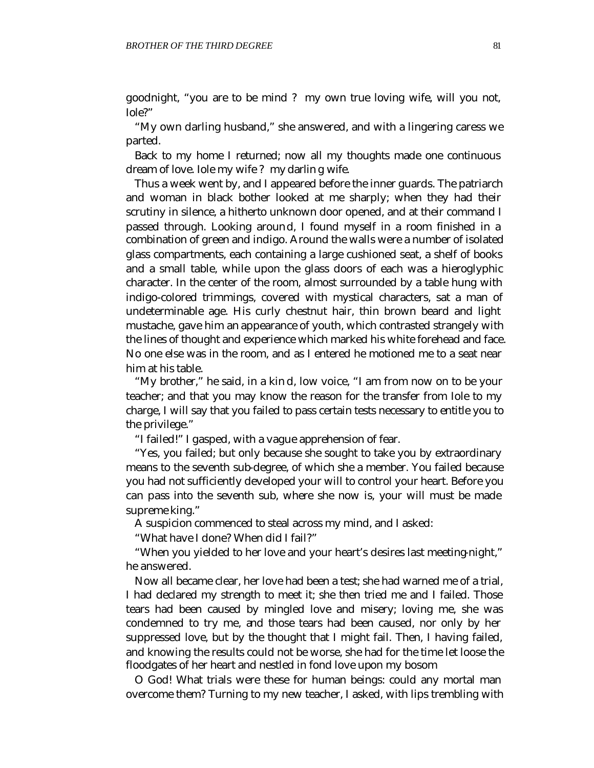goodnight, "you are to be mind ? my own true loving wife, will you not, Iole?"

"My own darling husband," she answered, and with a lingering caress we parted.

Back to my home I returned; now all my thoughts made one continuous dream of love. Iole my wife ? my darlin g wife.

Thus a week went by, and I appeared before the inner guards. The patriarch and woman in black bother looked at me sharply; when they had their scrutiny in silence, a hitherto unknown door opened, and at their command I passed through. Looking around, I found myself in a room finished in a combination of green and indigo. Around the walls were a number of isolated glass compartments, each containing a large cushioned seat, a shelf of books and a small table, while upon the glass doors of each was a hieroglyphic character. In the center of the room, almost surrounded by a table hung with indigo-colored trimmings, covered with mystical characters, sat a man of undeterminable age. His curly chestnut hair, thin brown beard and light mustache, gave him an appearance of youth, which contrasted strangely with the lines of thought and experience which marked his white forehead and face. No one else was in the room, and as I entered he motioned me to a seat near him at his table.

"My brother," he said, in a kin d, low voice, "I am from now on to be your teacher; and that you may know the reason for the transfer from Iole to my charge, I will say that you failed to pass certain tests necessary to entitle you to the privilege."

"I failed!" I gasped, with a vague apprehension of fear.

"Yes, you failed; but only because she sought to take you by extraordinary means to the seventh sub-degree, of which she a member. You failed because you had not sufficiently developed your will to control your heart. Before you can pass into the seventh sub, where she now is, your will must be made supreme king."

A suspicion commenced to steal across my mind, and I asked:

"What have I done? When did I fail?"

"When you yielded to her love and your heart's desires last meeting-night," he answered.

Now all became clear, her love had been a test; she had warned me of a trial, I had declared my strength to meet it; she then tried me and I failed. Those tears had been caused by mingled love and misery; loving me, she was condemned to try me, and those tears had been caused, nor only by her suppressed love, but by the thought that I might fail. Then, I having failed, and knowing the results could not be worse, she had for the time let loose the floodgates of her heart and nestled in fond love upon my bosom

O God! What trials were these for human beings: could any mortal man overcome them? Turning to my new teacher, I asked, with lips trembling with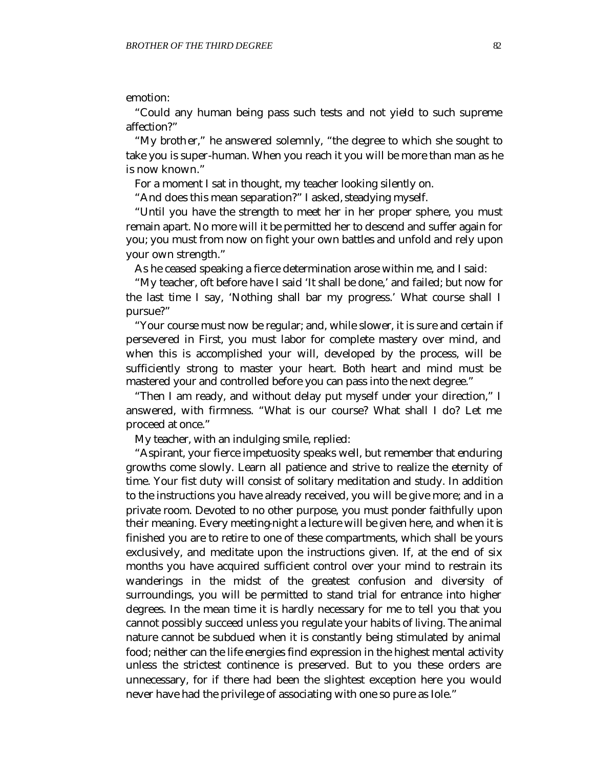## emotion:

"Could any human being pass such tests and not yield to such supreme affection?"

"My brother," he answered solemnly, "the degree to which she sought to take you is super-human. When you reach it you will be more than man as he is now known."

For a moment I sat in thought, my teacher looking silently on.

"And does this mean separation?" I asked, steadying myself.

"Until you have the strength to meet her in her proper sphere, you must remain apart. No more will it be permitted her to descend and suffer again for you; you must from now on fight your own battles and unfold and rely upon your own strength."

As he ceased speaking a fierce determination arose within me, and I said:

"My teacher, oft before have I said 'It shall be done,' and failed; but now for the last time I say, 'Nothing shall bar my progress.' What course shall I pursue?"

"Your course must now be regular; and, while slower, it is sure and certain if persevered in First, you must labor for complete mastery over mind, and when this is accomplished your will, developed by the process, will be sufficiently strong to master your heart. Both heart and mind must be mastered your and controlled before you can pass into the next degree."

"Then I am ready, and without delay put myself under your direction," I answered, with firmness. "What is our course? What shall I do? Let me proceed at once."

My teacher, with an indulging smile, replied:

"Aspirant, your fierce impetuosity speaks well, but remember that enduring growths come slowly. Learn all patience and strive to realize the eternity of time. Your fist duty will consist of solitary meditation and study. In addition to the instructions you have already received, you will be give more; and in a private room. Devoted to no other purpose, you must ponder faithfully upon their meaning. Every meeting-night a lecture will be given here, and when it is finished you are to retire to one of these compartments, which shall be yours exclusively, and meditate upon the instructions given. If, at the end of six months you have acquired sufficient control over your mind to restrain its wanderings in the midst of the greatest confusion and diversity of surroundings, you will be permitted to stand trial for entrance into higher degrees. In the mean time it is hardly necessary for me to tell you that you cannot possibly succeed unless you regulate your habits of living. The animal nature cannot be subdued when it is constantly being stimulated by animal food; neither can the life energies find expression in the highest mental activity unless the strictest continence is preserved. But to you these orders are unnecessary, for if there had been the slightest exception here you would never have had the privilege of associating with one so pure as Iole."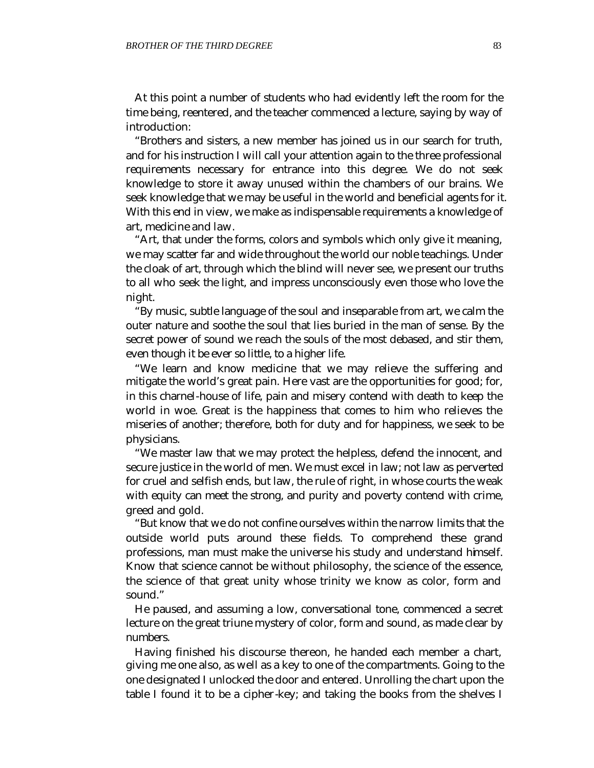At this point a number of students who had evidently left the room for the time being, reentered, and the teacher commenced a lecture, saying by way of introduction:

"Brothers and sisters, a new member has joined us in our search for truth, and for his instruction I will call your attention again to the three professional requirements necessary for entrance into this degree. We do not seek knowledge to store it away unused within the chambers of our brains. We seek knowledge that we may be useful in the world and beneficial agents for it. With this end in view, we make as indispensable requirements a knowledge of art, medicine and law.

"Art, that under the forms, colors and symbols which only give it meaning, we may scatter far and wide throughout the world our noble teachings. Under the cloak of art, through which the blind will never see, we present our truths to all who seek the light, and impress unconsciously even those who love the night.

"By music, subtle language of the soul and inseparable from art, we calm the outer nature and soothe the soul that lies buried in the man of sense. By the secret power of sound we reach the souls of the most debased, and stir them, even though it be ever so little, to a higher life.

"We learn and know medicine that we may relieve the suffering and mitigate the world's great pain. Here vast are the opportunities for good; for, in this charnel-house of life, pain and misery contend with death to keep the world in woe. Great is the happiness that comes to him who relieves the miseries of another; therefore, both for duty and for happiness, we seek to be physicians.

"We master law that we may protect the helpless, defend the innocent, and secure justice in the world of men. We must excel in law; not law as perverted for cruel and selfish ends, but law, the rule of right, in whose courts the weak with equity can meet the strong, and purity and poverty contend with crime, greed and gold.

"But know that we do not confine ourselves within the narrow limits that the outside world puts around these fields. To comprehend these grand professions, man must make the universe his study and understand himself. Know that science cannot be without philosophy, the science of the essence, the science of that great unity whose trinity we know as color, form and sound."

He paused, and assuming a low, conversational tone, commenced a secret lecture on the great triune mystery of color, form and sound, as made clear by numbers.

Having finished his discourse thereon, he handed each member a chart, giving me one also, as well as a key to one of the compartments. Going to the one designated I unlocked the door and entered. Unrolling the chart upon the table I found it to be a cipher-key; and taking the books from the shelves I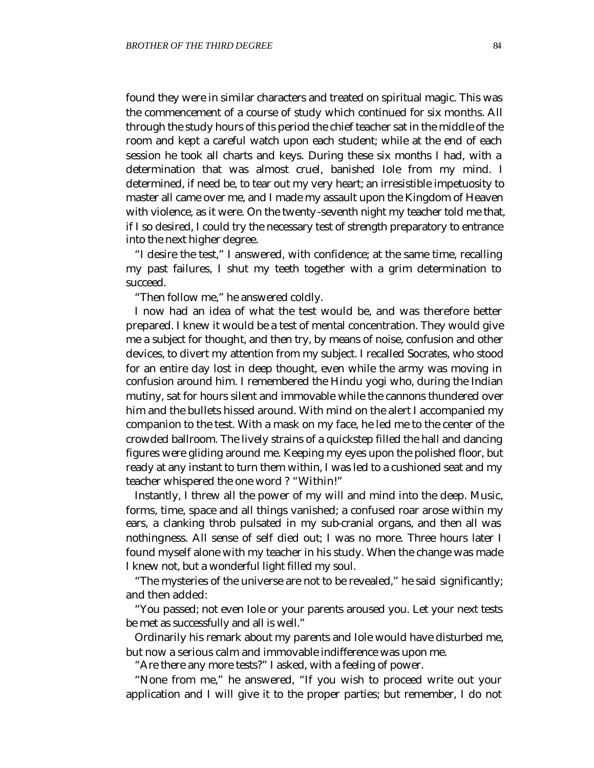found they were in similar characters and treated on spiritual magic. This was the commencement of a course of study which continued for six months. All through the study hours of this period the chief teacher sat in the middle of the room and kept a careful watch upon each student; while at the end of each session he took all charts and keys. During these six months I had, with a determination that was almost cruel, banished Iole from my mind. I determined, if need be, to tear out my very heart; an irresistible impetuosity to master all came over me, and I made my assault upon the Kingdom of Heaven with violence, as it were. On the twenty-seventh night my teacher told me that, if I so desired, I could try the necessary test of strength preparatory to entrance into the next higher degree.

"I desire the test," I answered, with confidence; at the same time, recalling my past failures, I shut my teeth together with a grim determination to succeed.

"Then follow me," he answered coldly.

I now had an idea of what the test would be, and was therefore better prepared. I knew it would be a test of mental concentration. They would give me a subject for thought, and then try, by means of noise, confusion and other devices, to divert my attention from my subject. I recalled Socrates, who stood for an entire day lost in deep thought, even while the army was moving in confusion around him. I remembered the Hindu yogi who, during the Indian mutiny, sat for hours silent and immovable while the cannons thundered over him and the bullets hissed around. With mind on the alert I accompanied my companion to the test. With a mask on my face, he led me to the center of the crowded ballroom. The lively strains of a quickstep filled the hall and dancing figures were gliding around me. Keeping my eyes upon the polished floor, but ready at any instant to turn them within, I was led to a cushioned seat and my teacher whispered the one word ? "Within!"

Instantly, I threw all the power of my will and mind into the deep. Music, forms, time, space and all things vanished; a confused roar arose within my ears, a clanking throb pulsated in my sub-cranial organs, and then all was nothingness. All sense of self died out; I was no more. Three hours later I found myself alone with my teacher in his study. When the change was made I knew not, but a wonderful light filled my soul.

"The mysteries of the universe are not to be revealed," he said significantly; and then added:

"You passed; not even Iole or your parents aroused you. Let your next tests be met as successfully and all is well."

Ordinarily his remark about my parents and Iole would have disturbed me, but now a serious calm and immovable indifference was upon me.

"Are there any more tests?" I asked, with a feeling of power.

"None from me," he answered, "If you wish to proceed write out your application and I will give it to the proper parties; but remember, I do not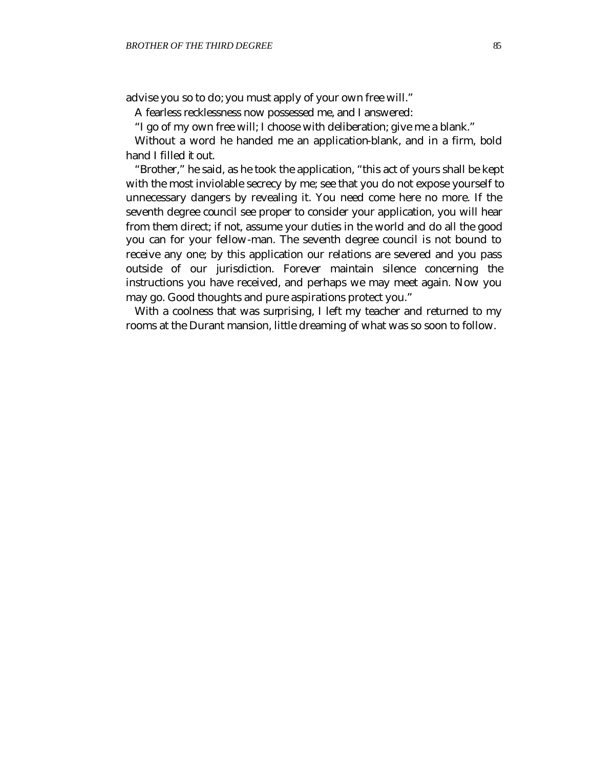advise you so to do; you must apply of your own free will."

A fearless recklessness now possessed me, and I answered:

"I go of my own free will; I choose with deliberation; give me a blank."

Without a word he handed me an application-blank, and in a firm, bold hand I filled it out.

"Brother," he said, as he took the application, "this act of yours shall be kept with the most inviolable secrecy by me; see that you do not expose yourself to unnecessary dangers by revealing it. You need come here no more. If the seventh degree council see proper to consider your application, you will hear from them direct; if not, assume your duties in the world and do all the good you can for your fellow-man. The seventh degree council is not bound to receive any one; by this application our relations are severed and you pass outside of our jurisdiction. Forever maintain silence concerning the instructions you have received, and perhaps we may meet again. Now you may go. Good thoughts and pure aspirations protect you."

With a coolness that was surprising, I left my teacher and returned to my rooms at the Durant mansion, little dreaming of what was so soon to follow.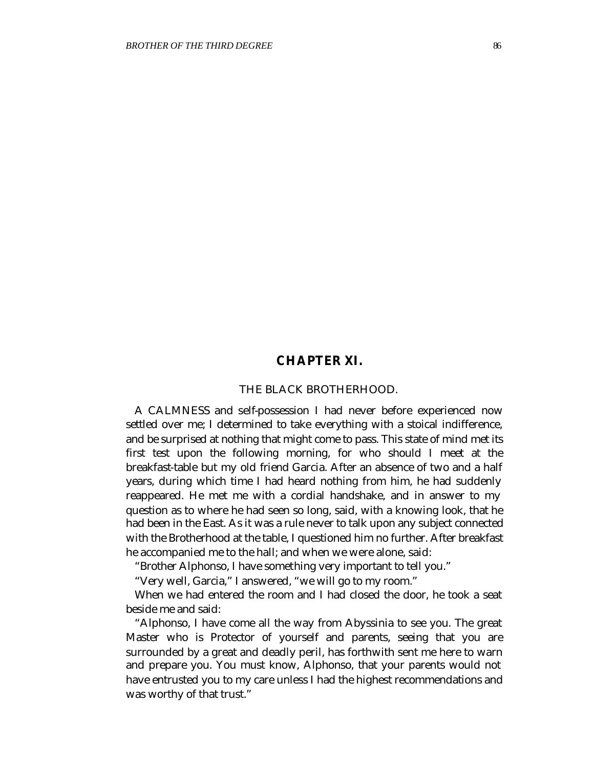## **CHAPTER XI.**

### THE BLACK BROTHERHOOD.

A CALMNESS and self-possession I had never before experienced now settled over me; I determined to take everything with a stoical indifference, and be surprised at nothing that might come to pass. This state of mind met its first test upon the following morning, for who should I meet at the breakfast-table but my old friend Garcia. After an absence of two and a half years, during which time I had heard nothing from him, he had suddenly reappeared. He met me with a cordial handshake, and in answer to my question as to where he had seen so long, said, with a knowing look, that he had been in the East. As it was a rule never to talk upon any subject connected with the Brotherhood at the table, I questioned him no further. After breakfast he accompanied me to the hall; and when we were alone, said:

"Brother Alphonso, I have something very important to tell you."

"Very well, Garcia," I answered, "we will go to my room."

When we had entered the room and I had closed the door, he took a seat beside me and said:

"Alphonso, I have come all the way from Abyssinia to see you. The great Master who is Protector of yourself and parents, seeing that you are surrounded by a great and deadly peril, has forthwith sent me here to warn and prepare you. You must know, Alphonso, that your parents would not have entrusted you to my care unless I had the highest recommendations and was worthy of that trust."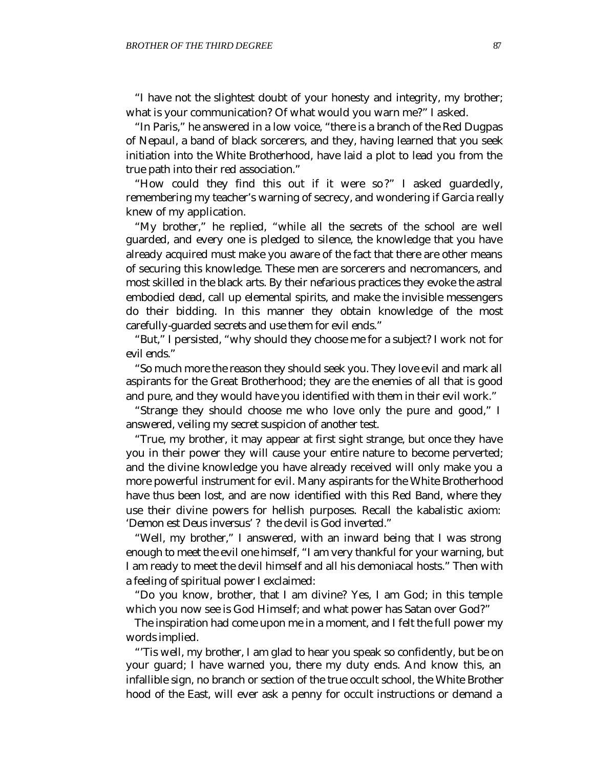"I have not the slightest doubt of your honesty and integrity, my brother; what is your communication? Of what would you warn me?" I asked.

"In Paris," he answered in a low voice, "there is a branch of the Red Dugpas of Nepaul, a band of black sorcerers, and they, having learned that you seek initiation into the White Brotherhood, have laid a plot to lead you from the true path into their red association."

"How could they find this out if it were so?" I asked guardedly, remembering my teacher's warning of secrecy, and wondering if Garcia really knew of my application.

"My brother," he replied, "while all the secrets of the school are well guarded, and every one is pledged to silence, the knowledge that you have already acquired must make you aware of the fact that there are other means of securing this knowledge. These men are sorcerers and necromancers, and most skilled in the black arts. By their nefarious practices they evoke the astral embodied dead, call up elemental spirits, and make the invisible messengers do their bidding. In this manner they obtain knowledge of the most carefully-guarded secrets and use them for evil ends."

"But," I persisted, "why should they choose me for a subject? I work not for evil ends."

"So much more the reason they should seek you. They love evil and mark all aspirants for the Great Brotherhood; they are the enemies of all that is good and pure, and they would have you identified with them in their evil work."

"Strange they should choose me who love only the pure and good," I answered, veiling my secret suspicion of another test.

"True, my brother, it may appear at first sight strange, but once they have you in their power they will cause your entire nature to become perverted; and the divine knowledge you have already received will only make you a more powerful instrument for evil. Many aspirants for the White Brotherhood have thus been lost, and are now identified with this Red Band, where they use their divine powers for hellish purposes. Recall the kabalistic axiom: 'Demon est Deus inversus' ? the devil is God inverted."

"Well, my brother," I answered, with an inward being that I was strong enough to meet the evil one himself, "I am very thankful for your warning, but I am ready to meet the devil himself and all his demoniacal hosts." Then with a feeling of spiritual power I exclaimed:

"Do you know, brother, that I am divine? Yes, I am God; in this temple which you now see is God Himself; and what power has Satan over God?"

The inspiration had come upon me in a moment, and I felt the full power my words implied.

"'Tis well, my brother, I am glad to hear you speak so confidently, but be on your guard; I have warned you, there my duty ends. And know this, an infallible sign, no branch or section of the true occult school, the White Brother hood of the East, will ever ask a penny for occult instructions or demand a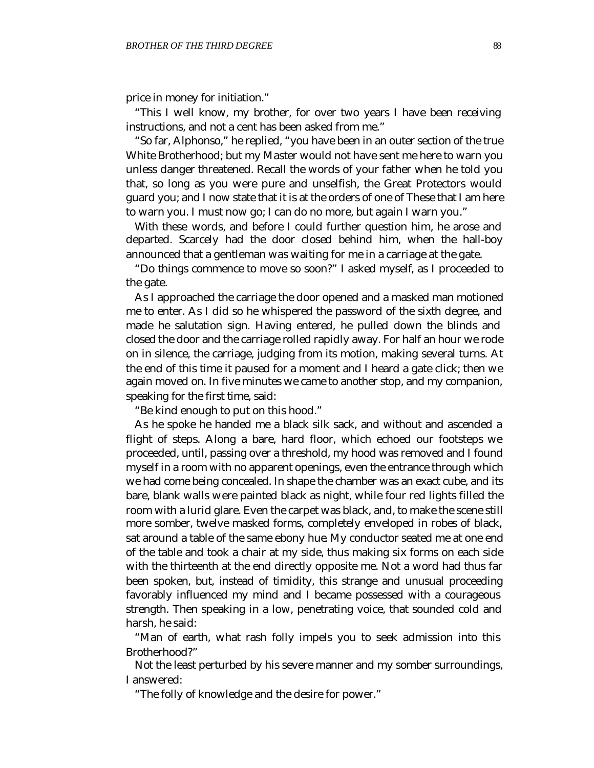price in money for initiation."

"This I well know, my brother, for over two years I have been receiving instructions, and not a cent has been asked from me."

"So far, Alphonso," he replied, "you have been in an outer section of the true White Brotherhood; but my Master would not have sent me here to warn you unless danger threatened. Recall the words of your father when he told you that, so long as you were pure and unselfish, the Great Protectors would guard you; and I now state that it is at the orders of one of These that I am here to warn you. I must now go; I can do no more, but again I warn you."

With these words, and before I could further question him, he arose and departed. Scarcely had the door closed behind him, when the hall-boy announced that a gentleman was waiting for me in a carriage at the gate.

"Do things commence to move so soon?" I asked myself, as I proceeded to the gate.

As I approached the carriage the door opened and a masked man motioned me to enter. As I did so he whispered the password of the sixth degree, and made he salutation sign. Having entered, he pulled down the blinds and closed the door and the carriage rolled rapidly away. For half an hour we rode on in silence, the carriage, judging from its motion, making several turns. At the end of this time it paused for a moment and I heard a gate click; then we again moved on. In five minutes we came to another stop, and my companion, speaking for the first time, said:

"Be kind enough to put on this hood."

As he spoke he handed me a black silk sack, and without and ascended a flight of steps. Along a bare, hard floor, which echoed our footsteps we proceeded, until, passing over a threshold, my hood was removed and I found myself in a room with no apparent openings, even the entrance through which we had come being concealed. In shape the chamber was an exact cube, and its bare, blank walls were painted black as night, while four red lights filled the room with a lurid glare. Even the carpet was black, and, to make the scene still more somber, twelve masked forms, completely enveloped in robes of black, sat around a table of the same ebony hue. My conductor seated me at one end of the table and took a chair at my side, thus making six forms on each side with the thirteenth at the end directly opposite me. Not a word had thus far been spoken, but, instead of timidity, this strange and unusual proceeding favorably influenced my mind and I became possessed with a courageous strength. Then speaking in a low, penetrating voice, that sounded cold and harsh, he said:

"Man of earth, what rash folly impels you to seek admission into this Brotherhood?"

Not the least perturbed by his severe manner and my somber surroundings, I answered:

"The folly of knowledge and the desire for power."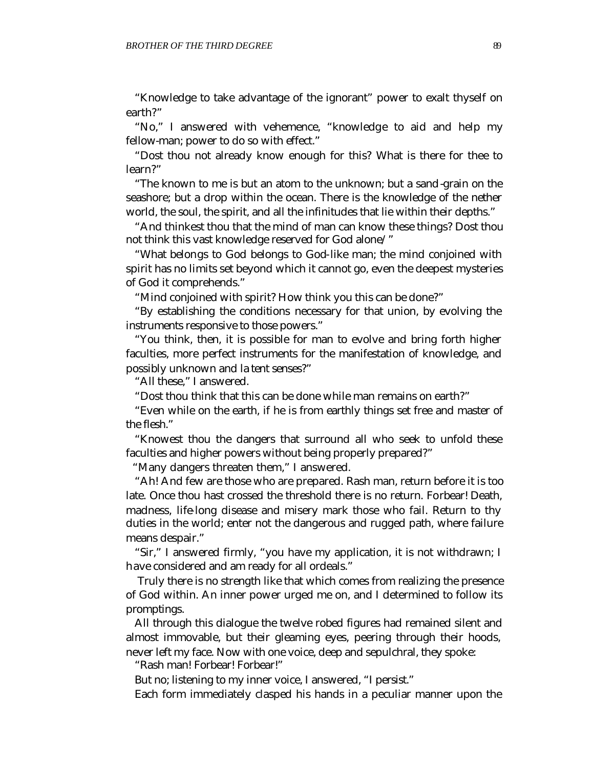"Knowledge to take advantage of the ignorant" power to exalt thyself on earth?"

"No," I answered with vehemence, "knowledge to aid and help my fellow-man; power to do so with effect."

"Dost thou not already know enough for this? What is there for thee to learn?"

"The known to me is but an atom to the unknown; but a sand-grain on the seashore; but a drop within the ocean. There is the knowledge of the nether world, the soul, the spirit, and all the infinitudes that lie within their depths."

"And thinkest thou that the mind of man can know these things? Dost thou not think this vast knowledge reserved for God alone/"

"What belongs to God belongs to God-like man; the mind conjoined with spirit has no limits set beyond which it cannot go, even the deepest mysteries of God it comprehends."

"Mind conjoined with spirit? How think you this can be done?"

"By establishing the conditions necessary for that union, by evolving the instruments responsive to those powers."

"You think, then, it is possible for man to evolve and bring forth higher faculties, more perfect instruments for the manifestation of knowledge, and possibly unknown and la tent senses?"

"All these," I answered.

"Dost thou think that this can be done while man remains on earth?"

"Even while on the earth, if he is from earthly things set free and master of the flesh."

"Knowest thou the dangers that surround all who seek to unfold these faculties and higher powers without being properly prepared?"

"Many dangers threaten them," I answered.

"Ah! And few are those who are prepared. Rash man, return before it is too late. Once thou hast crossed the threshold there is no return. Forbear! Death, madness, life-long disease and misery mark those who fail. Return to thy duties in the world; enter not the dangerous and rugged path, where failure means despair."

"Sir," I answered firmly, "you have my application, it is not withdrawn; I have considered and am ready for all ordeals."

 Truly there is no strength like that which comes from realizing the presence of God within. An inner power urged me on, and I determined to follow its promptings.

All through this dialogue the twelve robed figures had remained silent and almost immovable, but their gleaming eyes, peering through their hoods, never left my face. Now with one voice, deep and sepulchral, they spoke:

"Rash man! Forbear! Forbear!"

But no; listening to my inner voice, I answered, "I persist."

Each form immediately clasped his hands in a peculiar manner upon the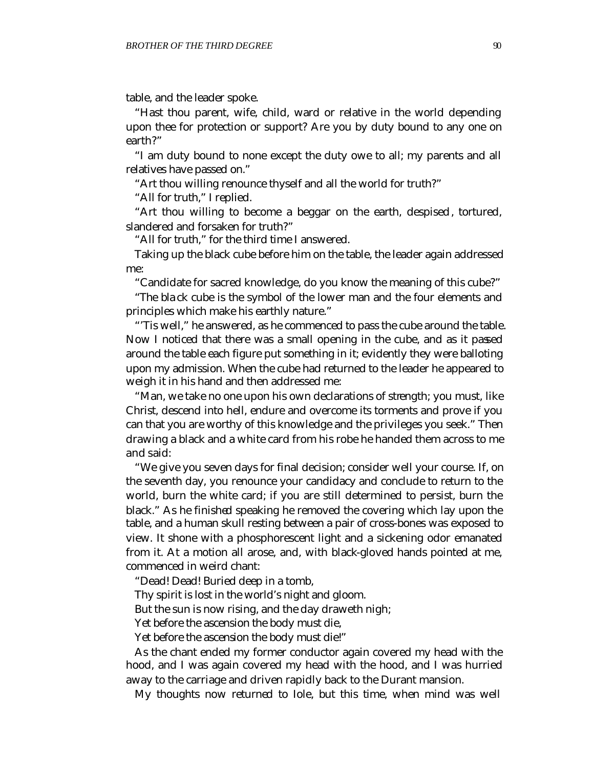table, and the leader spoke.

"Hast thou parent, wife, child, ward or relative in the world depending upon thee for protection or support? Are you by duty bound to any one on earth?"

"I am duty bound to none except the duty owe to all; my parents and all relatives have passed on."

"Art thou willing renounce thyself and all the world for truth?"

"All for truth," I replied.

"Art thou willing to become a beggar on the earth, despised, tortured, slandered and forsaken for truth?"

"All for truth," for the third time I answered.

Taking up the black cube before him on the table, the leader again addressed me:

"Candidate for sacred knowledge, do you know the meaning of this cube?"

"The bla ck cube is the symbol of the lower man and the four elements and principles which make his earthly nature."

"'Tis well," he answered, as he commenced to pass the cube around the table. Now I noticed that there was a small opening in the cube, and as it passed around the table each figure put something in it; evidently they were balloting upon my admission. When the cube had returned to the leader he appeared to weigh it in his hand and then addressed me:

"Man, we take no one upon his own declarations of strength; you must, like Christ, descend into hell, endure and overcome its torments and prove if you can that you are worthy of this knowledge and the privileges you seek." Then drawing a black and a white card from his robe he handed them across to me and said:

"We give you seven days for final decision; consider well your course. If, on the seventh day, you renounce your candidacy and conclude to return to the world, burn the white card; if you are still determined to persist, burn the black." As he finished speaking he removed the covering which lay upon the table, and a human skull resting between a pair of cross-bones was exposed to view. It shone with a phosphorescent light and a sickening odor emanated from it. At a motion all arose, and, with black-gloved hands pointed at me, commenced in weird chant:

"Dead! Dead! Buried deep in a tomb,

Thy spirit is lost in the world's night and gloom.

But the sun is now rising, and the day draweth nigh;

Yet before the ascension the body must die,

Yet before the ascension the body must die!"

As the chant ended my former conductor again covered my head with the hood, and I was again covered my head with the hood, and I was hurried away to the carriage and driven rapidly back to the Durant mansion.

My thoughts now returned to Iole, but this time, when mind was well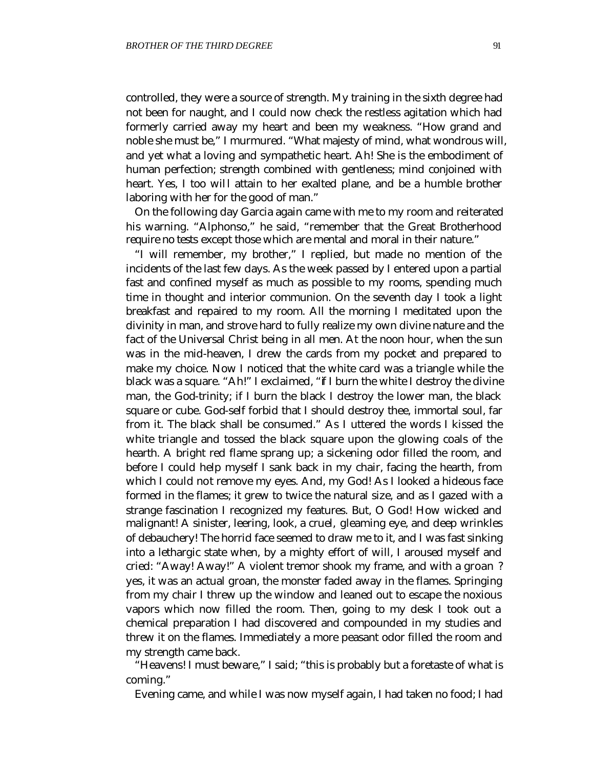controlled, they were a source of strength. My training in the sixth degree had not been for naught, and I could now check the restless agitation which had formerly carried away my heart and been my weakness. "How grand and noble she must be," I murmured. "What majesty of mind, what wondrous will, and yet what a loving and sympathetic heart. Ah! She is the embodiment of human perfection; strength combined with gentleness; mind conjoined with heart. Yes, I too will attain to her exalted plane, and be a humble brother laboring with her for the good of man."

On the following day Garcia again came with me to my room and reiterated his warning. "Alphonso," he said, "remember that the Great Brotherhood require no tests except those which are mental and moral in their nature."

"I will remember, my brother," I replied, but made no mention of the incidents of the last few days. As the week passed by I entered upon a partial fast and confined myself as much as possible to my rooms, spending much time in thought and interior communion. On the seventh day I took a light breakfast and repaired to my room. All the morning I meditated upon the divinity in man, and strove hard to fully realize my own divine nature and the fact of the Universal Christ being in all men. At the noon hour, when the sun was in the mid-heaven, I drew the cards from my pocket and prepared to make my choice. Now I noticed that the white card was a triangle while the black was a square. "Ah!" I exclaimed, "**f** I burn the white I destroy the divine man, the God-trinity; if I burn the black I destroy the lower man, the black square or cube. God-self forbid that I should destroy thee, immortal soul, far from it. The black shall be consumed." As I uttered the words I kissed the white triangle and tossed the black square upon the glowing coals of the hearth. A bright red flame sprang up; a sickening odor filled the room, and before I could help myself I sank back in my chair, facing the hearth, from which I could not remove my eyes. And, my God! As I looked a hideous face formed in the flames; it grew to twice the natural size, and as I gazed with a strange fascination I recognized my features. But, O God! How wicked and malignant! A sinister, leering, look, a cruel, gleaming eye, and deep wrinkles of debauchery! The horrid face seemed to draw me to it, and I was fast sinking into a lethargic state when, by a mighty effort of will, I aroused myself and cried: "Away! Away!" A violent tremor shook my frame, and with a groan ? yes, it was an actual groan, the monster faded away in the flames. Springing from my chair I threw up the window and leaned out to escape the noxious vapors which now filled the room. Then, going to my desk I took out a chemical preparation I had discovered and compounded in my studies and threw it on the flames. Immediately a more peasant odor filled the room and my strength came back.

"Heavens! I must beware," I said; "this is probably but a foretaste of what is coming."

Evening came, and while I was now myself again, I had taken no food; I had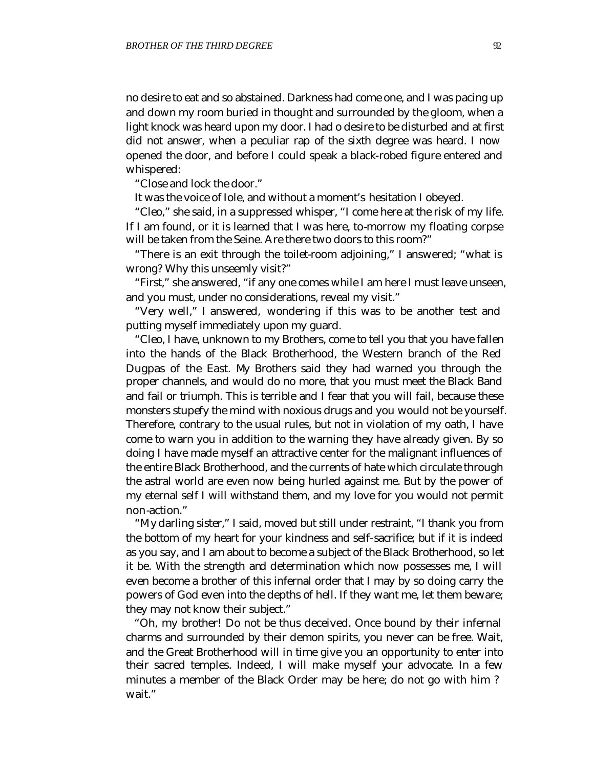no desire to eat and so abstained. Darkness had come one, and I was pacing up and down my room buried in thought and surrounded by the gloom, when a light knock was heard upon my door. I had o desire to be disturbed and at first did not answer, when a peculiar rap of the sixth degree was heard. I now opened the door, and before I could speak a black-robed figure entered and whispered:

"Close and lock the door."

It was the voice of Iole, and without a moment's hesitation I obeyed.

"Cleo," she said, in a suppressed whisper, "I come here at the risk of my life. If I am found, or it is learned that I was here, to-morrow my floating corpse will be taken from the Seine. Are there two doors to this room?"

"There is an exit through the toilet-room adjoining," I answered; "what is wrong? Why this unseemly visit?"

"First," she answered, "if any one comes while I am here I must leave unseen, and you must, under no considerations, reveal my visit."

"Very well," I answered, wondering if this was to be another test and putting myself immediately upon my guard.

"Cleo, I have, unknown to my Brothers, come to tell you that you have fallen into the hands of the Black Brotherhood, the Western branch of the Red Dugpas of the East. My Brothers said they had warned you through the proper channels, and would do no more, that you must meet the Black Band and fail or triumph. This is terrible and I fear that you will fail, because these monsters stupefy the mind with noxious drugs and you would not be yourself. Therefore, contrary to the usual rules, but not in violation of my oath, I have come to warn you in addition to the warning they have already given. By so doing I have made myself an attractive center for the malignant influences of the entire Black Brotherhood, and the currents of hate which circulate through the astral world are even now being hurled against me. But by the power of my eternal self I will withstand them, and my love for you would not permit non-action."

"My darling sister," I said, moved but still under restraint, "I thank you from the bottom of my heart for your kindness and self-sacrifice; but if it is indeed as you say, and I am about to become a subject of the Black Brotherhood, so let it be. With the strength and determination which now possesses me, I will even become a brother of this infernal order that I may by so doing carry the powers of God even into the depths of hell. If they want me, let them beware; they may not know their subject."

 "Oh, my brother! Do not be thus deceived. Once bound by their infernal charms and surrounded by their demon spirits, you never can be free. Wait, and the Great Brotherhood will in time give you an opportunity to enter into their sacred temples. Indeed, I will make myself your advocate. In a few minutes a member of the Black Order may be here; do not go with him ? wait."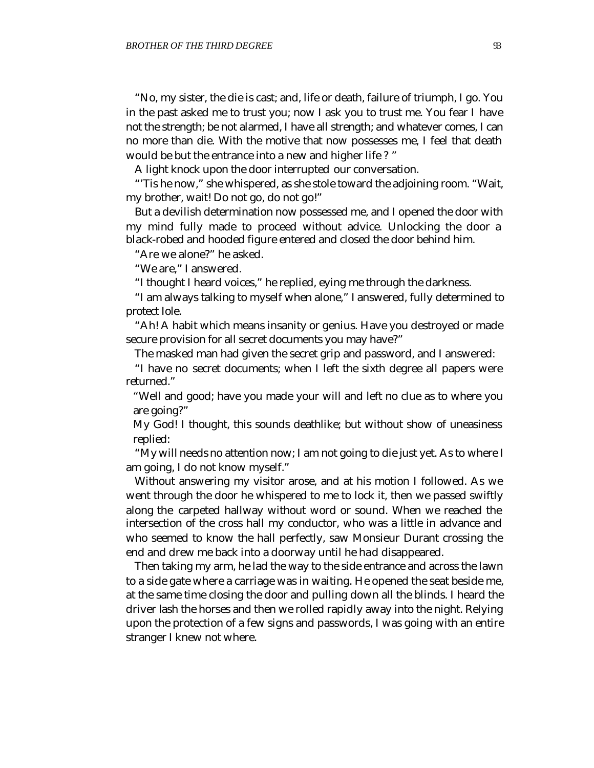"No, my sister, the die is cast; and, life or death, failure of triumph, I go. You in the past asked me to trust you; now I ask you to trust me. You fear I have not the strength; be not alarmed, I have all strength; and whatever comes, I can no more than die. With the motive that now possesses me, I feel that death would be but the entrance into a new and higher life ? "

A light knock upon the door interrupted our conversation.

"'Tis he now," she whispered, as she stole toward the adjoining room. "Wait, my brother, wait! Do not go, do not go!"

But a devilish determination now possessed me, and I opened the door with my mind fully made to proceed without advice. Unlocking the door a black-robed and hooded figure entered and closed the door behind him.

"Are we alone?" he asked.

"We are," I answered.

"I thought I heard voices," he replied, eying me through the darkness.

"I am always talking to myself when alone," I answered, fully determined to protect Iole.

"Ah! A habit which means insanity or genius. Have you destroyed or made secure provision for all secret documents you may have?"

The masked man had given the secret grip and password, and I answered:

"I have no secret documents; when I left the sixth degree all papers were returned."

"Well and good; have you made your will and left no clue as to where you are going?"

My God! I thought, this sounds deathlike; but without show of uneasiness replied:

"My will needs no attention now; I am not going to die just yet. As to where I am going, I do not know myself."

Without answering my visitor arose, and at his motion I followed. As we went through the door he whispered to me to lock it, then we passed swiftly along the carpeted hallway without word or sound. When we reached the intersection of the cross hall my conductor, who was a little in advance and who seemed to know the hall perfectly, saw Monsieur Durant crossing the end and drew me back into a doorway until he had disappeared.

Then taking my arm, he lad the way to the side entrance and across the lawn to a side gate where a carriage was in waiting. He opened the seat beside me, at the same time closing the door and pulling down all the blinds. I heard the driver lash the horses and then we rolled rapidly away into the night. Relying upon the protection of a few signs and passwords, I was going with an entire stranger I knew not where.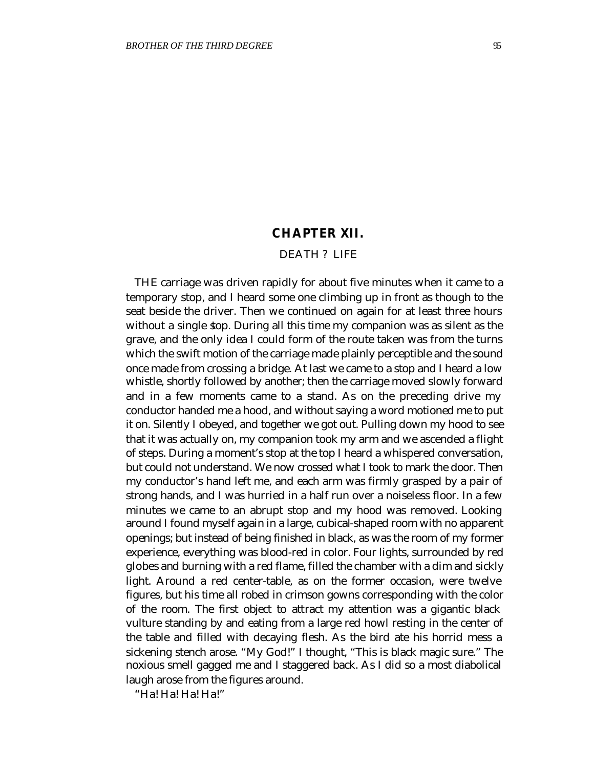### **CHAPTER XII.**

#### DEATH ? LIFE

THE carriage was driven rapidly for about five minutes when it came to a temporary stop, and I heard some one climbing up in front as though to the seat beside the driver. Then we continued on again for at least three hours without a single stop. During all this time my companion was as silent as the grave, and the only idea I could form of the route taken was from the turns which the swift motion of the carriage made plainly perceptible and the sound once made from crossing a bridge. At last we came to a stop and I heard a low whistle, shortly followed by another; then the carriage moved slowly forward and in a few moments came to a stand. As on the preceding drive my conductor handed me a hood, and without saying a word motioned me to put it on. Silently I obeyed, and together we got out. Pulling down my hood to see that it was actually on, my companion took my arm and we ascended a flight of steps. During a moment's stop at the top I heard a whispered conversation, but could not understand. We now crossed what I took to mark the door. Then my conductor's hand left me, and each arm was firmly grasped by a pair of strong hands, and I was hurried in a half run over a noiseless floor. In a few minutes we came to an abrupt stop and my hood was removed. Looking around I found myself again in a large, cubical-shaped room with no apparent openings; but instead of being finished in black, as was the room of my former experience, everything was blood-red in color. Four lights, surrounded by red globes and burning with a red flame, filled the chamber with a dim and sickly light. Around a red center-table, as on the former occasion, were twelve figures, but his time all robed in crimson gowns corresponding with the color of the room. The first object to attract my attention was a gigantic black vulture standing by and eating from a large red howl resting in the center of the table and filled with decaying flesh. As the bird ate his horrid mess a sickening stench arose. "My God!" I thought, "This is black magic sure." The noxious smell gagged me and I staggered back. As I did so a most diabolical laugh arose from the figures around.

"Ha! Ha! Ha! Ha!"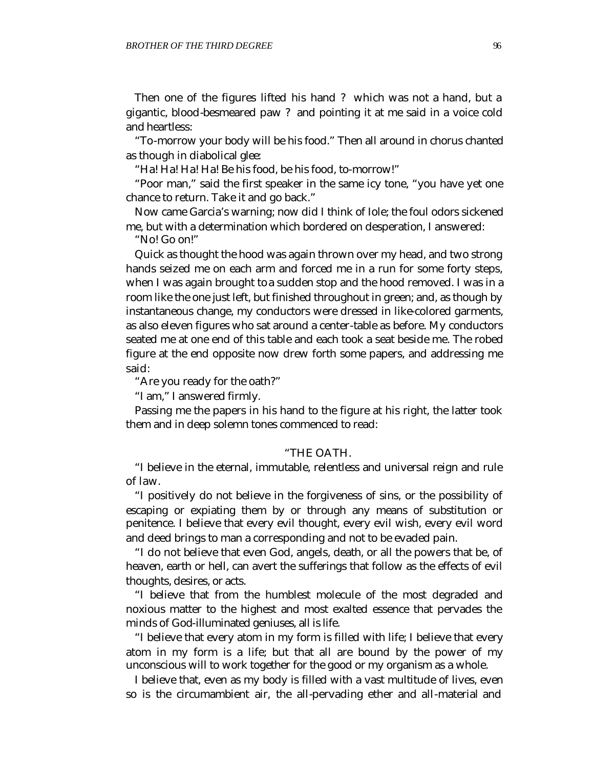Then one of the figures lifted his hand ? which was not a hand, but a gigantic, blood-besmeared paw ? and pointing it at me said in a voice cold and heartless:

"To-morrow your body will be his food." Then all around in chorus chanted as though in diabolical glee:

"Ha! Ha! Ha! Ha! Be his food, be his food, to-morrow!"

"Poor man," said the first speaker in the same icy tone, "you have yet one chance to return. Take it and go back."

Now came Garcia's warning; now did I think of Iole; the foul odors sickened me, but with a determination which bordered on desperation, I answered:

"No! Go on!"

Quick as thought the hood was again thrown over my head, and two strong hands seized me on each arm and forced me in a run for some forty steps, when I was again brought to a sudden stop and the hood removed. I was in a room like the one just left, but finished throughout in green; and, as though by instantaneous change, my conductors were dressed in like-colored garments, as also eleven figures who sat around a center-table as before. My conductors seated me at one end of this table and each took a seat beside me. The robed figure at the end opposite now drew forth some papers, and addressing me said:

"Are you ready for the oath?"

"I am," I answered firmly.

Passing me the papers in his hand to the figure at his right, the latter took them and in deep solemn tones commenced to read:

### "THE OATH.

"I believe in the eternal, immutable, relentless and universal reign and rule of law.

"I positively do not believe in the forgiveness of sins, or the possibility of escaping or expiating them by or through any means of substitution or penitence. I believe that every evil thought, every evil wish, every evil word and deed brings to man a corresponding and not to be evaded pain.

"I do not believe that even God, angels, death, or all the powers that be, of heaven, earth or hell, can avert the sufferings that follow as the effects of evil thoughts, desires, or acts.

"I believe that from the humblest molecule of the most degraded and noxious matter to the highest and most exalted essence that pervades the minds of God-illuminated geniuses, all is life.

"I believe that every atom in my form is filled with life; I believe that every atom in my form is a life; but that all are bound by the power of my unconscious will to work together for the good or my organism as a whole.

I believe that, even as my body is filled with a vast multitude of lives, even so is the circumambient air, the all-pervading ether and all-material and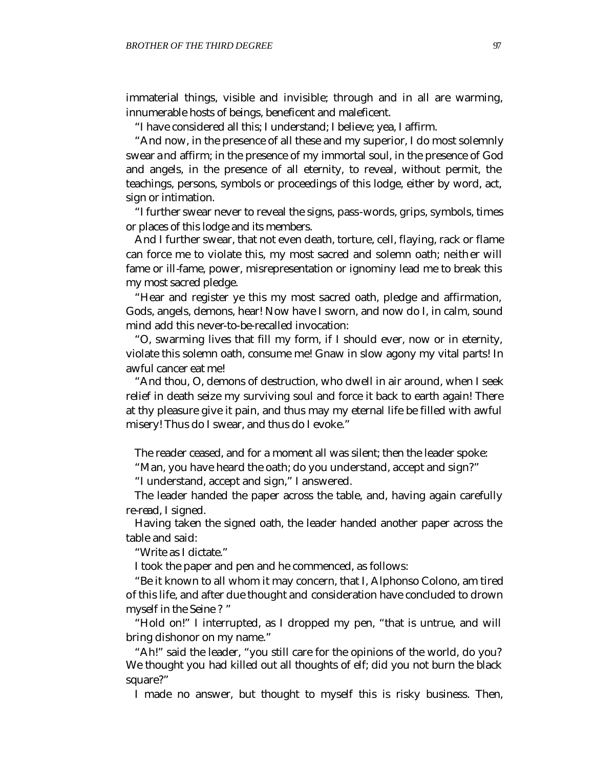immaterial things, visible and invisible; through and in all are warming, innumerable hosts of beings, beneficent and maleficent.

"I have considered all this; I understand; I believe; yea, I affirm.

"And now, in the presence of all these and my superior, I do most solemnly swear and affirm; in the presence of my immortal soul, in the presence of God and angels, in the presence of all eternity, to reveal, without permit, the teachings, persons, symbols or proceedings of this lodge, either by word, act, sign or intimation.

"I further swear never to reveal the signs, pass-words, grips, symbols, times or places of this lodge and its members.

And I further swear, that not even death, torture, cell, flaying, rack or flame can force me to violate this, my most sacred and solemn oath; neither will fame or ill-fame, power, misrepresentation or ignominy lead me to break this my most sacred pledge.

"Hear and register ye this my most sacred oath, pledge and affirmation, Gods, angels, demons, hear! Now have I sworn, and now do I, in calm, sound mind add this never-to-be-recalled invocation:

"O, swarming lives that fill my form, if I should ever, now or in eternity, violate this solemn oath, consume me! Gnaw in slow agony my vital parts! In awful cancer eat me!

"And thou, O, demons of destruction, who dwell in air around, when I seek relief in death seize my surviving soul and force it back to earth again! There at thy pleasure give it pain, and thus may my eternal life be filled with awful misery! Thus do I swear, and thus do I evoke."

The reader ceased, and for a moment all was silent; then the leader spoke:

"Man, you have heard the oath; do you understand, accept and sign?"

"I understand, accept and sign," I answered.

The leader handed the paper across the table, and, having again carefully re-read, I signed.

Having taken the signed oath, the leader handed another paper across the table and said:

"Write as I dictate."

I took the paper and pen and he commenced, as follows:

"Be it known to all whom it may concern, that I, Alphonso Colono, am tired of this life, and after due thought and consideration have concluded to drown myself in the Seine ? "

"Hold on!" I interrupted, as I dropped my pen, "that is untrue, and will bring dishonor on my name."

"Ah!" said the leader, "you still care for the opinions of the world, do you? We thought you had killed out all thoughts of elf; did you not burn the black square?"

I made no answer, but thought to myself this is risky business. Then,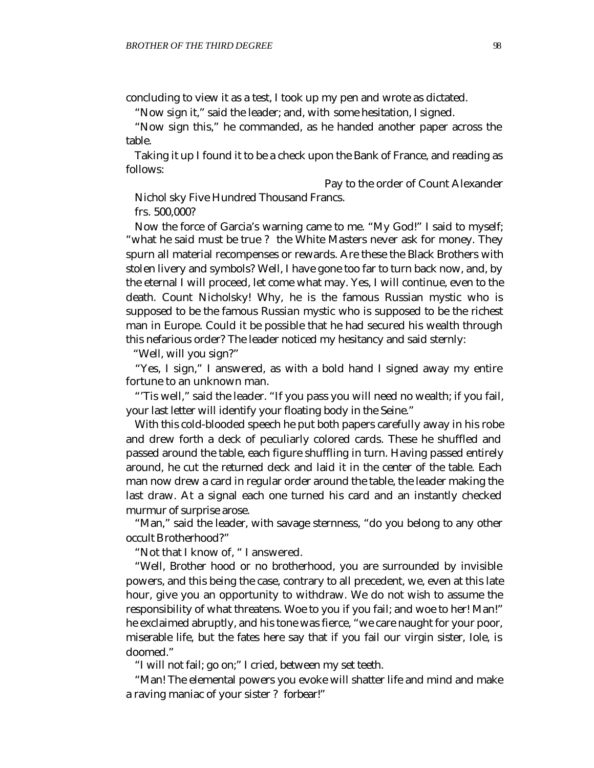concluding to view it as a test, I took up my pen and wrote as dictated.

"Now sign it," said the leader; and, with some hesitation, I signed.

"Now sign this," he commanded, as he handed another paper across the table.

Taking it up I found it to be a check upon the Bank of France, and reading as follows:

Pay to the order of Count Alexander

Nichol sky Five Hundred Thousand Francs. frs. 500,000?

Now the force of Garcia's warning came to me. "My God!" I said to myself; "what he said must be true ? the White Masters never ask for money. They spurn all material recompenses or rewards. Are these the Black Brothers with stolen livery and symbols? Well, I have gone too far to turn back now, and, by the eternal I will proceed, let come what may. Yes, I will continue, even to the death. Count Nicholsky! Why, he is the famous Russian mystic who is supposed to be the famous Russian mystic who is supposed to be the richest man in Europe. Could it be possible that he had secured his wealth through this nefarious order? The leader noticed my hesitancy and said sternly:

"Well, will you sign?"

 "Yes, I sign," I answered, as with a bold hand I signed away my entire fortune to an unknown man.

"'Tis well," said the leader. "If you pass you will need no wealth; if you fail, your last letter will identify your floating body in the Seine."

With this cold-blooded speech he put both papers carefully away in his robe and drew forth a deck of peculiarly colored cards. These he shuffled and passed around the table, each figure shuffling in turn. Having passed entirely around, he cut the returned deck and laid it in the center of the table. Each man now drew a card in regular order around the table, the leader making the last draw. At a signal each one turned his card and an instantly checked murmur of surprise arose.

"Man," said the leader, with savage sternness, "do you belong to any other occult Brotherhood?"

"Not that I know of, " I answered.

"Well, Brother hood or no brotherhood, you are surrounded by invisible powers, and this being the case, contrary to all precedent, we, even at this late hour, give you an opportunity to withdraw. We do not wish to assume the responsibility of what threatens. Woe to you if you fail; and woe to her! Man!" he exclaimed abruptly, and his tone was fierce, "we care naught for your poor, miserable life, but the fates here say that if you fail our virgin sister, Iole, is doomed."

"I will not fail; go on;" I cried, between my set teeth.

"Man! The elemental powers you evoke will shatter life and mind and make a raving maniac of your sister ? forbear!"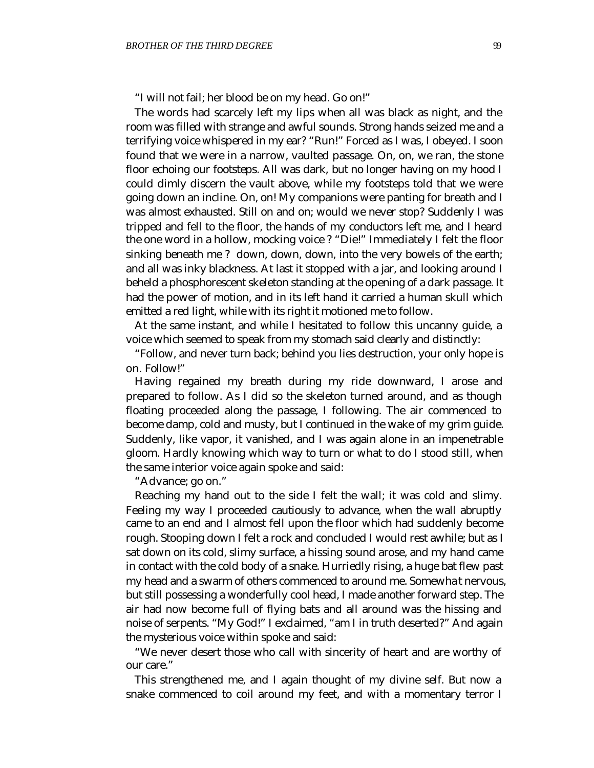"I will not fail; her blood be on my head. Go on!"

The words had scarcely left my lips when all was black as night, and the room was filled with strange and awful sounds. Strong hands seized me and a terrifying voice whispered in my ear? "Run!" Forced as I was, I obeyed. I soon found that we were in a narrow, vaulted passage. On, on, we ran, the stone floor echoing our footsteps. All was dark, but no longer having on my hood I could dimly discern the vault above, while my footsteps told that we were going down an incline. On, on! My companions were panting for breath and I was almost exhausted. Still on and on; would we never stop? Suddenly I was tripped and fell to the floor, the hands of my conductors left me, and I heard the one word in a hollow, mocking voice ? "Die!" Immediately I felt the floor sinking beneath me ? down, down, down, into the very bowels of the earth; and all was inky blackness. At last it stopped with a jar, and looking around I beheld a phosphorescent skeleton standing at the opening of a dark passage. It had the power of motion, and in its left hand it carried a human skull which emitted a red light, while with its right it motioned me to follow.

At the same instant, and while I hesitated to follow this uncanny guide, a voice which seemed to speak from my stomach said clearly and distinctly:

"Follow, and never turn back; behind you lies destruction, your only hope is on. Follow!"

Having regained my breath during my ride downward, I arose and prepared to follow. As I did so the skeleton turned around, and as though floating proceeded along the passage, I following. The air commenced to become damp, cold and musty, but I continued in the wake of my grim guide. Suddenly, like vapor, it vanished, and I was again alone in an impenetrable gloom. Hardly knowing which way to turn or what to do I stood still, when the same interior voice again spoke and said:

"Advance; go on."

Reaching my hand out to the side I felt the wall; it was cold and slimy. Feeling my way I proceeded cautiously to advance, when the wall abruptly came to an end and I almost fell upon the floor which had suddenly become rough. Stooping down I felt a rock and concluded I would rest awhile; but as I sat down on its cold, slimy surface, a hissing sound arose, and my hand came in contact with the cold body of a snake. Hurriedly rising, a huge bat flew past my head and a swarm of others commenced to around me. Somewha t nervous, but still possessing a wonderfully cool head, I made another forward step. The air had now become full of flying bats and all around was the hissing and noise of serpents. "My God!" I exclaimed, "am I in truth deserted?" And again the mysterious voice within spoke and said:

"We never desert those who call with sincerity of heart and are worthy of our care."

This strengthened me, and I again thought of my divine self. But now a snake commenced to coil around my feet, and with a momentary terror I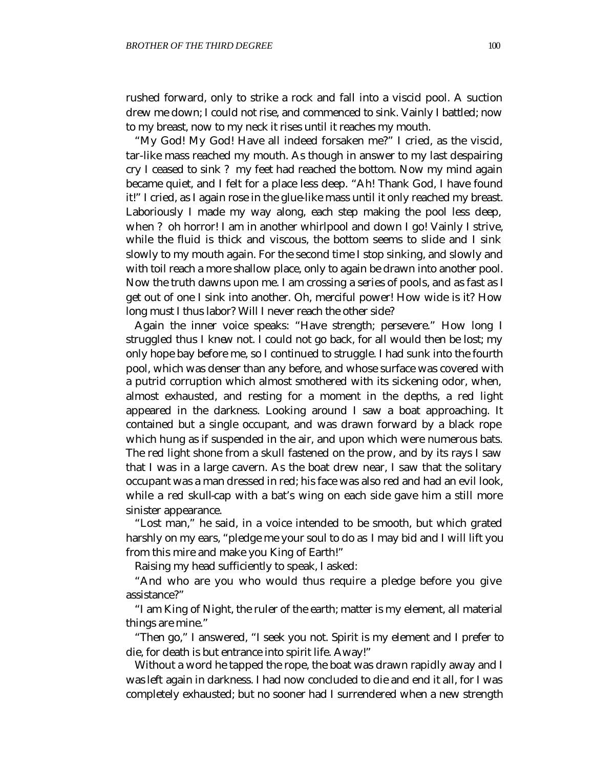rushed forward, only to strike a rock and fall into a viscid pool. A suction drew me down; I could not rise, and commenced to sink. Vainly I battled; now to my breast, now to my neck it rises until it reaches my mouth.

"My God! My God! Have all indeed forsaken me?" I cried, as the viscid, tar-like mass reached my mouth. As though in answer to my last despairing cry I ceased to sink ? my feet had reached the bottom. Now my mind again became quiet, and I felt for a place less deep. "Ah! Thank God, I have found it!" I cried, as I again rose in the glue-like mass until it only reached my breast. Laboriously I made my way along, each step making the pool less deep, when ? oh horror! I am in another whirlpool and down I go! Vainly I strive, while the fluid is thick and viscous, the bottom seems to slide and I sink slowly to my mouth again. For the second time I stop sinking, and slowly and with toil reach a more shallow place, only to again be drawn into another pool. Now the truth dawns upon me. I am crossing a series of pools, and as fast as I get out of one I sink into another. Oh, merciful power! How wide is it? How long must I thus labor? Will I never reach the other side?

Again the inner voice speaks: "Have strength; persevere." How long I struggled thus I knew not. I could not go back, for all would then be lost; my only hope bay before me, so I continued to struggle. I had sunk into the fourth pool, which was denser than any before, and whose surface was covered with a putrid corruption which almost smothered with its sickening odor, when, almost exhausted, and resting for a moment in the depths, a red light appeared in the darkness. Looking around I saw a boat approaching. It contained but a single occupant, and was drawn forward by a black rope which hung as if suspended in the air, and upon which were numerous bats. The red light shone from a skull fastened on the prow, and by its rays I saw that I was in a large cavern. As the boat drew near, I saw that the solitary occupant was a man dressed in red; his face was also red and had an evil look, while a red skull-cap with a bat's wing on each side gave him a still more sinister appearance.

"Lost man," he said, in a voice intended to be smooth, but which grated harshly on my ears, "pledge me your soul to do as I may bid and I will lift you from this mire and make you King of Earth!"

Raising my head sufficiently to speak, I asked:

"And who are you who would thus require a pledge before you give assistance?"

"I am King of Night, the ruler of the earth; matter is my element, all material things are mine."

"Then go," I answered, "I seek you not. Spirit is my element and I prefer to die, for death is but entrance into spirit life. Away!"

Without a word he tapped the rope, the boat was drawn rapidly away and I was left again in darkness. I had now concluded to die and end it all, for I was completely exhausted; but no sooner had I surrendered when a new strength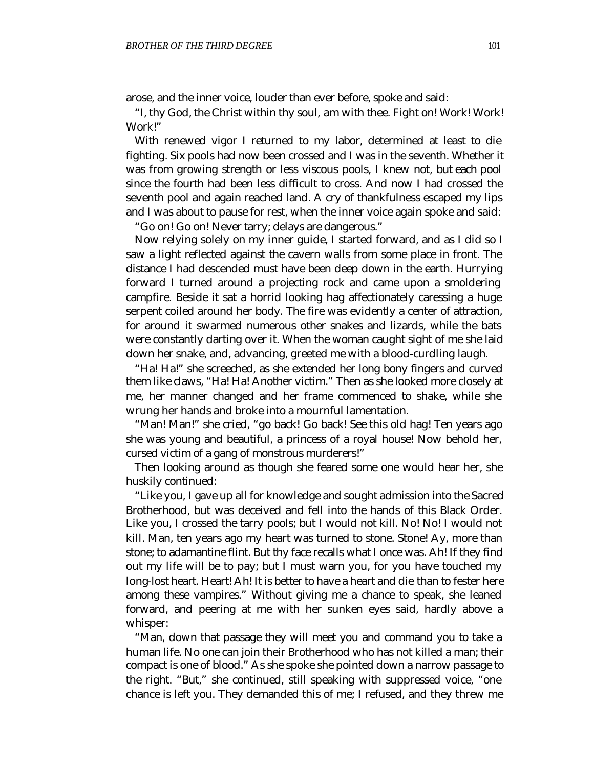arose, and the inner voice, louder than ever before, spoke and said:

"I, thy God, the Christ within thy soul, am with thee. Fight on! Work! Work! Work!"

With renewed vigor I returned to my labor, determined at least to die fighting. Six pools had now been crossed and I was in the seventh. Whether it was from growing strength or less viscous pools, I knew not, but each pool since the fourth had been less difficult to cross. And now I had crossed the seventh pool and again reached land. A cry of thankfulness escaped my lips and I was about to pause for rest, when the inner voice again spoke and said:

"Go on! Go on! Never tarry; delays are dangerous."

Now relying solely on my inner guide, I started forward, and as I did so I saw a light reflected against the cavern walls from some place in front. The distance I had descended must have been deep down in the earth. Hurrying forward I turned around a projecting rock and came upon a smoldering campfire. Beside it sat a horrid looking hag affectionately caressing a huge serpent coiled around her body. The fire was evidently a center of attraction, for around it swarmed numerous other snakes and lizards, while the bats were constantly darting over it. When the woman caught sight of me she laid down her snake, and, advancing, greeted me with a blood-curdling laugh.

"Ha! Ha!" she screeched, as she extended her long bony fingers and curved them like claws, "Ha! Ha! Another victim." Then as she looked more closely at me, her manner changed and her frame commenced to shake, while she wrung her hands and broke into a mournful lamentation.

"Man! Man!" she cried, "go back! Go back! See this old hag! Ten years ago she was young and beautiful, a princess of a royal house! Now behold her, cursed victim of a gang of monstrous murderers!"

Then looking around as though she feared some one would hear her, she huskily continued:

"Like you, I gave up all for knowledge and sought admission into the Sacred Brotherhood, but was deceived and fell into the hands of this Black Order. Like you, I crossed the tarry pools; but I would not kill. No! No! I would not kill. Man, ten years ago my heart was turned to stone. Stone! Ay, more than stone; to adamantine flint. But thy face recalls what I once was. Ah! If they find out my life will be to pay; but I must warn you, for you have touched my long-lost heart. Heart! Ah! It is better to have a heart and die than to fester here among these vampires." Without giving me a chance to speak, she leaned forward, and peering at me with her sunken eyes said, hardly above a whisper:

"Man, down that passage they will meet you and command you to take a human life. No one can join their Brotherhood who has not killed a man; their compact is one of blood." As she spoke she pointed down a narrow passage to the right. "But," she continued, still speaking with suppressed voice, "one chance is left you. They demanded this of me; I refused, and they threw me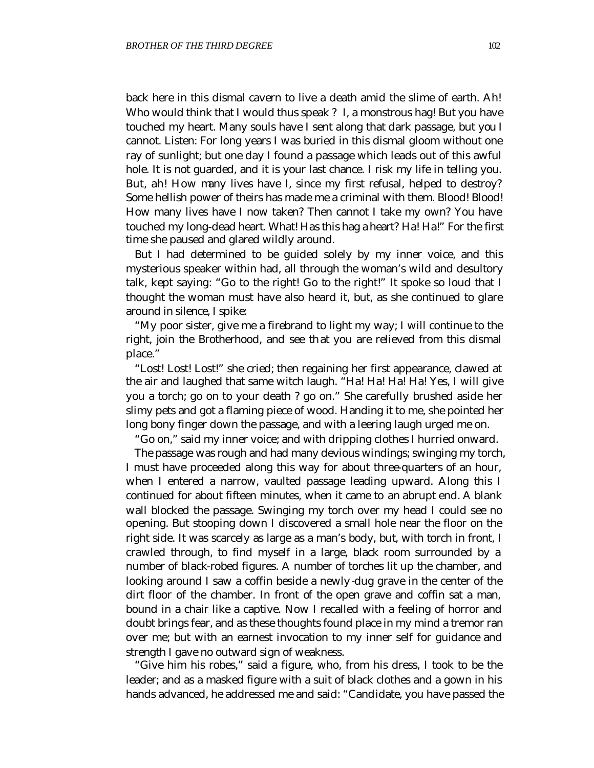back here in this dismal cavern to live a death amid the slime of earth. Ah! Who would think that I would thus speak ? I, a monstrous hag! But you have touched my heart. Many souls have I sent along that dark passage, but you I cannot. Listen: For long years I was buried in this dismal gloom without one ray of sunlight; but one day I found a passage which leads out of this awful hole. It is not guarded, and it is your last chance. I risk my life in telling you. But, ah! How many lives have I, since my first refusal, helped to destroy? Some hellish power of theirs has made me a criminal with them. Blood! Blood! How many lives have I now taken? Then cannot I take my own? You have touched my long-dead heart. What! Has this hag a heart? Ha! Ha!" For the first time she paused and glared wildly around.

But I had determined to be guided solely by my inner voice, and this mysterious speaker within had, all through the woman's wild and desultory talk, kept saying: "Go to the right! Go to the right!" It spoke so loud that I thought the woman must have also heard it, but, as she continued to glare around in silence, I spike:

"My poor sister, give me a firebrand to light my way; I will continue to the right, join the Brotherhood, and see that you are relieved from this dismal place."

"Lost! Lost! Lost!" she cried; then regaining her first appearance, clawed at the air and laughed that same witch laugh. "Ha! Ha! Ha! Ha! Yes, I will give you a torch; go on to your death ? go on." She carefully brushed aside her slimy pets and got a flaming piece of wood. Handing it to me, she pointed her long bony finger down the passage, and with a leering laugh urged me on.

"Go on," said my inner voice; and with dripping clothes I hurried onward.

The passage was rough and had many devious windings; swinging my torch, I must have proceeded along this way for about three-quarters of an hour, when I entered a narrow, vaulted passage leading upward. Along this I continued for about fifteen minutes, when it came to an abrupt end. A blank wall blocked the passage. Swinging my torch over my head I could see no opening. But stooping down I discovered a small hole near the floor on the right side. It was scarcely as large as a man's body, but, with torch in front, I crawled through, to find myself in a large, black room surrounded by a number of black-robed figures. A number of torches lit up the chamber, and looking around I saw a coffin beside a newly-dug grave in the center of the dirt floor of the chamber. In front of the open grave and coffin sat a man, bound in a chair like a captive. Now I recalled with a feeling of horror and doubt brings fear, and as these thoughts found place in my mind a tremor ran over me; but with an earnest invocation to my inner self for guidance and strength I gave no outward sign of weakness.

"Give him his robes," said a figure, who, from his dress, I took to be the leader; and as a masked figure with a suit of black clothes and a gown in his hands advanced, he addressed me and said: "Candidate, you have passed the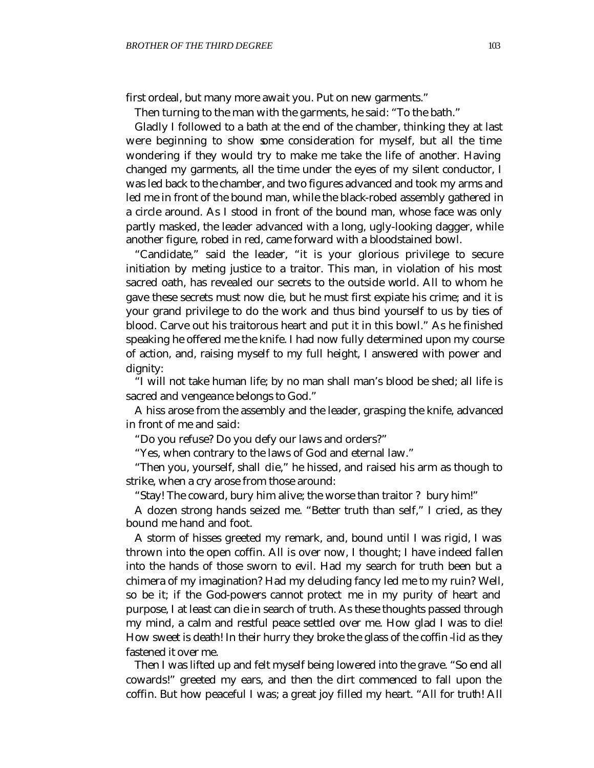first ordeal, but many more await you. Put on new garments."

Then turning to the man with the garments, he said: "To the bath."

Gladly I followed to a bath at the end of the chamber, thinking they at last were beginning to show some consideration for myself, but all the time wondering if they would try to make me take the life of another. Having changed my garments, all the time under the eyes of my silent conductor, I was led back to the chamber, and two figures advanced and took my arms and led me in front of the bound man, while the black-robed assembly gathered in a circle around. As I stood in front of the bound man, whose face was only partly masked, the leader advanced with a long, ugly-looking dagger, while another figure, robed in red, came forward with a bloodstained bowl.

"Candidate," said the leader, "it is your glorious privilege to secure initiation by meting justice to a traitor. This man, in violation of his most sacred oath, has revealed our secrets to the outside world. All to whom he gave these secrets must now die, but he must first expiate his crime; and it is your grand privilege to do the work and thus bind yourself to us by ties of blood. Carve out his traitorous heart and put it in this bowl." As he finished speaking he offered me the knife. I had now fully determined upon my course of action, and, raising myself to my full height, I answered with power and dignity:

"I will not take human life; by no man shall man's blood be shed; all life is sacred and vengeance belongs to God."

A hiss arose from the assembly and the leader, grasping the knife, advanced in front of me and said:

"Do you refuse? Do you defy our laws and orders?"

"Yes, when contrary to the laws of God and eternal law."

"Then you, yourself, shall die," he hissed, and raised his arm as though to strike, when a cry arose from those around:

"Stay! The coward, bury him alive; the worse than traitor ? bury him!"

A dozen strong hands seized me. "Better truth than self," I cried, as they bound me hand and foot.

A storm of hisses greeted my remark, and, bound until I was rigid, I was thrown into the open coffin. All is over now, I thought; I have indeed fallen into the hands of those sworn to evil. Had my search for truth been but a chimera of my imagination? Had my deluding fancy led me to my ruin? Well, so be it; if the God-powers cannot protect me in my purity of heart and purpose, I at least can die in search of truth. As these thoughts passed through my mind, a calm and restful peace settled over me. How glad I was to die! How sweet is death! In their hurry they broke the glass of the coffin -lid as they fastened it over me.

Then I was lifted up and felt myself being lowered into the grave. "So end all cowards!" greeted my ears, and then the dirt commenced to fall upon the coffin. But how peaceful I was; a great joy filled my heart. "All for truth! All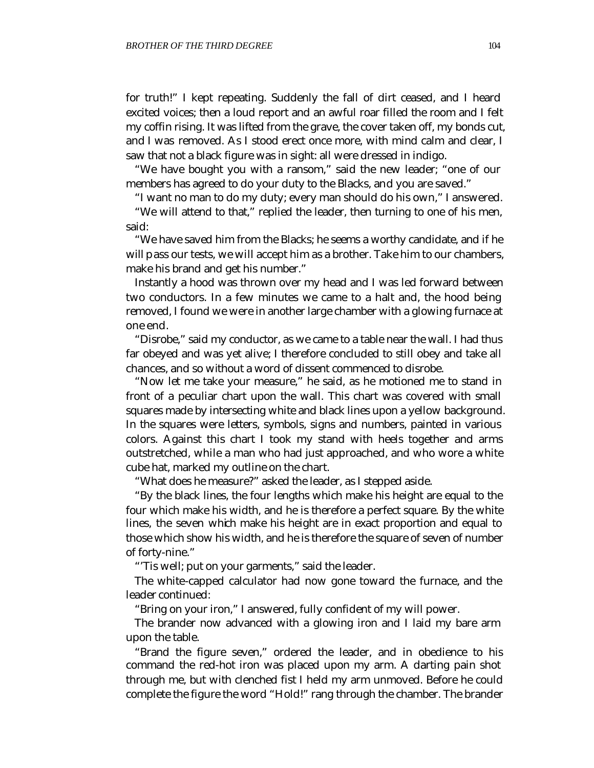for truth!" I kept repeating. Suddenly the fall of dirt ceased, and I heard excited voices; then a loud report and an awful roar filled the room and I felt my coffin rising. It was lifted from the grave, the cover taken off, my bonds cut, and I was removed. As I stood erect once more, with mind calm and clear, I saw that not a black figure was in sight: all were dressed in indigo.

"We have bought you with a ransom," said the new leader; "one of our members has agreed to do your duty to the Blacks, and you are saved."

"I want no man to do my duty; every man should do his own," I answered.

"We will attend to that," replied the leader, then turning to one of his men, said:

"We have saved him from the Blacks; he seems a worthy candidate, and if he will pass our tests, we will accept him as a brother. Take him to our chambers, make his brand and get his number."

Instantly a hood was thrown over my head and I was led forward between two conductors. In a few minutes we came to a halt and, the hood being removed, I found we were in another large chamber with a glowing furnace at one end.

"Disrobe," said my conductor, as we came to a table near the wall. I had thus far obeyed and was yet alive; I therefore concluded to still obey and take all chances, and so without a word of dissent commenced to disrobe.

"Now let me take your measure," he said, as he motioned me to stand in front of a peculiar chart upon the wall. This chart was covered with small squares made by intersecting white and black lines upon a yellow background. In the squares were letters, symbols, signs and numbers, painted in various colors. Against this chart I took my stand with heels together and arms outstretched, while a man who had just approached, and who wore a white cube hat, marked my outline on the chart.

"What does he measure?" asked the leader, as I stepped aside.

"By the black lines, the four lengths which make his height are equal to the four which make his width, and he is therefore a perfect square. By the white lines, the seven which make his height are in exact proportion and equal to those which show his width, and he is therefore the square of seven of number of forty-nine."

"'Tis well; put on your garments," said the leader.

The white-capped calculator had now gone toward the furnace, and the leader continued:

"Bring on your iron," I answered, fully confident of my will power.

The brander now advanced with a glowing iron and I laid my bare arm upon the table.

"Brand the figure seven," ordered the leader, and in obedience to his command the red-hot iron was placed upon my arm. A darting pain shot through me, but with clenched fist I held my arm unmoved. Before he could complete the figure the word "Hold!" rang through the chamber. The brander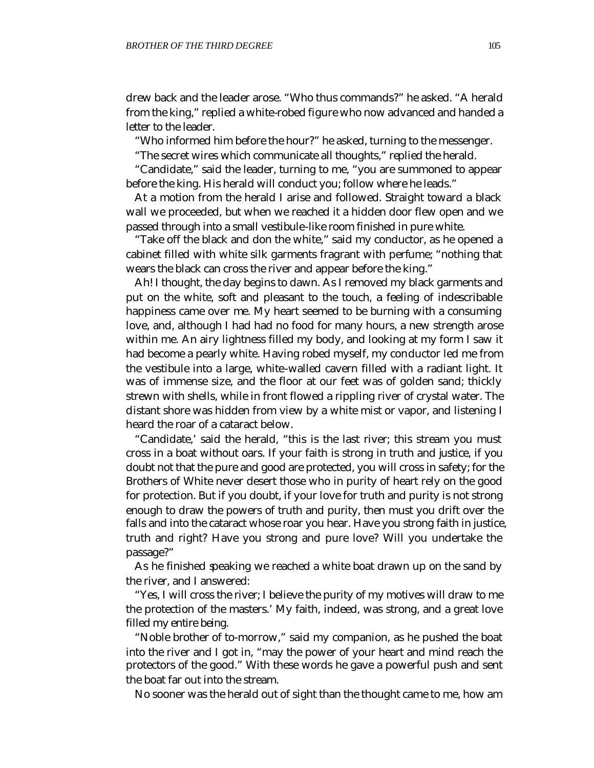drew back and the leader arose. "Who thus commands?" he asked. "A herald from the king," replied a white-robed figure who now advanced and handed a letter to the leader.

"Who informed him before the hour?" he asked, turning to the messenger.

"The secret wires which communicate all thoughts," replied the herald.

"Candidate," said the leader, turning to me, "you are summoned to appear before the king. His herald will conduct you; follow where he leads."

At a motion from the herald I arise and followed. Straight toward a black wall we proceeded, but when we reached it a hidden door flew open and we passed through into a small vestibule-like room finished in pure white.

"Take off the black and don the white," said my conductor, as he opened a cabinet filled with white silk garments fragrant with perfume; "nothing that wears the black can cross the river and appear before the king."

Ah! I thought, the day begins to dawn. As I removed my black garments and put on the white, soft and pleasant to the touch, a feeling of indescribable happiness came over me. My heart seemed to be burning with a consuming love, and, although I had had no food for many hours, a new strength arose within me. An airy lightness filled my body, and looking at my form I saw it had become a pearly white. Having robed myself, my conductor led me from the vestibule into a large, white-walled cavern filled with a radiant light. It was of immense size, and the floor at our feet was of golden sand; thickly strewn with shells, while in front flowed a rippling river of crystal water. The distant shore was hidden from view by a white mist or vapor, and listening I heard the roar of a cataract below.

"Candidate,' said the herald, "this is the last river; this stream you must cross in a boat without oars. If your faith is strong in truth and justice, if you doubt not that the pure and good are protected, you will cross in safety; for the Brothers of White never desert those who in purity of heart rely on the good for protection. But if you doubt, if your love for truth and purity is not strong enough to draw the powers of truth and purity, then must you drift over the falls and into the cataract whose roar you hear. Have you strong faith in justice, truth and right? Have you strong and pure love? Will you undertake the passage?"

As he finished speaking we reached a white boat drawn up on the sand by the river, and I answered:

"Yes, I will cross the river; I believe the purity of my motives will draw to me the protection of the masters.' My faith, indeed, was strong, and a great love filled my entire being.

"Noble brother of to-morrow," said my companion, as he pushed the boat into the river and I got in, "may the power of your heart and mind reach the protectors of the good." With these words he gave a powerful push and sent the boat far out into the stream.

No sooner was the herald out of sight than the thought came to me, how am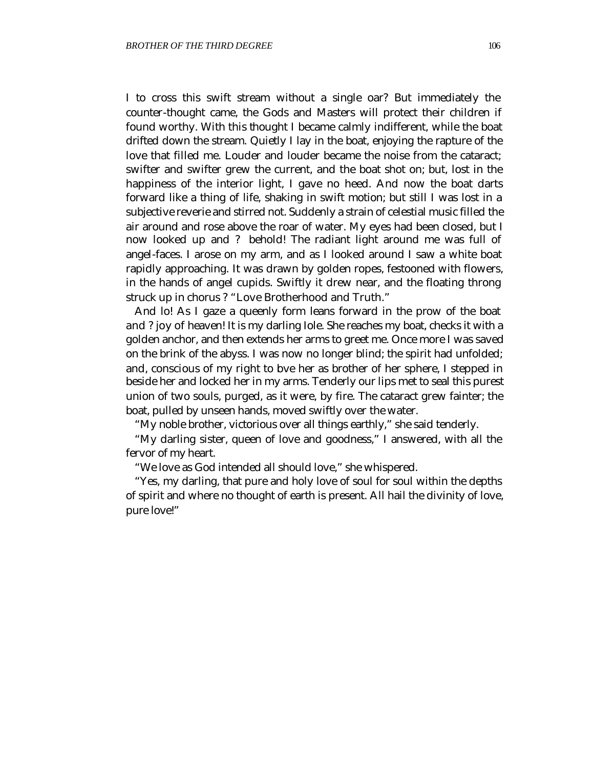I to cross this swift stream without a single oar? But immediately the counter-thought came, the Gods and Masters will protect their children if found worthy. With this thought I became calmly indifferent, while the boat drifted down the stream. Quietly I lay in the boat, enjoying the rapture of the love that filled me. Louder and louder became the noise from the cataract; swifter and swifter grew the current, and the boat shot on; but, lost in the happiness of the interior light, I gave no heed. And now the boat darts forward like a thing of life, shaking in swift motion; but still I was lost in a subjective reverie and stirred not. Suddenly a strain of celestial music filled the air around and rose above the roar of water. My eyes had been closed, but I now looked up and ? behold! The radiant light around me was full of angel-faces. I arose on my arm, and as I looked around I saw a white boat rapidly approaching. It was drawn by golden ropes, festooned with flowers, in the hands of angel cupids. Swiftly it drew near, and the floating throng struck up in chorus ? "Love Brotherhood and Truth."

And lo! As I gaze a queenly form leans forward in the prow of the boat and ? joy of heaven! It is my darling Iole. She reaches my boat, checks it with a golden anchor, and then extends her arms to greet me. Once more I was saved on the brink of the abyss. I was now no longer blind; the spirit had unfolded; and, conscious of my right to bye her as brother of her sphere, I stepped in beside her and locked her in my arms. Tenderly our lips met to seal this purest union of two souls, purged, as it were, by fire. The cataract grew fainter; the boat, pulled by unseen hands, moved swiftly over the water.

"My noble brother, victorious over all things earthly," she said tenderly.

"My darling sister, queen of love and goodness," I answered, with all the fervor of my heart.

"We love as God intended all should love," she whispered.

"Yes, my darling, that pure and holy love of soul for soul within the depths of spirit and where no thought of earth is present. All hail the divinity of love, pure love!"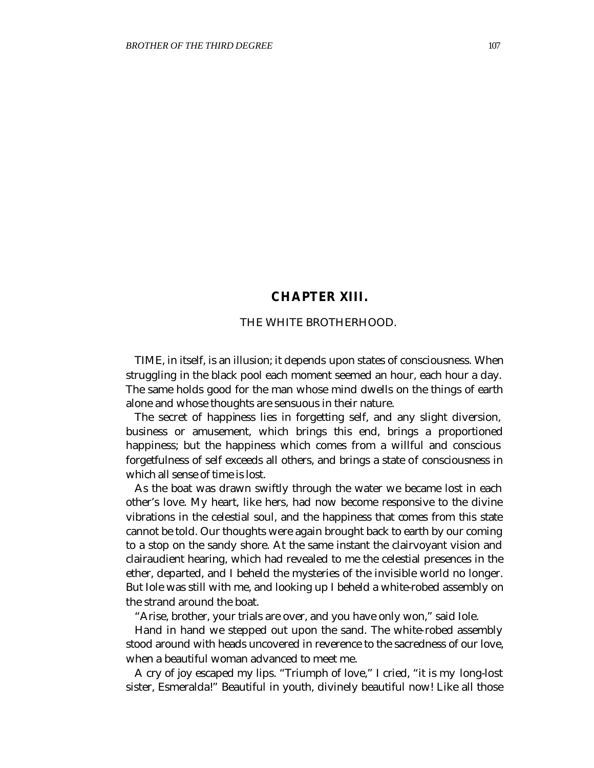# **CHAPTER XIII.**

THE WHITE BROTHERHOOD.

TIME, in itself, is an illusion; it depends upon states of consciousness. When struggling in the black pool each moment seemed an hour, each hour a day. The same holds good for the man whose mind dwells on the things of earth alone and whose thoughts are sensuous in their nature.

The secret of happiness lies in forgetting self, and any slight diversion, business or amusement, which brings this end, brings a proportioned happiness; but the happiness which comes from a willful and conscious forgetfulness of self exceeds all others, and brings a state of consciousness in which all sense of time is lost.

As the boat was drawn swiftly through the water we became lost in each other's love. My heart, like hers, had now become responsive to the divine vibrations in the celestial soul, and the happiness that comes from this state cannot be told. Our thoughts were again brought back to earth by our coming to a stop on the sandy shore. At the same instant the clairvoyant vision and clairaudient hearing, which had revealed to me the celestial presences in the ether, departed, and I beheld the mysteries of the invisible world no longer. But Iole was still with me, and looking up I beheld a white-robed assembly on the strand around the boat.

"Arise, brother, your trials are over, and you have only won," said Iole.

Hand in hand we stepped out upon the sand. The white-robed assembly stood around with heads uncovered in reverence to the sacredness of our love, when a beautiful woman advanced to meet me.

A cry of joy escaped my lips. "Triumph of love," I cried, "it is my long-lost sister, Esmeralda!" Beautiful in youth, divinely beautiful now! Like all those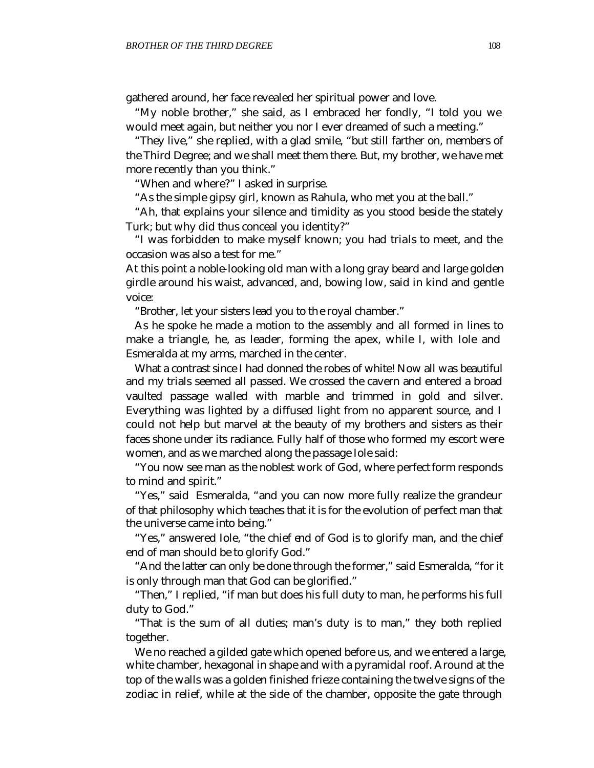gathered around, her face revealed her spiritual power and love.

"My noble brother," she said, as I embraced her fondly, "I told you we would meet again, but neither you nor I ever dreamed of such a meeting."

"They live," she replied, with a glad smile, "but still farther on, members of the Third Degree; and we shall meet them there. But, my brother, we have met more recently than you think."

"When and where?" I asked in surprise.

"As the simple gipsy girl, known as Rahula, who met you at the ball."

"Ah, that explains your silence and timidity as you stood beside the stately Turk; but why did thus conceal you identity?"

"I was forbidden to make myself known; you had trials to meet, and the occasion was also a test for me."

At this point a noble-looking old man with a long gray beard and large golden girdle around his waist, advanced, and, bowing low, said in kind and gentle voice:

"Brother, let your sisters lead you to the royal chamber."

As he spoke he made a motion to the assembly and all formed in lines to make a triangle, he, as leader, forming the apex, while I, with Iole and Esmeralda at my arms, marched in the center.

What a contrast since I had donned the robes of white! Now all was beautiful and my trials seemed all passed. We crossed the cavern and entered a broad vaulted passage walled with marble and trimmed in gold and silver. Everything was lighted by a diffused light from no apparent source, and I could not help but marvel at the beauty of my brothers and sisters as their faces shone under its radiance. Fully half of those who formed my escort were women, and as we marched along the passage Iole said:

"You now see man as the noblest work of God, where perfect form responds to mind and spirit."

"Yes," said Esmeralda, "and you can now more fully realize the grandeur of that philosophy which teaches that it is for the evolution of perfect man that the universe came into being."

"Yes," answered Iole, "the chief end of God is to glorify man, and the chief end of man should be to glorify God."

"And the latter can only be done through the former," said Esmeralda, "for it is only through man that God can be glorified."

"Then," I replied, "if man but does his full duty to man, he performs his full duty to God."

"That is the sum of all duties; man's duty is to man," they both replied together.

We no reached a gilded gate which opened before us, and we entered a large, white chamber, hexagonal in shape and with a pyramidal roof. Around at the top of the walls was a golden finished frieze containing the twelve signs of the zodiac in relief, while at the side of the chamber, opposite the gate through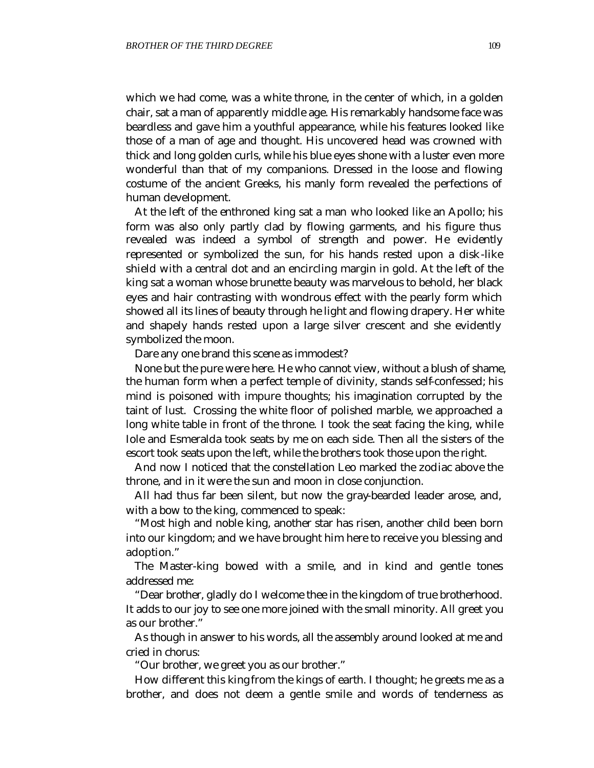which we had come, was a white throne, in the center of which, in a golden chair, sat a man of apparently middle age. His remarkably handsome face was beardless and gave him a youthful appearance, while his features looked like those of a man of age and thought. His uncovered head was crowned with thick and long golden curls, while his blue eyes shone with a luster even more wonderful than that of my companions. Dressed in the loose and flowing costume of the ancient Greeks, his manly form revealed the perfections of human development.

At the left of the enthroned king sat a man who looked like an Apollo; his form was also only partly clad by flowing garments, and his figure thus revealed was indeed a symbol of strength and power. He evidently represented or symbolized the sun, for his hands rested upon a disk-like shield with a central dot and an encircling margin in gold. At the left of the king sat a woman whose brunette beauty was marvelous to behold, her black eyes and hair contrasting with wondrous effect with the pearly form which showed all its lines of beauty through he light and flowing drapery. Her white and shapely hands rested upon a large silver crescent and she evidently symbolized the moon.

Dare any one brand this scene as immodest?

None but the pure were here. He who cannot view, without a blush of shame, the human form when a perfect temple of divinity, stands self-confessed; his mind is poisoned with impure thoughts; his imagination corrupted by the taint of lust. Crossing the white floor of polished marble, we approached a long white table in front of the throne. I took the seat facing the king, while Iole and Esmeralda took seats by me on each side. Then all the sisters of the escort took seats upon the left, while the brothers took those upon the right.

And now I noticed that the constellation Leo marked the zodiac above the throne, and in it were the sun and moon in close conjunction.

All had thus far been silent, but now the gray-bearded leader arose, and, with a bow to the king, commenced to speak:

"Most high and noble king, another star has risen, another child been born into our kingdom; and we have brought him here to receive you blessing and adoption."

The Master-king bowed with a smile, and in kind and gentle tones addressed me:

"Dear brother, gladly do I welcome thee in the kingdom of true brotherhood. It adds to our joy to see one more joined with the small minority. All greet you as our brother."

As though in answer to his words, all the assembly around looked at me and cried in chorus:

"Our brother, we greet you as our brother."

How different this king from the kings of earth. I thought; he greets me as a brother, and does not deem a gentle smile and words of tenderness as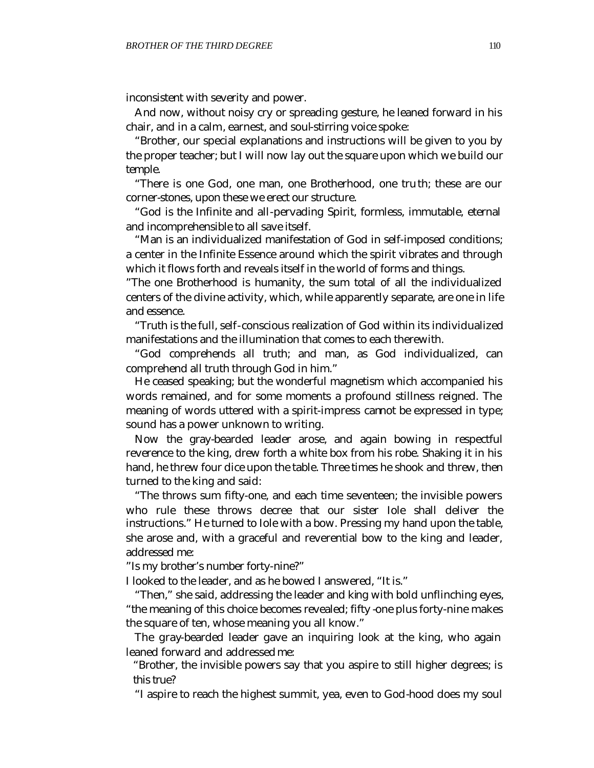inconsistent with severity and power.

And now, without noisy cry or spreading gesture, he leaned forward in his chair, and in a calm, earnest, and soul-stirring voice spoke:

"Brother, our special explanations and instructions will be given to you by the proper teacher; but I will now lay out the square upon which we build our temple.

"There is one God, one man, one Brotherhood, one truth; these are our corner-stones, upon these we erect our structure.

"God is the Infinite and all-pervading Spirit, formless, immutable, eternal and incomprehensible to all save itself.

"Man is an individualized manifestation of God in self-imposed conditions; a center in the Infinite Essence around which the spirit vibrates and through which it flows forth and reveals itself in the world of forms and things.

"The one Brotherhood is humanity, the sum total of all the individualized centers of the divine activity, which, while apparently separate, are one in life and essence.

"Truth is the full, self-conscious realization of God within its individualized manifestations and the illumination that comes to each therewith.

"God comprehends all truth; and man, as God individualized, can comprehend all truth through God in him."

He ceased speaking; but the wonderful magnetism which accompanied his words remained, and for some moments a profound stillness reigned. The meaning of words uttered with a spirit-impress cannot be expressed in type; sound has a power unknown to writing.

Now the gray-bearded leader arose, and again bowing in respectful reverence to the king, drew forth a white box from his robe. Shaking it in his hand, he threw four dice upon the table. Three times he shook and threw, then turned to the king and said:

"The throws sum fifty-one, and each time seventeen; the invisible powers who rule these throws decree that our sister Iole shall deliver the instructions." He turned to Iole with a bow. Pressing my hand upon the table, she arose and, with a graceful and reverential bow to the king and leader, addressed me:

"Is my brother's number forty-nine?"

I looked to the leader, and as he bowed I answered, "It is."

"Then," she said, addressing the leader and king with bold unflinching eyes, "the meaning of this choice becomes revealed; fifty -one plus forty-nine makes the square of ten, whose meaning you all know."

The gray-bearded leader gave an inquiring look at the king, who again leaned forward and addressed me:

"Brother, the invisible powers say that you aspire to still higher degrees; is this true?

"I aspire to reach the highest summit, yea, even to God-hood does my soul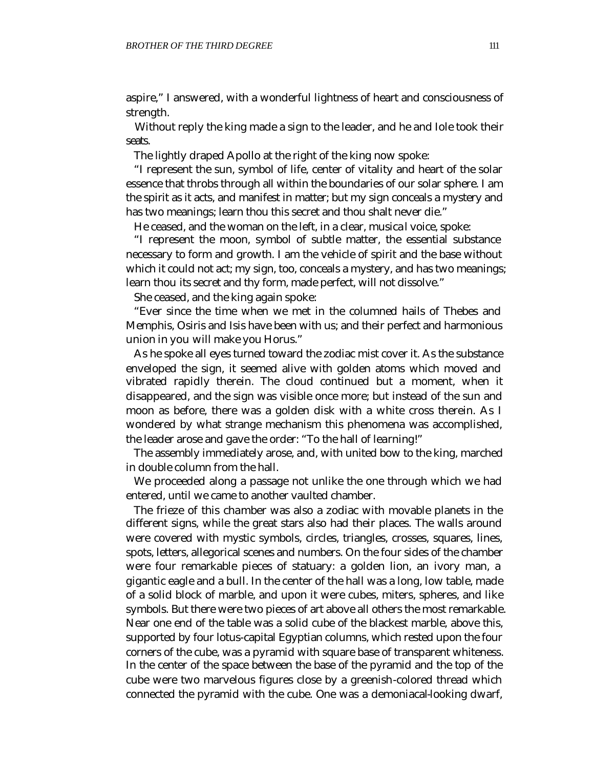aspire," I answered, with a wonderful lightness of heart and consciousness of strength.

Without reply the king made a sign to the leader, and he and Iole took their seats.

The lightly draped Apollo at the right of the king now spoke:

"I represent the sun, symbol of life, center of vitality and heart of the solar essence that throbs through all within the boundaries of our solar sphere. I am the spirit as it acts, and manifest in matter; but my sign conceals a mystery and has two meanings; learn thou this secret and thou shalt never die."

He ceased, and the woman on the left, in a clear, musica l voice, spoke:

"I represent the moon, symbol of subtle matter, the essential substance necessary to form and growth. I am the vehicle of spirit and the base without which it could not act; my sign, too, conceals a mystery, and has two meanings; learn thou its secret and thy form, made perfect, will not dissolve."

She ceased, and the king again spoke:

"Ever since the time when we met in the columned hails of Thebes and Memphis, Osiris and Isis have been with us; and their perfect and harmonious union in you will make you Horus."

As he spoke all eyes turned toward the zodiac mist cover it. As the substance enveloped the sign, it seemed alive with golden atoms which moved and vibrated rapidly therein. The cloud continued but a moment, when it disappeared, and the sign was visible once more; but instead of the sun and moon as before, there was a golden disk with a white cross therein. As I wondered by what strange mechanism this phenomena was accomplished, the leader arose and gave the order: "To the hall of learning!"

The assembly immediately arose, and, with united bow to the king, marched in double column from the hall.

We proceeded along a passage not unlike the one through which we had entered, until we came to another vaulted chamber.

The frieze of this chamber was also a zodiac with movable planets in the different signs, while the great stars also had their places. The walls around were covered with mystic symbols, circles, triangles, crosses, squares, lines, spots, letters, allegorical scenes and numbers. On the four sides of the chamber were four remarkable pieces of statuary: a golden lion, an ivory man, a gigantic eagle and a bull. In the center of the hall was a long, low table, made of a solid block of marble, and upon it were cubes, miters, spheres, and like symbols. But there were two pieces of art above all others the most remarkable. Near one end of the table was a solid cube of the blackest marble, above this, supported by four lotus-capital Egyptian columns, which rested upon the four corners of the cube, was a pyramid with square base of transparent whiteness. In the center of the space between the base of the pyramid and the top of the cube were two marvelous figures close by a greenish-colored thread which connected the pyramid with the cube. One was a demoniacal-looking dwarf,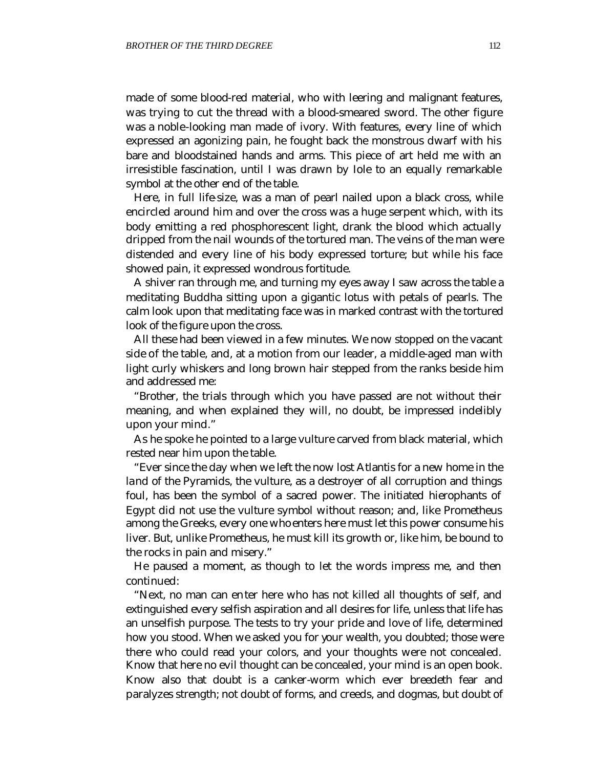made of some blood-red material, who with leering and malignant features, was trying to cut the thread with a blood-smeared sword. The other figure was a noble-looking man made of ivory. With features, every line of which expressed an agonizing pain, he fought back the monstrous dwarf with his bare and bloodstained hands and arms. This piece of art held me with an irresistible fascination, until I was drawn by Iole to an equally remarkable symbol at the other end of the table.

Here, in full life-size, was a man of pearl nailed upon a black cross, while encircled around him and over the cross was a huge serpent which, with its body emitting a red phosphorescent light, drank the blood which actually dripped from the nail wounds of the tortured man. The veins of the man were distended and every line of his body expressed torture; but while his face showed pain, it expressed wondrous fortitude.

A shiver ran through me, and turning my eyes away I saw across the table a meditating Buddha sitting upon a gigantic lotus with petals of pearls. The calm look upon that meditating face was in marked contrast with the tortured look of the figure upon the cross.

All these had been viewed in a few minutes. We now stopped on the vacant side of the table, and, at a motion from our leader, a middle-aged man with light curly whiskers and long brown hair stepped from the ranks beside him and addressed me:

"Brother, the trials through which you have passed are not without their meaning, and when explained they will, no doubt, be impressed indelibly upon your mind."

As he spoke he pointed to a large vulture carved from black material, which rested near him upon the table.

"Ever since the day when we left the now lost Atlantis for a new home in the land of the Pyramids, the vulture, as a destroyer of all corruption and things foul, has been the symbol of a sacred power. The initiated hierophants of Egypt did not use the vulture symbol without reason; and, like Prometheus among the Greeks, every one who enters here must let this power consume his liver. But, unlike Prometheus, he must kill its growth or, like him, be bound to the rocks in pain and misery."

He paused a moment, as though to let the words impress me, and then continued:

"Next, no man can enter here who has not killed all thoughts of self, and extinguished every selfish aspiration and all desires for life, unless that life has an unselfish purpose. The tests to try your pride and love of life, determined how you stood. When we asked you for your wealth, you doubted; those were there who could read your colors, and your thoughts were not concealed. Know that here no evil thought can be concealed, your mind is an open book. Know also that doubt is a canker-worm which ever breedeth fear and paralyzes strength; not doubt of forms, and creeds, and dogmas, but doubt of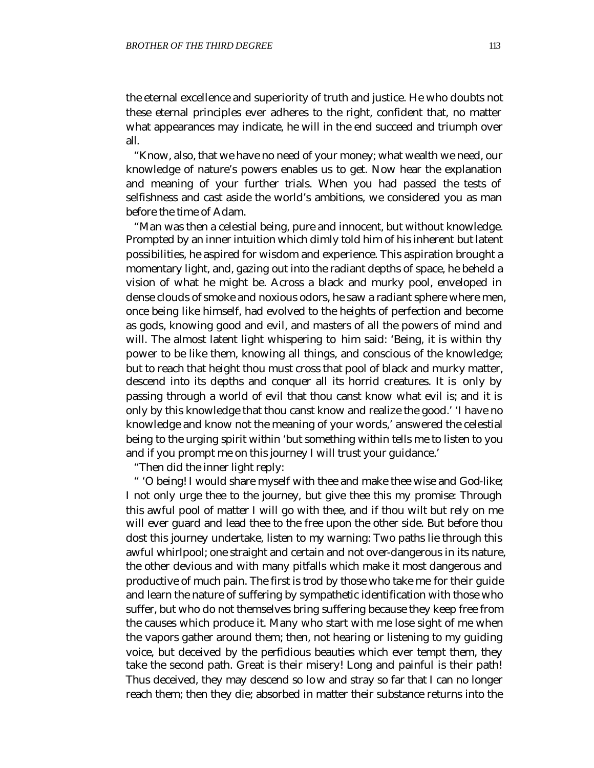the eternal excellence and superiority of truth and justice. He who doubts not these eternal principles ever adheres to the right, confident that, no matter what appearances may indicate, he will in the end succeed and triumph over all.

"Know, also, that we have no need of your money; what wealth we need, our knowledge of nature's powers enables us to get. Now hear the explanation and meaning of your further trials. When you had passed the tests of selfishness and cast aside the world's ambitions, we considered you as man before the time of Adam.

"Man was then a celestial being, pure and innocent, but without knowledge. Prompted by an inner intuition which dimly told him of his inherent but latent possibilities, he aspired for wisdom and experience. This aspiration brought a momentary light, and, gazing out into the radiant depths of space, he beheld a vision of what he might be. Across a black and murky pool, enveloped in dense clouds of smoke and noxious odors, he saw a radiant sphere where men, once being like himself, had evolved to the heights of perfection and become as gods, knowing good and evil, and masters of all the powers of mind and will. The almost latent light whispering to him said: 'Being, it is within thy power to be like them, knowing all things, and conscious of the knowledge; but to reach that height thou must cross that pool of black and murky matter, descend into its depths and conquer all its horrid creatures. It is only by passing through a world of evil that thou canst know what evil is; and it is only by this knowledge that thou canst know and realize the good.' 'I have no knowledge and know not the meaning of your words,' answered the celestial being to the urging spirit within 'but something within tells me to listen to you and if you prompt me on this journey I will trust your guidance.'

"Then did the inner light reply:

" 'O being! I would share myself with thee and make thee wise and God-like; I not only urge thee to the journey, but give thee this my promise: Through this awful pool of matter I will go with thee, and if thou wilt but rely on me will ever guard and lead thee to the free upon the other side. But before thou dost this journey undertake, listen to my warning: Two paths lie through this awful whirlpool; one straight and certain and not over-dangerous in its nature, the other devious and with many pitfalls which make it most dangerous and productive of much pain. The first is trod by those who take me for their guide and learn the nature of suffering by sympathetic identification with those who suffer, but who do not themselves bring suffering because they keep free from the causes which produce it. Many who start with me lose sight of me when the vapors gather around them; then, not hearing or listening to my guiding voice, but deceived by the perfidious beauties which ever tempt them, they take the second path. Great is their misery! Long and painful is their path! Thus deceived, they may descend so low and stray so far that I can no longer reach them; then they die; absorbed in matter their substance returns into the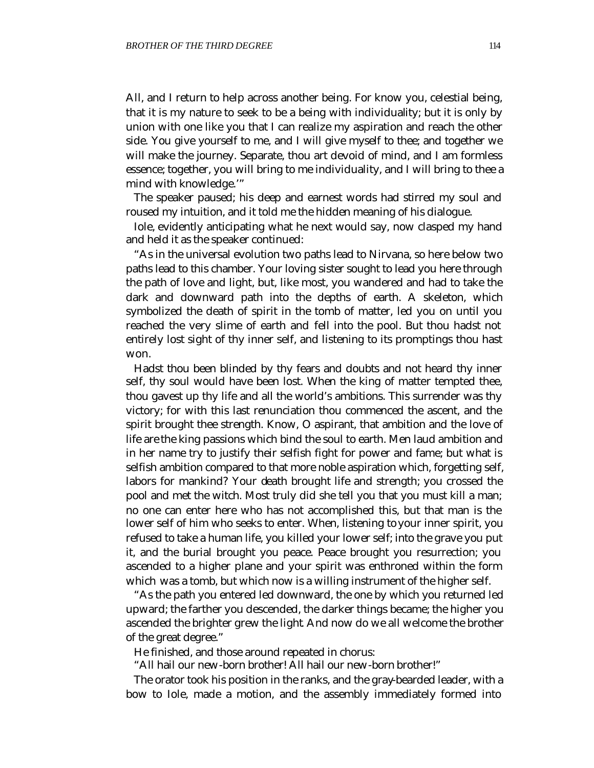All, and I return to help across another being. For know you, celestial being, that it is my nature to seek to be a being with individuality; but it is only by union with one like you that I can realize my aspiration and reach the other side. You give yourself to me, and I will give myself to thee; and together we will make the journey. Separate, thou art devoid of mind, and I am formless essence; together, you will bring to me individuality, and I will bring to thee a mind with knowledge.'"

The speaker paused; his deep and earnest words had stirred my soul and roused my intuition, and it told me the hidden meaning of his dialogue.

Iole, evidently anticipating what he next would say, now clasped my hand and held it as the speaker continued:

"As in the universal evolution two paths lead to Nirvana, so here below two paths lead to this chamber. Your loving sister sought to lead you here through the path of love and light, but, like most, you wandered and had to take the dark and downward path into the depths of earth. A skeleton, which symbolized the death of spirit in the tomb of matter, led you on until you reached the very slime of earth and fell into the pool. But thou hadst not entirely lost sight of thy inner self, and listening to its promptings thou hast won.

Hadst thou been blinded by thy fears and doubts and not heard thy inner self, thy soul would have been lost. When the king of matter tempted thee, thou gavest up thy life and all the world's ambitions. This surrender was thy victory; for with this last renunciation thou commenced the ascent, and the spirit brought thee strength. Know, O aspirant, that ambition and the love of life are the king passions which bind the soul to earth. Men laud ambition and in her name try to justify their selfish fight for power and fame; but what is selfish ambition compared to that more noble aspiration which, forgetting self, labors for mankind? Your death brought life and strength; you crossed the pool and met the witch. Most truly did she tell you that you must kill a man; no one can enter here who has not accomplished this, but that man is the lower self of him who seeks to enter. When, listening to your inner spirit, you refused to take a human life, you killed your lower self; into the grave you put it, and the burial brought you peace. Peace brought you resurrection; you ascended to a higher plane and your spirit was enthroned within the form which was a tomb, but which now is a willing instrument of the higher self.

"As the path you entered led downward, the one by which you returned led upward; the farther you descended, the darker things became; the higher you ascended the brighter grew the light. And now do we all welcome the brother of the great degree."

He finished, and those around repeated in chorus:

"All hail our new-born brother! All hail our new-born brother!"

The orator took his position in the ranks, and the gray-bearded leader, with a bow to Iole, made a motion, and the assembly immediately formed into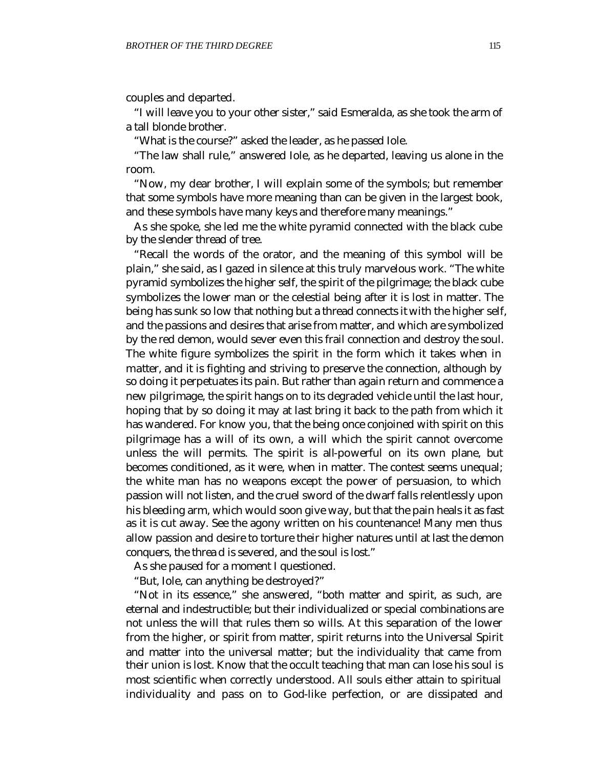couples and departed.

"I will leave you to your other sister," said Esmeralda, as she took the arm of a tall blonde brother.

"What is the course?" asked the leader, as he passed Iole.

"The law shall rule," answered Iole, as he departed, leaving us alone in the room.

"Now, my dear brother, I will explain some of the symbols; but remember that some symbols have more meaning than can be given in the largest book, and these symbols have many keys and therefore many meanings."

As she spoke, she led me the white pyramid connected with the black cube by the slender thread of tree.

"Recall the words of the orator, and the meaning of this symbol will be plain," she said, as I gazed in silence at this truly marvelous work. "The white pyramid symbolizes the higher self, the spirit of the pilgrimage; the black cube symbolizes the lower man or the celestial being after it is lost in matter. The being has sunk so low that nothing but a thread connects it with the higher self, and the passions and desires that arise from matter, and which are symbolized by the red demon, would sever even this frail connection and destroy the soul. The white figure symbolizes the spirit in the form which it takes when in matter, and it is fighting and striving to preserve the connection, although by so doing it perpetuates its pain. But rather than again return and commence a new pilgrimage, the spirit hangs on to its degraded vehicle until the last hour, hoping that by so doing it may at last bring it back to the path from which it has wandered. For know you, that the being once conjoined with spirit on this pilgrimage has a will of its own, a will which the spirit cannot overcome unless the will permits. The spirit is all-powerful on its own plane, but becomes conditioned, as it were, when in matter. The contest seems unequal; the white man has no weapons except the power of persuasion, to which passion will not listen, and the cruel sword of the dwarf falls relentlessly upon his bleeding arm, which would soon give way, but that the pain heals it as fast as it is cut away. See the agony written on his countenance! Many men thus allow passion and desire to torture their higher natures until at last the demon conquers, the threa d is severed, and the soul is lost."

As she paused for a moment I questioned.

"But, Iole, can anything be destroyed?"

"Not in its essence," she answered, "both matter and spirit, as such, are eternal and indestructible; but their individualized or special combinations are not unless the will that rules them so wills. At this separation of the lower from the higher, or spirit from matter, spirit returns into the Universal Spirit and matter into the universal matter; but the individuality that came from their union is lost. Know that the occult teaching that man can lose his soul is most scientific when correctly understood. All souls either attain to spiritual individuality and pass on to God-like perfection, or are dissipated and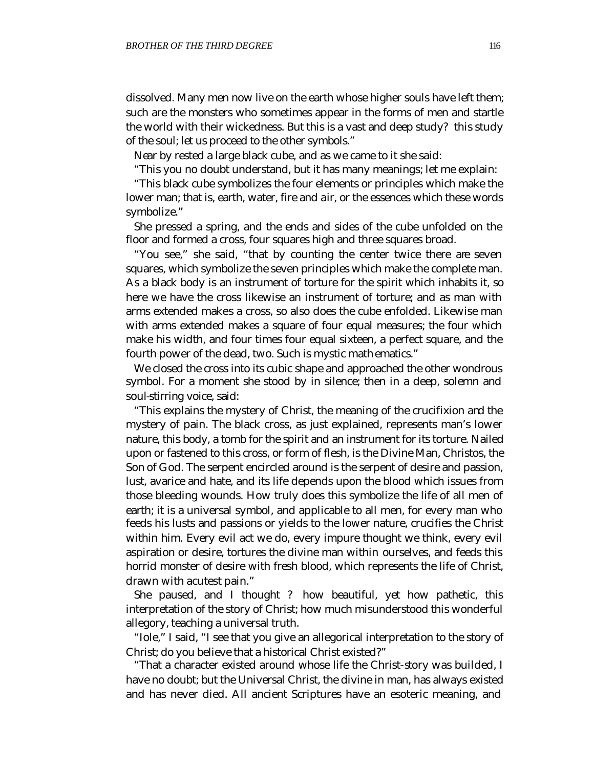dissolved. Many men now live on the earth whose higher souls have left them; such are the monsters who sometimes appear in the forms of men and startle the world with their wickedness. But this is a vast and deep study? this study of the soul; let us proceed to the other symbols."

Near by rested a large black cube, and as we came to it she said:

"This you no doubt understand, but it has many meanings; let me explain:

"This black cube symbolizes the four elements or principles which make the lower man; that is, earth, water, fire and air, or the essences which these words symbolize."

She pressed a spring, and the ends and sides of the cube unfolded on the floor and formed a cross, four squares high and three squares broad.

"You see," she said, "that by counting the center twice there are seven squares, which symbolize the seven principles which make the complete man. As a black body is an instrument of torture for the spirit which inhabits it, so here we have the cross likewise an instrument of torture; and as man with arms extended makes a cross, so also does the cube enfolded. Likewise man with arms extended makes a square of four equal measures; the four which make his width, and four times four equal sixteen, a perfect square, and the fourth power of the dead, two. Such is mystic mathematics."

We closed the cross into its cubic shape and approached the other wondrous symbol. For a moment she stood by in silence; then in a deep, solemn and soul-stirring voice, said:

"This explains the mystery of Christ, the meaning of the crucifixion and the mystery of pain. The black cross, as just explained, represents man's lower nature, this body, a tomb for the spirit and an instrument for its torture. Nailed upon or fastened to this cross, or form of flesh, is the Divine Man, Christos, the Son of God. The serpent encircled around is the serpent of desire and passion, lust, avarice and hate, and its life depends upon the blood which issues from those bleeding wounds. How truly does this symbolize the life of all men of earth; it is a universal symbol, and applicable to all men, for every man who feeds his lusts and passions or yields to the lower nature, crucifies the Christ within him. Every evil act we do, every impure thought we think, every evil aspiration or desire, tortures the divine man within ourselves, and feeds this horrid monster of desire with fresh blood, which represents the life of Christ, drawn with acutest pain."

She paused, and I thought ? how beautiful, yet how pathetic, this interpretation of the story of Christ; how much misunderstood this wonderful allegory, teaching a universal truth.

"Iole," I said, "I see that you give an allegorical interpretation to the story of Christ; do you believe that a historical Christ existed?"

"That a character existed around whose life the Christ-story was builded, I have no doubt; but the Universal Christ, the divine in man, has always existed and has never died. All ancient Scriptures have an esoteric meaning, and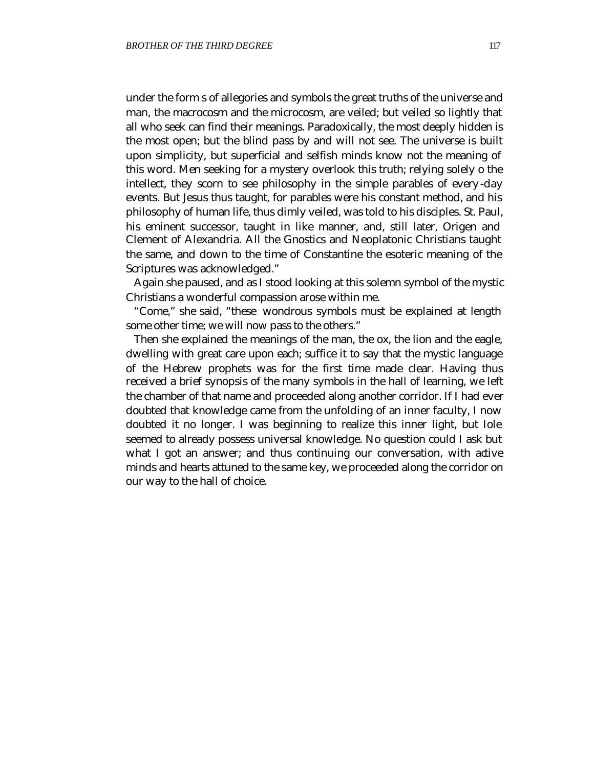under the form s of allegories and symbols the great truths of the universe and man, the macrocosm and the microcosm, are veiled; but veiled so lightly that all who seek can find their meanings. Paradoxically, the most deeply hidden is the most open; but the blind pass by and will not see. The universe is built upon simplicity, but superficial and selfish minds know not the meaning of this word. Men seeking for a mystery overlook this truth; relying solely o the intellect, they scorn to see philosophy in the simple parables of every-day events. But Jesus thus taught, for parables were his constant method, and his philosophy of human life, thus dimly veiled, was told to his disciples. St. Paul, his eminent successor, taught in like manner, and, still later, Origen and Clement of Alexandria. All the Gnostics and Neoplatonic Christians taught the same, and down to the time of Constantine the esoteric meaning of the Scriptures was acknowledged."

Again she paused, and as I stood looking at this solemn symbol of the mystic Christians a wonderful compassion arose within me.

"Come," she said, "these wondrous symbols must be explained at length some other time; we will now pass to the others."

Then she explained the meanings of the man, the ox, the lion and the eagle, dwelling with great care upon each; suffice it to say that the mystic language of the Hebrew prophets was for the first time made clear. Having thus received a brief synopsis of the many symbols in the hall of learning, we left the chamber of that name and proceeded along another corridor. If I had ever doubted that knowledge came from the unfolding of an inner faculty, I now doubted it no longer. I was beginning to realize this inner light, but Iole seemed to already possess universal knowledge. No question could I ask but what I got an answer; and thus continuing our conversation, with active minds and hearts attuned to the same key, we proceeded along the corridor on our way to the hall of choice.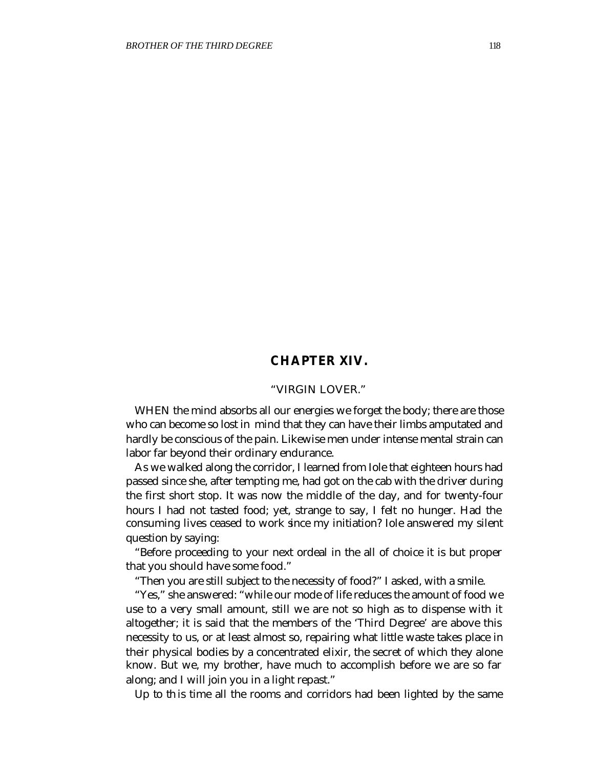# **CHAPTER XIV.**

### "VIRGIN LOVER."

WHEN the mind absorbs all our energies we forget the body; there are those who can become so lost in mind that they can have their limbs amputated and hardly be conscious of the pain. Likewise men under intense mental strain can labor far beyond their ordinary endurance.

As we walked along the corridor, I learned from Iole that eighteen hours had passed since she, after tempting me, had got on the cab with the driver during the first short stop. It was now the middle of the day, and for twenty-four hours I had not tasted food; yet, strange to say, I felt no hunger. Had the consuming lives ceased to work since my initiation? Iole answered my silent question by saying:

"Before proceeding to your next ordeal in the all of choice it is but proper that you should have some food."

"Then you are still subject to the necessity of food?" I asked, with a smile.

"Yes," she answered: "while our mode of life reduces the amount of food we use to a very small amount, still we are not so high as to dispense with it altogether; it is said that the members of the 'Third Degree' are above this necessity to us, or at least almost so, repairing what little waste takes place in their physical bodies by a concentrated elixir, the secret of which they alone know. But we, my brother, have much to accomplish before we are so far along; and I will join you in a light repast."

Up to th is time all the rooms and corridors had been lighted by the same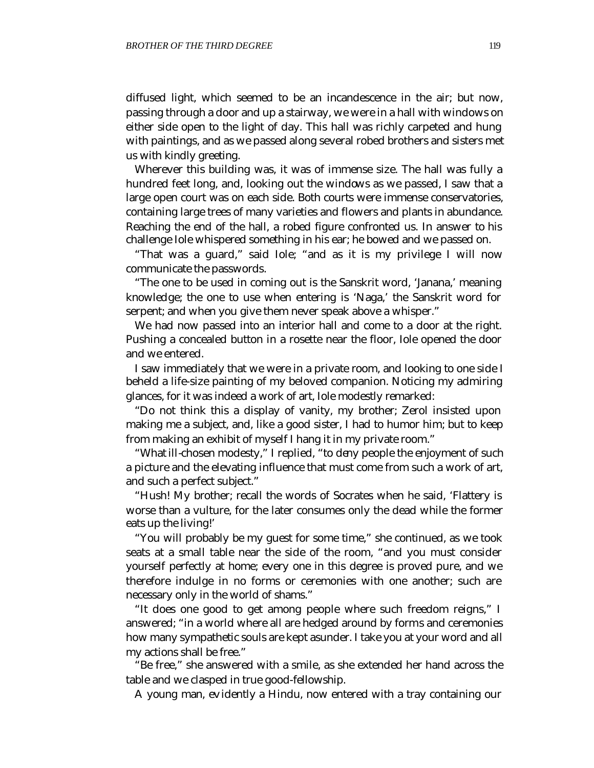diffused light, which seemed to be an incandescence in the air; but now, passing through a door and up a stairway, we were in a hall with windows on either side open to the light of day. This hall was richly carpeted and hung with paintings, and as we passed along several robed brothers and sisters met us with kindly greeting.

Wherever this building was, it was of immense size. The hall was fully a hundred feet long, and, looking out the windows as we passed, I saw that a large open court was on each side. Both courts were immense conservatories, containing large trees of many varieties and flowers and plants in abundance. Reaching the end of the hall, a robed figure confronted us. In answer to his challenge Iole whispered something in his ear; he bowed and we passed on.

"That was a guard," said Iole; "and as it is my privilege I will now communicate the passwords.

"The one to be used in coming out is the Sanskrit word, 'Janana,' meaning knowledge; the one to use when entering is 'Naga,' the Sanskrit word for serpent; and when you give them never speak above a whisper."

We had now passed into an interior hall and come to a door at the right. Pushing a concealed button in a rosette near the floor, Iole opened the door and we entered.

I saw immediately that we were in a private room, and looking to one side I beheld a life-size painting of my beloved companion. Noticing my admiring glances, for it was indeed a work of art, Iole modestly remarked:

"Do not think this a display of vanity, my brother; Zerol insisted upon making me a subject, and, like a good sister, I had to humor him; but to keep from making an exhibit of myself I hang it in my private room."

"What ill-chosen modesty," I replied, "to deny people the enjoyment of such a picture and the elevating influence that must come from such a work of art, and such a perfect subject."

"Hush! My brother; recall the words of Socrates when he said, 'Flattery is worse than a vulture, for the later consumes only the dead while the former eats up the living!'

"You will probably be my guest for some time," she continued, as we took seats at a small table near the side of the room, "and you must consider yourself perfectly at home; every one in this degree is proved pure, and we therefore indulge in no forms or ceremonies with one another; such are necessary only in the world of shams."

"It does one good to get among people where such freedom reigns," I answered; "in a world where all are hedged around by forms and ceremonies how many sympathetic souls are kept asunder. I take you at your word and all my actions shall be free."

"Be free," she answered with a smile, as she extended her hand across the table and we clasped in true good-fellowship.

A young man, evidently a Hindu, now entered with a tray containing our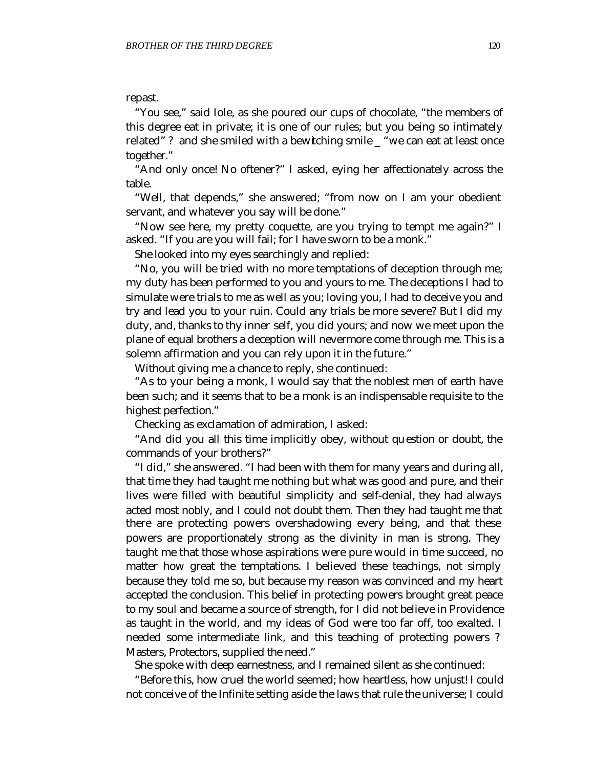### repast.

"You see," said Iole, as she poured our cups of chocolate, "the members of this degree eat in private; it is one of our rules; but you being so intimately related"? and she smiled with a bewitching smile \_ "we can eat at least once together."

"And only once! No oftener?" I asked, eying her affectionately across the table.

"Well, that depends," she answered; "from now on I am your obedient servant, and whatever you say will be done."

"Now see here, my pretty coquette, are you trying to tempt me again?" I asked. "If you are you will fail; for I have sworn to be a monk."

She looked into my eyes searchingly and replied:

"No, you will be tried with no more temptations of deception through me; my duty has been performed to you and yours to me. The deceptions I had to simulate were trials to me as well as you; loving you, I had to deceive you and try and lead you to your ruin. Could any trials be more severe? But I did my duty, and, thanks to thy inner self, you did yours; and now we meet upon the plane of equal brothers a deception will nevermore come through me. This is a solemn affirmation and you can rely upon it in the future."

Without giving me a chance to reply, she continued:

"As to your being a monk, I would say that the noblest men of earth have been such; and it seems that to be a monk is an indispensable requisite to the highest perfection."

Checking as exclamation of admiration, I asked:

"And did you all this time implicitly obey, without question or doubt, the commands of your brothers?"

"I did," she answered. "I had been with them for many years and during all, that time they had taught me nothing but what was good and pure, and their lives were filled with beautiful simplicity and self-denial, they had always acted most nobly, and I could not doubt them. Then they had taught me that there are protecting powers overshadowing every being, and that these powers are proportionately strong as the divinity in man is strong. They taught me that those whose aspirations were pure would in time succeed, no matter how great the temptations. I believed these teachings, not simply because they told me so, but because my reason was convinced and my heart accepted the conclusion. This belief in protecting powers brought great peace to my soul and became a source of strength, for I did not believe in Providence as taught in the world, and my ideas of God were too far off, too exalted. I needed some intermediate link, and this teaching of protecting powers ? Masters, Protectors, supplied the need."

She spoke with deep earnestness, and I remained silent as she continued:

"Before this, how cruel the world seemed; how heartless, how unjust! I could not conceive of the Infinite setting aside the laws that rule the universe; I could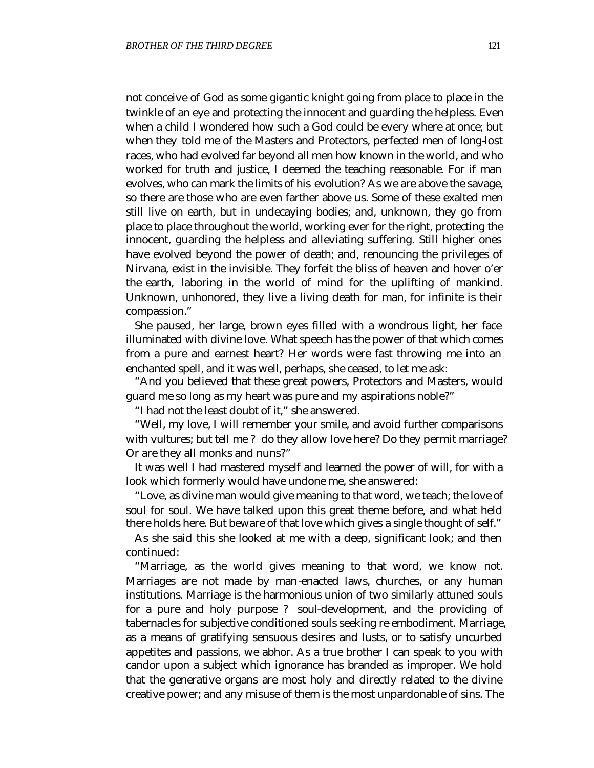not conceive of God as some gigantic knight going from place to place in the twinkle of an eye and protecting the innocent and guarding the helpless. Even when a child I wondered how such a God could be every where at once; but when they told me of the Masters and Protectors, perfected men of long-lost races, who had evolved far beyond all men how known in the world, and who worked for truth and justice, I deemed the teaching reasonable. For if man evolves, who can mark the limits of his evolution? As we are above the savage, so there are those who are even farther above us. Some of these exalted men still live on earth, but in undecaying bodies; and, unknown, they go from place to place throughout the world, working ever for the right, protecting the innocent, guarding the helpless and alleviating suffering. Still higher ones have evolved beyond the power of death; and, renouncing the privileges of Nirvana, exist in the invisible. They forfeit the bliss of heaven and hover o'er the earth, laboring in the world of mind for the uplifting of mankind. Unknown, unhonored, they live a living death for man, for infinite is their compassion."

She paused, her large, brown eyes filled with a wondrous light, her face illuminated with divine love. What speech has the power of that which comes from a pure and earnest heart? Her words were fast throwing me into an enchanted spell, and it was well, perhaps, she ceased, to let me ask:

"And you believed that these great powers, Protectors and Masters, would guard me so long as my heart was pure and my aspirations noble?"

"I had not the least doubt of it," she answered.

"Well, my love, I will remember your smile, and avoid further comparisons with vultures; but tell me ? do they allow love here? Do they permit marriage? Or are they all monks and nuns?"

It was well I had mastered myself and learned the power of will, for with a look which formerly would have undone me, she answered:

"Love, as divine man would give meaning to that word, we teach; the love of soul for soul. We have talked upon this great theme before, and what held there holds here. But beware of that love which gives a single thought of self."

As she said this she looked at me with a deep, significant look; and then continued:

"Marriage, as the world gives meaning to that word, we know not. Marriages are not made by man-enacted laws, churches, or any human institutions. Marriage is the harmonious union of two similarly attuned souls for a pure and holy purpose ? soul-development, and the providing of tabernacles for subjective conditioned souls seeking re-embodiment. Marriage, as a means of gratifying sensuous desires and lusts, or to satisfy uncurbed appetites and passions, we abhor. As a true brother I can speak to you with candor upon a subject which ignorance has branded as improper. We hold that the generative organs are most holy and directly related to the divine creative power; and any misuse of them is the most unpardonable of sins. The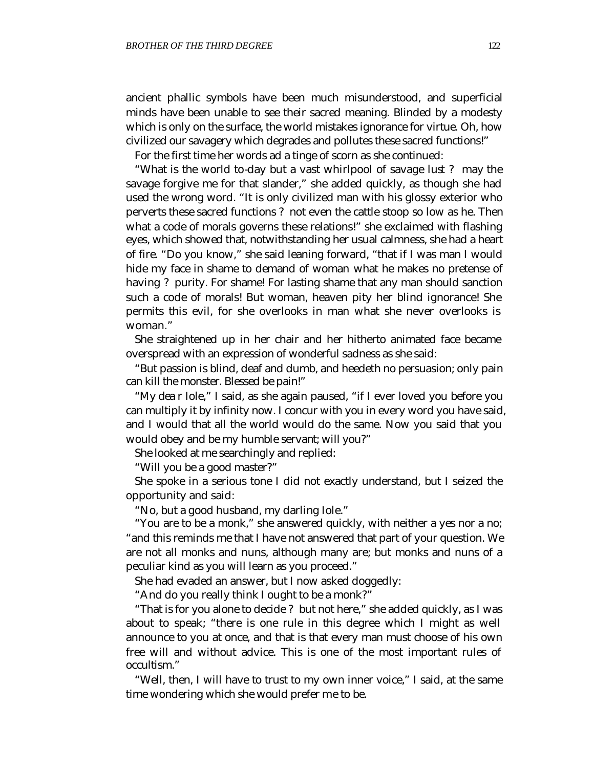ancient phallic symbols have been much misunderstood, and superficial minds have been unable to see their sacred meaning. Blinded by a modesty which is only on the surface, the world mistakes ignorance for virtue. Oh, how civilized our savagery which degrades and pollutes these sacred functions!"

For the first time her words ad a tinge of scorn as she continued:

"What is the world to-day but a vast whirlpool of savage lust ? may the savage forgive me for that slander," she added quickly, as though she had used the wrong word. "It is only civilized man with his glossy exterior who perverts these sacred functions ? not even the cattle stoop so low as he. Then what a code of morals governs these relations!" she exclaimed with flashing eyes, which showed that, notwithstanding her usual calmness, she had a heart of fire. "Do you know," she said leaning forward, "that if I was man I would hide my face in shame to demand of woman what he makes no pretense of having ? purity. For shame! For lasting shame that any man should sanction such a code of morals! But woman, heaven pity her blind ignorance! She permits this evil, for she overlooks in man what she never overlooks is woman."

She straightened up in her chair and her hitherto animated face became overspread with an expression of wonderful sadness as she said:

"But passion is blind, deaf and dumb, and heedeth no persuasion; only pain can kill the monster. Blessed be pain!"

"My dea r Iole," I said, as she again paused, "if I ever loved you before you can multiply it by infinity now. I concur with you in every word you have said, and I would that all the world would do the same. Now you said that you would obey and be my humble servant; will you?"

She looked at me searchingly and replied:

"Will you be a good master?"

She spoke in a serious tone I did not exactly understand, but I seized the opportunity and said:

"No, but a good husband, my darling Iole."

"You are to be a monk," she answered quickly, with neither a yes nor a no; "and this reminds me that I have not answered that part of your question. We are not all monks and nuns, although many are; but monks and nuns of a peculiar kind as you will learn as you proceed."

She had evaded an answer, but I now asked doggedly:

"And do you really think I ought to be a monk?"

"That is for you alone to decide ? but not here," she added quickly, as I was about to speak; "there is one rule in this degree which I might as well announce to you at once, and that is that every man must choose of his own free will and without advice. This is one of the most important rules of occultism."

"Well, then, I will have to trust to my own inner voice," I said, at the same time wondering which she would prefer me to be.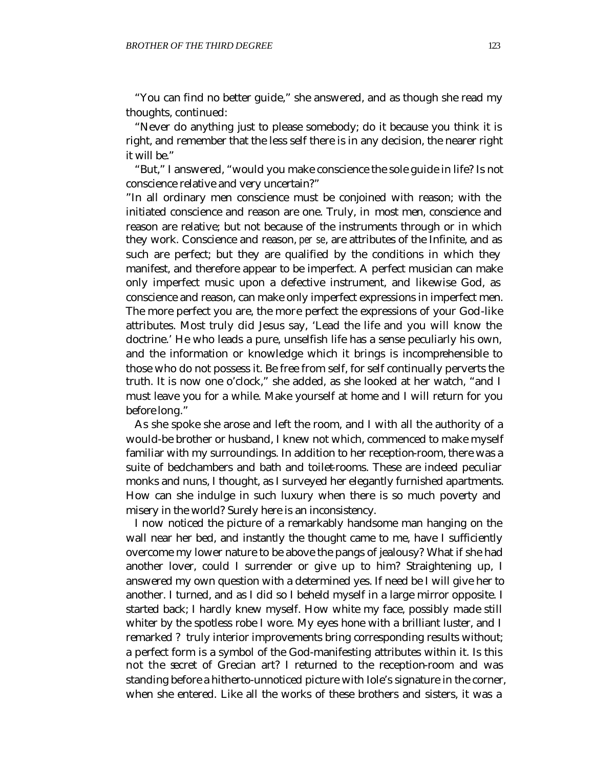"You can find no better guide," she answered, and as though she read my thoughts, continued:

"Never do anything just to please somebody; do it because you think it is right, and remember that the less self there is in any decision, the nearer right it will be."

"But," I answered, "would you make conscience the sole guide in life? Is not conscience relative and very uncertain?"

"In all ordinary men conscience must be conjoined with reason; with the initiated conscience and reason are one. Truly, in most men, conscience and reason are relative; but not because of the instruments through or in which they work. Conscience and reason, *per se*, are attributes of the Infinite, and as such are perfect; but they are qualified by the conditions in which they manifest, and therefore appear to be imperfect. A perfect musician can make only imperfect music upon a defective instrument, and likewise God, as conscience and reason, can make only imperfect expressions in imperfect men. The more perfect you are, the more perfect the expressions of your God-like attributes. Most truly did Jesus say, 'Lead the life and you will know the doctrine.' He who leads a pure, unselfish life has a sense peculiarly his own, and the information or knowledge which it brings is incomprehensible to those who do not possess it. Be free from self, for self continually perverts the truth. It is now one o'clock," she added, as she looked at her watch, "and I must leave you for a while. Make yourself at home and I will return for you before long."

As she spoke she arose and left the room, and I with all the authority of a would-be brother or husband, I knew not which, commenced to make myself familiar with my surroundings. In addition to her reception-room, there was a suite of bedchambers and bath and toilet-rooms. These are indeed peculiar monks and nuns, I thought, as I surveyed her elegantly furnished apartments. How can she indulge in such luxury when there is so much poverty and misery in the world? Surely here is an inconsistency.

I now noticed the picture of a remarkably handsome man hanging on the wall near her bed, and instantly the thought came to me, have I sufficiently overcome my lower nature to be above the pangs of jealousy? What if she had another lover, could I surrender or give up to him? Straightening up, I answered my own question with a determined yes. If need be I will give her to another. I turned, and as I did so I beheld myself in a large mirror opposite. I started back; I hardly knew myself. How white my face, possibly made still whiter by the spotless robe I wore. My eyes hone with a brilliant luster, and I remarked ? truly interior improvements bring corresponding results without; a perfect form is a symbol of the God-manifesting attributes within it. Is this not the secret of Grecian art? I returned to the reception-room and was standing before a hitherto-unnoticed picture with Iole's signature in the corner, when she entered. Like all the works of these brothers and sisters, it was a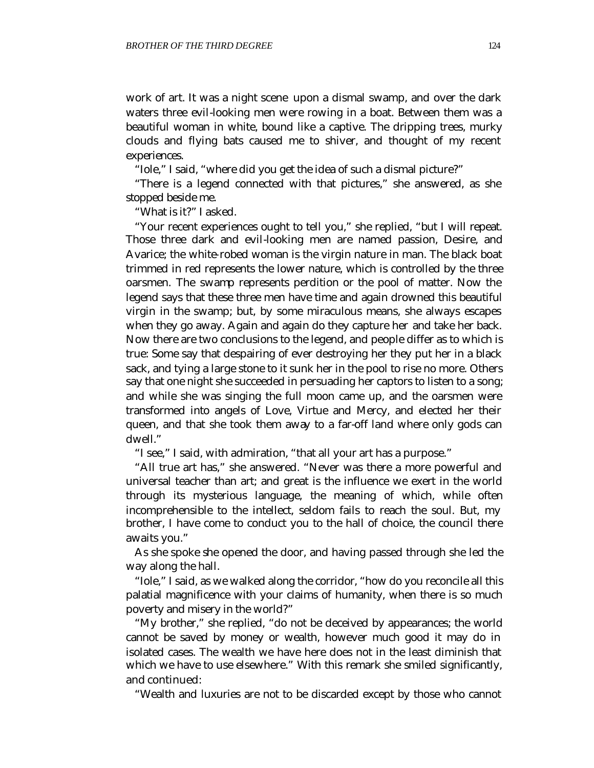work of art. It was a night scene upon a dismal swamp, and over the dark waters three evil-looking men were rowing in a boat. Between them was a beautiful woman in white, bound like a captive. The dripping trees, murky clouds and flying bats caused me to shiver, and thought of my recent experiences.

"Iole," I said, "where did you get the idea of such a dismal picture?"

"There is a legend connected with that pictures," she answered, as she stopped beside me.

"What is it?" I asked.

"Your recent experiences ought to tell you," she replied, "but I will repeat. Those three dark and evil-looking men are named passion, Desire, and Avarice; the white-robed woman is the virgin nature in man. The black boat trimmed in red represents the lower nature, which is controlled by the three oarsmen. The swamp represents perdition or the pool of matter. Now the legend says that these three men have time and again drowned this beautiful virgin in the swamp; but, by some miraculous means, she always escapes when they go away. Again and again do they capture her and take her back. Now there are two conclusions to the legend, and people differ as to which is true: Some say that despairing of ever destroying her they put her in a black sack, and tying a large stone to it sunk her in the pool to rise no more. Others say that one night she succeeded in persuading her captors to listen to a song; and while she was singing the full moon came up, and the oarsmen were transformed into angels of Love, Virtue and Mercy, and elected her their queen, and that she took them away to a far-off land where only gods can dwell."

"I see," I said, with admiration, "that all your art has a purpose."

"All true art has," she answered. "Never was there a more powerful and universal teacher than art; and great is the influence we exert in the world through its mysterious language, the meaning of which, while often incomprehensible to the intellect, seldom fails to reach the soul. But, my brother, I have come to conduct you to the hall of choice, the council there awaits you."

As she spoke she opened the door, and having passed through she led the way along the hall.

"Iole," I said, as we walked along the corridor, "how do you reconcile all this palatial magnificence with your claims of humanity, when there is so much poverty and misery in the world?"

"My brother," she replied, "do not be deceived by appearances; the world cannot be saved by money or wealth, however much good it may do in isolated cases. The wealth we have here does not in the least diminish that which we have to use elsewhere." With this remark she smiled significantly, and continued:

"Wealth and luxuries are not to be discarded except by those who cannot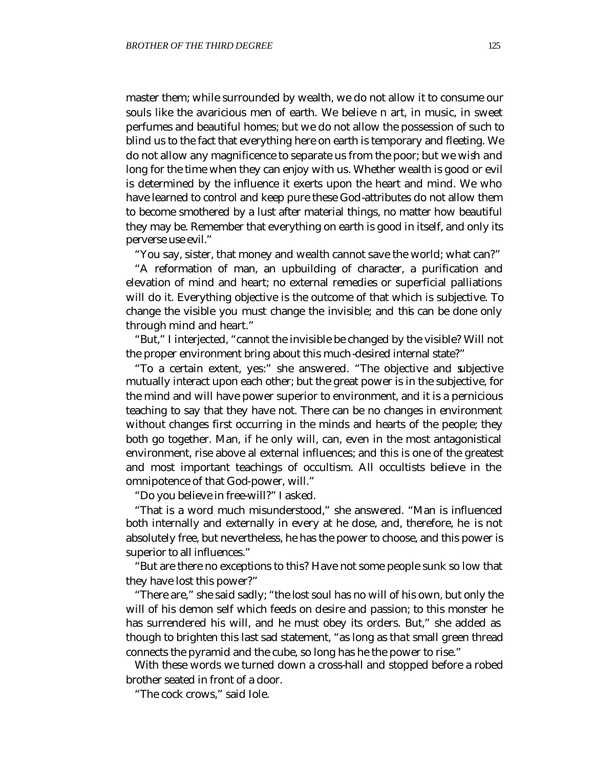master them; while surrounded by wealth, we do not allow it to consume our souls like the avaricious men of earth. We believe n art, in music, in sweet perfumes and beautiful homes; but we do not allow the possession of such to blind us to the fact that everything here on earth is temporary and fleeting. We do not allow any magnificence to separate us from the poor; but we wish and long for the time when they can enjoy with us. Whether wealth is good or evil is determined by the influence it exerts upon the heart and mind. We who have learned to control and keep pure these God-attributes do not allow them to become smothered by a lust after material things, no matter how beautiful they may be. Remember that everything on earth is good in itself, and only its perverse use evil."

"You say, sister, that money and wealth cannot save the world; what can?"

"A reformation of man, an upbuilding of character, a purification and elevation of mind and heart; no external remedies or superficial palliations will do it. Everything objective is the outcome of that which is subjective. To change the visible you must change the invisible; and this can be done only through mind and heart."

"But," I interjected, "cannot the invisible be changed by the visible? Will not the proper environment bring about this much-desired internal state?"

"To a certain extent, yes:" she answered. "The objective and subjective mutually interact upon each other; but the great power is in the subjective, for the mind and will have power superior to environment, and it is a pernicious teaching to say that they have not. There can be no changes in environment without changes first occurring in the minds and hearts of the people; they both go together. Man, if he only will, can, even in the most antagonistical environment, rise above al external influences; and this is one of the greatest and most important teachings of occultism. All occultists believe in the omnipotence of that God-power, will."

"Do you believe in free-will?" I asked.

"That is a word much misunderstood," she answered. "Man is influenced both internally and externally in every at he dose, and, therefore, he is not absolutely free, but nevertheless, he has the power to choose, and this power is superior to all influences."

"But are there no exceptions to this? Have not some people sunk so low that they have lost this power?"

"There are," she said sadly; "the lost soul has no will of his own, but only the will of his demon self which feeds on desire and passion; to this monster he has surrendered his will, and he must obey its orders. But," she added as though to brighten this last sad statement, "as long as that small green thread connects the pyramid and the cube, so long has he the power to rise."

With these words we turned down a cross-hall and stopped before a robed brother seated in front of a door.

"The cock crows," said Iole.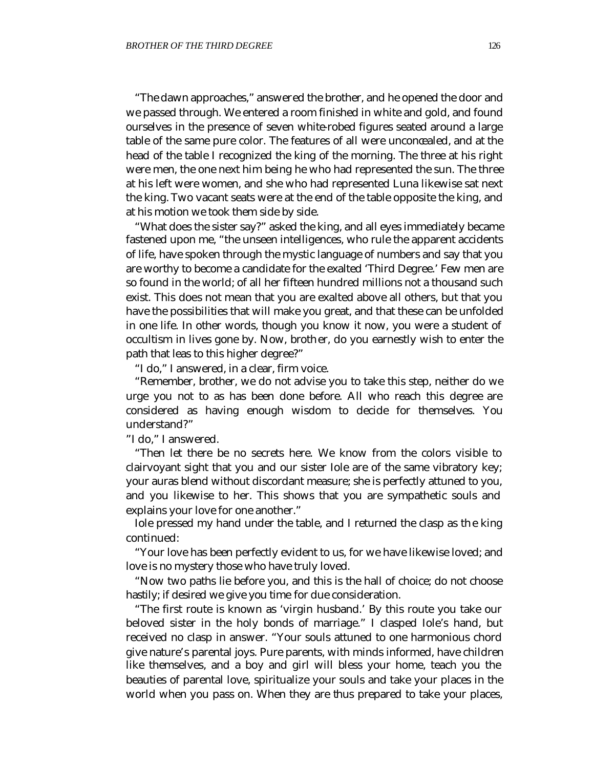"The dawn approaches," answered the brother, and he opened the door and we passed through. We entered a room finished in white and gold, and found ourselves in the presence of seven white-robed figures seated around a large table of the same pure color. The features of all were unconcealed, and at the head of the table I recognized the king of the morning. The three at his right were men, the one next him being he who had represented the sun. The three at his left were women, and she who had represented Luna likewise sat next the king. Two vacant seats were at the end of the table opposite the king, and at his motion we took them side by side.

"What does the sister say?" asked the king, and all eyes immediately became fastened upon me, "the unseen intelligences, who rule the apparent accidents of life, have spoken through the mystic language of numbers and say that you are worthy to become a candidate for the exalted 'Third Degree.' Few men are so found in the world; of all her fifteen hundred millions not a thousand such exist. This does not mean that you are exalted above all others, but that you have the possibilities that will make you great, and that these can be unfolded in one life. In other words, though you know it now, you were a student of occultism in lives gone by. Now, brother, do you earnestly wish to enter the path that leas to this higher degree?"

"I do," I answered, in a clear, firm voice.

"Remember, brother, we do not advise you to take this step, neither do we urge you not to as has been done before. All who reach this degree are considered as having enough wisdom to decide for themselves. You understand?"

"I do," I answered.

"Then let there be no secrets here. We know from the colors visible to clairvoyant sight that you and our sister Iole are of the same vibratory key; your auras blend without discordant measure; she is perfectly attuned to you, and you likewise to her. This shows that you are sympathetic souls and explains your love for one another."

Iole pressed my hand under the table, and I returned the clasp as the king continued:

"Your love has been perfectly evident to us, for we have likewise loved; and love is no mystery those who have truly loved.

"Now two paths lie before you, and this is the hall of choice; do not choose hastily; if desired we give you time for due consideration.

"The first route is known as 'virgin husband.' By this route you take our beloved sister in the holy bonds of marriage." I clasped Iole's hand, but received no clasp in answer. "Your souls attuned to one harmonious chord give nature's parental joys. Pure parents, with minds informed, have children like themselves, and a boy and girl will bless your home, teach you the beauties of parental love, spiritualize your souls and take your places in the world when you pass on. When they are thus prepared to take your places,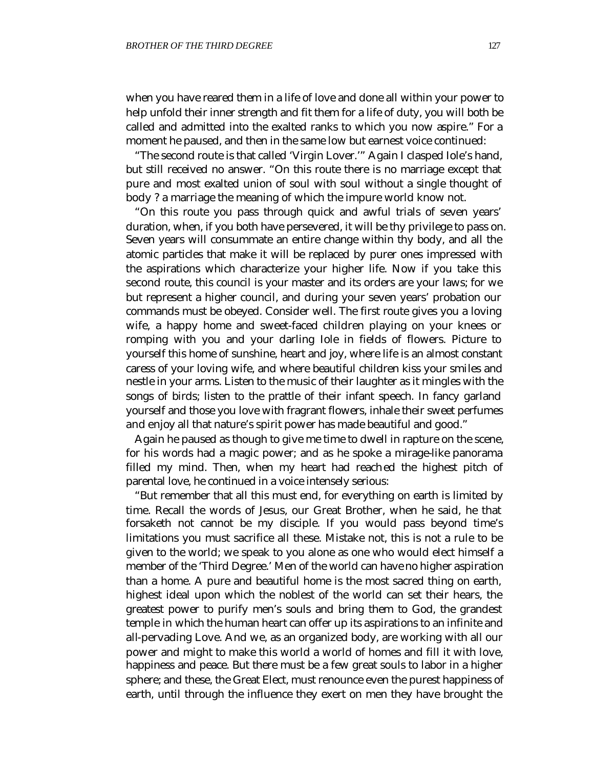when you have reared them in a life of love and done all within your power to help unfold their inner strength and fit them for a life of duty, you will both be called and admitted into the exalted ranks to which you now aspire." For a moment he paused, and then in the same low but earnest voice continued:

"The second route is that called 'Virgin Lover.'" Again I clasped Iole's hand, but still received no answer. "On this route there is no marriage except that pure and most exalted union of soul with soul without a single thought of body ? a marriage the meaning of which the impure world know not.

"On this route you pass through quick and awful trials of seven years' duration, when, if you both have persevered, it will be thy privilege to pass on. Seven years will consummate an entire change within thy body, and all the atomic particles that make it will be replaced by purer ones impressed with the aspirations which characterize your higher life. Now if you take this second route, this council is your master and its orders are your laws; for we but represent a higher council, and during your seven years' probation our commands must be obeyed. Consider well. The first route gives you a loving wife, a happy home and sweet-faced children playing on your knees or romping with you and your darling Iole in fields of flowers. Picture to yourself this home of sunshine, heart and joy, where life is an almost constant caress of your loving wife, and where beautiful children kiss your smiles and nestle in your arms. Listen to the music of their laughter as it mingles with the songs of birds; listen to the prattle of their infant speech. In fancy garland yourself and those you love with fragrant flowers, inhale their sweet perfumes and enjoy all that nature's spirit power has made beautiful and good."

Again he paused as though to give me time to dwell in rapture on the scene, for his words had a magic power; and as he spoke a mirage-like panorama filled my mind. Then, when my heart had reached the highest pitch of parental love, he continued in a voice intensely serious:

"But remember that all this must end, for everything on earth is limited by time. Recall the words of Jesus, our Great Brother, when he said, he that forsaketh not cannot be my disciple. If you would pass beyond time's limitations you must sacrifice all these. Mistake not, this is not a rule to be given to the world; we speak to you alone as one who would elect himself a member of the 'Third Degree.' Men of the world can have no higher aspiration than a home. A pure and beautiful home is the most sacred thing on earth, highest ideal upon which the noblest of the world can set their hears, the greatest power to purify men's souls and bring them to God, the grandest temple in which the human heart can offer up its aspirations to an infinite and all-pervading Love. And we, as an organized body, are working with all our power and might to make this world a world of homes and fill it with love, happiness and peace. But there must be a few great souls to labor in a higher sphere; and these, the Great Elect, must renounce even the purest happiness of earth, until through the influence they exert on men they have brought the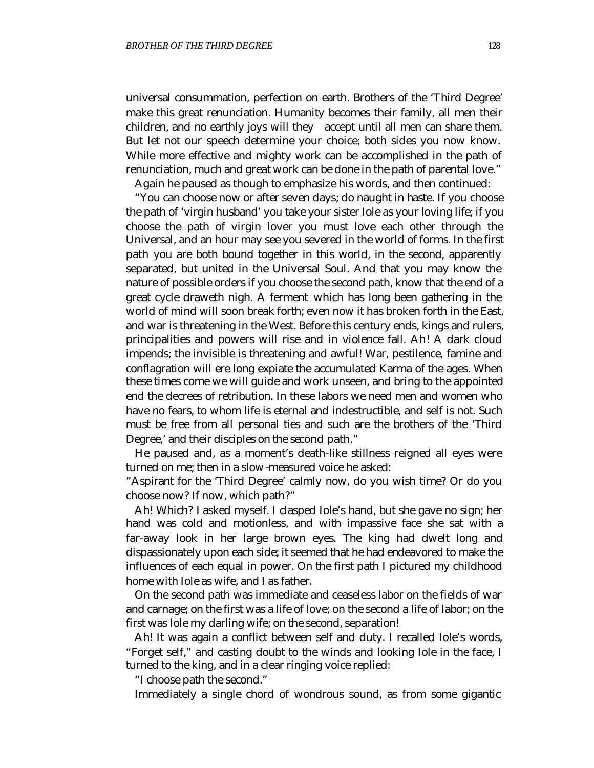universal consummation, perfection on earth. Brothers of the 'Third Degree' make this great renunciation. Humanity becomes their family, all men their children, and no earthly joys will they accept until all men can share them. But let not our speech determine your choice; both sides you now know. While more effective and mighty work can be accomplished in the path of renunciation, much and great work can be done in the path of parental love."

Again he paused as though to emphasize his words, and then continued:

"You can choose now or after seven days; do naught in haste. If you choose the path of 'virgin husband' you take your sister Iole as your loving life; if you choose the path of virgin lover you must love each other through the Universal, and an hour may see you severed in the world of forms. In the first path you are both bound together in this world, in the second, apparently separated, but united in the Universal Soul. And that you may know the nature of possible orders if you choose the second path, know that the end of a great cycle draweth nigh. A ferment which has long been gathering in the world of mind will soon break forth; even now it has broken forth in the East, and war is threatening in the West. Before this century ends, kings and rulers, principalities and powers will rise and in violence fall. Ah! A dark cloud impends; the invisible is threatening and awful! War, pestilence, famine and conflagration will ere long expiate the accumulated Karma of the ages. When these times come we will guide and work unseen, and bring to the appointed end the decrees of retribution. In these labors we need men and women who have no fears, to whom life is eternal and indestructible, and self is not. Such must be free from all personal ties and such are the brothers of the 'Third Degree,' and their disciples on the second path."

He paused and, as a moment's death-like stillness reigned all eyes were turned on me; then in a slow-measured voice he asked:

"Aspirant for the 'Third Degree' calmly now, do you wish time? Or do you choose now? If now, which path?"

Ah! Which? I asked myself. I clasped Iole's hand, but she gave no sign; her hand was cold and motionless, and with impassive face she sat with a far-away look in her large brown eyes. The king had dwelt long and dispassionately upon each side; it seemed that he had endeavored to make the influences of each equal in power. On the first path I pictured my childhood home with Iole as wife, and I as father.

On the second path was immediate and ceaseless labor on the fields of war and carnage; on the first was a life of love; on the second a life of labor; on the first was Iole my darling wife; on the second, separation!

Ah! It was again a conflict between self and duty. I recalled Iole's words, "Forget self," and casting doubt to the winds and looking Iole in the face, I turned to the king, and in a clear ringing voice replied:

"I choose path the second."

Immediately a single chord of wondrous sound, as from some gigantic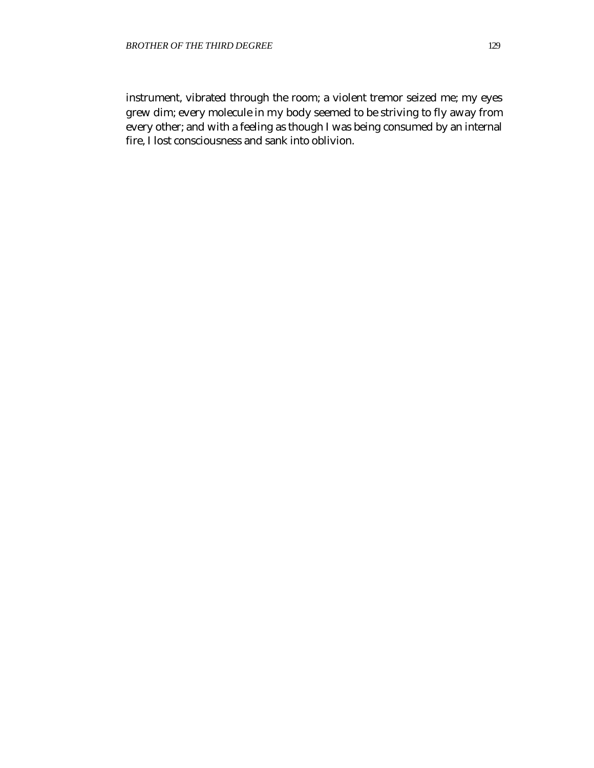instrument, vibrated through the room; a violent tremor seized me; my eyes grew dim; every molecule in my body seemed to be striving to fly away from every other; and with a feeling as though I was being consumed by an internal fire, I lost consciousness and sank into oblivion.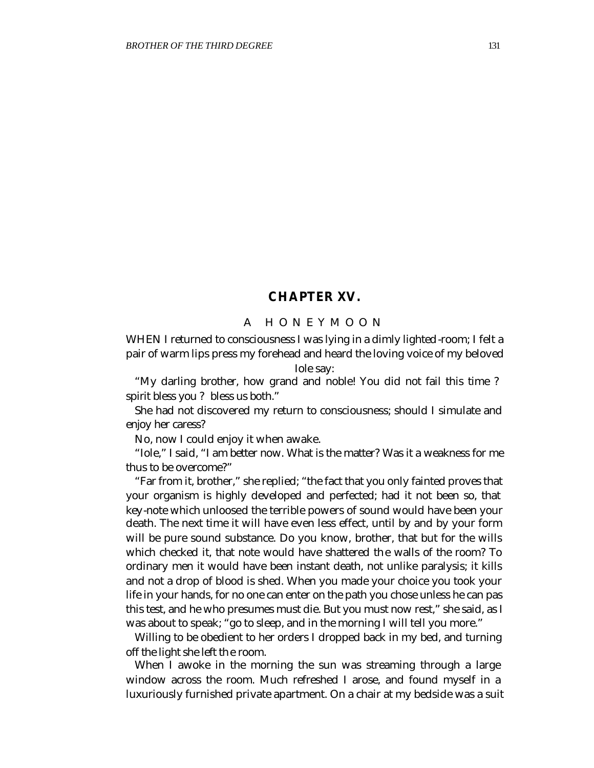# **CHAPTER XV.**

## A HONEYMOON

WHEN I returned to consciousness I was lying in a dimly lighted-room; I felt a pair of warm lips press my forehead and heard the loving voice of my beloved

#### Iole say:

"My darling brother, how grand and noble! You did not fail this time ? spirit bless you ? bless us both."

She had not discovered my return to consciousness; should I simulate and enjoy her caress?

No, now I could enjoy it when awake.

"Iole," I said, "I am better now. What is the matter? Was it a weakness for me thus to be overcome?"

"Far from it, brother," she replied; "the fact that you only fainted proves that your organism is highly developed and perfected; had it not been so, that key-note which unloosed the terrible powers of sound would have been your death. The next time it will have even less effect, until by and by your form will be pure sound substance. Do you know, brother, that but for the wills which checked it, that note would have shattered the walls of the room? To ordinary men it would have been instant death, not unlike paralysis; it kills and not a drop of blood is shed. When you made your choice you took your life in your hands, for no one can enter on the path you chose unless he can pas this test, and he who presumes must die. But you must now rest," she said, as I was about to speak; "go to sleep, and in the morning I will tell you more."

Willing to be obedient to her orders I dropped back in my bed, and turning off the light she left the room.

When I awoke in the morning the sun was streaming through a large window across the room. Much refreshed I arose, and found myself in a luxuriously furnished private apartment. On a chair at my bedside was a suit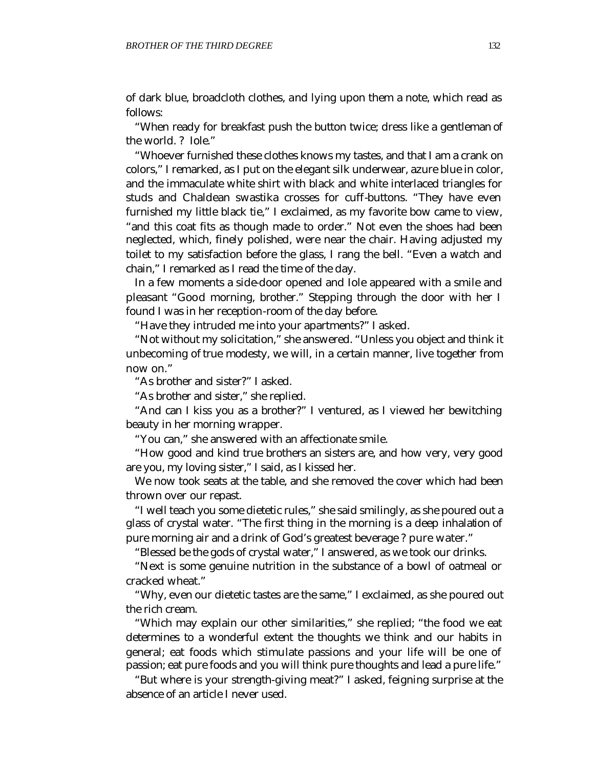of dark blue, broadcloth clothes, and lying upon them a note, which read as follows:

"When ready for breakfast push the button twice; dress like a gentleman of the world. ? Iole."

"Whoever furnished these clothes knows my tastes, and that I am a crank on colors," I remarked, as I put on the elegant silk underwear, azure blue in color, and the immaculate white shirt with black and white interlaced triangles for studs and Chaldean swastika crosses for cuff-buttons. "They have even furnished my little black tie," I exclaimed, as my favorite bow came to view, "and this coat fits as though made to order." Not even the shoes had been neglected, which, finely polished, were near the chair. Having adjusted my toilet to my satisfaction before the glass, I rang the bell. "Even a watch and chain," I remarked as I read the time of the day.

In a few moments a side-door opened and Iole appeared with a smile and pleasant "Good morning, brother." Stepping through the door with her I found I was in her reception-room of the day before.

"Have they intruded me into your apartments?" I asked.

"Not without my solicitation," she answered. "Unless you object and think it unbecoming of true modesty, we will, in a certain manner, live together from now on."

"As brother and sister?" I asked.

"As brother and sister," she replied.

"And can I kiss you as a brother?" I ventured, as I viewed her bewitching beauty in her morning wrapper.

"You can," she answered with an affectionate smile.

"How good and kind true brothers an sisters are, and how very, very good are you, my loving sister," I said, as I kissed her.

We now took seats at the table, and she removed the cover which had been thrown over our repast.

"I well teach you some dietetic rules," she said smilingly, as she poured out a glass of crystal water. "The first thing in the morning is a deep inhalation of pure morning air and a drink of God's greatest beverage ? pure water."

"Blessed be the gods of crystal water," I answered, as we took our drinks.

"Next is some genuine nutrition in the substance of a bowl of oatmeal or cracked wheat."

"Why, even our dietetic tastes are the same," I exclaimed, as she poured out the rich cream.

"Which may explain our other similarities," she replied; "the food we eat determines to a wonderful extent the thoughts we think and our habits in general; eat foods which stimulate passions and your life will be one of passion; eat pure foods and you will think pure thoughts and lead a pure life."

"But where is your strength-giving meat?" I asked, feigning surprise at the absence of an article I never used.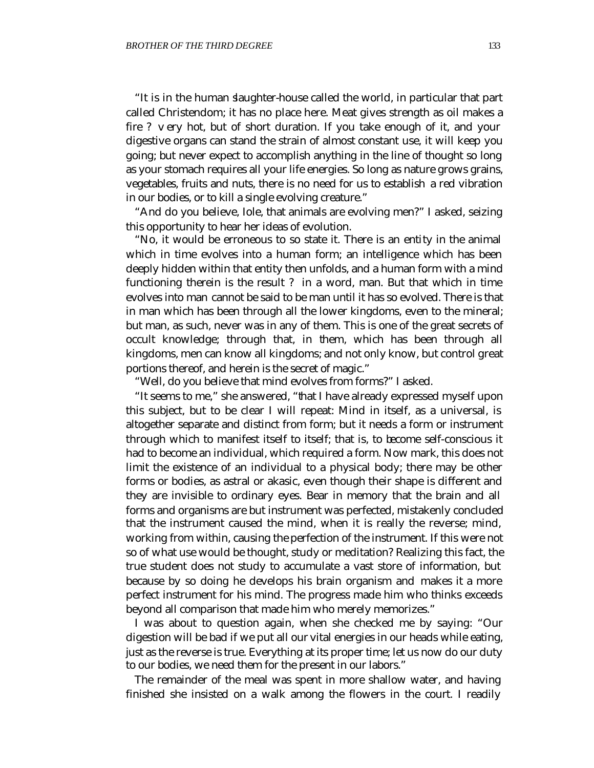"It is in the human slaughter-house called the world, in particular that part called Christendom; it has no place here. Meat gives strength as oil makes a fire ? v ery hot, but of short duration. If you take enough of it, and your digestive organs can stand the strain of almost constant use, it will keep you going; but never expect to accomplish anything in the line of thought so long as your stomach requires all your life energies. So long as nature grows grains, vegetables, fruits and nuts, there is no need for us to establish a red vibration in our bodies, or to kill a single evolving creature."

"And do you believe, Iole, that animals are evolving men?" I asked, seizing this opportunity to hear her ideas of evolution.

"No, it would be erroneous to so state it. There is an entity in the animal which in time evolves into a human form; an intelligence which has been deeply hidden within that entity then unfolds, and a human form with a mind functioning therein is the result ? in a word, man. But that which in time evolves into man cannot be said to be man until it has so evolved. There is that in man which has been through all the lower kingdoms, even to the mineral; but man, as such, never was in any of them. This is one of the great secrets of occult knowledge; through that, in them, which has been through all kingdoms, men can know all kingdoms; and not only know, but control great portions thereof, and herein is the secret of magic."

"Well, do you believe that mind evolves from forms?" I asked.

"It seems to me," she answered, "that I have already expressed myself upon this subject, but to be clear I will repeat: Mind in itself, as a universal, is altogether separate and distinct from form; but it needs a form or instrument through which to manifest itself to itself; that is, to become self-conscious it had to become an individual, which required a form. Now mark, this does not limit the existence of an individual to a physical body; there may be other forms or bodies, as astral or akasic, even though their shape is different and they are invisible to ordinary eyes. Bear in memory that the brain and all forms and organisms are but instrument was perfected, mistakenly concluded that the instrument caused the mind, when it is really the reverse; mind, working from within, causing the perfection of the instrument. If this were not so of what use would be thought, study or meditation? Realizing this fact, the true student does not study to accumulate a vast store of information, but because by so doing he develops his brain organism and makes it a more perfect instrument for his mind. The progress made him who thinks exceeds beyond all comparison that made him who merely memorizes."

I was about to question again, when she checked me by saying: "Our digestion will be bad if we put all our vital energies in our heads while eating, just as the reverse is true. Everything at its proper time; let us now do our duty to our bodies, we need them for the present in our labors."

The remainder of the meal was spent in more shallow water, and having finished she insisted on a walk among the flowers in the court. I readily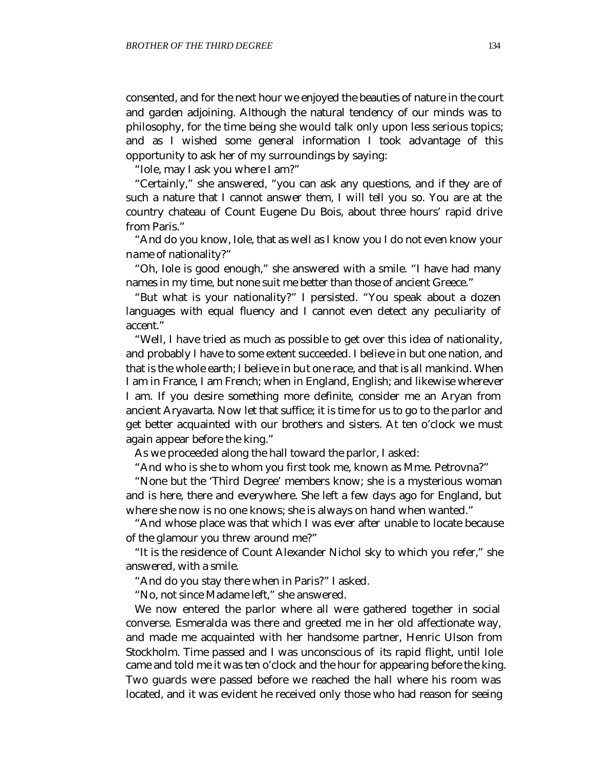consented, and for the next hour we enjoyed the beauties of nature in the court and garden adjoining. Although the natural tendency of our minds was to philosophy, for the time being she would talk only upon less serious topics; and as I wished some general information I took advantage of this opportunity to ask her of my surroundings by saying:

"Iole, may I ask you where I am?"

"Certainly," she answered, "you can ask any questions, and if they are of such a nature that I cannot answer them, I will tell you so. You are at the country chateau of Count Eugene Du Bois, about three hours' rapid drive from Paris."

"And do you know, Iole, that as well as I know you I do not even know your name of nationality?"

"Oh, Iole is good enough," she answered with a smile. "I have had many names in my time, but none suit me better than those of ancient Greece."

"But what is your nationality?" I persisted. "You speak about a dozen languages with equal fluency and I cannot even detect any peculiarity of accent."

"Well, I have tried as much as possible to get over this idea of nationality, and probably I have to some extent succeeded. I believe in but one nation, and that is the whole earth; I believe in but one race, and that is all mankind. When I am in France, I am French; when in England, English; and likewise wherever I am. If you desire something more definite, consider me an Aryan from ancient Aryavarta. Now let that suffice; it is time for us to go to the parlor and get better acquainted with our brothers and sisters. At ten o'clock we must again appear before the king."

As we proceeded along the hall toward the parlor, I asked:

"And who is she to whom you first took me, known as Mme. Petrovna?"

"None but the 'Third Degree' members know; she is a mysterious woman and is here, there and everywhere. She left a few days ago for England, but where she now is no one knows; she is always on hand when wanted."

"And whose place was that which I was ever after unable to locate because of the glamour you threw around me?"

"It is the residence of Count Alexander Nichol sky to which you refer," she answered, with a smile.

"And do you stay there when in Paris?" I asked.

"No, not since Madame left," she answered.

We now entered the parlor where all were gathered together in social converse. Esmeralda was there and greeted me in her old affectionate way, and made me acquainted with her handsome partner, Henric Ulson from Stockholm. Time passed and I was unconscious of its rapid flight, until Iole came and told me it was ten o'clock and the hour for appearing before the king. Two guards were passed before we reached the hall where his room was located, and it was evident he received only those who had reason for seeing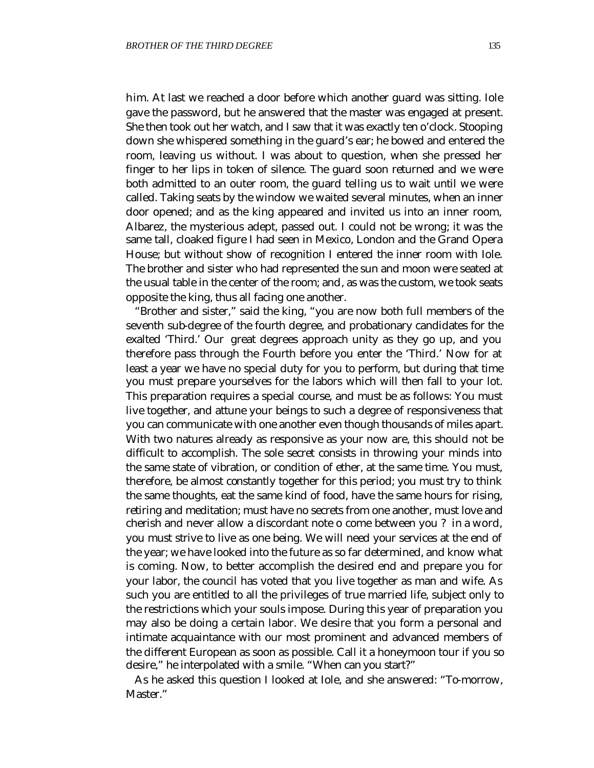him. At last we reached a door before which another guard was sitting. Iole gave the password, but he answered that the master was engaged at present. She then took out her watch, and I saw that it was exactly ten o'clock. Stooping down she whispered something in the guard's ear; he bowed and entered the room, leaving us without. I was about to question, when she pressed her finger to her lips in token of silence. The guard soon returned and we were both admitted to an outer room, the guard telling us to wait until we were called. Taking seats by the window we waited several minutes, when an inner door opened; and as the king appeared and invited us into an inner room, Albarez, the mysterious adept, passed out. I could not be wrong; it was the same tall, cloaked figure I had seen in Mexico, London and the Grand Opera House; but without show of recognition I entered the inner room with Iole. The brother and sister who had represented the sun and moon were seated at the usual table in the center of the room; and, as was the custom, we took seats opposite the king, thus all facing one another.

"Brother and sister," said the king, "you are now both full members of the seventh sub-degree of the fourth degree, and probationary candidates for the exalted 'Third.' Our great degrees approach unity as they go up, and you therefore pass through the Fourth before you enter the 'Third.' Now for at least a year we have no special duty for you to perform, but during that time you must prepare yourselves for the labors which will then fall to your lot. This preparation requires a special course, and must be as follows: You must live together, and attune your beings to such a degree of responsiveness that you can communicate with one another even though thousands of miles apart. With two natures already as responsive as your now are, this should not be difficult to accomplish. The sole secret consists in throwing your minds into the same state of vibration, or condition of ether, at the same time. You must, therefore, be almost constantly together for this period; you must try to think the same thoughts, eat the same kind of food, have the same hours for rising, retiring and meditation; must have no secrets from one another, must love and cherish and never allow a discordant note o come between you ? in a word, you must strive to live as one being. We will need your services at the end of the year; we have looked into the future as so far determined, and know what is coming. Now, to better accomplish the desired end and prepare you for your labor, the council has voted that you live together as man and wife. As such you are entitled to all the privileges of true married life, subject only to the restrictions which your souls impose. During this year of preparation you may also be doing a certain labor. We desire that you form a personal and intimate acquaintance with our most prominent and advanced members of the different European as soon as possible. Call it a honeymoon tour if you so desire," he interpolated with a smile. "When can you start?"

As he asked this question I looked at Iole, and she answered: "To-morrow, Master."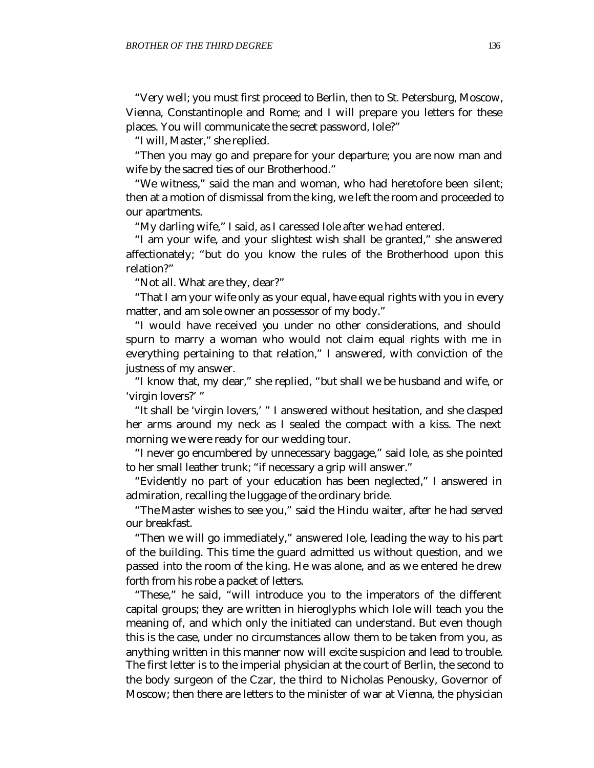"Very well; you must first proceed to Berlin, then to St. Petersburg, Moscow, Vienna, Constantinople and Rome; and I will prepare you letters for these places. You will communicate the secret password, Iole?"

"I will, Master," she replied.

"Then you may go and prepare for your departure; you are now man and wife by the sacred ties of our Brotherhood."

"We witness," said the man and woman, who had heretofore been silent; then at a motion of dismissal from the king, we left the room and proceeded to our apartments.

"My darling wife," I said, as I caressed Iole after we had entered.

"I am your wife, and your slightest wish shall be granted," she answered affectionately; "but do you know the rules of the Brotherhood upon this relation?"

"Not all. What are they, dear?"

"That I am your wife only as your equal, have equal rights with you in every matter, and am sole owner an possessor of my body."

"I would have received you under no other considerations, and should spurn to marry a woman who would not claim equal rights with me in everything pertaining to that relation," I answered, with conviction of the justness of my answer.

"I know that, my dear," she replied, "but shall we be husband and wife, or 'virgin lovers?' "

"It shall be 'virgin lovers,' " I answered without hesitation, and she clasped her arms around my neck as I sealed the compact with a kiss. The next morning we were ready for our wedding tour.

"I never go encumbered by unnecessary baggage," said Iole, as she pointed to her small leather trunk; "if necessary a grip will answer."

"Evidently no part of your education has been neglected," I answered in admiration, recalling the luggage of the ordinary bride.

"The Master wishes to see you," said the Hindu waiter, after he had served our breakfast.

"Then we will go immediately," answered Iole, leading the way to his part of the building. This time the guard admitted us without question, and we passed into the room of the king. He was alone, and as we entered he drew forth from his robe a packet of letters.

"These," he said, "will introduce you to the imperators of the different capital groups; they are written in hieroglyphs which Iole will teach you the meaning of, and which only the initiated can understand. But even though this is the case, under no circumstances allow them to be taken from you, as anything written in this manner now will excite suspicion and lead to trouble. The first letter is to the imperial physician at the court of Berlin, the second to the body surgeon of the Czar, the third to Nicholas Penousky, Governor of Moscow; then there are letters to the minister of war at Vienna, the physician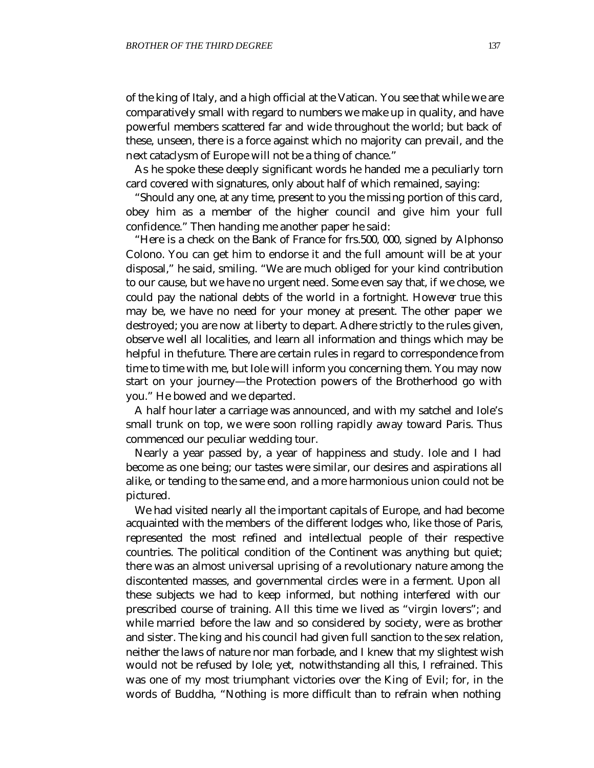of the king of Italy, and a high official at the Vatican. You see that while we are comparatively small with regard to numbers we make up in quality, and have powerful members scattered far and wide throughout the world; but back of these, unseen, there is a force against which no majority can prevail, and the next cataclysm of Europe will not be a thing of chance."

As he spoke these deeply significant words he handed me a peculiarly torn card covered with signatures, only about half of which remained, saying:

"Should any one, at any time, present to you the missing portion of this card, obey him as a member of the higher council and give him your full confidence." Then handing me another paper he said:

"Here is a check on the Bank of France for frs.500, 000, signed by Alphonso Colono. You can get him to endorse it and the full amount will be at your disposal," he said, smiling. "We are much obliged for your kind contribution to our cause, but we have no urgent need. Some even say that, if we chose, we could pay the national debts of the world in a fortnight. However true this may be, we have no need for your money at present. The other paper we destroyed; you are now at liberty to depart. Adhere strictly to the rules given, observe well all localities, and learn all information and things which may be helpful in the future. There are certain rules in regard to correspondence from time to time with me, but Iole will inform you concerning them. You may now start on your journey—the Protection powers of the Brotherhood go with you." He bowed and we departed.

A half hour later a carriage was announced, and with my satchel and Iole's small trunk on top, we were soon rolling rapidly away toward Paris. Thus commenced our peculiar wedding tour.

Nearly a year passed by, a year of happiness and study. Iole and I had become as one being; our tastes were similar, our desires and aspirations all alike, or tending to the same end, and a more harmonious union could not be pictured.

We had visited nearly all the important capitals of Europe, and had become acquainted with the members of the different lodges who, like those of Paris, represented the most refined and intellectual people of their respective countries. The political condition of the Continent was anything but quiet; there was an almost universal uprising of a revolutionary nature among the discontented masses, and governmental circles were in a ferment. Upon all these subjects we had to keep informed, but nothing interfered with our prescribed course of training. All this time we lived as "virgin lovers"; and while married before the law and so considered by society, were as brother and sister. The king and his council had given full sanction to the sex relation, neither the laws of nature nor man forbade, and I knew that my slightest wish would not be refused by Iole; yet, notwithstanding all this, I refrained. This was one of my most triumphant victories over the King of Evil; for, in the words of Buddha, "Nothing is more difficult than to refrain when nothing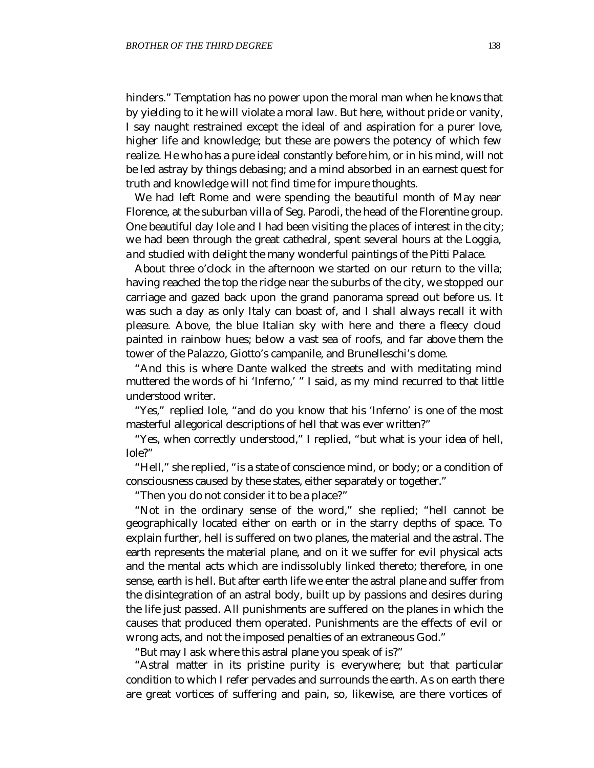hinders." Temptation has no power upon the moral man when he knows that by yielding to it he will violate a moral law. But here, without pride or vanity, I say naught restrained except the ideal of and aspiration for a purer love, higher life and knowledge; but these are powers the potency of which few realize. He who has a pure ideal constantly before him, or in his mind, will not be led astray by things debasing; and a mind absorbed in an earnest quest for truth and knowledge will not find time for impure thoughts.

We had left Rome and were spending the beautiful month of May near Florence, at the suburban villa of Seg. Parodi, the head of the Florentine group. One beautiful day Iole and I had been visiting the places of interest in the city; we had been through the great cathedral, spent several hours at the Loggia, and studied with delight the many wonderful paintings of the Pitti Palace.

About three o'clock in the afternoon we started on our return to the villa; having reached the top the ridge near the suburbs of the city, we stopped our carriage and gazed back upon the grand panorama spread out before us. It was such a day as only Italy can boast of, and I shall always recall it with pleasure. Above, the blue Italian sky with here and there a fleecy cloud painted in rainbow hues; below a vast sea of roofs, and far above them the tower of the Palazzo, Giotto's campanile, and Brunelleschi's dome.

"And this is where Dante walked the streets and with meditating mind muttered the words of hi 'Inferno,' " I said, as my mind recurred to that little understood writer.

"Yes," replied Iole, "and do you know that his 'Inferno' is one of the most masterful allegorical descriptions of hell that was ever written?"

"Yes, when correctly understood," I replied, "but what is your idea of hell, Iole?"

"Hell," she replied, "is a state of conscience mind, or body; or a condition of consciousness caused by these states, either separately or together."

"Then you do not consider it to be a place?"

"Not in the ordinary sense of the word," she replied; "hell cannot be geographically located either on earth or in the starry depths of space. To explain further, hell is suffered on two planes, the material and the astral. The earth represents the material plane, and on it we suffer for evil physical acts and the mental acts which are indissolubly linked thereto; therefore, in one sense, earth is hell. But after earth life we enter the astral plane and suffer from the disintegration of an astral body, built up by passions and desires during the life just passed. All punishments are suffered on the planes in which the causes that produced them operated. Punishments are the effects of evil or wrong acts, and not the imposed penalties of an extraneous God."

"But may I ask where this astral plane you speak of is?"

"Astral matter in its pristine purity is everywhere; but that particular condition to which I refer pervades and surrounds the earth. As on earth there are great vortices of suffering and pain, so, likewise, are there vortices of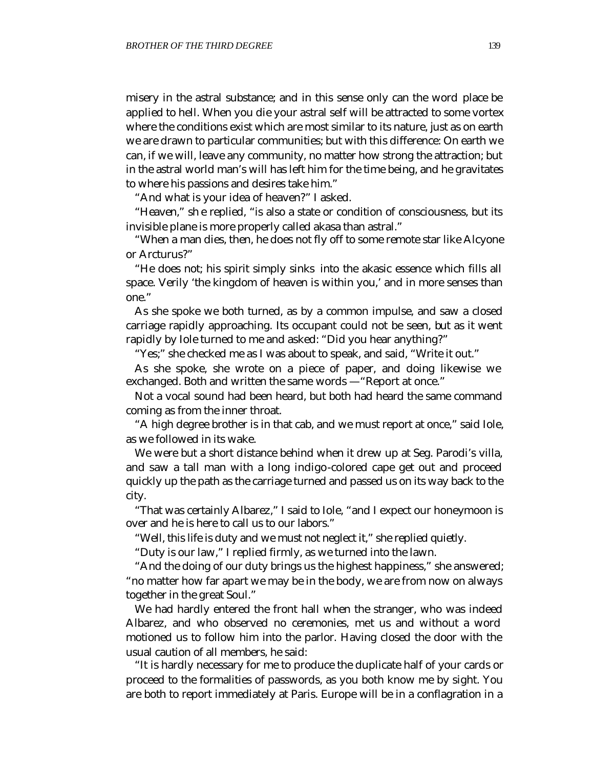misery in the astral substance; and in this sense only can the word place be applied to hell. When you die your astral self will be attracted to some vortex where the conditions exist which are most similar to its nature, just as on earth we are drawn to particular communities; but with this difference: On earth we can, if we will, leave any community, no matter how strong the attraction; but in the astral world man's will has left him for the time being, and he gravitates to where his passions and desires take him."

"And what is your idea of heaven?" I asked.

"Heaven," sh e replied, "is also a state or condition of consciousness, but its invisible plane is more properly called akasa than astral."

"When a man dies, then, he does not fly off to some remote star like Alcyone or Arcturus?"

"He does not; his spirit simply sinks into the akasic essence which fills all space. Verily 'the kingdom of heaven is within you,' and in more senses than one."

As she spoke we both turned, as by a common impulse, and saw a closed carriage rapidly approaching. Its occupant could not be seen, but as it went rapidly by Iole turned to me and asked: "Did you hear anything?"

"Yes;" she checked me as I was about to speak, and said, "Write it out."

As she spoke, she wrote on a piece of paper, and doing likewise we exchanged. Both and written the same words —"Report at once."

Not a vocal sound had been heard, but both had heard the same command coming as from the inner throat.

"A high degree brother is in that cab, and we must report at once," said Iole, as we followed in its wake.

We were but a short distance behind when it drew up at Seg. Parodi's villa, and saw a tall man with a long indigo-colored cape get out and proceed quickly up the path as the carriage turned and passed us on its way back to the city.

"That was certainly Albarez," I said to Iole, "and I expect our honeymoon is over and he is here to call us to our labors."

"Well, this life is duty and we must not neglect it," she replied quietly.

"Duty is our law," I replied firmly, as we turned into the lawn.

"And the doing of our duty brings us the highest happiness," she answered; "no matter how far apart we may be in the body, we are from now on always together in the great Soul."

We had hardly entered the front hall when the stranger, who was indeed Albarez, and who observed no ceremonies, met us and without a word motioned us to follow him into the parlor. Having closed the door with the usual caution of all members, he said:

"It is hardly necessary for me to produce the duplicate half of your cards or proceed to the formalities of passwords, as you both know me by sight. You are both to report immediately at Paris. Europe will be in a conflagration in a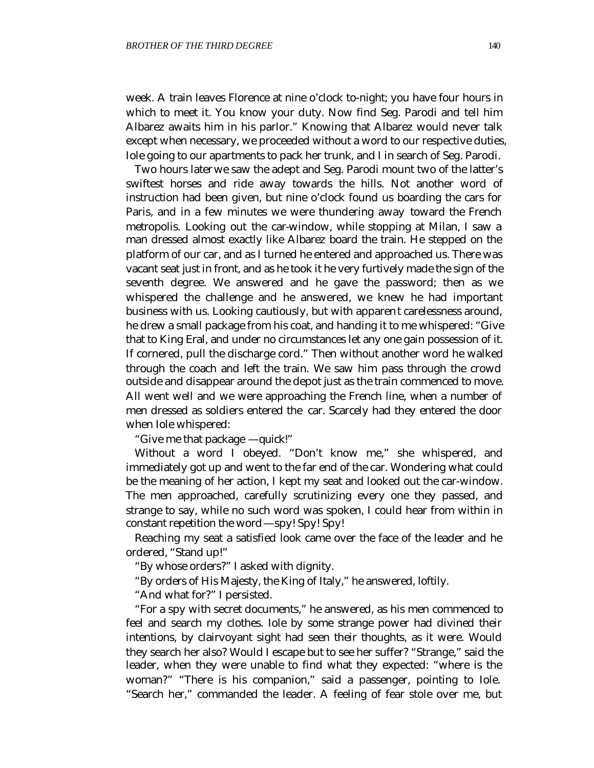week. A train leaves Florence at nine o'clock to-night; you have four hours in which to meet it. You know your duty. Now find Seg. Parodi and tell him Albarez awaits him in his parlor." Knowing that Albarez would never talk except when necessary, we proceeded without a word to our respective duties, Iole going to our apartments to pack her trunk, and I in search of Seg. Parodi.

Two hours later we saw the adept and Seg. Parodi mount two of the latter's swiftest horses and ride away towards the hills. Not another word of instruction had been given, but nine o'clock found us boarding the cars for Paris, and in a few minutes we were thundering away toward the French metropolis. Looking out the car-window, while stopping at Milan, I saw a man dressed almost exactly like Albarez board the train. He stepped on the platform of our car, and as I turned he entered and approached us. There was vacant seat just in front, and as he took it he very furtively made the sign of the seventh degree. We answered and he gave the password; then as we whispered the challenge and he answered, we knew he had important business with us. Looking cautiously, but with apparent carelessness around, he drew a small package from his coat, and handing it to me whispered: "Give that to King Eral, and under no circumstances let any one gain possession of it. If cornered, pull the discharge cord." Then without another word he walked through the coach and left the train. We saw him pass through the crowd outside and disappear around the depot just as the train commenced to move. All went well and we were approaching the French line, when a number of men dressed as soldiers entered the car. Scarcely had they entered the door when Iole whispered:

"Give me that package —quick!"

Without a word I obeyed. "Don't know me," she whispered, and immediately got up and went to the far end of the car. Wondering what could be the meaning of her action, I kept my seat and looked out the car-window. The men approached, carefully scrutinizing every one they passed, and strange to say, while no such word was spoken, I could hear from within in constant repetition the word—spy! Spy! Spy!

Reaching my seat a satisfied look came over the face of the leader and he ordered, "Stand up!"

"By whose orders?" I asked with dignity.

"By orders of His Majesty, the King of Italy," he answered, loftily.

"And what for?" I persisted.

"For a spy with secret documents," he answered, as his men commenced to feel and search my clothes. Iole by some strange power had divined their intentions, by clairvoyant sight had seen their thoughts, as it were. Would they search her also? Would I escape but to see her suffer? "Strange," said the leader, when they were unable to find what they expected: "where is the woman?" "There is his companion," said a passenger, pointing to Iole. "Search her," commanded the leader. A feeling of fear stole over me, but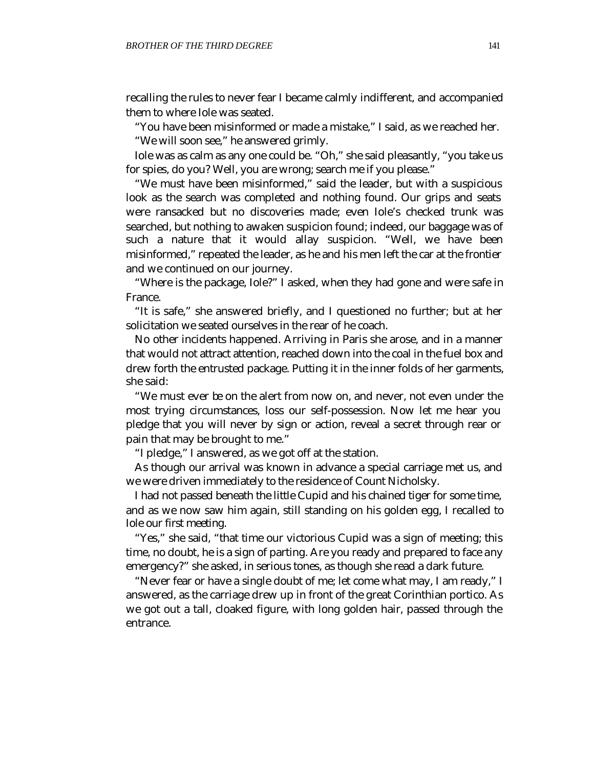recalling the rules to never fear I became calmly indifferent, and accompanied them to where Iole was seated.

"You have been misinformed or made a mistake," I said, as we reached her. "We will soon see," he answered grimly.

Iole was as calm as any one could be. "Oh," she said pleasantly, "you take us for spies, do you? Well, you are wrong; search me if you please."

"We must have been misinformed," said the leader, but with a suspicious look as the search was completed and nothing found. Our grips and seats were ransacked but no discoveries made; even Iole's checked trunk was searched, but nothing to awaken suspicion found; indeed, our baggage was of such a nature that it would allay suspicion. "Well, we have been misinformed," repeated the leader, as he and his men left the car at the frontier and we continued on our journey.

"Where is the package, Iole?" I asked, when they had gone and were safe in France.

"It is safe," she answered briefly, and I questioned no further; but at her solicitation we seated ourselves in the rear of he coach.

No other incidents happened. Arriving in Paris she arose, and in a manner that would not attract attention, reached down into the coal in the fuel box and drew forth the entrusted package. Putting it in the inner folds of her garments, she said:

"We must ever be on the alert from now on, and never, not even under the most trying circumstances, loss our self-possession. Now let me hear you pledge that you will never by sign or action, reveal a secret through rear or pain that may be brought to me."

"I pledge," I answered, as we got off at the station.

As though our arrival was known in advance a special carriage met us, and we were driven immediately to the residence of Count Nicholsky.

I had not passed beneath the little Cupid and his chained tiger for some time, and as we now saw him again, still standing on his golden egg, I recalled to Iole our first meeting.

"Yes," she said, "that time our victorious Cupid was a sign of meeting; this time, no doubt, he is a sign of parting. Are you ready and prepared to face any emergency?" she asked, in serious tones, as though she read a dark future.

"Never fear or have a single doubt of me; let come what may, I am ready," I answered, as the carriage drew up in front of the great Corinthian portico. As we got out a tall, cloaked figure, with long golden hair, passed through the entrance.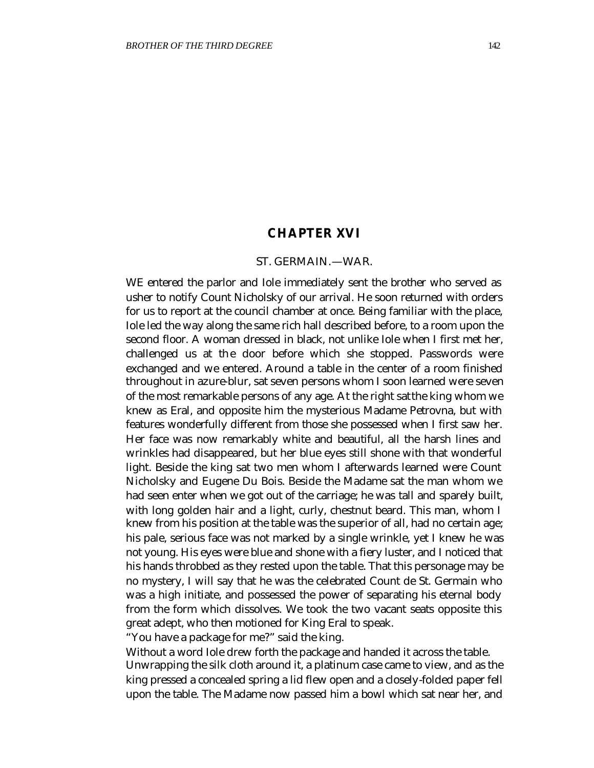## **CHAPTER XVI**

### ST. GERMAIN.—WAR.

WE entered the parlor and Iole immediately sent the brother who served as usher to notify Count Nicholsky of our arrival. He soon returned with orders for us to report at the council chamber at once. Being familiar with the place, Iole led the way along the same rich hall described before, to a room upon the second floor. A woman dressed in black, not unlike Iole when I first met her, challenged us at the door before which she stopped. Passwords were exchanged and we entered. Around a table in the center of a room finished throughout in azure-blur, sat seven persons whom I soon learned were seven of the most remarkable persons of any age. At the right sat the king whom we knew as Eral, and opposite him the mysterious Madame Petrovna, but with features wonderfully different from those she possessed when I first saw her. Her face was now remarkably white and beautiful, all the harsh lines and wrinkles had disappeared, but her blue eyes still shone with that wonderful light. Beside the king sat two men whom I afterwards learned were Count Nicholsky and Eugene Du Bois. Beside the Madame sat the man whom we had seen enter when we got out of the carriage; he was tall and sparely built, with long golden hair and a light, curly, chestnut beard. This man, whom I knew from his position at the table was the superior of all, had no certain age; his pale, serious face was not marked by a single wrinkle, yet I knew he was not young. His eyes were blue and shone with a fiery luster, and I noticed that his hands throbbed as they rested upon the table. That this personage may be no mystery, I will say that he was the celebrated Count de St. Germain who was a high initiate, and possessed the power of separating his eternal body from the form which dissolves. We took the two vacant seats opposite this great adept, who then motioned for King Eral to speak.

"You have a package for me?" said the king.

Without a word Iole drew forth the package and handed it across the table. Unwrapping the silk cloth around it, a platinum case came to view, and as the king pressed a concealed spring a lid flew open and a closely-folded paper fell upon the table. The Madame now passed him a bowl which sat near her, and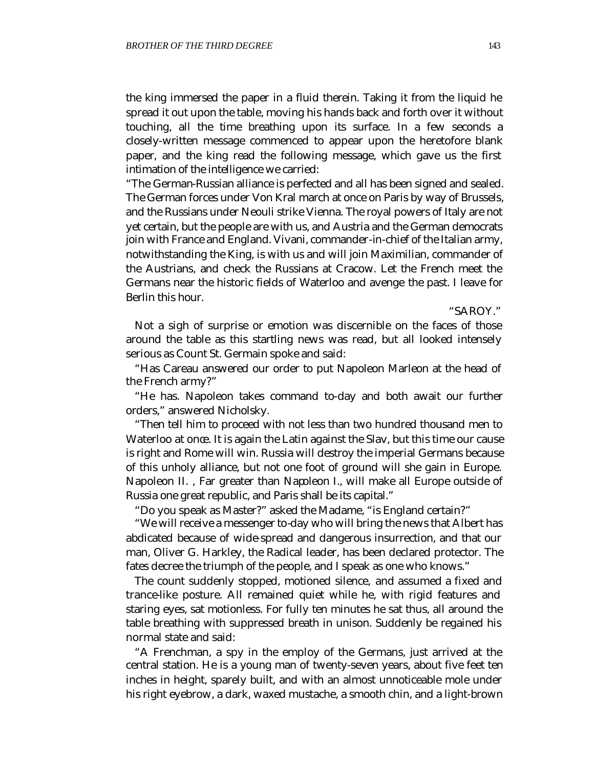the king immersed the paper in a fluid therein. Taking it from the liquid he spread it out upon the table, moving his hands back and forth over it without touching, all the time breathing upon its surface. In a few seconds a closely-written message commenced to appear upon the heretofore blank paper, and the king read the following message, which gave us the first intimation of the intelligence we carried:

"The German-Russian alliance is perfected and all has been signed and sealed. The German forces under Von Kral march at once on Paris by way of Brussels, and the Russians under Neouli strike Vienna. The royal powers of Italy are not yet certain, but the people are with us, and Austria and the German democrats join with France and England. Vivani, commander-in-chief of the Italian army, notwithstanding the King, is with us and will join Maximilian, commander of the Austrians, and check the Russians at Cracow. Let the French meet the Germans near the historic fields of Waterloo and avenge the past. I leave for Berlin this hour.

### "SAROY."

Not a sigh of surprise or emotion was discernible on the faces of those around the table as this startling news was read, but all looked intensely serious as Count St. Germain spoke and said:

"Has Careau answered our order to put Napoleon Marleon at the head of the French army?"

"He has. Napoleon takes command to-day and both await our further orders," answered Nicholsky.

"Then tell him to proceed with not less than two hundred thousand men to Waterloo at once. It is again the Latin against the Slav, but this time our cause is right and Rome will win. Russia will destroy the imperial Germans because of this unholy alliance, but not one foot of ground will she gain in Europe. Napoleon II. , Far greater than Napoleon I., will make all Europe outside of Russia one great republic, and Paris shall be its capital."

"Do you speak as Master?" asked the Madame, "is England certain?"

"We will receive a messenger to-day who will bring the news that Albert has abdicated because of wide-spread and dangerous insurrection, and that our man, Oliver G. Harkley, the Radical leader, has been declared protector. The fates decree the triumph of the people, and I speak as one who knows."

The count suddenly stopped, motioned silence, and assumed a fixed and trance-like posture. All remained quiet while he, with rigid features and staring eyes, sat motionless. For fully ten minutes he sat thus, all around the table breathing with suppressed breath in unison. Suddenly be regained his normal state and said:

"A Frenchman, a spy in the employ of the Germans, just arrived at the central station. He is a young man of twenty-seven years, about five feet ten inches in height, sparely built, and with an almost unnoticeable mole under his right eyebrow, a dark, waxed mustache, a smooth chin, and a light-brown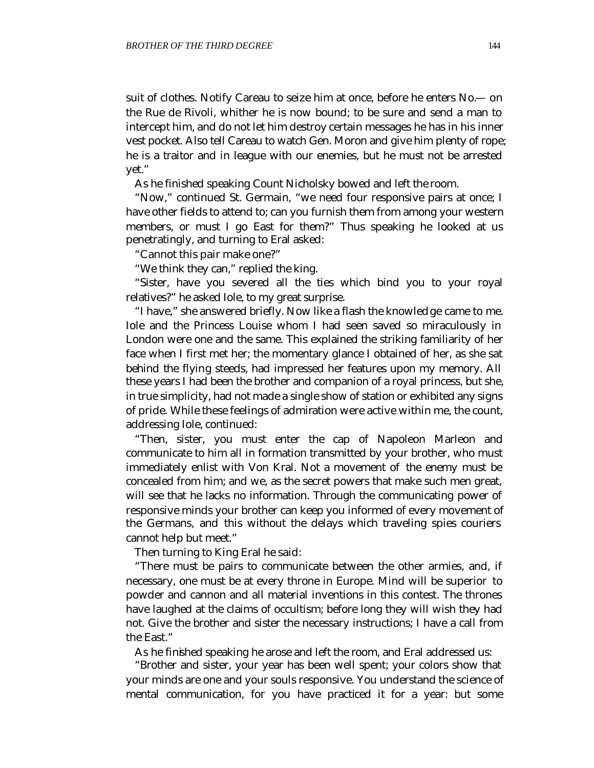suit of clothes. Notify Careau to seize him at once, before he enters No.— on the Rue de Rivoli, whither he is now bound; to be sure and send a man to intercept him, and do not let him destroy certain messages he has in his inner vest pocket. Also tell Careau to watch Gen. Moron and give him plenty of rope; he is a traitor and in league with our enemies, but he must not be arrested yet."

As he finished speaking Count Nicholsky bowed and left the room.

"Now," continued St. Germain, "we need four responsive pairs at once; I have other fields to attend to; can you furnish them from among your western members, or must I go East for them?" Thus speaking he looked at us penetratingly, and turning to Eral asked:

"Cannot this pair make one?"

"We think they can," replied the king.

"Sister, have you severed all the ties which bind you to your royal relatives?" he asked Iole, to my great surprise.

"I have," she answered briefly. Now like a flash the knowledge came to me. Iole and the Princess Louise whom I had seen saved so miraculously in London were one and the same. This explained the striking familiarity of her face when I first met her; the momentary glance I obtained of her, as she sat behind the flying steeds, had impressed her features upon my memory. All these years I had been the brother and companion of a royal princess, but she, in true simplicity, had not made a single show of station or exhibited any signs of pride. While these feelings of admiration were active within me, the count, addressing Iole, continued:

"Then, sister, you must enter the cap of Napoleon Marleon and communicate to him all in formation transmitted by your brother, who must immediately enlist with Von Kral. Not a movement of the enemy must be concealed from him; and we, as the secret powers that make such men great, will see that he lacks no information. Through the communicating power of responsive minds your brother can keep you informed of every movement of the Germans, and this without the delays which traveling spies couriers cannot help but meet."

Then turning to King Eral he said:

"There must be pairs to communicate between the other armies, and, if necessary, one must be at every throne in Europe. Mind will be superior to powder and cannon and all material inventions in this contest. The thrones have laughed at the claims of occultism; before long they will wish they had not. Give the brother and sister the necessary instructions; I have a call from the East."

As he finished speaking he arose and left the room, and Eral addressed us:

"Brother and sister, your year has been well spent; your colors show that your minds are one and your souls responsive. You understand the science of mental communication, for you have practiced it for a year: but some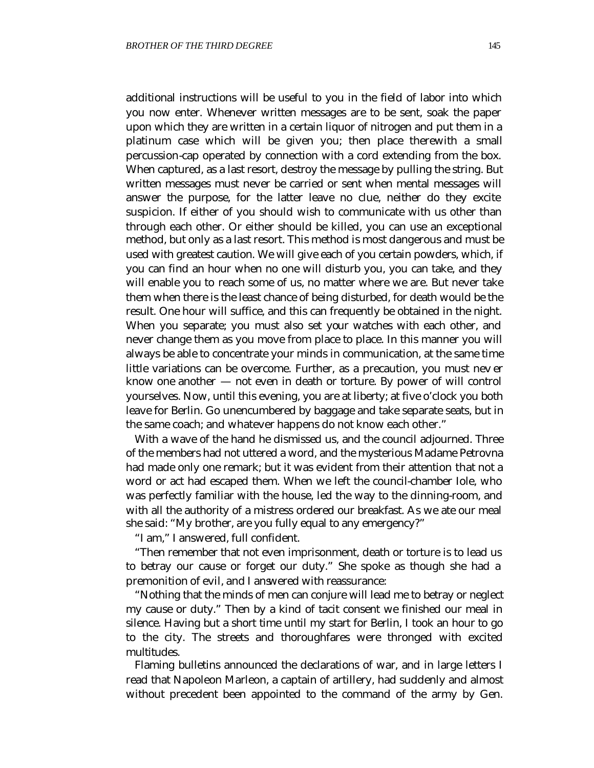additional instructions will be useful to you in the field of labor into which you now enter. Whenever written messages are to be sent, soak the paper upon which they are written in a certain liquor of nitrogen and put them in a platinum case which will be given you; then place therewith a small percussion-cap operated by connection with a cord extending from the box. When captured, as a last resort, destroy the message by pulling the string. But written messages must never be carried or sent when mental messages will answer the purpose, for the latter leave no clue, neither do they excite suspicion. If either of you should wish to communicate with us other than through each other. Or either should be killed, you can use an exceptional method, but only as a last resort. This method is most dangerous and must be used with greatest caution. We will give each of you certain powders, which, if you can find an hour when no one will disturb you, you can take, and they will enable you to reach some of us, no matter where we are. But never take them when there is the least chance of being disturbed, for death would be the result. One hour will suffice, and this can frequently be obtained in the night. When you separate; you must also set your watches with each other, and never change them as you move from place to place. In this manner you will always be able to concentrate your minds in communication, at the same time little variations can be overcome. Further, as a precaution, you must nev er know one another — not even in death or torture. By power of will control yourselves. Now, until this evening, you are at liberty; at five o'clock you both leave for Berlin. Go unencumbered by baggage and take separate seats, but in the same coach; and whatever happens do not know each other."

With a wave of the hand he dismissed us, and the council adjourned. Three of the members had not uttered a word, and the mysterious Madame Petrovna had made only one remark; but it was evident from their attention that not a word or act had escaped them. When we left the council-chamber Iole, who was perfectly familiar with the house, led the way to the dinning-room, and with all the authority of a mistress ordered our breakfast. As we ate our meal she said: "My brother, are you fully equal to any emergency?"

"I am," I answered, full confident.

"Then remember that not even imprisonment, death or torture is to lead us to betray our cause or forget our duty." She spoke as though she had a premonition of evil, and I answered with reassurance:

"Nothing that the minds of men can conjure will lead me to betray or neglect my cause or duty." Then by a kind of tacit consent we finished our meal in silence. Having but a short time until my start for Berlin, I took an hour to go to the city. The streets and thoroughfares were thronged with excited multitudes.

Flaming bulletins announced the declarations of war, and in large letters I read that Napoleon Marleon, a captain of artillery, had suddenly and almost without precedent been appointed to the command of the army by Gen.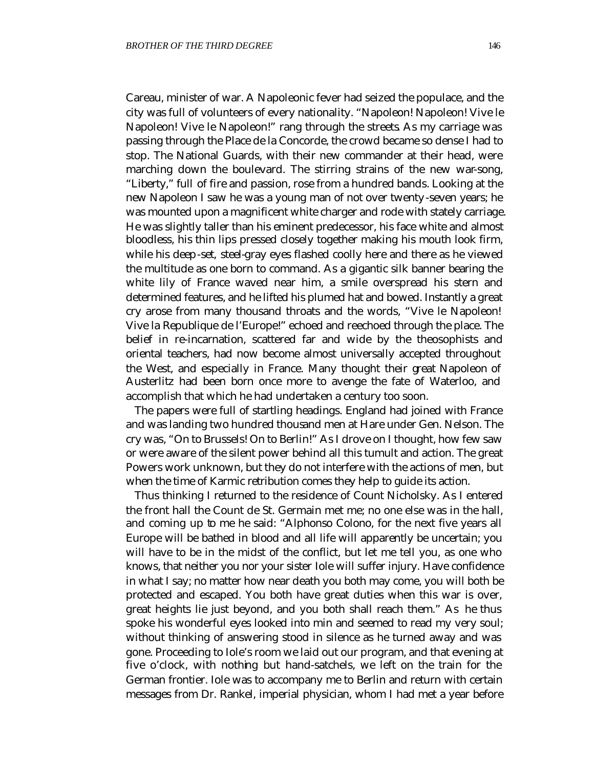Careau, minister of war. A Napoleonic fever had seized the populace, and the city was full of volunteers of every nationality. "Napoleon! Napoleon! Vive le Napoleon! Vive le Napoleon!" rang through the streets. As my carriage was passing through the Place de la Concorde, the crowd became so dense I had to stop. The National Guards, with their new commander at their head, were marching down the boulevard. The stirring strains of the new war-song, "Liberty," full of fire and passion, rose from a hundred bands. Looking at the new Napoleon I saw he was a young man of not over twenty-seven years; he was mounted upon a magnificent white charger and rode with stately carriage. He was slightly taller than his eminent predecessor, his face white and almost bloodless, his thin lips pressed closely together making his mouth look firm, while his deep-set, steel-gray eyes flashed coolly here and there as he viewed the multitude as one born to command. As a gigantic silk banner bearing the white lily of France waved near him, a smile overspread his stern and determined features, and he lifted his plumed hat and bowed. Instantly a great cry arose from many thousand throats and the words, "Vive le Napoleon! Vive la Republique de l'Europe!" echoed and reechoed through the place. The belief in re-incarnation, scattered far and wide by the theosophists and oriental teachers, had now become almost universally accepted throughout the West, and especially in France. Many thought their great Napoleon of Austerlitz had been born once more to avenge the fate of Waterloo, and accomplish that which he had undertaken a century too soon.

The papers were full of startling headings. England had joined with France and was landing two hundred thousand men at Hare under Gen. Nelson. The cry was, "On to Brussels! On to Berlin!" As I drove on I thought, how few saw or were aware of the silent power behind all this tumult and action. The great Powers work unknown, but they do not interfere with the actions of men, but when the time of Karmic retribution comes they help to guide its action.

Thus thinking I returned to the residence of Count Nicholsky. As I entered the front hall the Count de St. Germain met me; no one else was in the hall, and coming up to me he said: "Alphonso Colono, for the next five years all Europe will be bathed in blood and all life will apparently be uncertain; you will have to be in the midst of the conflict, but let me tell you, as one who knows, that neither you nor your sister Iole will suffer injury. Have confidence in what I say; no matter how near death you both may come, you will both be protected and escaped. You both have great duties when this war is over, great heights lie just beyond, and you both shall reach them." As he thus spoke his wonderful eyes looked into min and seemed to read my very soul; without thinking of answering stood in silence as he turned away and was gone. Proceeding to Iole's room we laid out our program, and that evening at five o'clock, with nothing but hand-satchels, we left on the train for the German frontier. Iole was to accompany me to Berlin and return with certain messages from Dr. Rankel, imperial physician, whom I had met a year before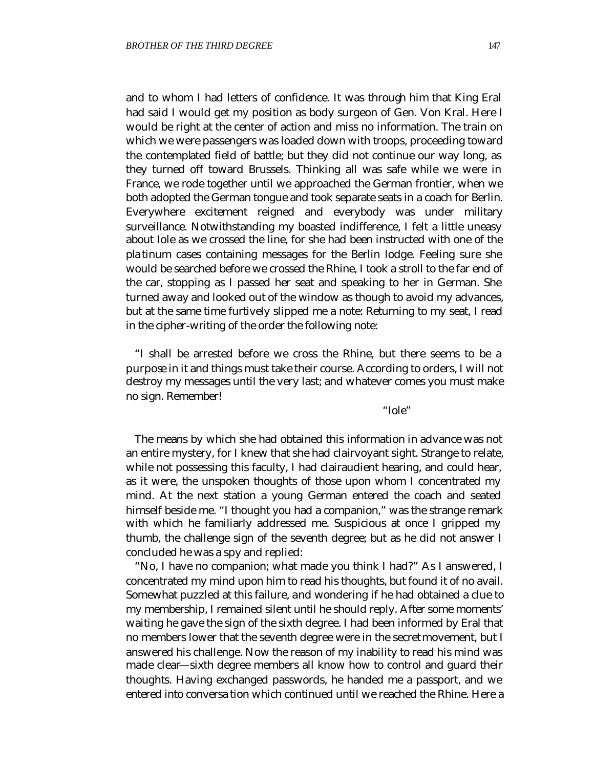and to whom I had letters of confidence. It was through him that King Eral had said I would get my position as body surgeon of Gen. Von Kral. Here I would be right at the center of action and miss no information. The train on which we were passengers was loaded down with troops, proceeding toward the contemplated field of battle; but they did not continue our way long, as they turned off toward Brussels. Thinking all was safe while we were in France, we rode together until we approached the German frontier, when we both adopted the German tongue and took separate seats in a coach for Berlin. Everywhere excitement reigned and everybody was under military surveillance. Notwithstanding my boasted indifference, I felt a little uneasy about Iole as we crossed the line, for she had been instructed with one of the pla tinum cases containing messages for the Berlin lodge. Feeling sure she would be searched before we crossed the Rhine, I took a stroll to the far end of the car, stopping as I passed her seat and speaking to her in German. She turned away and looked out of the window as though to avoid my advances, but at the same time furtively slipped me a note: Returning to my seat, I read in the cipher-writing of the order the following note:

"I shall be arrested before we cross the Rhine, but there seems to be a purpose in it and things must take their course. According to orders, I will not destroy my messages until the very last; and whatever comes you must make no sign. Remember!

"Iole"

The means by which she had obtained this information in advance was not an entire mystery, for I knew that she had clairvoyant sight. Strange to relate, while not possessing this faculty, I had clairaudient hearing, and could hear, as it were, the unspoken thoughts of those upon whom I concentrated my mind. At the next station a young German entered the coach and seated himself beside me. "I thought you had a companion," was the strange remark with which he familiarly addressed me. Suspicious at once I gripped my thumb, the challenge sign of the seventh degree; but as he did not answer I concluded he was a spy and replied:

"No, I have no companion; what made you think I had?" As I answered, I concentrated my mind upon him to read his thoughts, but found it of no avail. Somewhat puzzled at this failure, and wondering if he had obtained a clue to my membership, I remained silent until he should reply. After some moments' waiting he gave the sign of the sixth degree. I had been informed by Eral that no members lower that the seventh degree were in the secret movement, but I answered his challenge. Now the reason of my inability to read his mind was made clear—sixth degree members all know how to control and guard their thoughts. Having exchanged passwords, he handed me a passport, and we entered into conversa tion which continued until we reached the Rhine. Here a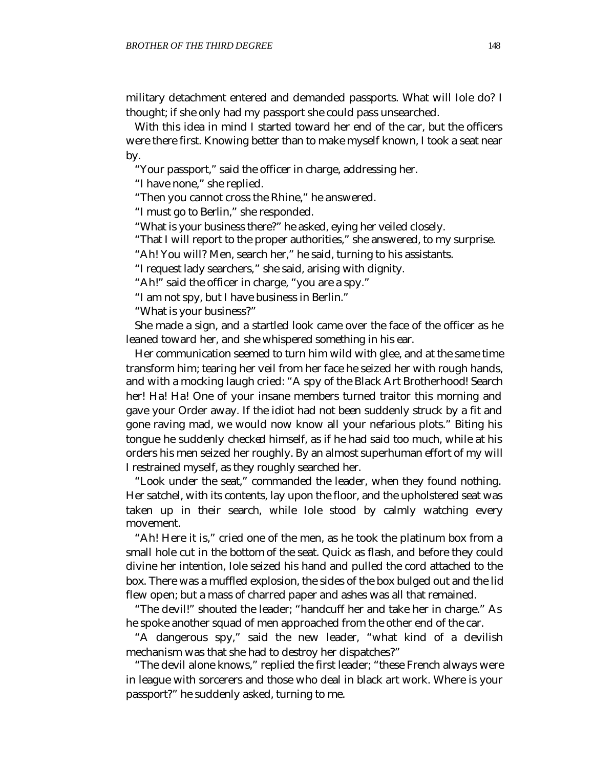military detachment entered and demanded passports. What will Iole do? I thought; if she only had my passport she could pass unsearched.

With this idea in mind I started toward her end of the car, but the officers were there first. Knowing better than to make myself known, I took a seat near by.

"Your passport," said the officer in charge, addressing her.

"I have none," she replied.

"Then you cannot cross the Rhine," he answered.

"I must go to Berlin," she responded.

"What is your business there?" he asked, eying her veiled closely.

"That I will report to the proper authorities," she answered, to my surprise.

"Ah! You will? Men, search her," he said, turning to his assistants.

"I request lady searchers," she said, arising with dignity.

"Ah!" said the officer in charge, "you are a spy."

"I am not spy, but I have business in Berlin."

"What is your business?"

She made a sign, and a startled look came over the face of the officer as he leaned toward her, and she whispered something in his ear.

Her communication seemed to turn him wild with glee, and at the same time transform him; tearing her veil from her face he seized her with rough hands, and with a mocking laugh cried: "A spy of the Black Art Brotherhood! Search her! Ha! Ha! One of your insane members turned traitor this morning and gave your Order away. If the idiot had not been suddenly struck by a fit and gone raving mad, we would now know all your nefarious plots." Biting his tongue he suddenly checked himself, as if he had said too much, while at his orders his men seized her roughly. By an almost superhuman effort of my will I restrained myself, as they roughly searched her.

"Look under the seat," commanded the leader, when they found nothing. Her satchel, with its contents, lay upon the floor, and the upholstered seat was taken up in their search, while Iole stood by calmly watching every movement.

"Ah! Here it is," cried one of the men, as he took the platinum box from a small hole cut in the bottom of the seat. Quick as flash, and before they could divine her intention, Iole seized his hand and pulled the cord attached to the box. There was a muffled explosion, the sides of the box bulged out and the lid flew open; but a mass of charred paper and ashes was all that remained.

"The devil!" shouted the leader; "handcuff her and take her in charge." As he spoke another squad of men approached from the other end of the car.

"A dangerous spy," said the new leader, "what kind of a devilish mechanism was that she had to destroy her dispatches?"

"The devil alone knows," replied the first leader; "these French always were in league with sorcerers and those who deal in black art work. Where is your passport?" he suddenly asked, turning to me.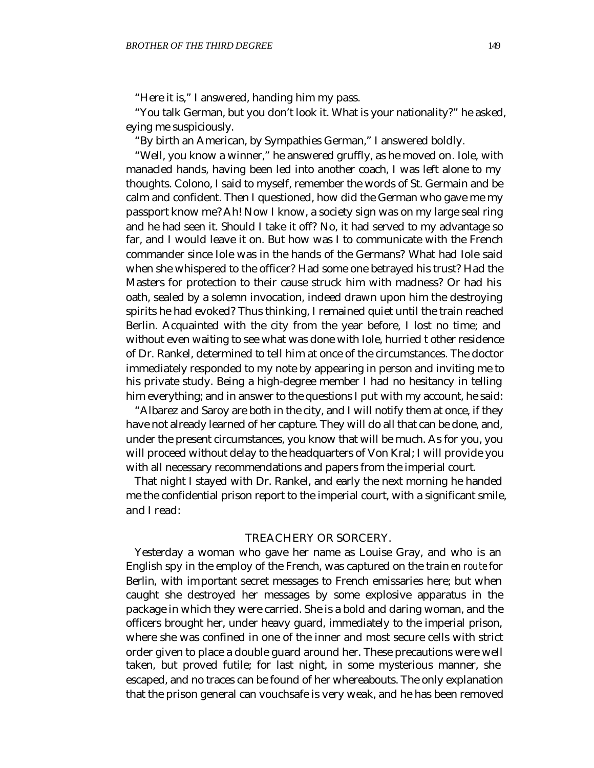"Here it is," I answered, handing him my pass.

"You talk German, but you don't look it. What is your nationality?" he asked, eying me suspiciously.

"By birth an American, by Sympathies German," I answered boldly.

"Well, you know a winner," he answered gruffly, as he moved on. Iole, with manacled hands, having been led into another coach, I was left alone to my thoughts. Colono, I said to myself, remember the words of St. Germain and be calm and confident. Then I questioned, how did the German who gave me my passport know me? Ah! Now I know, a society sign was on my large seal ring and he had seen it. Should I take it off? No, it had served to my advantage so far, and I would leave it on. But how was I to communicate with the French commander since Iole was in the hands of the Germans? What had Iole said when she whispered to the officer? Had some one betrayed his trust? Had the Masters for protection to their cause struck him with madness? Or had his oath, sealed by a solemn invocation, indeed drawn upon him the destroying spirits he had evoked? Thus thinking, I remained quiet until the train reached Berlin. Acquainted with the city from the year before, I lost no time; and without even waiting to see what was done with Iole, hurried t other residence of Dr. Rankel, determined to tell him at once of the circumstances. The doctor immediately responded to my note by appearing in person and inviting me to his private study. Being a high-degree member I had no hesitancy in telling him everything; and in answer to the questions I put with my account, he said:

"Albarez and Saroy are both in the city, and I will notify them at once, if they have not already learned of her capture. They will do all that can be done, and, under the present circumstances, you know that will be much. As for you, you will proceed without delay to the headquarters of Von Kral; I will provide you with all necessary recommendations and papers from the imperial court.

That night I stayed with Dr. Rankel, and early the next morning he handed me the confidential prison report to the imperial court, with a significant smile, and I read:

### TREACHERY OR SORCERY.

Yesterday a woman who gave her name as Louise Gray, and who is an English spy in the employ of the French, was captured on the train *en route* for Berlin, with important secret messages to French emissaries here; but when caught she destroyed her messages by some explosive apparatus in the package in which they were carried. She is a bold and daring woman, and the officers brought her, under heavy guard, immediately to the imperial prison, where she was confined in one of the inner and most secure cells with strict order given to place a double guard around her. These precautions were well taken, but proved futile; for last night, in some mysterious manner, she escaped, and no traces can be found of her whereabouts. The only explanation that the prison general can vouchsafe is very weak, and he has been removed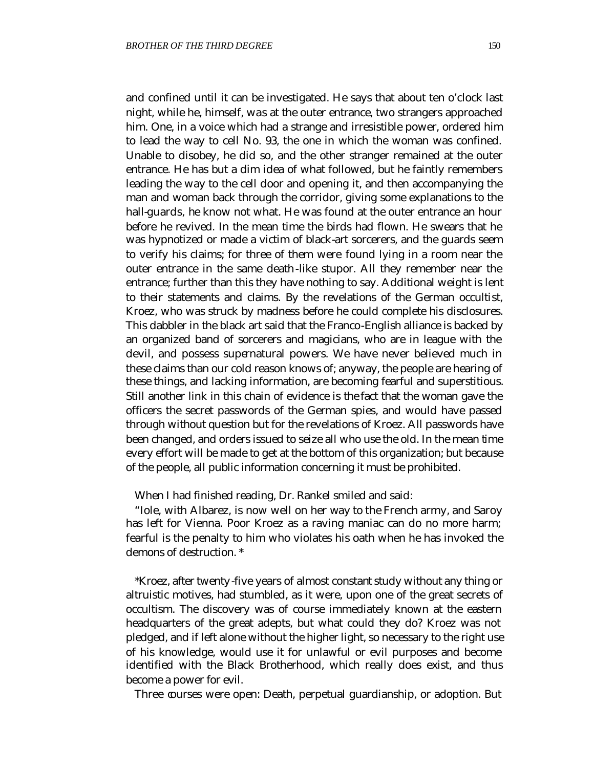and confined until it can be investigated. He says that about ten o'clock last night, while he, himself, was at the outer entrance, two strangers approached him. One, in a voice which had a strange and irresistible power, ordered him to lead the way to cell No. 93, the one in which the woman was confined. Unable to disobey, he did so, and the other stranger remained at the outer entrance. He has but a dim idea of what followed, but he faintly remembers leading the way to the cell door and opening it, and then accompanying the man and woman back through the corridor, giving some explanations to the hall-guards, he know not what. He was found at the outer entrance an hour before he revived. In the mean time the birds had flown. He swears that he was hypnotized or made a victim of black-art sorcerers, and the guards seem to verify his claims; for three of them were found lying in a room near the outer entrance in the same death-like stupor. All they remember near the entrance; further than this they have nothing to say. Additional weight is lent to their statements and claims. By the revelations of the German occultist, Kroez, who was struck by madness before he could complete his disclosures. This dabbler in the black art said that the Franco-English alliance is backed by an organized band of sorcerers and magicians, who are in league with the devil, and possess supernatural powers. We have never believed much in these claims than our cold reason knows of; anyway, the people are hearing of these things, and lacking information, are becoming fearful and superstitious. Still another link in this chain of evidence is the fact that the woman gave the officers the secret passwords of the German spies, and would have passed through without question but for the revelations of Kroez. All passwords have been changed, and orders issued to seize all who use the old. In the mean time every effort will be made to get at the bottom of this organization; but because of the people, all public information concerning it must be prohibited.

When I had finished reading, Dr. Rankel smiled and said:

"Iole, with Albarez, is now well on her way to the French army, and Saroy has left for Vienna. Poor Kroez as a raving maniac can do no more harm; fearful is the penalty to him who violates his oath when he has invoked the demons of destruction. \*

\*Kroez, after twenty-five years of almost constant study without any thing or altruistic motives, had stumbled, as it were, upon one of the great secrets of occultism. The discovery was of course immediately known at the eastern headquarters of the great adepts, but what could they do? Kroez was not pledged, and if left alone without the higher light, so necessary to the right use of his knowledge, would use it for unlawful or evil purposes and become identified with the Black Brotherhood, which really does exist, and thus become a power for evil.

Three courses were open: Death, perpetual guardianship, or adoption. But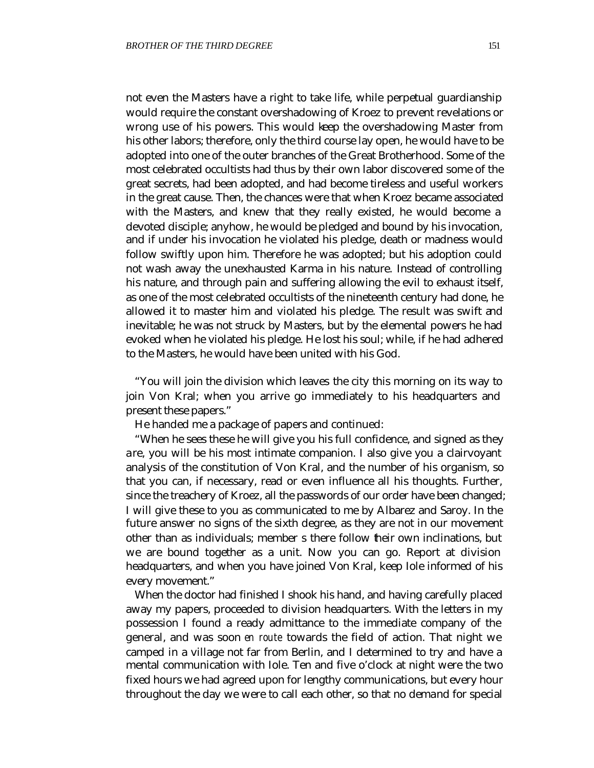not even the Masters have a right to take life, while perpetual guardianship would require the constant overshadowing of Kroez to prevent revelations or wrong use of his powers. This would keep the overshadowing Master from his other labors; therefore, only the third course lay open, he would have to be adopted into one of the outer branches of the Great Brotherhood. Some of the most celebrated occultists had thus by their own labor discovered some of the great secrets, had been adopted, and had become tireless and useful workers in the great cause. Then, the chances were that when Kroez became associated with the Masters, and knew that they really existed, he would become a devoted disciple; anyhow, he would be pledged and bound by his invocation, and if under his invocation he violated his pledge, death or madness would follow swiftly upon him. Therefore he was adopted; but his adoption could not wash away the unexhausted Karma in his nature. Instead of controlling his nature, and through pain and suffering allowing the evil to exhaust itself, as one of the most celebrated occultists of the nineteenth century had done, he allowed it to master him and violated his pledge. The result was swift and inevitable; he was not struck by Masters, but by the elemental powers he had evoked when he violated his pledge. He lost his soul; while, if he had adhered to the Masters, he would have been united with his God.

"You will join the division which leaves the city this morning on its way to join Von Kral; when you arrive go immediately to his headquarters and present these papers."

He handed me a package of papers and continued:

"When he sees these he will give you his full confidence, and signed as they are, you will be his most intimate companion. I also give you a clairvoyant analysis of the constitution of Von Kral, and the number of his organism, so that you can, if necessary, read or even influence all his thoughts. Further, since the treachery of Kroez, all the passwords of our order have been changed; I will give these to you as communicated to me by Albarez and Saroy. In the future answer no signs of the sixth degree, as they are not in our movement other than as individuals; member s there follow their own inclinations, but we are bound together as a unit. Now you can go. Report at division headquarters, and when you have joined Von Kral, keep Iole informed of his every movement."

When the doctor had finished I shook his hand, and having carefully placed away my papers, proceeded to division headquarters. With the letters in my possession I found a ready admittance to the immediate company of the general, and was soon *en route* towards the field of action. That night we camped in a village not far from Berlin, and I determined to try and have a mental communication with Iole. Ten and five o'clock at night were the two fixed hours we had agreed upon for lengthy communications, but every hour throughout the day we were to call each other, so that no demand for special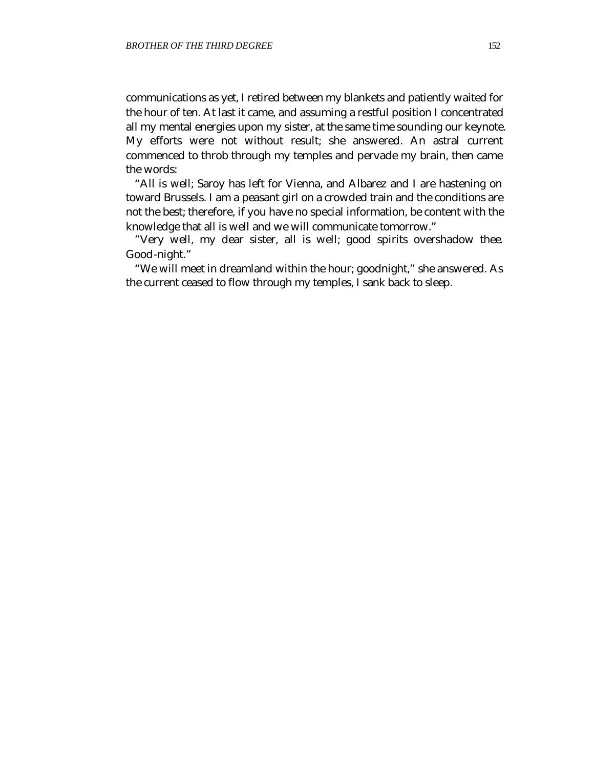communications as yet, I retired between my blankets and patiently waited for the hour of ten. At last it came, and assuming a restful position I concentrated all my mental energies upon my sister, at the same time sounding our keynote. My efforts were not without result; she answered. An astral current commenced to throb through my temples and pervade my brain, then came the words:

"All is well; Saroy has left for Vienna, and Albarez and I are hastening on toward Brussels. I am a peasant girl on a crowded train and the conditions are not the best; therefore, if you have no special information, be content with the knowledge that all is well and we will communicate tomorrow."

"Very well, my dear sister, all is well; good spirits overshadow thee. Good-night."

"We will meet in dreamland within the hour; goodnight," she answered. As the current ceased to flow through my temples, I sank back to sleep.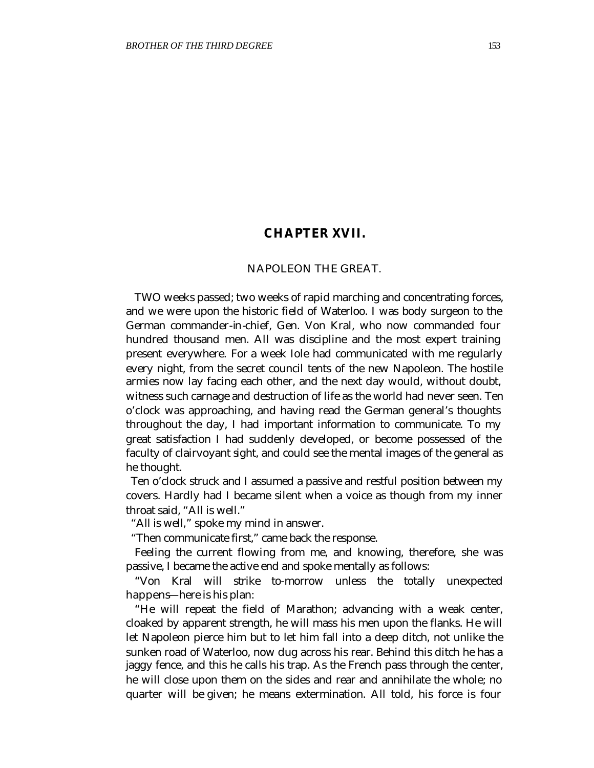# **CHAPTER XVII.**

#### NAPOLEON THE GREAT.

TWO weeks passed; two weeks of rapid marching and concentrating forces, and we were upon the historic field of Waterloo. I was body surgeon to the German commander-in-chief, Gen. Von Kral, who now commanded four hundred thousand men. All was discipline and the most expert training present everywhere. For a week Iole had communicated with me regularly every night, from the secret council tents of the new Napoleon. The hostile armies now lay facing each other, and the next day would, without doubt, witness such carnage and destruction of life as the world had never seen. Ten o'clock was approaching, and having read the German general's thoughts throughout the day, I had important information to communicate. To my great satisfaction I had suddenly developed, or become possessed of the faculty of clairvoyant sight, and could see the mental images of the general as he thought.

Ten o'clock struck and I assumed a passive and restful position between my covers. Hardly had I became silent when a voice as though from my inner throat said, "All is well."

"All is well," spoke my mind in answer.

"Then communicate first," came back the response.

Feeling the current flowing from me, and knowing, therefore, she was passive, I became the active end and spoke mentally as follows:

"Von Kral will strike to-morrow unless the totally unexpected happens—here is his plan:

"He will repeat the field of Marathon; advancing with a weak center, cloaked by apparent strength, he will mass his men upon the flanks. He will let Napoleon pierce him but to let him fall into a deep ditch, not unlike the sunken road of Waterloo, now dug across his rear. Behind this ditch he has a jaggy fence, and this he calls his trap. As the French pass through the center, he will close upon them on the sides and rear and annihilate the whole; no quarter will be given; he means extermination. All told, his force is four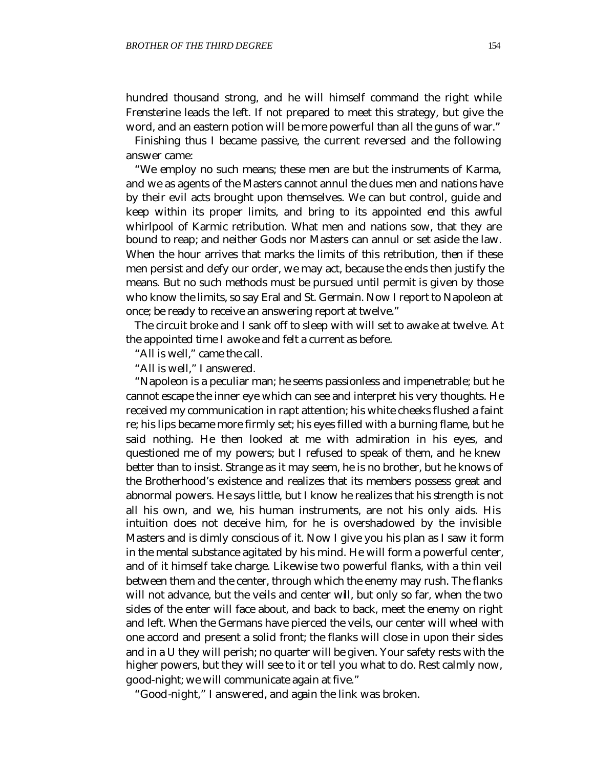hundred thousand strong, and he will himself command the right while Frensterine leads the left. If not prepared to meet this strategy, but give the word, and an eastern potion will be more powerful than all the guns of war."

Finishing thus I became passive, the current reversed and the following answer came:

"We employ no such means; these men are but the instruments of Karma, and we as agents of the Masters cannot annul the dues men and nations have by their evil acts brought upon themselves. We can but control, guide and keep within its proper limits, and bring to its appointed end this awful whirlpool of Karmic retribution. What men and nations sow, that they are bound to reap; and neither Gods nor Masters can annul or set aside the law. When the hour arrives that marks the limits of this retribution, then if these men persist and defy our order, we may act, because the ends then justify the means. But no such methods must be pursued until permit is given by those who know the limits, so say Eral and St. Germain. Now I report to Napoleon at once; be ready to receive an answering report at twelve."

The circuit broke and I sank off to sleep with will set to awake at twelve. At the appointed time I awoke and felt a current as before.

"All is well," came the call.

"All is well," I answered.

"Napoleon is a peculiar man; he seems passionless and impenetrable; but he cannot escape the inner eye which can see and interpret his very thoughts. He received my communication in rapt attention; his white cheeks flushed a faint re; his lips became more firmly set; his eyes filled with a burning flame, but he said nothing. He then looked at me with admiration in his eyes, and questioned me of my powers; but I refused to speak of them, and he knew better than to insist. Strange as it may seem, he is no brother, but he knows of the Brotherhood's existence and realizes that its members possess great and abnormal powers. He says little, but I know he realizes that his strength is not all his own, and we, his human instruments, are not his only aids. His intuition does not deceive him, for he is overshadowed by the invisible Masters and is dimly conscious of it. Now I give you his plan as I saw it form in the mental substance agitated by his mind. He will form a powerful center, and of it himself take charge. Likewise two powerful flanks, with a thin veil between them and the center, through which the enemy may rush. The flanks will not advance, but the veils and center will, but only so far, when the two sides of the enter will face about, and back to back, meet the enemy on right and left. When the Germans have pierced the veils, our center will wheel with one accord and present a solid front; the flanks will close in upon their sides and in a U they will perish; no quarter will be given. Your safety rests with the higher powers, but they will see to it or tell you what to do. Rest calmly now, good-night; we will communicate again at five."

"Good-night," I answered, and again the link was broken.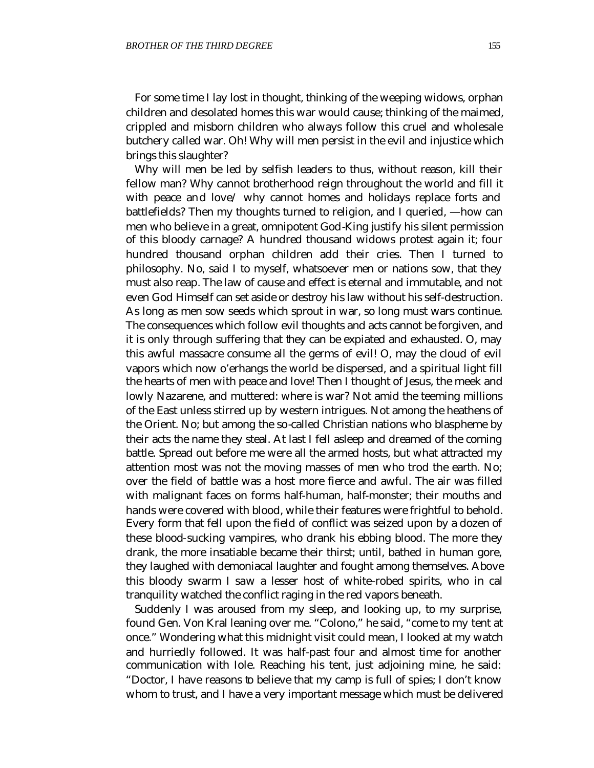For some time I lay lost in thought, thinking of the weeping widows, orphan children and desolated homes this war would cause; thinking of the maimed, crippled and misborn children who always follow this cruel and wholesale butchery called war. Oh! Why will men persist in the evil and injustice which brings this slaughter?

Why will men be led by selfish leaders to thus, without reason, kill their fellow man? Why cannot brotherhood reign throughout the world and fill it with peace and love/ why cannot homes and holidays replace forts and battlefields? Then my thoughts turned to religion, and I queried, —how can men who believe in a great, omnipotent God-King justify his silent permission of this bloody carnage? A hundred thousand widows protest again it; four hundred thousand orphan children add their cries. Then I turned to philosophy. No, said I to myself, whatsoever men or nations sow, that they must also reap. The law of cause and effect is eternal and immutable, and not even God Himself can set aside or destroy his law without his self-destruction. As long as men sow seeds which sprout in war, so long must wars continue. The consequences which follow evil thoughts and acts cannot be forgiven, and it is only through suffering that they can be expiated and exhausted. O, may this awful massacre consume all the germs of evil! O, may the cloud of evil vapors which now o'erhangs the world be dispersed, and a spiritual light fill the hearts of men with peace and love! Then I thought of Jesus, the meek and lowly Nazarene, and muttered: where is war? Not amid the teeming millions of the East unless stirred up by western intrigues. Not among the heathens of the Orient. No; but among the so-called Christian nations who blaspheme by their acts the name they steal. At last I fell asleep and dreamed of the coming battle. Spread out before me were all the armed hosts, but what attracted my attention most was not the moving masses of men who trod the earth. No; over the field of battle was a host more fierce and awful. The air was filled with malignant faces on forms half-human, half-monster; their mouths and hands were covered with blood, while their features were frightful to behold. Every form that fell upon the field of conflict was seized upon by a dozen of these blood-sucking vampires, who drank his ebbing blood. The more they drank, the more insatiable became their thirst; until, bathed in human gore, they laughed with demoniacal laughter and fought among themselves. Above this bloody swarm I saw a lesser host of white-robed spirits, who in cal tranquility watched the conflict raging in the red vapors beneath.

Suddenly I was aroused from my sleep, and looking up, to my surprise, found Gen. Von Kral leaning over me. "Colono," he said, "come to my tent at once." Wondering what this midnight visit could mean, I looked at my watch and hurriedly followed. It was half-past four and almost time for another communication with Iole. Reaching his tent, just adjoining mine, he said: "Doctor, I have reasons to believe that my camp is full of spies; I don't know whom to trust, and I have a very important message which must be delivered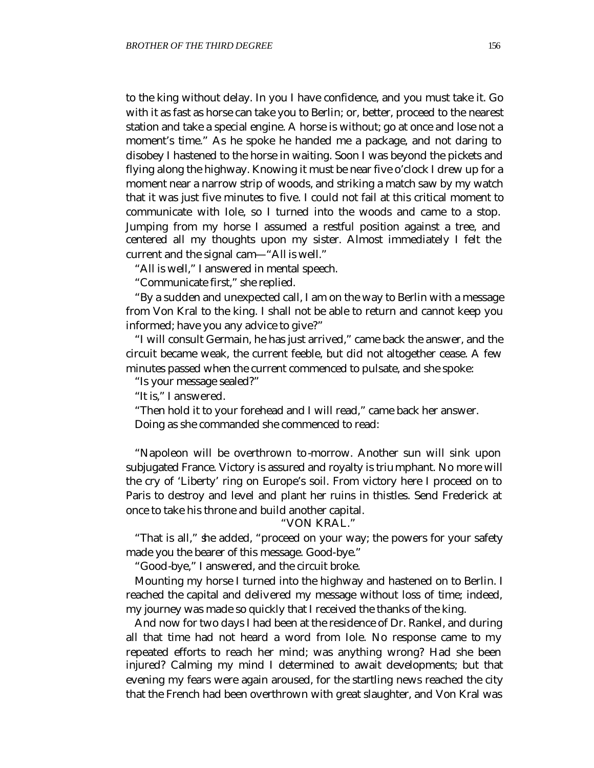to the king without delay. In you I have confidence, and you must take it. Go with it as fast as horse can take you to Berlin; or, better, proceed to the nearest station and take a special engine. A horse is without; go at once and lose not a moment's time." As he spoke he handed me a package, and not daring to disobey I hastened to the horse in waiting. Soon I was beyond the pickets and flying along the highway. Knowing it must be near five o'clock I drew up for a moment near a narrow strip of woods, and striking a match saw by my watch that it was just five minutes to five. I could not fail at this critical moment to communicate with Iole, so I turned into the woods and came to a stop. Jumping from my horse I assumed a restful position against a tree, and centered all my thoughts upon my sister. Almost immediately I felt the current and the signal cam—"All is well."

"All is well," I answered in mental speech.

"Communicate first," she replied.

"By a sudden and unexpected call, I am on the way to Berlin with a message from Von Kral to the king. I shall not be able to return and cannot keep you informed; have you any advice to give?"

"I will consult Germain, he has just arrived," came back the answer, and the circuit became weak, the current feeble, but did not altogether cease. A few minutes passed when the current commenced to pulsate, and she spoke:

"Is your message sealed?"

"It is," I answered.

"Then hold it to your forehead and I will read," came back her answer. Doing as she commanded she commenced to read:

"Napoleon will be overthrown to-morrow. Another sun will sink upon subjugated France. Victory is assured and royalty is triumphant. No more will the cry of 'Liberty' ring on Europe's soil. From victory here I proceed on to Paris to destroy and level and plant her ruins in thistles. Send Frederick at once to take his throne and build another capital.

## "VON KRAL."

"That is all," she added, "proceed on your way; the powers for your safety made you the bearer of this message. Good-bye."

"Good-bye," I answered, and the circuit broke.

Mounting my horse I turned into the highway and hastened on to Berlin. I reached the capital and delivered my message without loss of time; indeed, my journey was made so quickly that I received the thanks of the king.

And now for two days I had been at the residence of Dr. Rankel, and during all that time had not heard a word from Iole. No response came to my repeated efforts to reach her mind; was anything wrong? Had she been injured? Calming my mind I determined to await developments; but that evening my fears were again aroused, for the startling news reached the city that the French had been overthrown with great slaughter, and Von Kral was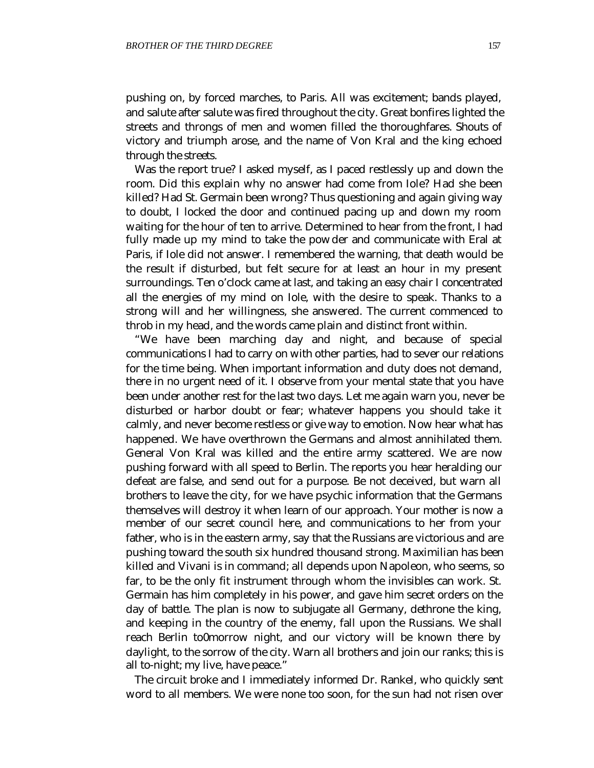pushing on, by forced marches, to Paris. All was excitement; bands played, and salute after salute was fired throughout the city. Great bonfires lighted the streets and throngs of men and women filled the thoroughfares. Shouts of victory and triumph arose, and the name of Von Kral and the king echoed through the streets.

Was the report true? I asked myself, as I paced restlessly up and down the room. Did this explain why no answer had come from Iole? Had she been killed? Had St. Germain been wrong? Thus questioning and again giving way to doubt, I locked the door and continued pacing up and down my room waiting for the hour of ten to arrive. Determined to hear from the front, I had fully made up my mind to take the powder and communicate with Eral at Paris, if Iole did not answer. I remembered the warning, that death would be the result if disturbed, but felt secure for at least an hour in my present surroundings. Ten o'clock came at last, and taking an easy chair I concentrated all the energies of my mind on Iole, with the desire to speak. Thanks to a strong will and her willingness, she answered. The current commenced to throb in my head, and the words came plain and distinct front within.

"We have been marching day and night, and because of special communications I had to carry on with other parties, had to sever our relations for the time being. When important information and duty does not demand, there in no urgent need of it. I observe from your mental state that you have been under another rest for the last two days. Let me again warn you, never be disturbed or harbor doubt or fear; whatever happens you should take it calmly, and never become restless or give way to emotion. Now hear what has happened. We have overthrown the Germans and almost annihilated them. General Von Kral was killed and the entire army scattered. We are now pushing forward with all speed to Berlin. The reports you hear heralding our defeat are false, and send out for a purpose. Be not deceived, but warn all brothers to leave the city, for we have psychic information that the Germans themselves will destroy it when learn of our approach. Your mother is now a member of our secret council here, and communications to her from your father, who is in the eastern army, say that the Russians are victorious and are pushing toward the south six hundred thousand strong. Maximilian has been killed and Vivani is in command; all depends upon Napoleon, who seems, so far, to be the only fit instrument through whom the invisibles can work. St. Germain has him completely in his power, and gave him secret orders on the day of battle. The plan is now to subjugate all Germany, dethrone the king, and keeping in the country of the enemy, fall upon the Russians. We shall reach Berlin to0morrow night, and our victory will be known there by daylight, to the sorrow of the city. Warn all brothers and join our ranks; this is all to-night; my live, have peace."

The circuit broke and I immediately informed Dr. Rankel, who quickly sent word to all members. We were none too soon, for the sun had not risen over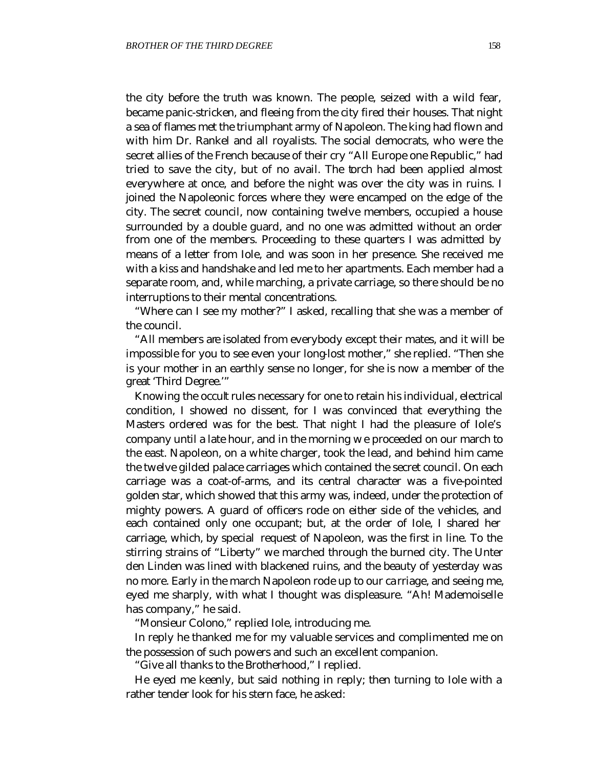the city before the truth was known. The people, seized with a wild fear, became panic-stricken, and fleeing from the city fired their houses. That night a sea of flames met the triumphant army of Napoleon. The king had flown and with him Dr. Rankel and all royalists. The social democrats, who were the secret allies of the French because of their cry "All Europe one Republic," had tried to save the city, but of no avail. The torch had been applied almost everywhere at once, and before the night was over the city was in ruins. I joined the Napoleonic forces where they were encamped on the edge of the city. The secret council, now containing twelve members, occupied a house surrounded by a double guard, and no one was admitted without an order from one of the members. Proceeding to these quarters I was admitted by means of a letter from Iole, and was soon in her presence. She received me with a kiss and handshake and led me to her apartments. Each member had a separate room, and, while marching, a private carriage, so there should be no interruptions to their mental concentrations.

"Where can I see my mother?" I asked, recalling that she was a member of the council.

"All members are isolated from everybody except their mates, and it will be impossible for you to see even your long-lost mother," she replied. "Then she is your mother in an earthly sense no longer, for she is now a member of the great 'Third Degree.'"

Knowing the occult rules necessary for one to retain his individual, electrical condition, I showed no dissent, for I was convinced that everything the Masters ordered was for the best. That night I had the pleasure of Iole's company until a late hour, and in the morning we proceeded on our march to the east. Napoleon, on a white charger, took the lead, and behind him came the twelve gilded palace carriages which contained the secret council. On each carriage was a coat-of-arms, and its central character was a five-pointed golden star, which showed that this army was, indeed, under the protection of mighty powers. A guard of officers rode on either side of the vehicles, and each contained only one occupant; but, at the order of Iole, I shared her carriage, which, by special request of Napoleon, was the first in line. To the stirring strains of "Liberty" we marched through the burned city. The Unter den Linden was lined with blackened ruins, and the beauty of yesterday was no more. Early in the march Napoleon rode up to our ca rriage, and seeing me, eyed me sharply, with what I thought was displeasure. "Ah! Mademoiselle has company," he said.

"Monsieur Colono," replied Iole, introducing me.

In reply he thanked me for my valuable services and complimented me on the possession of such powers and such an excellent companion.

"Give all thanks to the Brotherhood," I replied.

He eyed me keenly, but said nothing in reply; then turning to Iole with a rather tender look for his stern face, he asked: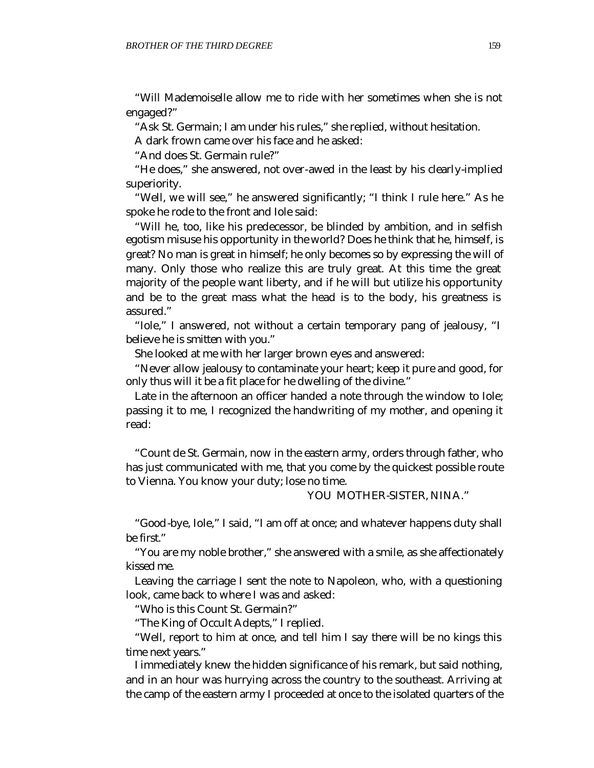"Will Mademoiselle allow me to ride with her sometimes when she is not engaged?"

"Ask St. Germain; I am under his rules," she replied, without hesitation.

A dark frown came over his face and he asked:

"And does St. Germain rule?"

"He does," she answered, not over-awed in the least by his clearly-implied superiority.

"Well, we will see," he answered significantly; "I think I rule here." As he spoke he rode to the front and Iole said:

"Will he, too, like his predecessor, be blinded by ambition, and in selfish egotism misuse his opportunity in the world? Does he think that he, himself, is great? No man is great in himself; he only becomes so by expressing the will of many. Only those who realize this are truly great. At this time the great majority of the people want liberty, and if he will but utilize his opportunity and be to the great mass what the head is to the body, his greatness is assured."

"Iole," I answered, not without a certain temporary pang of jealousy, "I believe he is smitten with you."

She looked at me with her larger brown eyes and answered:

"Never allow jealousy to contaminate your heart; keep it pure and good, for only thus will it be a fit place for he dwelling of the divine."

Late in the afternoon an officer handed a note through the window to Iole; passing it to me, I recognized the handwriting of my mother, and opening it read:

"Count de St. Germain, now in the eastern army, orders through father, who has just communicated with me, that you come by the quickest possible route to Vienna. You know your duty; lose no time.

YOU MOTHER-SISTER, NINA."

"Good-bye, Iole," I said, "I am off at once; and whatever happens duty shall be first."

"You are my noble brother," she answered with a smile, as she affectionately kissed me.

Leaving the carriage I sent the note to Napoleon, who, with a questioning look, came back to where I was and asked:

"Who is this Count St. Germain?"

"The King of Occult Adepts," I replied.

"Well, report to him at once, and tell him I say there will be no kings this time next years."

I immediately knew the hidden significance of his remark, but said nothing, and in an hour was hurrying across the country to the southeast. Arriving at the camp of the eastern army I proceeded at once to the isolated quarters of the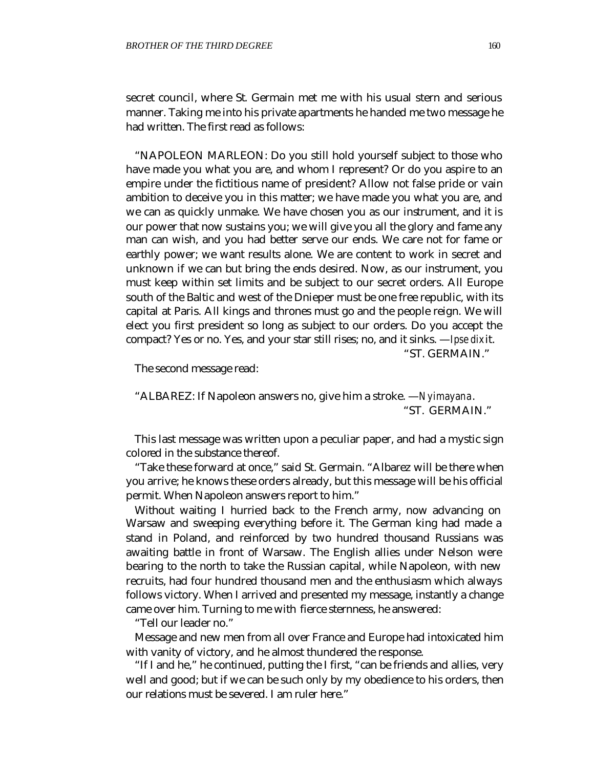secret council, where St. Germain met me with his usual stern and serious manner. Taking me into his private apartments he handed me two message he had written. The first read as follows:

"NAPOLEON MARLEON: Do you still hold yourself subject to those who have made you what you are, and whom I represent? Or do you aspire to an empire under the fictitious name of president? Allow not false pride or vain ambition to deceive you in this matter; we have made you what you are, and we can as quickly unmake. We have chosen you as our instrument, and it is our power that now sustains you; we will give you all the glory and fame any man can wish, and you had better serve our ends. We care not for fame or earthly power; we want results alone. We are content to work in secret and unknown if we can but bring the ends desired. Now, as our instrument, you must keep within set limits and be subject to our secret orders. All Europe south of the Baltic and west of the Dnieper must be one free republic, with its capital at Paris. All kings and thrones must go and the people reign. We will elect you first president so long as subject to our orders. Do you accept the compact? Yes or no. Yes, and your star still rises; no, and it sinks. —*Ipse dix*it. "ST. GERMAIN."

The second message read:

"ALBAREZ: If Napoleon answers no, give him a stroke. —*Nyimayana*. "ST. GERMAIN."

This last message was written upon a peculiar paper, and had a mystic sign colored in the substance thereof.

"Take these forward at once," said St. Germain. "Albarez will be there when you arrive; he knows these orders already, but this message will be his official permit. When Napoleon answers report to him."

Without waiting I hurried back to the French army, now advancing on Warsaw and sweeping everything before it. The German king had made a stand in Poland, and reinforced by two hundred thousand Russians was awaiting battle in front of Warsaw. The English allies under Nelson were bearing to the north to take the Russian capital, while Napoleon, with new recruits, had four hundred thousand men and the enthusiasm which always follows victory. When I arrived and presented my message, instantly a change came over him. Turning to me with fierce sternness, he answered:

"Tell our leader no."

Message and new men from all over France and Europe had intoxicated him with vanity of victory, and he almost thundered the response.

"If I and he," he continued, putting the I first, "can be friends and allies, very well and good; but if we can be such only by my obedience to his orders, then our relations must be severed. I am ruler here."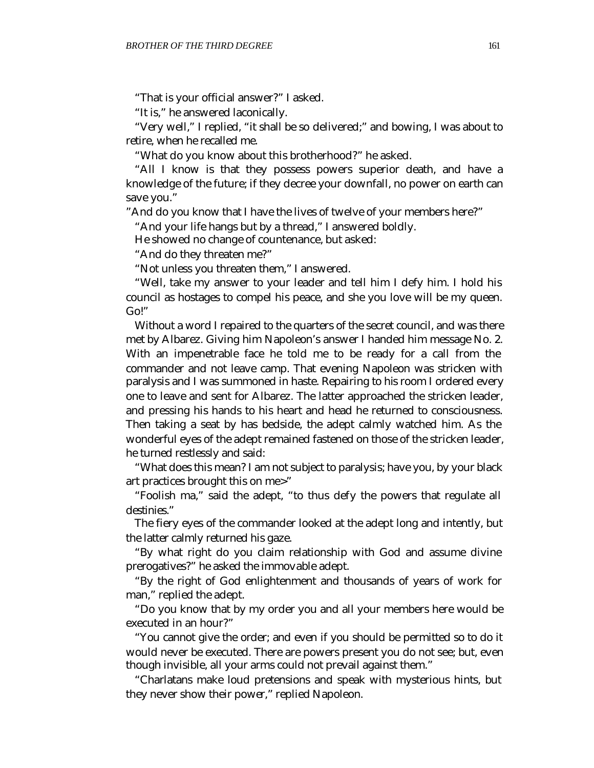"That is your official answer?" I asked.

"It is," he answered laconically.

"Very well," I replied, "it shall be so delivered;" and bowing, I was about to retire, when he recalled me.

"What do you know about this brotherhood?" he asked.

"All I know is that they possess powers superior death, and have a knowledge of the future; if they decree your downfall, no power on earth can save you."

"And do you know that I have the lives of twelve of your members here?"

"And your life hangs but by a thread," I answered boldly.

He showed no change of countenance, but asked:

"And do they threaten me?"

"Not unless you threaten them," I answered.

"Well, take my answer to your leader and tell him I defy him. I hold his council as hostages to compel his peace, and she you love will be my queen. Go!"

Without a word I repaired to the quarters of the secret council, and was there met by Albarez. Giving him Napoleon's answer I handed him message No. 2. With an impenetrable face he told me to be ready for a call from the commander and not leave camp. That evening Napoleon was stricken with paralysis and I was summoned in haste. Repairing to his room I ordered every one to leave and sent for Albarez. The latter approached the stricken leader, and pressing his hands to his heart and head he returned to consciousness. Then taking a seat by has bedside, the adept calmly watched him. As the wonderful eyes of the adept remained fastened on those of the stricken leader, he turned restlessly and said:

"What does this mean? I am not subject to paralysis; have you, by your black art practices brought this on me>"

"Foolish ma," said the adept, "to thus defy the powers that regulate all destinies."

The fiery eyes of the commander looked at the adept long and intently, but the latter calmly returned his gaze.

"By what right do you claim relationship with God and assume divine prerogatives?" he asked the immovable adept.

"By the right of God enlightenment and thousands of years of work for man," replied the adept.

"Do you know that by my order you and all your members here would be executed in an hour?"

"You cannot give the order; and even if you should be permitted so to do it would never be executed. There are powers present you do not see; but, even though invisible, all your arms could not prevail against them."

"Charlatans make loud pretensions and speak with mysterious hints, but they never show their power," replied Napoleon.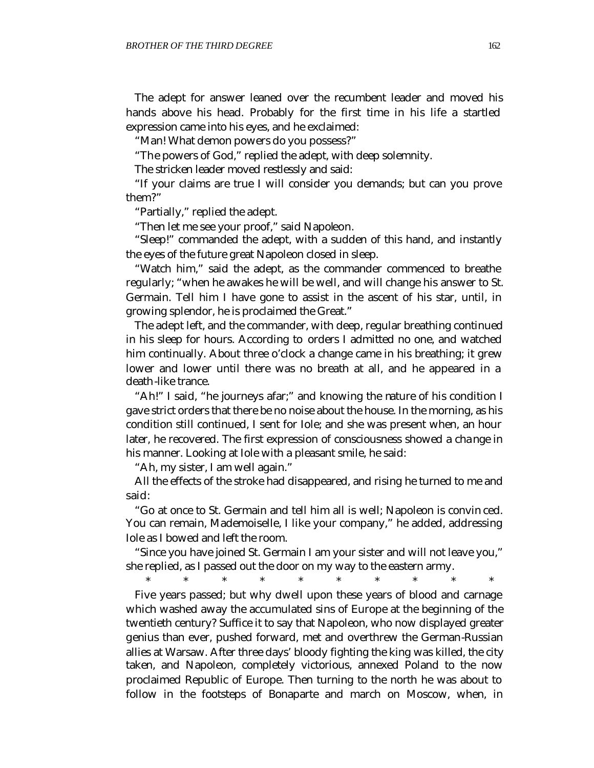The adept for answer leaned over the recumbent leader and moved his hands above his head. Probably for the first time in his life a startled expression came into his eyes, and he exclaimed:

"Man! What demon powers do you possess?"

"The powers of God," replied the adept, with deep solemnity.

The stricken leader moved restlessly and said:

"If your claims are true I will consider you demands; but can you prove them?"

"Partially," replied the adept.

"Then let me see your proof," said Napoleon.

"Sleep!" commanded the adept, with a sudden of this hand, and instantly the eyes of the future great Napoleon closed in sleep.

"Watch him," said the adept, as the commander commenced to breathe regularly; "when he awakes he will be well, and will change his answer to St. Germain. Tell him I have gone to assist in the ascent of his star, until, in growing splendor, he is proclaimed the Great."

The adept left, and the commander, with deep, regular breathing continued in his sleep for hours. According to orders I admitted no one, and watched him continually. About three o'clock a change came in his breathing; it grew lower and lower until there was no breath at all, and he appeared in a death-like trance.

"Ah!" I said, "he journeys afar;" and knowing the nature of his condition I gave strict orders that there be no noise about the house. In the morning, as his condition still continued, I sent for Iole; and she was present when, an hour later, he recovered. The first expression of consciousness showed a change in his manner. Looking at Iole with a pleasant smile, he said:

"Ah, my sister, I am well again."

All the effects of the stroke had disappeared, and rising he turned to me and said:

"Go at once to St. Germain and tell him all is well; Napoleon is convin ced. You can remain, Mademoiselle, I like your company," he added, addressing Iole as I bowed and left the room.

"Since you have joined St. Germain I am your sister and will not leave you," she replied, as I passed out the door on my way to the eastern army.

\* \* \* \* \* \* \* \* \* \*

Five years passed; but why dwell upon these years of blood and carnage which washed away the accumulated sins of Europe at the beginning of the twentieth century? Suffice it to say that Napoleon, who now displayed greater genius than ever, pushed forward, met and overthrew the German-Russian allies at Warsaw. After three days' bloody fighting the king was killed, the city taken, and Napoleon, completely victorious, annexed Poland to the now proclaimed Republic of Europe. Then turning to the north he was about to follow in the footsteps of Bonaparte and march on Moscow, when, in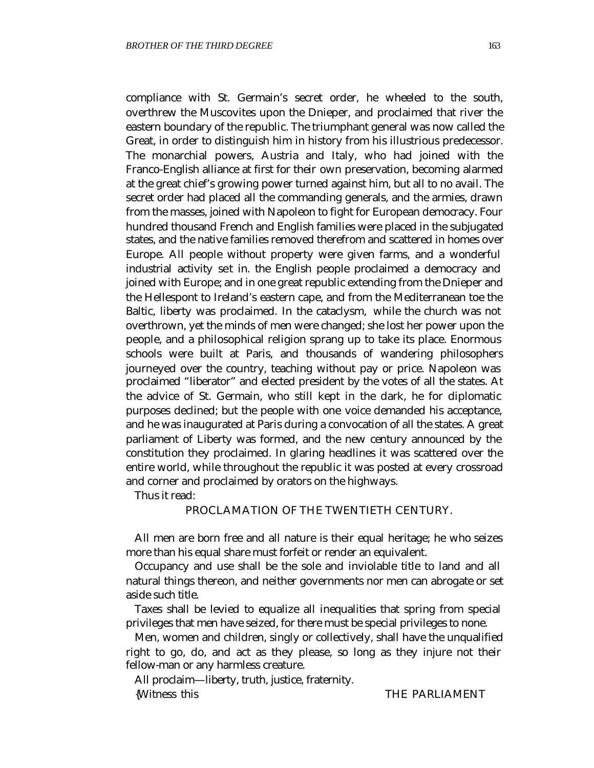compliance with St. Germain's secret order, he wheeled to the south, overthrew the Muscovites upon the Dnieper, and proclaimed that river the eastern boundary of the republic. The triumphant general was now called the Great, in order to distinguish him in history from his illustrious predecessor. The monarchial powers, Austria and Italy, who had joined with the Franco-English alliance at first for their own preservation, becoming alarmed at the great chief's growing power turned against him, but all to no avail. The secret order had placed all the commanding generals, and the armies, drawn from the masses, joined with Napoleon to fight for European democracy. Four hundred thousand French and English families were placed in the subjugated states, and the native families removed therefrom and scattered in homes over Europe. All people without property were given farms, and a wonderful industrial activity set in. the English people proclaimed a democracy and joined with Europe; and in one great republic extending from the Dnieper and the Hellespont to Ireland's eastern cape, and from the Mediterranean toe the Baltic, liberty was proclaimed. In the cataclysm, while the church was not overthrown, yet the minds of men were changed; she lost her power upon the people, and a philosophical religion sprang up to take its place. Enormous schools were built at Paris, and thousands of wandering philosophers journeyed over the country, teaching without pay or price. Napoleon was proclaimed "liberator" and elected president by the votes of all the states. At the advice of St. Germain, who still kept in the dark, he for diplomatic purposes declined; but the people with one voice demanded his acceptance, and he was inaugurated at Paris during a convocation of all the states. A great parliament of Liberty was formed, and the new century announced by the constitution they proclaimed. In glaring headlines it was scattered over the entire world, while throughout the republic it was posted at every crossroad and corner and proclaimed by orators on the highways.

Thus it read:

### PROCLAMATION OF THE TWENTIETH CENTURY.

All men are born free and all nature is their equal heritage; he who seizes more than his equal share must forfeit or render an equivalent.

Occupancy and use shall be the sole and inviolable title to land and all natural things thereon, and neither governments nor men can abrogate or set aside such title.

Taxes shall be levied to equalize all inequalities that spring from special privileges that men have seized, for there must be special privileges to none.

Men, women and children, singly or collectively, shall have the unqualified right to go, do, and act as they please, so long as they injure not their fellow-man or any harmless creature.

All proclaim—liberty, truth, justice, fraternity.

{Witness this THE PARLIAMENT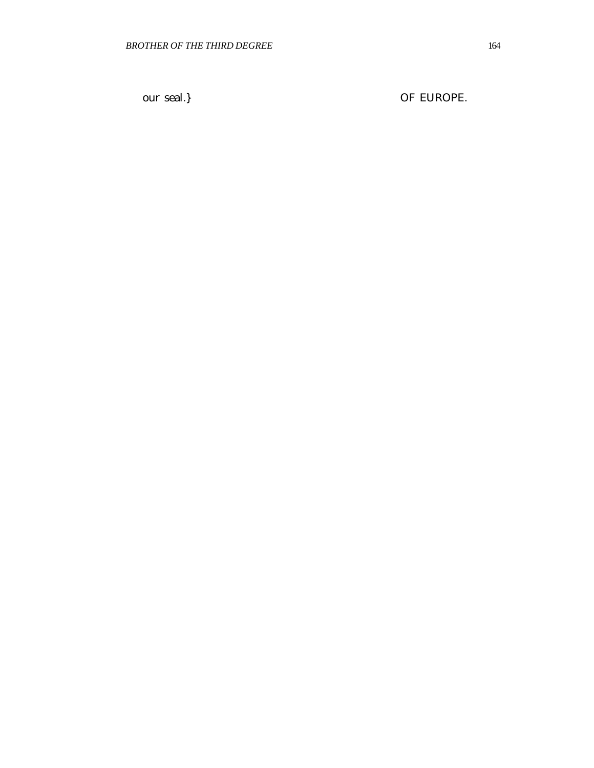our seal.} OF EUROPE.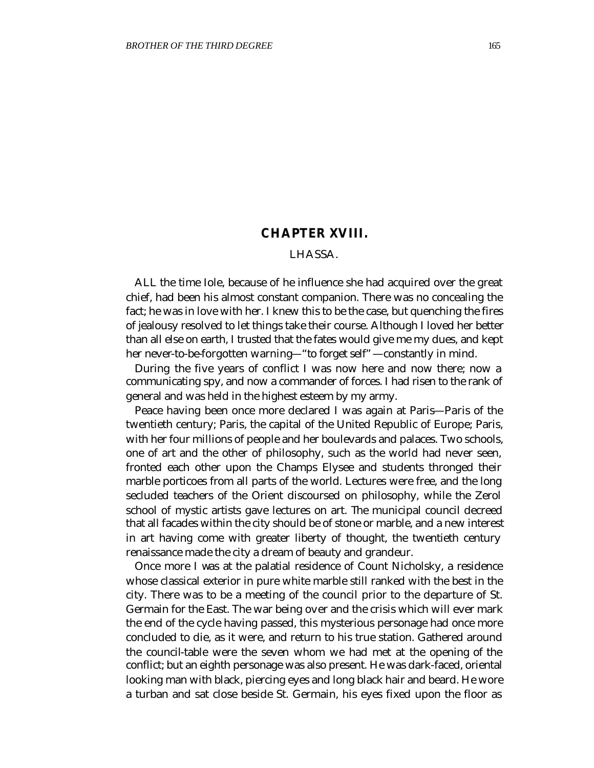### **CHAPTER XVIII.**

### LHASSA.

ALL the time Iole, because of he influence she had acquired over the great chief, had been his almost constant companion. There was no concealing the fact; he was in love with her. I knew this to be the case, but quenching the fires of jealousy resolved to let things take their course. Although I loved her better than all else on earth, I trusted that the fates would give me my dues, and kept her never-to-be-forgotten warning—"to forget self"—constantly in mind.

During the five years of conflict I was now here and now there; now a communicating spy, and now a commander of forces. I had risen to the rank of general and was held in the highest esteem by my army.

Peace having been once more declared I was again at Paris—Paris of the twentieth century; Paris, the capital of the United Republic of Europe; Paris, with her four millions of people and her boulevards and palaces. Two schools, one of art and the other of philosophy, such as the world had never seen, fronted each other upon the Champs Elysee and students thronged their marble porticoes from all parts of the world. Lectures were free, and the long secluded teachers of the Orient discoursed on philosophy, while the Zerol school of mystic artists gave lectures on art. The municipal council decreed that all facades within the city should be of stone or marble, and a new interest in art having come with greater liberty of thought, the twentieth century renaissance made the city a dream of beauty and grandeur.

Once more I was at the palatial residence of Count Nicholsky, a residence whose classical exterior in pure white marble still ranked with the best in the city. There was to be a meeting of the council prior to the departure of St. Germain for the East. The war being over and the crisis which will ever mark the end of the cycle having passed, this mysterious personage had once more concluded to die, as it were, and return to his true station. Gathered around the council-table were the seven whom we had met at the opening of the conflict; but an eighth personage was also present. He was dark-faced, oriental looking man with black, piercing eyes and long black hair and beard. He wore a turban and sat close beside St. Germain, his eyes fixed upon the floor as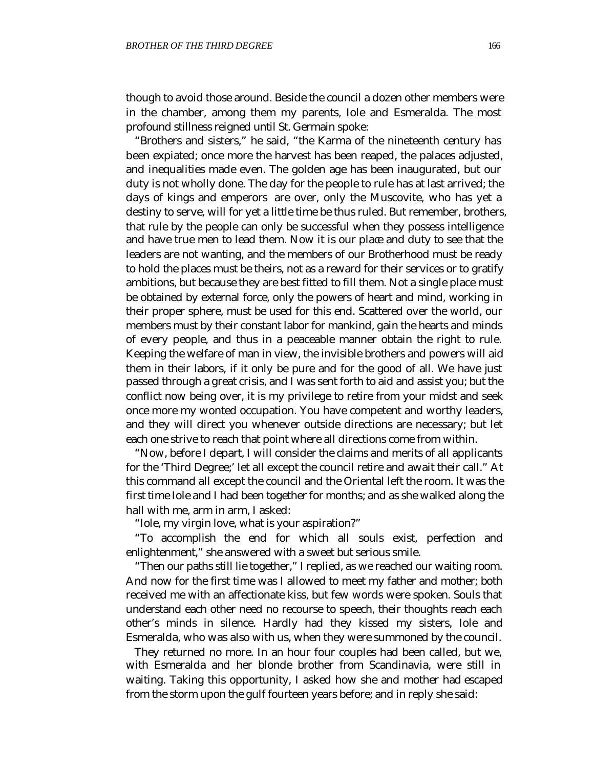though to avoid those around. Beside the council a dozen other members were in the chamber, among them my parents, Iole and Esmeralda. The most profound stillness reigned until St. Germain spoke:

"Brothers and sisters," he said, "the Karma of the nineteenth century has been expiated; once more the harvest has been reaped, the palaces adjusted, and inequalities made even. The golden age has been inaugurated, but our duty is not wholly done. The day for the people to rule has at last arrived; the days of kings and emperors are over, only the Muscovite, who has yet a destiny to serve, will for yet a little time be thus ruled. But remember, brothers, that rule by the people can only be successful when they possess intelligence and have true men to lead them. Now it is our place and duty to see that the leaders are not wanting, and the members of our Brotherhood must be ready to hold the places must be theirs, not as a reward for their services or to gratify ambitions, but because they are best fitted to fill them. Not a single place must be obtained by external force, only the powers of heart and mind, working in their proper sphere, must be used for this end. Scattered over the world, our members must by their constant labor for mankind, gain the hearts and minds of every people, and thus in a peaceable manner obtain the right to rule. Keeping the welfare of man in view, the invisible brothers and powers will aid them in their labors, if it only be pure and for the good of all. We have just passed through a great crisis, and I was sent forth to aid and assist you; but the conflict now being over, it is my privilege to retire from your midst and seek once more my wonted occupation. You have competent and worthy leaders, and they will direct you whenever outside directions are necessary; but let each one strive to reach that point where all directions come from within.

"Now, before I depart, I will consider the claims and merits of all applicants for the 'Third Degree;' let all except the council retire and await their call." At this command all except the council and the Oriental left the room. It was the first time Iole and I had been together for months; and as she walked along the hall with me, arm in arm, I asked:

"Iole, my virgin love, what is your aspiration?"

"To accomplish the end for which all souls exist, perfection and enlightenment," she answered with a sweet but serious smile.

"Then our paths still lie together," I replied, as we reached our waiting room. And now for the first time was I allowed to meet my father and mother; both received me with an affectionate kiss, but few words were spoken. Souls that understand each other need no recourse to speech, their thoughts reach each other's minds in silence. Hardly had they kissed my sisters, Iole and Esmeralda, who was also with us, when they were summoned by the council.

They returned no more. In an hour four couples had been called, but we, with Esmeralda and her blonde brother from Scandinavia, were still in waiting. Taking this opportunity, I asked how she and mother had escaped from the storm upon the gulf fourteen years before; and in reply she said: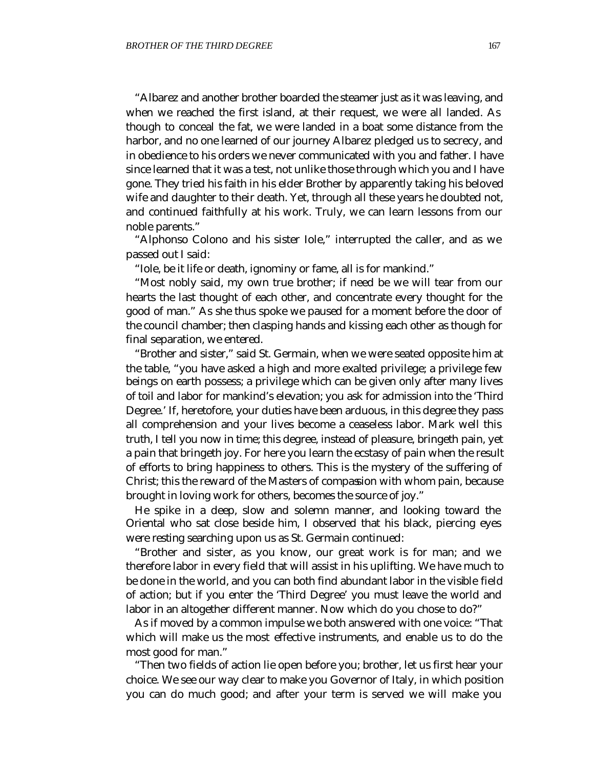"Albarez and another brother boarded the steamer just as it was leaving, and when we reached the first island, at their request, we were all landed. As though to conceal the fat, we were landed in a boat some distance from the harbor, and no one learned of our journey Albarez pledged us to secrecy, and in obedience to his orders we never communicated with you and father. I have since learned that it was a test, not unlike those through which you and I have gone. They tried his faith in his elder Brother by apparently taking his beloved wife and daughter to their death. Yet, through all these years he doubted not, and continued faithfully at his work. Truly, we can learn lessons from our noble parents."

"Alphonso Colono and his sister Iole," interrupted the caller, and as we passed out I said:

"Iole, be it life or death, ignominy or fame, all is for mankind."

"Most nobly said, my own true brother; if need be we will tear from our hearts the last thought of each other, and concentrate every thought for the good of man." As she thus spoke we paused for a moment before the door of the council chamber; then clasping hands and kissing each other as though for final separation, we entered.

"Brother and sister," said St. Germain, when we were seated opposite him at the table, "you have asked a high and more exalted privilege; a privilege few beings on earth possess; a privilege which can be given only after many lives of toil and labor for mankind's elevation; you ask for admission into the 'Third Degree.' If, heretofore, your duties have been arduous, in this degree they pass all comprehension and your lives become a ceaseless labor. Mark well this truth, I tell you now in time; this degree, instead of pleasure, bringeth pain, yet a pain that bringeth joy. For here you learn the ecstasy of pain when the result of efforts to bring happiness to others. This is the mystery of the suffering of Christ; this the reward of the Masters of compassion with whom pain, because brought in loving work for others, becomes the source of joy."

He spike in a deep, slow and solemn manner, and looking toward the Oriental who sat close beside him, I observed that his black, piercing eyes were resting searching upon us as St. Germain continued:

"Brother and sister, as you know, our great work is for man; and we therefore labor in every field that will assist in his uplifting. We have much to be done in the world, and you can both find abundant labor in the visible field of action; but if you enter the 'Third Degree' you must leave the world and labor in an altogether different manner. Now which do you chose to do?"

As if moved by a common impulse we both answered with one voice: "That which will make us the most effective instruments, and enable us to do the most good for man."

"Then two fields of action lie open before you; brother, let us first hear your choice. We see our way clear to make you Governor of Italy, in which position you can do much good; and after your term is served we will make you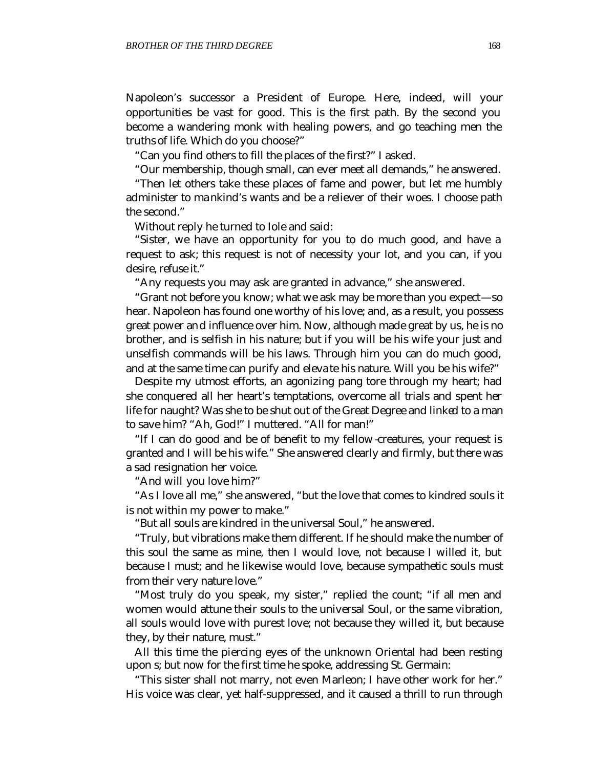Napoleon's successor a President of Europe. Here, indeed, will your opportunities be vast for good. This is the first path. By the second you become a wandering monk with healing powers, and go teaching men the truths of life. Which do you choose?"

"Can you find others to fill the places of the first?" I asked.

"Our membership, though small, can ever meet all demands," he answered. "Then let others take these places of fame and power, but let me humbly

administer to mankind's wants and be a reliever of their woes. I choose path the second."

Without reply he turned to Iole and said:

"Sister, we have an opportunity for you to do much good, and have a request to ask; this request is not of necessity your lot, and you can, if you desire, refuse it."

"Any requests you may ask are granted in advance," she answered.

"Grant not before you know; what we ask may be more than you expect—so hear. Napoleon has found one worthy of his love; and, as a result, you possess great power and influence over him. Now, although made great by us, he is no brother, and is selfish in his nature; but if you will be his wife your just and unselfish commands will be his laws. Through him you can do much good, and at the same time can purify and eleva te his nature. Will you be his wife?"

Despite my utmost efforts, an agonizing pang tore through my heart; had she conquered all her heart's temptations, overcome all trials and spent her life for naught? Was she to be shut out of the Great Degree and linked to a man to save him? "Ah, God!" I muttered. "All for man!"

"If I can do good and be of benefit to my fellow-creatures, your request is granted and I will be his wife." She answered clearly and firmly, but there was a sad resignation her voice.

"And will you love him?"

"As I love all me," she answered, "but the love that comes to kindred souls it is not within my power to make."

"But all souls are kindred in the universal Soul," he answered.

"Truly, but vibrations make them different. If he should make the number of this soul the same as mine, then I would love, not because I willed it, but because I must; and he likewise would love, because sympathetic souls must from their very nature love."

"Most truly do you speak, my sister," replied the count; "if all men and women would attune their souls to the universal Soul, or the same vibration, all souls would love with purest love; not because they willed it, but because they, by their nature, must."

All this time the piercing eyes of the unknown Oriental had been resting upon s; but now for the first time he spoke, addressing St. Germain:

"This sister shall not marry, not even Marleon; I have other work for her." His voice was clear, yet half-suppressed, and it caused a thrill to run through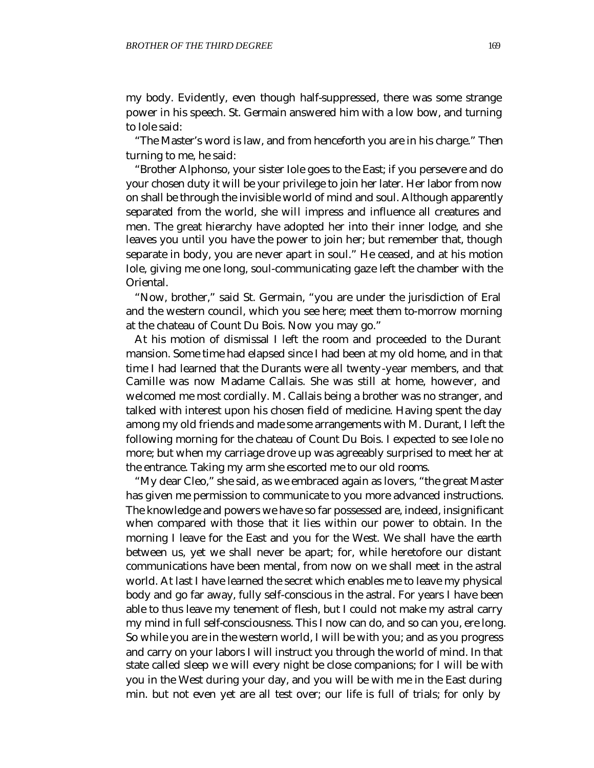my body. Evidently, even though half-suppressed, there was some strange power in his speech. St. Germain answered him with a low bow, and turning to Iole said:

"The Master's word is law, and from henceforth you are in his charge." Then turning to me, he said:

"Brother Alphonso, your sister Iole goes to the East; if you persevere and do your chosen duty it will be your privilege to join her later. Her labor from now on shall be through the invisible world of mind and soul. Although apparently separated from the world, she will impress and influence all creatures and men. The great hierarchy have adopted her into their inner lodge, and she leaves you until you have the power to join her; but remember that, though separate in body, you are never apart in soul." He ceased, and at his motion Iole, giving me one long, soul-communicating gaze left the chamber with the Oriental.

"Now, brother," said St. Germain, "you are under the jurisdiction of Eral and the western council, which you see here; meet them to-morrow morning at the chateau of Count Du Bois. Now you may go."

At his motion of dismissal I left the room and proceeded to the Durant mansion. Some time had elapsed since I had been at my old home, and in that time I had learned that the Durants were all twenty-year members, and that Camille was now Madame Callais. She was still at home, however, and welcomed me most cordially. M. Callais being a brother was no stranger, and talked with interest upon his chosen field of medicine. Having spent the day among my old friends and made some arrangements with M. Durant, I left the following morning for the chateau of Count Du Bois. I expected to see Iole no more; but when my carriage drove up was agreeably surprised to meet her at the entrance. Taking my arm she escorted me to our old rooms.

"My dear Cleo," she said, as we embraced again as lovers, "the great Master has given me permission to communicate to you more advanced instructions. The knowledge and powers we have so far possessed are, indeed, insignificant when compared with those that it lies within our power to obtain. In the morning I leave for the East and you for the West. We shall have the earth between us, yet we shall never be apart; for, while heretofore our distant communications have been mental, from now on we shall meet in the astral world. At last I have learned the secret which enables me to leave my physical body and go far away, fully self-conscious in the astral. For years I have been able to thus leave my tenement of flesh, but I could not make my astral carry my mind in full self-consciousness. This I now can do, and so can you, ere long. So while you are in the western world, I will be with you; and as you progress and carry on your labors I will instruct you through the world of mind. In that state called sleep we will every night be close companions; for I will be with you in the West during your day, and you will be with me in the East during min. but not even yet are all test over; our life is full of trials; for only by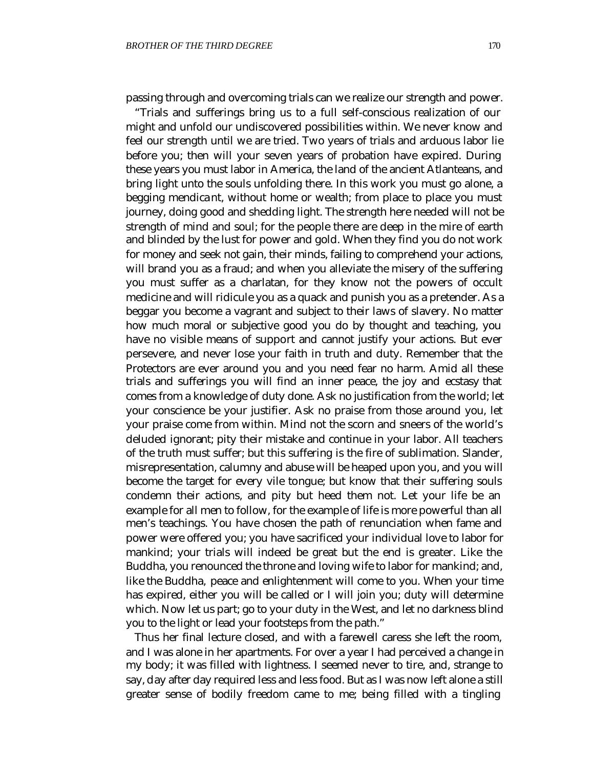passing through and overcoming trials can we realize our strength and power.

"Trials and sufferings bring us to a full self-conscious realization of our might and unfold our undiscovered possibilities within. We never know and feel our strength until we are tried. Two years of trials and arduous labor lie before you; then will your seven years of probation have expired. During these years you must labor in America, the land of the ancient Atlanteans, and bring light unto the souls unfolding there. In this work you must go alone, a begging mendicant, without home or wealth; from place to place you must journey, doing good and shedding light. The strength here needed will not be strength of mind and soul; for the people there are deep in the mire of earth and blinded by the lust for power and gold. When they find you do not work for money and seek not gain, their minds, failing to comprehend your actions, will brand you as a fraud; and when you alleviate the misery of the suffering you must suffer as a charlatan, for they know not the powers of occult medicine and will ridicule you as a quack and punish you as a pretender. As a beggar you become a vagrant and subject to their laws of slavery. No matter how much moral or subjective good you do by thought and teaching, you have no visible means of support and cannot justify your actions. But ever persevere, and never lose your faith in truth and duty. Remember that the Protectors are ever around you and you need fear no harm. Amid all these trials and sufferings you will find an inner peace, the joy and ecstasy that comes from a knowledge of duty done. Ask no justification from the world; let your conscience be your justifier. Ask no praise from those around you, let your praise come from within. Mind not the scorn and sneers of the world's deluded ignorant; pity their mistake and continue in your labor. All teachers of the truth must suffer; but this suffering is the fire of sublimation. Slander, misrepresentation, calumny and abuse will be heaped upon you, and you will become the target for every vile tongue; but know that their suffering souls condemn their actions, and pity but heed them not. Let your life be an example for all men to follow, for the example of life is more powerful than all men's teachings. You have chosen the path of renunciation when fame and power were offered you; you have sacrificed your individual love to labor for mankind; your trials will indeed be great but the end is greater. Like the Buddha, you renounced the throne and loving wife to labor for mankind; and, like the Buddha, peace and enlightenment will come to you. When your time has expired, either you will be called or I will join you; duty will determine which. Now let us part; go to your duty in the West, and let no darkness blind you to the light or lead your footsteps from the path."

Thus her final lecture closed, and with a farewell caress she left the room, and I was alone in her apartments. For over a year I had perceived a change in my body; it was filled with lightness. I seemed never to tire, and, strange to say, day after day required less and less food. But as I was now left alone a still greater sense of bodily freedom came to me; being filled with a tingling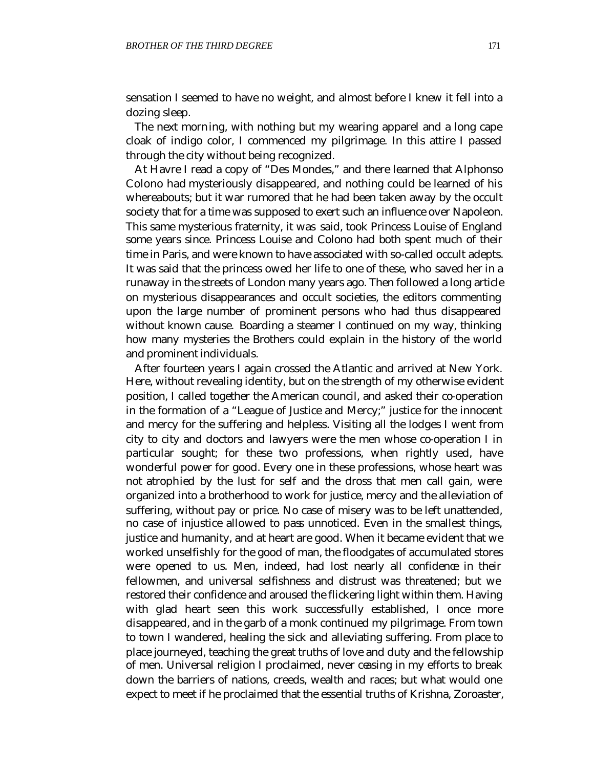sensation I seemed to have no weight, and almost before I knew it fell into a dozing sleep.

The next morning, with nothing but my wearing apparel and a long cape cloak of indigo color, I commenced my pilgrimage. In this attire I passed through the city without being recognized.

At Havre I read a copy of "Des Mondes," and there learned that Alphonso Colono had mysteriously disappeared, and nothing could be learned of his whereabouts; but it war rumored that he had been taken away by the occult society that for a time was supposed to exert such an influence over Napoleon. This same mysterious fraternity, it was said, took Princess Louise of England some years since. Princess Louise and Colono had both spent much of their time in Paris, and were known to have associated with so-called occult adepts. It was said that the princess owed her life to one of these, who saved her in a runaway in the streets of London many years ago. Then followed a long article on mysterious disappearances and occult societies, the editors commenting upon the large number of prominent persons who had thus disappeared without known cause. Boarding a steamer I continued on my way, thinking how many mysteries the Brothers could explain in the history of the world and prominent individuals.

After fourteen years I again crossed the Atlantic and arrived at New York. Here, without revealing identity, but on the strength of my otherwise evident position, I called together the American council, and asked their co-operation in the formation of a "League of Justice and Mercy;" justice for the innocent and mercy for the suffering and helpless. Visiting all the lodges I went from city to city and doctors and lawyers were the men whose co-operation I in particular sought; for these two professions, when rightly used, have wonderful power for good. Every one in these professions, whose heart was not atrophied by the lust for self and the dross that men call gain, were organized into a brotherhood to work for justice, mercy and the alleviation of suffering, without pay or price. No case of misery was to be left unattended, no case of injustice allowed to pass unnoticed. Even in the smallest things, justice and humanity, and at heart are good. When it became evident that we worked unselfishly for the good of man, the floodgates of accumulated stores were opened to us. Men, indeed, had lost nearly all confidence in their fellowmen, and universal selfishness and distrust was threatened; but we restored their confidence and aroused the flickering light within them. Having with glad heart seen this work successfully established, I once more disappeared, and in the garb of a monk continued my pilgrimage. From town to town I wandered, healing the sick and alleviating suffering. From place to place journeyed, teaching the great truths of love and duty and the fellowship of men. Universal religion I proclaimed, never ceasing in my efforts to break down the barriers of nations, creeds, wealth and races; but what would one expect to meet if he proclaimed that the essential truths of Krishna, Zoroaster,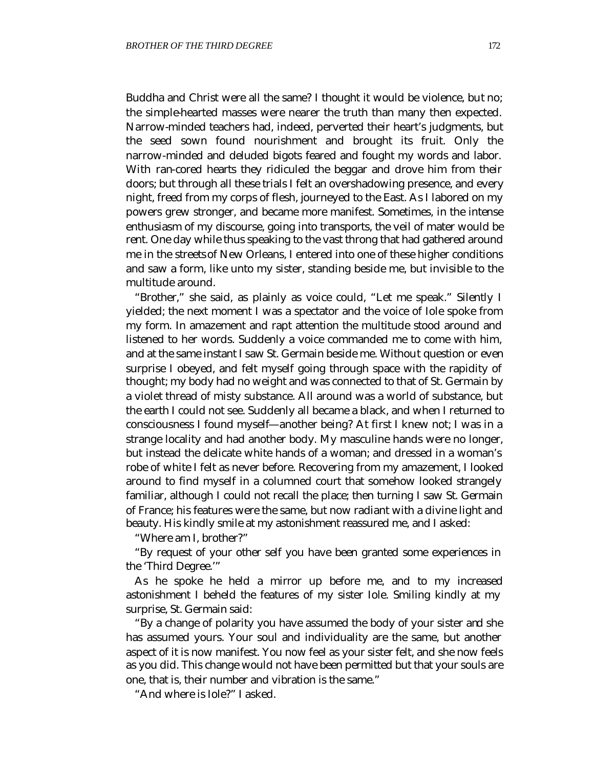Buddha and Christ were all the same? I thought it would be violence, but no; the simple-hearted masses were nearer the truth than many then expected. Narrow-minded teachers had, indeed, perverted their heart's judgments, but the seed sown found nourishment and brought its fruit. Only the narrow-minded and deluded bigots feared and fought my words and labor. With ran-cored hearts they ridiculed the beggar and drove him from their doors; but through all these trials I felt an overshadowing presence, and every night, freed from my corps of flesh, journeyed to the East. As I labored on my powers grew stronger, and became more manifest. Sometimes, in the intense enthusiasm of my discourse, going into transports, the veil of mater would be rent. One day while thus speaking to the vast throng that had gathered around me in the streets of New Orleans, I entered into one of these higher conditions and saw a form, like unto my sister, standing beside me, but invisible to the multitude around.

"Brother," she said, as plainly as voice could, "Let me speak." Silently I yielded; the next moment I was a spectator and the voice of Iole spoke from my form. In amazement and rapt attention the multitude stood around and listened to her words. Suddenly a voice commanded me to come with him, and at the same instant I saw St. Germain beside me. Without question or even surprise I obeyed, and felt myself going through space with the rapidity of thought; my body had no weight and was connected to that of St. Germain by a violet thread of misty substance. All around was a world of substance, but the earth I could not see. Suddenly all became a black, and when I returned to consciousness I found myself—another being? At first I knew not; I was in a strange locality and had another body. My masculine hands were no longer, but instead the delicate white hands of a woman; and dressed in a woman's robe of white I felt as never before. Recovering from my amazement, I looked around to find myself in a columned court that somehow looked strangely familiar, although I could not recall the place; then turning I saw St. Germain of France; his features were the same, but now radiant with a divine light and beauty. His kindly smile at my astonishment reassured me, and I asked:

"Where am I, brother?"

"By request of your other self you have been granted some experiences in the 'Third Degree.'"

As he spoke he held a mirror up before me, and to my increased astonishment I beheld the features of my sister Iole. Smiling kindly at my surprise, St. Germain said:

"By a change of polarity you have assumed the body of your sister and she has assumed yours. Your soul and individuality are the same, but another aspect of it is now manifest. You now feel as your sister felt, and she now feels as you did. This change would not have been permitted but that your souls are one, that is, their number and vibration is the same."

"And where is Iole?" I asked.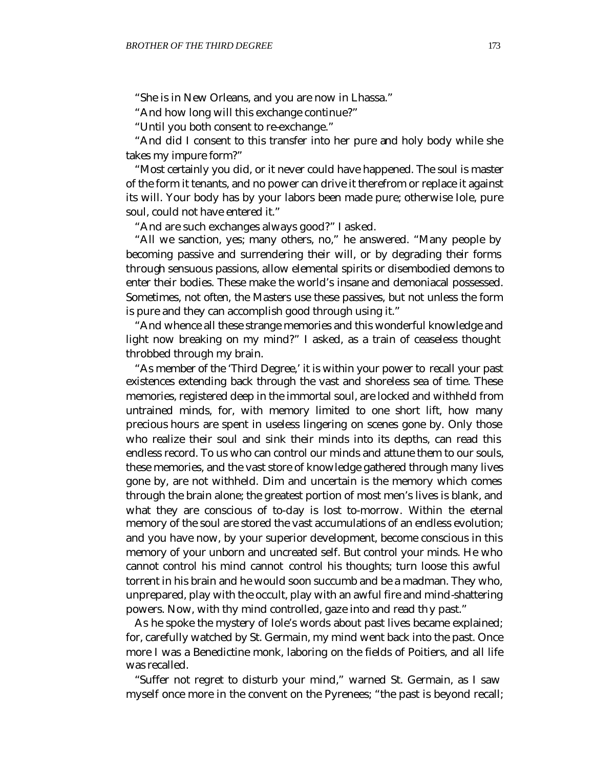"She is in New Orleans, and you are now in Lhassa."

"And how long will this exchange continue?"

"Until you both consent to re-exchange."

"And did I consent to this transfer into her pure and holy body while she takes my impure form?"

"Most certainly you did, or it never could have happened. The soul is master of the form it tenants, and no power can drive it therefrom or replace it against its will. Your body has by your labors been made pure; otherwise Iole, pure soul, could not have entered it."

"And are such exchanges always good?" I asked.

"All we sanction, yes; many others, no," he answered. "Many people by becoming passive and surrendering their will, or by degrading their forms through sensuous passions, allow elemental spirits or disembodied demons to enter their bodies. These make the world's insane and demoniacal possessed. Sometimes, not often, the Masters use these passives, but not unless the form is pure and they can accomplish good through using it."

"And whence all these strange memories and this wonderful knowledge and light now breaking on my mind?" I asked, as a train of ceaseless thought throbbed through my brain.

"As member of the 'Third Degree,' it is within your power to recall your past existences extending back through the vast and shoreless sea of time. These memories, registered deep in the immortal soul, are locked and withheld from untrained minds, for, with memory limited to one short lift, how many precious hours are spent in useless lingering on scenes gone by. Only those who realize their soul and sink their minds into its depths, can read this endless record. To us who can control our minds and attune them to our souls, these memories, and the vast store of knowledge gathered through many lives gone by, are not withheld. Dim and uncertain is the memory which comes through the brain alone; the greatest portion of most men's lives is blank, and what they are conscious of to-day is lost to-morrow. Within the eternal memory of the soul are stored the vast accumulations of an endless evolution; and you have now, by your superior development, become conscious in this memory of your unborn and uncreated self. But control your minds. He who cannot control his mind cannot control his thoughts; turn loose this awful torrent in his brain and he would soon succumb and be a madman. They who, unprepared, play with the occult, play with an awful fire and mind-shattering powers. Now, with thy mind controlled, gaze into and read thy past."

As he spoke the mystery of Iole's words about past lives became explained; for, carefully watched by St. Germain, my mind went back into the past. Once more I was a Benedictine monk, laboring on the fields of Poitiers, and all life was recalled.

"Suffer not regret to disturb your mind," warned St. Germain, as I saw myself once more in the convent on the Pyrenees; "the past is beyond recall;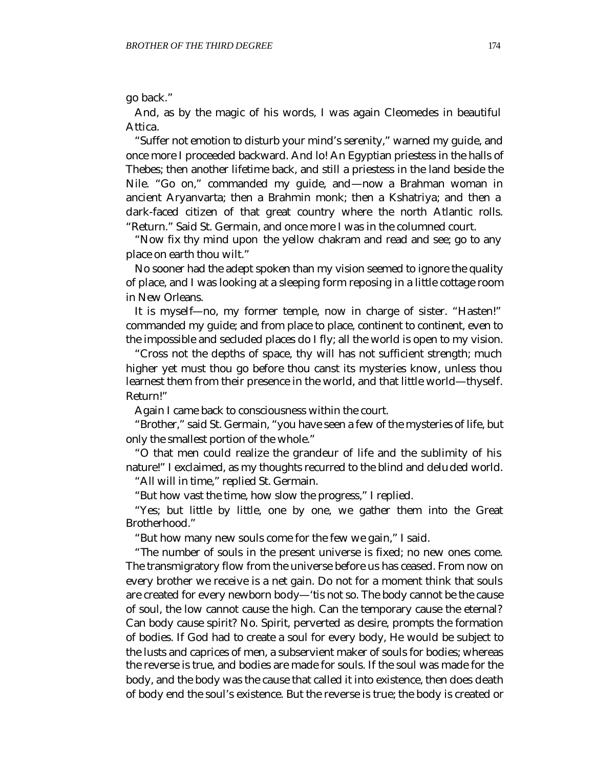go back."

And, as by the magic of his words, I was again Cleomedes in beautiful Attica.

"Suffer not emotion to disturb your mind's serenity," warned my guide, and once more I proceeded backward. And lo! An Egyptian priestess in the halls of Thebes; then another lifetime back, and still a priestess in the land beside the Nile. "Go on," commanded my guide, and—now a Brahman woman in ancient Aryanvarta; then a Brahmin monk; then a Kshatriya; and then a dark-faced citizen of that great country where the north Atlantic rolls. "Return." Said St. Germain, and once more I was in the columned court.

"Now fix thy mind upon the yellow chakram and read and see; go to any place on earth thou wilt."

No sooner had the adept spoken than my vision seemed to ignore the quality of place, and I was looking at a sleeping form reposing in a little cottage room in New Orleans.

It is myself—no, my former temple, now in charge of sister. "Hasten!" commanded my guide; and from place to place, continent to continent, even to the impossible and secluded places do I fly; all the world is open to my vision.

"Cross not the depths of space, thy will has not sufficient strength; much higher yet must thou go before thou canst its mysteries know, unless thou learnest them from their presence in the world, and that little world—thyself. Return!"

Again I came back to consciousness within the court.

"Brother," said St. Germain, "you have seen a few of the mysteries of life, but only the smallest portion of the whole."

"O that men could realize the grandeur of life and the sublimity of his nature!" I exclaimed, as my thoughts recurred to the blind and deluded world.

"All will in time," replied St. Germain.

"But how vast the time, how slow the progress," I replied.

"Yes; but little by little, one by one, we gather them into the Great Brotherhood."

"But how many new souls come for the few we gain," I said.

"The number of souls in the present universe is fixed; no new ones come. The transmigratory flow from the universe before us has ceased. From now on every brother we receive is a net gain. Do not for a moment think that souls are created for every newborn body—'tis not so. The body cannot be the cause of soul, the low cannot cause the high. Can the temporary cause the eternal? Can body cause spirit? No. Spirit, perverted as desire, prompts the formation of bodies. If God had to create a soul for every body, He would be subject to the lusts and caprices of men, a subservient maker of souls for bodies; whereas the reverse is true, and bodies are made for souls. If the soul was made for the body, and the body was the cause that called it into existence, then does death of body end the soul's existence. But the reverse is true; the body is created or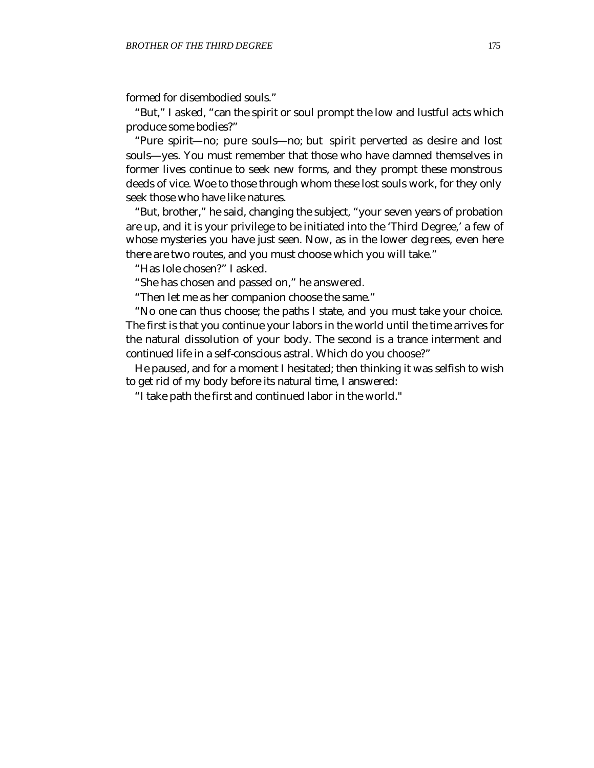formed for disembodied souls."

"But," I asked, "can the spirit or soul prompt the low and lustful acts which produce some bodies?"

"Pure spirit—no; pure souls—no; but spirit perverted as desire and lost souls—yes. You must remember that those who have damned themselves in former lives continue to seek new forms, and they prompt these monstrous deeds of vice. Woe to those through whom these lost souls work, for they only seek those who have like natures.

"But, brother," he said, changing the subject, "your seven years of probation are up, and it is your privilege to be initiated into the 'Third Degree,' a few of whose mysteries you have just seen. Now, as in the lower degrees, even here there are two routes, and you must choose which you will take."

"Has Iole chosen?" I asked.

"She has chosen and passed on," he answered.

"Then let me as her companion choose the same."

"No one can thus choose; the paths I state, and you must take your choice. The first is that you continue your labors in the world until the time arrives for the natural dissolution of your body. The second is a trance interment and continued life in a self-conscious astral. Which do you choose?"

He paused, and for a moment I hesitated; then thinking it was selfish to wish to get rid of my body before its natural time, I answered:

"I take path the first and continued labor in the world."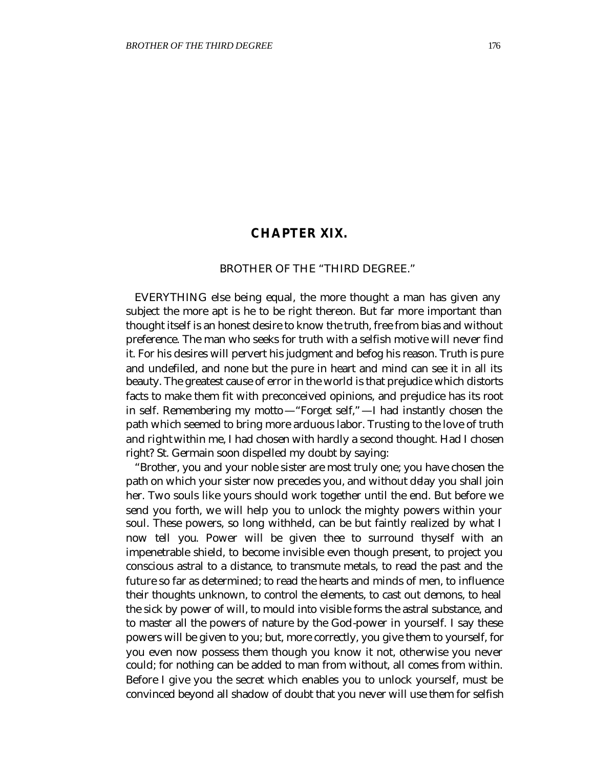## **CHAPTER XIX.**

#### BROTHER OF THE "THIRD DEGREE."

EVERYTHING else being equal, the more thought a man has given any subject the more apt is he to be right thereon. But far more important than thought itself is an honest desire to know the truth, free from bias and without preference. The man who seeks for truth with a selfish motive will never find it. For his desires will pervert his judgment and befog his reason. Truth is pure and undefiled, and none but the pure in heart and mind can see it in all its beauty. The greatest cause of error in the world is that prejudice which distorts facts to make them fit with preconceived opinions, and prejudice has its root in self. Remembering my motto—"Forget self,"—I had instantly chosen the path which seemed to bring more arduous labor. Trusting to the love of truth and right within me, I had chosen with hardly a second thought. Had I chosen right? St. Germain soon dispelled my doubt by saying:

"Brother, you and your noble sister are most truly one; you have chosen the path on which your sister now precedes you, and without delay you shall join her. Two souls like yours should work together until the end. But before we send you forth, we will help you to unlock the mighty powers within your soul. These powers, so long withheld, can be but faintly realized by what I now tell you. Power will be given thee to surround thyself with an impenetrable shield, to become invisible even though present, to project you conscious astral to a distance, to transmute metals, to read the past and the future so far as determined; to read the hearts and minds of men, to influence their thoughts unknown, to control the elements, to cast out demons, to heal the sick by power of will, to mould into visible forms the astral substance, and to master all the powers of nature by the God-power in yourself. I say these powers will be given to you; but, more correctly, you give them to yourself, for you even now possess them though you know it not, otherwise you never could; for nothing can be added to man from without, all comes from within. Before I give you the secret which enables you to unlock yourself, must be convinced beyond all shadow of doubt that you never will use them for selfish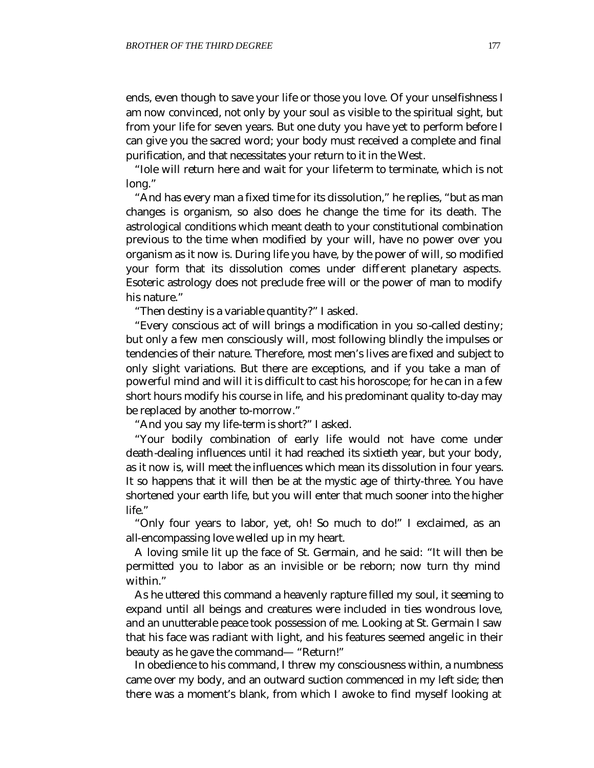ends, even though to save your life or those you love. Of your unselfishness I am now convinced, not only by your soul as visible to the spiritual sight, but from your life for seven years. But one duty you have yet to perform before I can give you the sacred word; your body must received a complete and final purification, and that necessitates your return to it in the West.

"Iole will return here and wait for your life-term to terminate, which is not long."

"And has every man a fixed time for its dissolution," he replies, "but as man changes is organism, so also does he change the time for its death. The astrological conditions which meant death to your constitutional combination previous to the time when modified by your will, have no power over you organism as it now is. During life you have, by the power of will, so modified your form that its dissolution comes under diff erent planetary aspects. Esoteric astrology does not preclude free will or the power of man to modify his nature."

"Then destiny is a variable quantity?" I asked.

"Every conscious act of will brings a modification in you so-called destiny; but only a few men consciously will, most following blindly the impulses or tendencies of their nature. Therefore, most men's lives are fixed and subject to only slight variations. But there are exceptions, and if you take a man of powerful mind and will it is difficult to cast his horoscope; for he can in a few short hours modify his course in life, and his predominant quality to-day may be replaced by another to-morrow."

"And you say my life-term is short?" I asked.

"Your bodily combination of early life would not have come under death-dealing influences until it had reached its sixtieth year, but your body, as it now is, will meet the influences which mean its dissolution in four years. It so happens that it will then be at the mystic age of thirty-three. You have shortened your earth life, but you will enter that much sooner into the higher life."

"Only four years to labor, yet, oh! So much to do!" I exclaimed, as an all-encompassing love welled up in my heart.

A loving smile lit up the face of St. Germain, and he said: "It will then be permitted you to labor as an invisible or be reborn; now turn thy mind within."

As he uttered this command a heavenly rapture filled my soul, it seeming to expand until all beings and creatures were included in ties wondrous love, and an unutterable peace took possession of me. Looking at St. Germain I saw that his face was radiant with light, and his features seemed angelic in their beauty as he gave the command— "Return!"

In obedience to his command, I threw my consciousness within, a numbness came over my body, and an outward suction commenced in my left side; then there was a moment's blank, from which I awoke to find myself looking at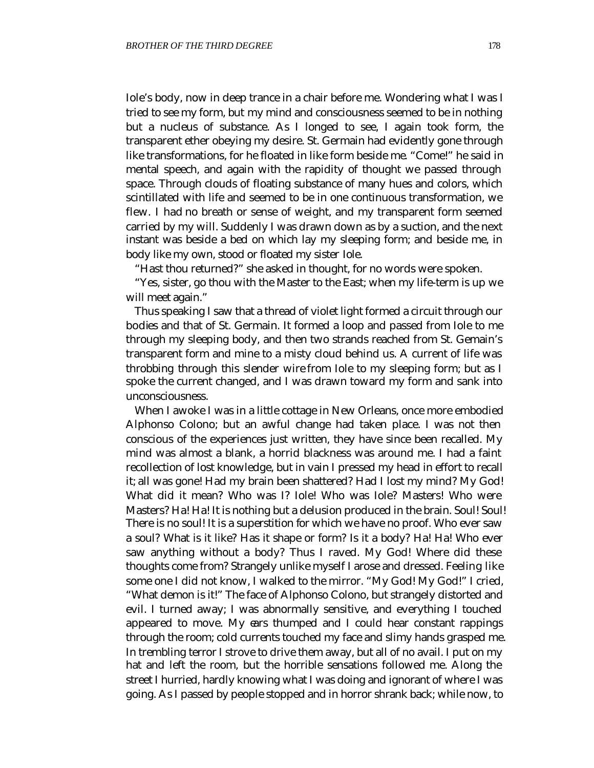Iole's body, now in deep trance in a chair before me. Wondering what I was I tried to see my form, but my mind and consciousness seemed to be in nothing but a nucleus of substance. As I longed to see, I again took form, the transparent ether obeying my desire. St. Germain had evidently gone through like transformations, for he floated in like form beside me. "Come!" he said in mental speech, and again with the rapidity of thought we passed through space. Through clouds of floating substance of many hues and colors, which scintillated with life and seemed to be in one continuous transformation, we flew. I had no breath or sense of weight, and my transparent form seemed carried by my will. Suddenly I was drawn down as by a suction, and the next instant was beside a bed on which lay my sleeping form; and beside me, in body like my own, stood or floated my sister Iole.

"Hast thou returned?" she asked in thought, for no words were spoken.

"Yes, sister, go thou with the Master to the East; when my life-term is up we will meet again."

Thus speaking I saw that a thread of violet light formed a circuit through our bodies and that of St. Germain. It formed a loop and passed from Iole to me through my sleeping body, and then two strands reached from St. Gemain's transparent form and mine to a misty cloud behind us. A current of life was throbbing through this slender wire from Iole to my sleeping form; but as I spoke the current changed, and I was drawn toward my form and sank into unconsciousness.

When I awoke I was in a little cottage in New Orleans, once more embodied Alphonso Colono; but an awful change had taken place. I was not then conscious of the experiences just written, they have since been recalled. My mind was almost a blank, a horrid blackness was around me. I had a faint recollection of lost knowledge, but in vain I pressed my head in effort to recall it; all was gone! Had my brain been shattered? Had I lost my mind? My God! What did it mean? Who was I? Iole! Who was Iole? Masters! Who were Masters? Ha! Ha! It is nothing but a delusion produced in the brain. Soul! Soul! There is no soul! It is a superstition for which we have no proof. Who ever saw a soul? What is it like? Has it shape or form? Is it a body? Ha! Ha! Who ever saw anything without a body? Thus I raved. My God! Where did these thoughts come from? Strangely unlike myself I arose and dressed. Feeling like some one I did not know, I walked to the mirror. "My God! My God!" I cried, "What demon is it!" The face of Alphonso Colono, but strangely distorted and evil. I turned away; I was abnormally sensitive, and everything I touched appeared to move. My ears thumped and I could hear constant rappings through the room; cold currents touched my face and slimy hands grasped me. In trembling terror I strove to drive them away, but all of no avail. I put on my hat and left the room, but the horrible sensations followed me. Along the street I hurried, hardly knowing what I was doing and ignorant of where I was going. As I passed by people stopped and in horror shrank back; while now, to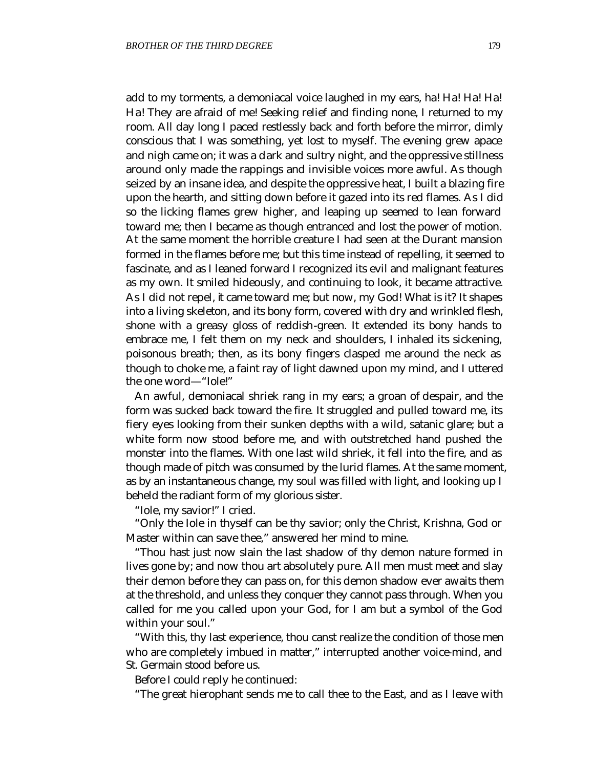add to my torments, a demoniacal voice laughed in my ears, ha! Ha! Ha! Ha! Ha! They are afraid of me! Seeking relief and finding none, I returned to my room. All day long I paced restlessly back and forth before the mirror, dimly conscious that I was something, yet lost to myself. The evening grew apace and nigh came on; it was a dark and sultry night, and the oppressive stillness around only made the rappings and invisible voices more awful. As though seized by an insane idea, and despite the oppressive heat, I built a blazing fire upon the hearth, and sitting down before it gazed into its red flames. As I did so the licking flames grew higher, and leaping up seemed to lean forward toward me; then I became as though entranced and lost the power of motion. At the same moment the horrible creature I had seen at the Durant mansion formed in the flames before me; but this time instead of repelling, it seemed to fascinate, and as I leaned forward I recognized its evil and malignant features as my own. It smiled hideously, and continuing to look, it became attractive. As I did not repel, it came toward me; but now, my God! What is it? It shapes into a living skeleton, and its bony form, covered with dry and wrinkled flesh, shone with a greasy gloss of reddish-green. It extended its bony hands to embrace me, I felt them on my neck and shoulders, I inhaled its sickening, poisonous breath; then, as its bony fingers clasped me around the neck as though to choke me, a faint ray of light dawned upon my mind, and I uttered the one word—"Iole!"

An awful, demoniacal shriek rang in my ears; a groan of despair, and the form was sucked back toward the fire. It struggled and pulled toward me, its fiery eyes looking from their sunken depths with a wild, satanic glare; but a white form now stood before me, and with outstretched hand pushed the monster into the flames. With one last wild shriek, it fell into the fire, and as though made of pitch was consumed by the lurid flames. At the same moment, as by an instantaneous change, my soul was filled with light, and looking up I beheld the radiant form of my glorious sister.

"Iole, my savior!" I cried.

"Only the Iole in thyself can be thy savior; only the Christ, Krishna, God or Master within can save thee," answered her mind to mine.

"Thou hast just now slain the last shadow of thy demon nature formed in lives gone by; and now thou art absolutely pure. All men must meet and slay their demon before they can pass on, for this demon shadow ever awaits them at the threshold, and unless they conquer they cannot pass through. When you called for me you called upon your God, for I am but a symbol of the God within your soul."

"With this, thy last experience, thou canst realize the condition of those men who are completely imbued in matter," interrupted another voice-mind, and St. Germain stood before us.

Before I could reply he continued:

"The great hierophant sends me to call thee to the East, and as I leave with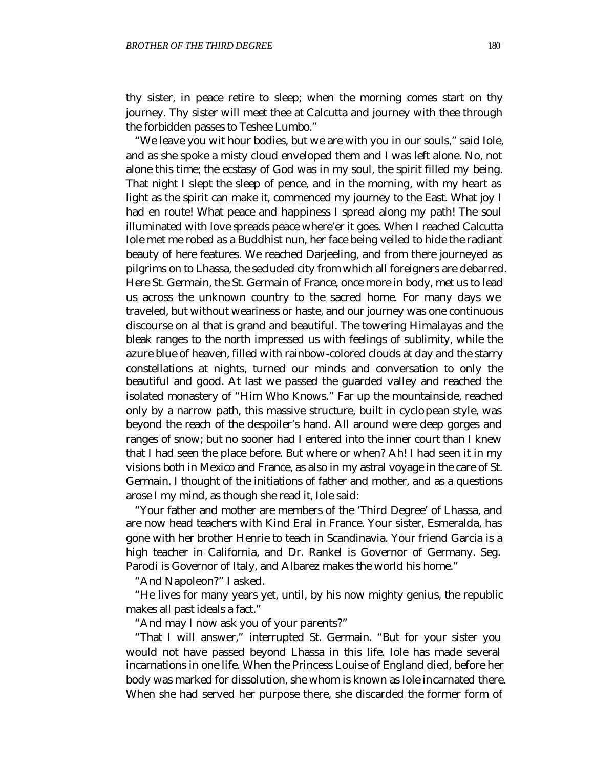thy sister, in peace retire to sleep; when the morning comes start on thy journey. Thy sister will meet thee at Calcutta and journey with thee through the forbidden passes to Teshee Lumbo."

"We leave you wit hour bodies, but we are with you in our souls," said Iole, and as she spoke a misty cloud enveloped them and I was left alone. No, not alone this time; the ecstasy of God was in my soul, the spirit filled my being. That night I slept the sleep of pence, and in the morning, with my heart as light as the spirit can make it, commenced my journey to the East. What joy I had en route! What peace and happiness I spread along my path! The soul illuminated with love spreads peace where'er it goes. When I reached Calcutta Iole met me robed as a Buddhist nun, her face being veiled to hide the radiant beauty of here features. We reached Darjeeling, and from there journeyed as pilgrims on to Lhassa, the secluded city from which all foreigners are debarred. Here St. Germain, the St. Germain of France, once more in body, met us to lead us across the unknown country to the sacred home. For many days we traveled, but without weariness or haste, and our journey was one continuous discourse on al that is grand and beautiful. The towering Himalayas and the bleak ranges to the north impressed us with feelings of sublimity, while the azure blue of heaven, filled with rainbow-colored clouds at day and the starry constellations at nights, turned our minds and conversation to only the beautiful and good. At last we passed the guarded valley and reached the isolated monastery of "Him Who Knows." Far up the mountainside, reached only by a narrow path, this massive structure, built in cyclopean style, was beyond the reach of the despoiler's hand. All around were deep gorges and ranges of snow; but no sooner had I entered into the inner court than I knew that I had seen the place before. But where or when? Ah! I had seen it in my visions both in Mexico and France, as also in my astral voyage in the care of St. Germain. I thought of the initiations of father and mother, and as a questions arose I my mind, as though she read it, Iole said:

"Your father and mother are members of the 'Third Degree' of Lhassa, and are now head teachers with Kind Eral in France. Your sister, Esmeralda, has gone with her brother Henrie to teach in Scandinavia. Your friend Garcia is a high teacher in California, and Dr. Rankel is Governor of Germany. Seg. Parodi is Governor of Italy, and Albarez makes the world his home."

"And Napoleon?" I asked.

"He lives for many years yet, until, by his now mighty genius, the republic makes all past ideals a fact."

"And may I now ask you of your parents?"

"That I will answer," interrupted St. Germain. "But for your sister you would not have passed beyond Lhassa in this life. Iole has made several incarnations in one life. When the Princess Louise of England died, before her body was marked for dissolution, she whom is known as Iole incarnated there. When she had served her purpose there, she discarded the former form of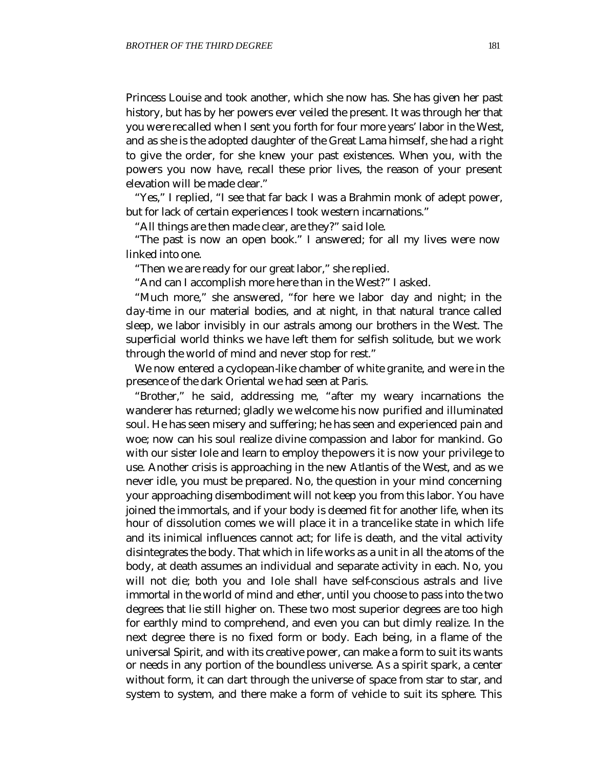Princess Louise and took another, which she now has. She has given her past history, but has by her powers ever veiled the present. It was through her that you were rec alled when I sent you forth for four more years' labor in the West, and as she is the adopted daughter of the Great Lama himself, she had a right to give the order, for she knew your past existences. When you, with the powers you now have, recall these prior lives, the reason of your present elevation will be made clear."

"Yes," I replied, "I see that far back I was a Brahmin monk of adept power, but for lack of certain experiences I took western incarnations."

"All things are then made clear, are they?" sa id Iole.

"The past is now an open book." I answered; for all my lives were now linked into one.

"Then we are ready for our great labor," she replied.

"And can I accomplish more here than in the West?" I asked.

"Much more," she answered, "for here we labor day and night; in the day-time in our material bodies, and at night, in that natural trance called sleep, we labor invisibly in our astrals among our brothers in the West. The superficial world thinks we have left them for selfish solitude, but we work through the world of mind and never stop for rest."

We now entered a cyclopean-like chamber of white granite, and were in the presence of the dark Oriental we had seen at Paris.

"Brother," he said, addressing me, "after my weary incarnations the wanderer has returned; gladly we welcome his now purified and illuminated soul. He has seen misery and suffering; he has seen and experienced pain and woe; now can his soul realize divine compassion and labor for mankind. Go with our sister Iole and learn to employ the powers it is now your privilege to use. Another crisis is approaching in the new Atlantis of the West, and as we never idle, you must be prepared. No, the question in your mind concerning your approaching disembodiment will not keep you from this labor. You have joined the immortals, and if your body is deemed fit for another life, when its hour of dissolution comes we will place it in a trance-like state in which life and its inimical influences cannot act; for life is death, and the vital activity disintegrates the body. That which in life works as a unit in all the atoms of the body, at death assumes an individual and separate activity in each. No, you will not die; both you and Iole shall have self-conscious astrals and live immortal in the world of mind and ether, until you choose to pass into the two degrees that lie still higher on. These two most superior degrees are too high for earthly mind to comprehend, and even you can but dimly realize. In the next degree there is no fixed form or body. Each being, in a flame of the universal Spirit, and with its creative power, can make a form to suit its wants or needs in any portion of the boundless universe. As a spirit spark, a center without form, it can dart through the universe of space from star to star, and system to system, and there make a form of vehicle to suit its sphere. This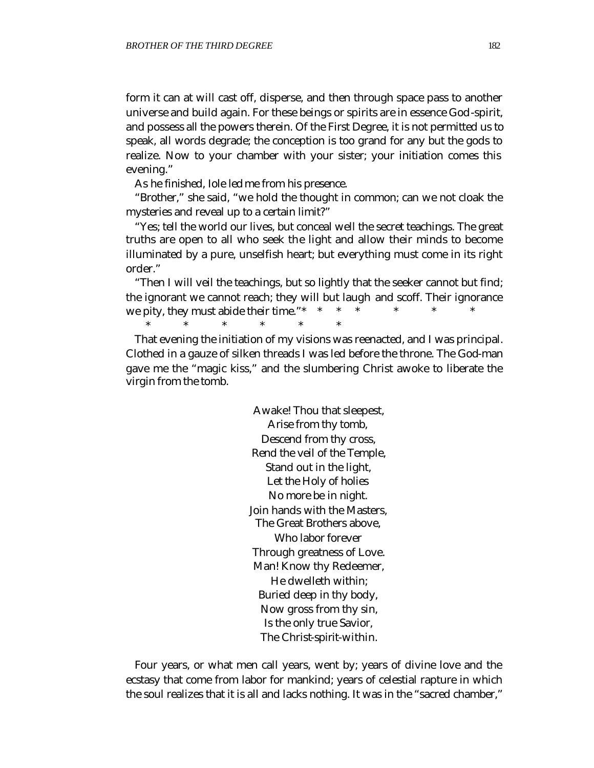form it can at will cast off, disperse, and then through space pass to another universe and build again. For these beings or spirits are in essence God-spirit, and possess all the powers therein. Of the First Degree, it is not permitted us to speak, all words degrade; the conception is too grand for any but the gods to realize. Now to your chamber with your sister; your initiation comes this evening."

As he finished, Iole led me from his presence.

"Brother," she said, "we hold the thought in common; can we not cloak the mysteries and reveal up to a certain limit?"

"Yes; tell the world our lives, but conceal well the secret teachings. The great truths are open to all who seek the light and allow their minds to become illuminated by a pure, unselfish heart; but everything must come in its right order."

"Then I will veil the teachings, but so lightly that the seeker cannot but find; the ignorant we cannot reach; they will but laugh and scoff. Their ignorance we pity, they must abide their time."\*

\* \* \* \* \* \*

That evening the initiation of my visions was reenacted, and I was principal. Clothed in a gauze of silken threads I was led before the throne. The God-man gave me the "magic kiss," and the slumbering Christ awoke to liberate the virgin from the tomb.

> Awake! Thou that sleepest, Arise from thy tomb, Descend from thy cross, Rend the veil of the Temple, Stand out in the light, Let the Holy of holies No more be in night. Join hands with the Masters, The Great Brothers above, Who labor forever Through greatness of Love. Man! Know thy Redeemer, He dwelleth within; Buried deep in thy body, Now gross from thy sin, Is the only true Savior, The Christ-spirit-within.

Four years, or what men call years, went by; years of divine love and the ecstasy that come from labor for mankind; years of celestial rapture in which the soul realizes that it is all and lacks nothing. It was in the "sacred chamber,"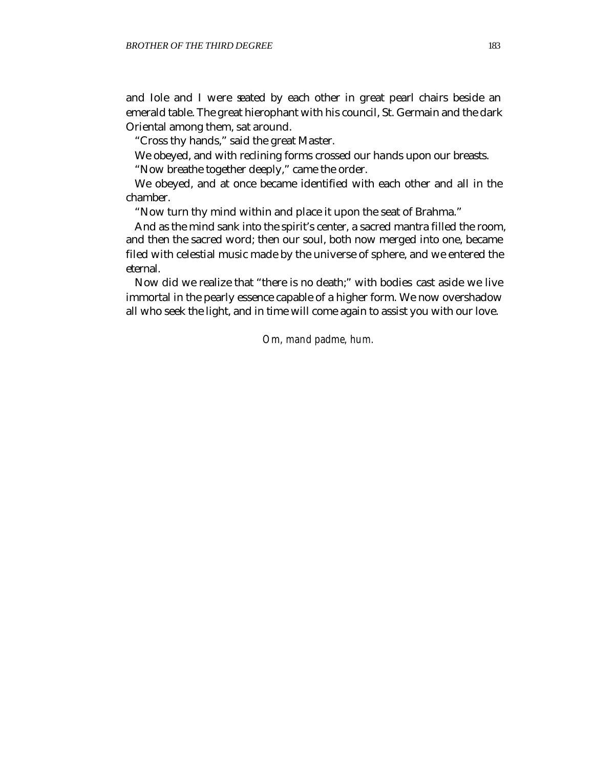and Iole and I were seated by each other in great pearl chairs beside an emerald table. The great hierophant with his council, St. Germain and the dark Oriental among them, sat around.

"Cross thy hands," said the great Master.

We obeyed, and with reclining forms crossed our hands upon our breasts.

"Now breathe together deeply," came the order.

We obeyed, and at once became identified with each other and all in the chamber.

"Now turn thy mind within and place it upon the seat of Brahma."

And as the mind sank into the spirit's center, a sacred mantra filled the room, and then the sacred word; then our soul, both now merged into one, became filed with celestial music made by the universe of sphere, and we entered the eternal.

Now did we realize that "there is no death;" with bodies cast aside we live immortal in the pearly essence capable of a higher form. We now overshadow all who seek the light, and in time will come again to assist you with our love.

*Om, mand padme, hum.*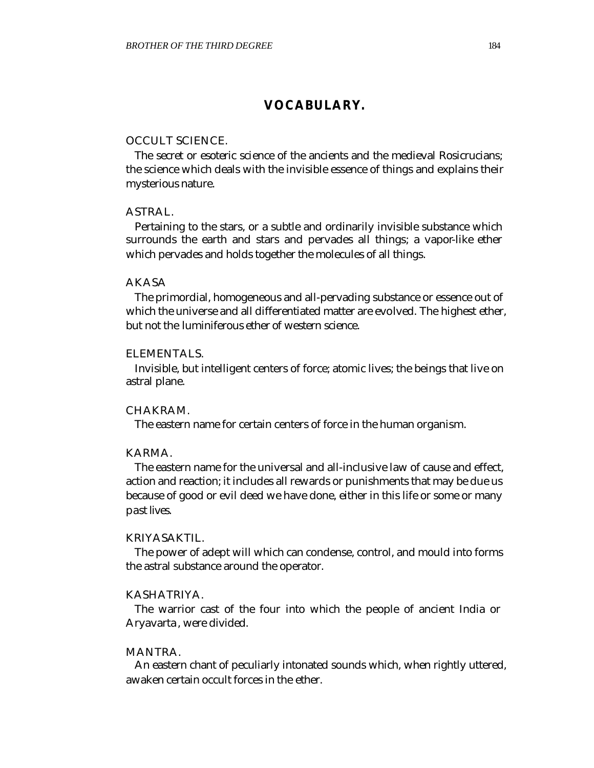## **VOCABULARY.**

### OCCULT SCIENCE.

The secret or esoteric science of the ancients and the medieval Rosicrucians; the science which deals with the invisible essence of things and explains their mysterious nature.

#### ASTRAL.

Pertaining to the stars, or a subtle and ordinarily invisible substance which surrounds the earth and stars and pervades all things; a vapor-like ether which pervades and holds together the molecules of all things.

#### AKASA

The primordial, homogeneous and all-pervading substance or essence out of which the universe and all differentiated matter are evolved. The highest ether, but not the luminiferous ether of western science.

### ELEMENTALS.

Invisible, but intelligent centers of force; atomic lives; the beings that live on astral plane.

### CHAKRAM.

The eastern name for certain centers of force in the human organism.

### KARMA.

The eastern name for the universal and all-inclusive law of cause and effect, action and reaction; it includes all rewards or punishments that may be due us because of good or evil deed we have done, either in this life or some or many past lives.

#### KRIYASAKTIL.

The power of adept will which can condense, control, and mould into forms the astral substance around the operator.

## KASHATRIYA.

The warrior cast of the four into which the people of ancient India or Aryavarta , were divided.

#### MANTRA.

An eastern chant of peculiarly intonated sounds which, when rightly uttered, awaken certain occult forces in the ether.